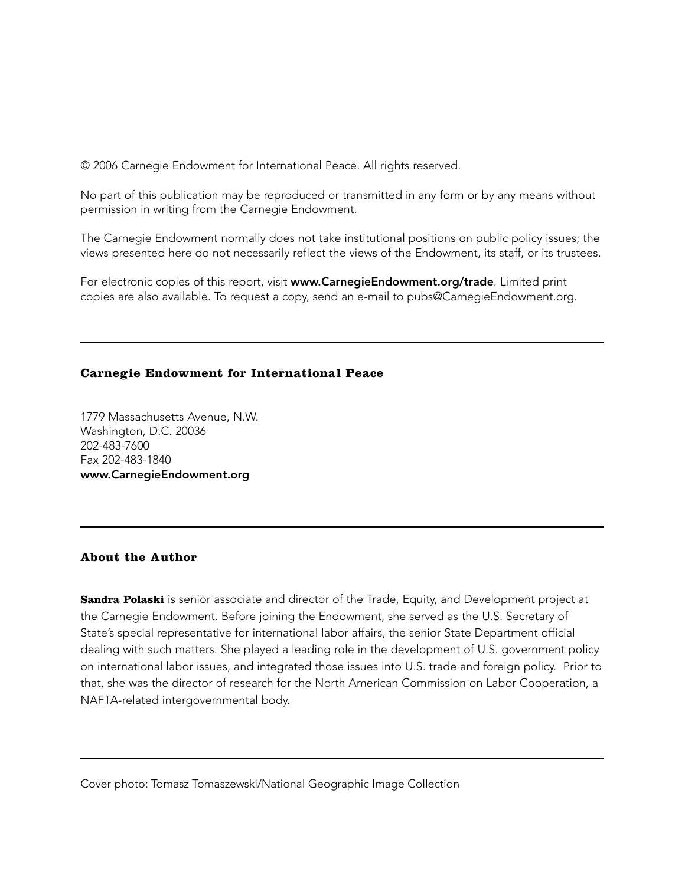# Winners and Losers

**IMPACT OF THE DOHA ROUND ON DEVELOPING COUNTRIES**

## Sandra Polaski



CARNEGIE ENDOWMENT for International Peace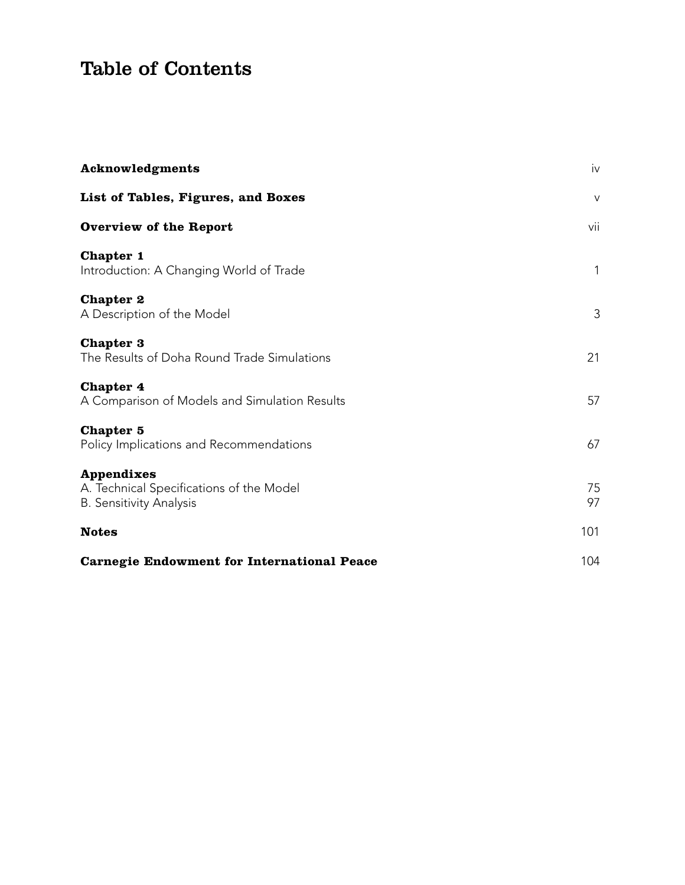© 2006 Carnegie Endowment for International Peace. All rights reserved.

No part of this publication may be reproduced or transmitted in any form or by any means without permission in writing from the Carnegie Endowment.

The Carnegie Endowment normally does not take institutional positions on public policy issues; the views presented here do not necessarily reflect the views of the Endowment, its staff, or its trustees.

For electronic copies of this report, visit www.CarnegieEndowment.org/trade. Limited print copies are also available. To request a copy, send an e-mail to pubs@CarnegieEndowment.org.

#### **Carnegie Endowment for International Peace**

1779 Massachusetts Avenue, N.W. Washington, D.C. 20036 202-483-7600 Fax 202-483-1840 www.CarnegieEndowment.org

#### **About the Author**

**Sandra Polaski** is senior associate and director of the Trade, Equity, and Development project at the Carnegie Endowment. Before joining the Endowment, she served as the U.S. Secretary of State's special representative for international labor affairs, the senior State Department official dealing with such matters. She played a leading role in the development of U.S. government policy on international labor issues, and integrated those issues into U.S. trade and foreign policy. Prior to that, she was the director of research for the North American Commission on Labor Cooperation, a NAFTA-related intergovernmental body.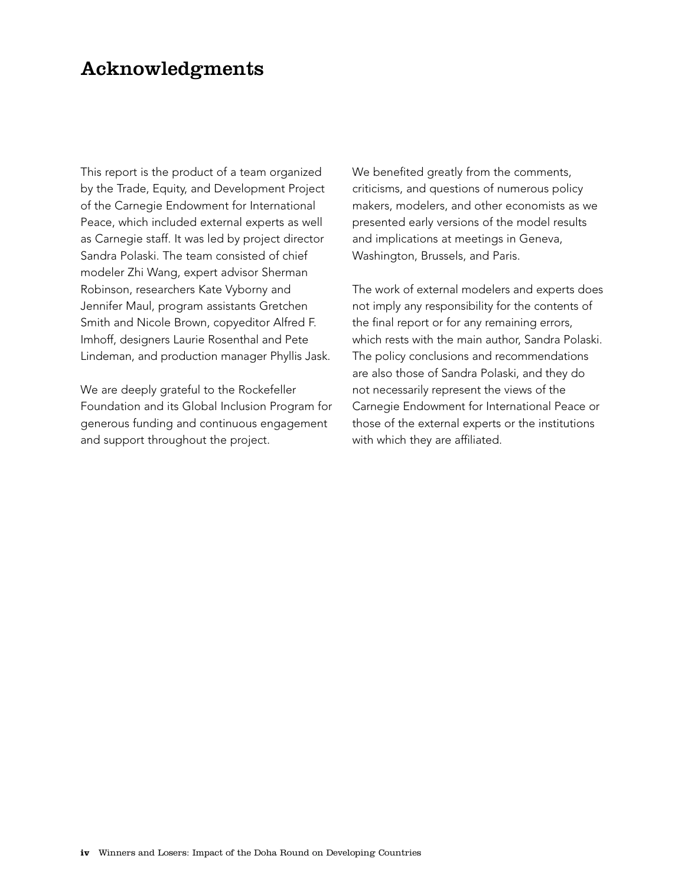## Table of Contents

| Acknowledgments                                                                                 | iv       |
|-------------------------------------------------------------------------------------------------|----------|
| List of Tables, Figures, and Boxes                                                              | $\vee$   |
| <b>Overview of the Report</b>                                                                   | vii      |
| Chapter 1<br>Introduction: A Changing World of Trade                                            | 1        |
| <b>Chapter 2</b><br>A Description of the Model                                                  | 3        |
| <b>Chapter 3</b><br>The Results of Doha Round Trade Simulations                                 | 21       |
| <b>Chapter 4</b><br>A Comparison of Models and Simulation Results                               | 57       |
| Chapter 5<br>Policy Implications and Recommendations                                            | 67       |
| <b>Appendixes</b><br>A. Technical Specifications of the Model<br><b>B.</b> Sensitivity Analysis | 75<br>97 |
| <b>Notes</b>                                                                                    | 101      |
| <b>Carnegie Endowment for International Peace</b>                                               | 104      |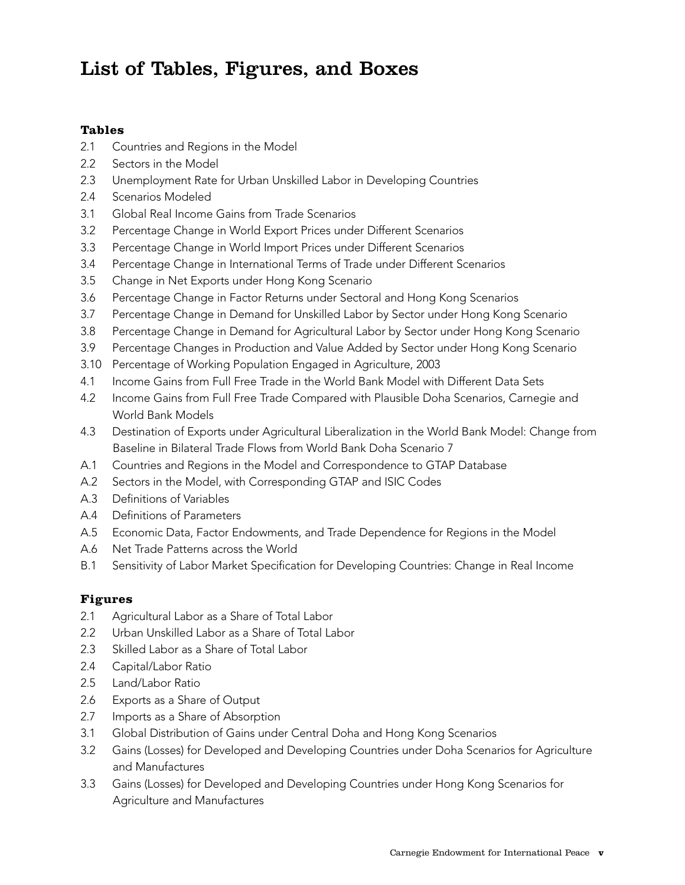## Acknowledgments

This report is the product of a team organized by the Trade, Equity, and Development Project of the Carnegie Endowment for International Peace, which included external experts as well as Carnegie staff. It was led by project director Sandra Polaski. The team consisted of chief modeler Zhi Wang, expert advisor Sherman Robinson, researchers Kate Vyborny and Jennifer Maul, program assistants Gretchen Smith and Nicole Brown, copyeditor Alfred F. Imhoff, designers Laurie Rosenthal and Pete Lindeman, and production manager Phyllis Jask.

We are deeply grateful to the Rockefeller Foundation and its Global Inclusion Program for generous funding and continuous engagement and support throughout the project.

We benefited greatly from the comments, criticisms, and questions of numerous policy makers, modelers, and other economists as we presented early versions of the model results and implications at meetings in Geneva, Washington, Brussels, and Paris.

The work of external modelers and experts does not imply any responsibility for the contents of the final report or for any remaining errors, which rests with the main author, Sandra Polaski. The policy conclusions and recommendations are also those of Sandra Polaski, and they do not necessarily represent the views of the Carnegie Endowment for International Peace or those of the external experts or the institutions with which they are affiliated.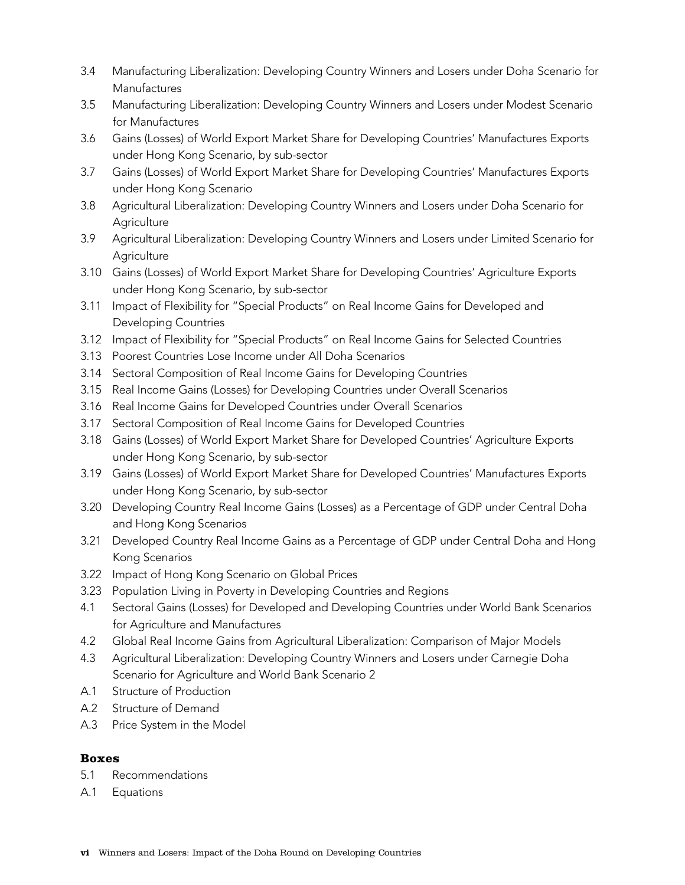## List of Tables, Figures, and Boxes

#### **Tables**

- 2.1 Countries and Regions in the Model
- 2.2 Sectors in the Model
- 2.3 Unemployment Rate for Urban Unskilled Labor in Developing Countries
- 2.4 Scenarios Modeled
- 3.1 Global Real Income Gains from Trade Scenarios
- 3.2 Percentage Change in World Export Prices under Different Scenarios
- 3.3 Percentage Change in World Import Prices under Different Scenarios
- 3.4 Percentage Change in International Terms of Trade under Different Scenarios
- 3.5 Change in Net Exports under Hong Kong Scenario
- 3.6 Percentage Change in Factor Returns under Sectoral and Hong Kong Scenarios
- 3.7 Percentage Change in Demand for Unskilled Labor by Sector under Hong Kong Scenario
- 3.8 Percentage Change in Demand for Agricultural Labor by Sector under Hong Kong Scenario
- 3.9 Percentage Changes in Production and Value Added by Sector under Hong Kong Scenario
- 3.10 Percentage of Working Population Engaged in Agriculture, 2003
- 4.1 Income Gains from Full Free Trade in the World Bank Model with Different Data Sets
- 4.2 Income Gains from Full Free Trade Compared with Plausible Doha Scenarios, Carnegie and World Bank Models
- 4.3 Destination of Exports under Agricultural Liberalization in the World Bank Model: Change from Baseline in Bilateral Trade Flows from World Bank Doha Scenario 7
- A.1 Countries and Regions in the Model and Correspondence to GTAP Database
- A.2 Sectors in the Model, with Corresponding GTAP and ISIC Codes
- A.3 Definitions of Variables
- A.4 Definitions of Parameters
- A.5 Economic Data, Factor Endowments, and Trade Dependence for Regions in the Model
- A.6 Net Trade Patterns across the World
- B.1 Sensitivity of Labor Market Specification for Developing Countries: Change in Real Income

#### **Figures**

- 2.1 Agricultural Labor as a Share of Total Labor
- 2.2 Urban Unskilled Labor as a Share of Total Labor
- 2.3 Skilled Labor as a Share of Total Labor
- 2.4 Capital/Labor Ratio
- 2.5 Land/Labor Ratio
- 2.6 Exports as a Share of Output
- 2.7 Imports as a Share of Absorption
- 3.1 Global Distribution of Gains under Central Doha and Hong Kong Scenarios
- 3.2 Gains (Losses) for Developed and Developing Countries under Doha Scenarios for Agriculture and Manufactures
- 3.3 Gains (Losses) for Developed and Developing Countries under Hong Kong Scenarios for Agriculture and Manufactures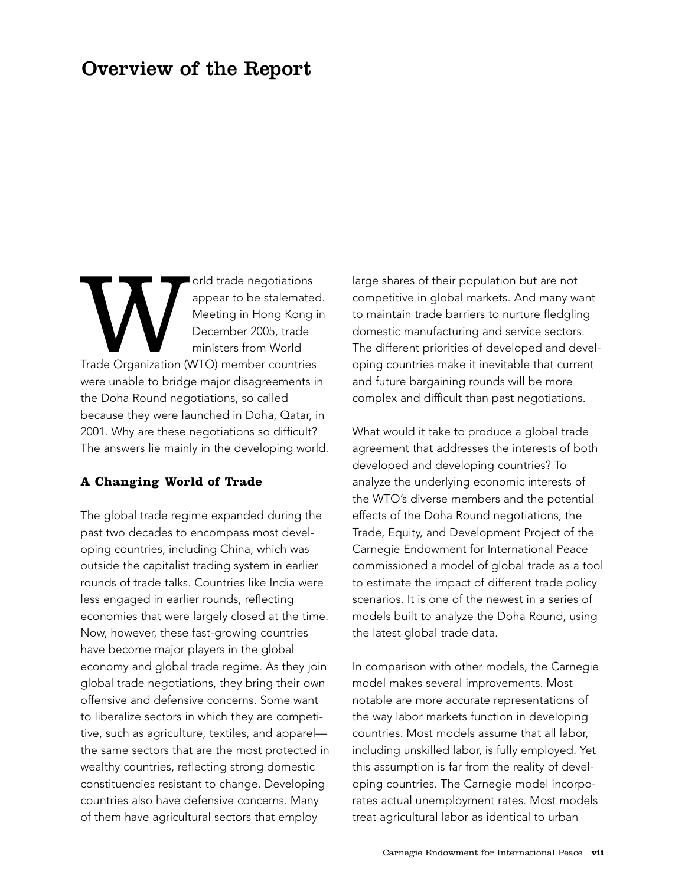- 3.4 Manufacturing Liberalization: Developing Country Winners and Losers under Doha Scenario for Manufactures
- 3.5 Manufacturing Liberalization: Developing Country Winners and Losers under Modest Scenario for Manufactures
- 3.6 Gains (Losses) of World Export Market Share for Developing Countries' Manufactures Exports under Hong Kong Scenario, by sub-sector
- 3.7 Gains (Losses) of World Export Market Share for Developing Countries' Manufactures Exports under Hong Kong Scenario
- 3.8 Agricultural Liberalization: Developing Country Winners and Losers under Doha Scenario for **Agriculture**
- 3.9 Agricultural Liberalization: Developing Country Winners and Losers under Limited Scenario for **Agriculture**
- 3.10 Gains (Losses) of World Export Market Share for Developing Countries' Agriculture Exports under Hong Kong Scenario, by sub-sector
- 3.11 Impact of Flexibility for "Special Products" on Real Income Gains for Developed and Developing Countries
- 3.12 Impact of Flexibility for "Special Products" on Real Income Gains for Selected Countries
- 3.13 Poorest Countries Lose Income under All Doha Scenarios
- 3.14 Sectoral Composition of Real Income Gains for Developing Countries
- 3.15 Real Income Gains (Losses) for Developing Countries under Overall Scenarios
- 3.16 Real Income Gains for Developed Countries under Overall Scenarios
- 3.17 Sectoral Composition of Real Income Gains for Developed Countries
- 3.18 Gains (Losses) of World Export Market Share for Developed Countries' Agriculture Exports under Hong Kong Scenario, by sub-sector
- 3.19 Gains (Losses) of World Export Market Share for Developed Countries' Manufactures Exports under Hong Kong Scenario, by sub-sector
- 3.20 Developing Country Real Income Gains (Losses) as a Percentage of GDP under Central Doha and Hong Kong Scenarios
- 3.21 Developed Country Real Income Gains as a Percentage of GDP under Central Doha and Hong Kong Scenarios
- 3.22 Impact of Hong Kong Scenario on Global Prices
- 3.23 Population Living in Poverty in Developing Countries and Regions
- 4.1 Sectoral Gains (Losses) for Developed and Developing Countries under World Bank Scenarios for Agriculture and Manufactures
- 4.2 Global Real Income Gains from Agricultural Liberalization: Comparison of Major Models
- 4.3 Agricultural Liberalization: Developing Country Winners and Losers under Carnegie Doha Scenario for Agriculture and World Bank Scenario 2
- A.1 Structure of Production
- A.2 Structure of Demand
- A.3 Price System in the Model

#### **Boxes**

- 5.1 Recommendations
- A.1 Equations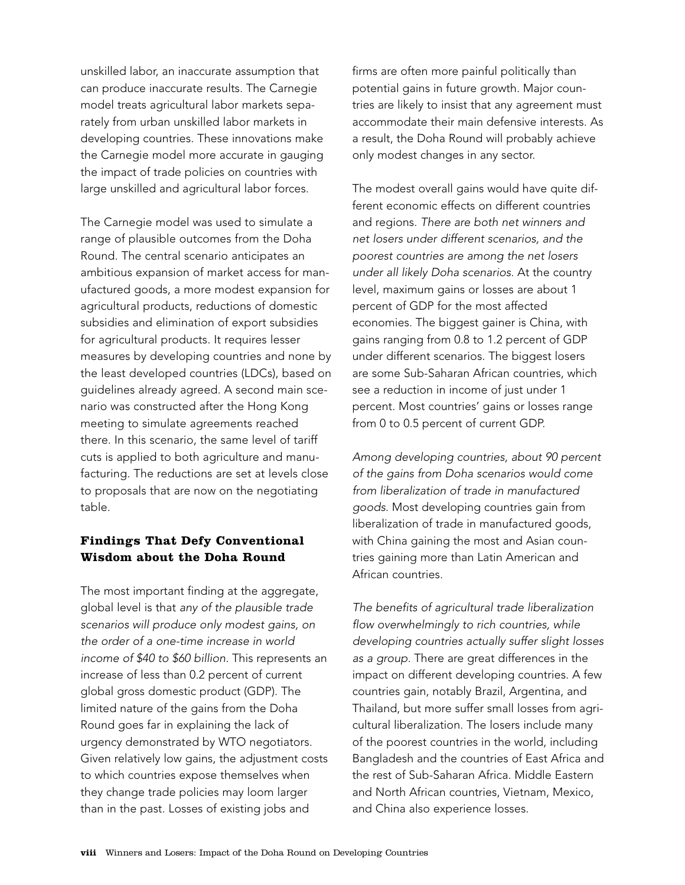## Overview of the Report

orld trade negotiations<br>
appear to be stalemate<br>
Meeting in Hong Kong<br>
December 2005, trade<br>
ministers from World<br>
Trade Organization (WTO) member countries appear to be stalemated. Meeting in Hong Kong in December 2005, trade ministers from World

were unable to bridge major disagreements in the Doha Round negotiations, so called because they were launched in Doha, Qatar, in 2001. Why are these negotiations so difficult? The answers lie mainly in the developing world.

#### **A Changing World of Trade**

The global trade regime expanded during the past two decades to encompass most developing countries, including China, which was outside the capitalist trading system in earlier rounds of trade talks. Countries like India were less engaged in earlier rounds, reflecting economies that were largely closed at the time. Now, however, these fast-growing countries have become major players in the global economy and global trade regime. As they join global trade negotiations, they bring their own offensive and defensive concerns. Some want to liberalize sectors in which they are competitive, such as agriculture, textiles, and apparel the same sectors that are the most protected in wealthy countries, reflecting strong domestic constituencies resistant to change. Developing countries also have defensive concerns. Many of them have agricultural sectors that employ

large shares of their population but are not competitive in global markets. And many want to maintain trade barriers to nurture fledgling domestic manufacturing and service sectors. The different priorities of developed and developing countries make it inevitable that current and future bargaining rounds will be more complex and difficult than past negotiations.

What would it take to produce a global trade agreement that addresses the interests of both developed and developing countries? To analyze the underlying economic interests of the WTO's diverse members and the potential effects of the Doha Round negotiations, the Trade, Equity, and Development Project of the Carnegie Endowment for International Peace commissioned a model of global trade as a tool to estimate the impact of different trade policy scenarios. It is one of the newest in a series of models built to analyze the Doha Round, using the latest global trade data.

In comparison with other models, the Carnegie model makes several improvements. Most notable are more accurate representations of the way labor markets function in developing countries. Most models assume that all labor, including unskilled labor, is fully employed. Yet this assumption is far from the reality of developing countries. The Carnegie model incorporates actual unemployment rates. Most models treat agricultural labor as identical to urban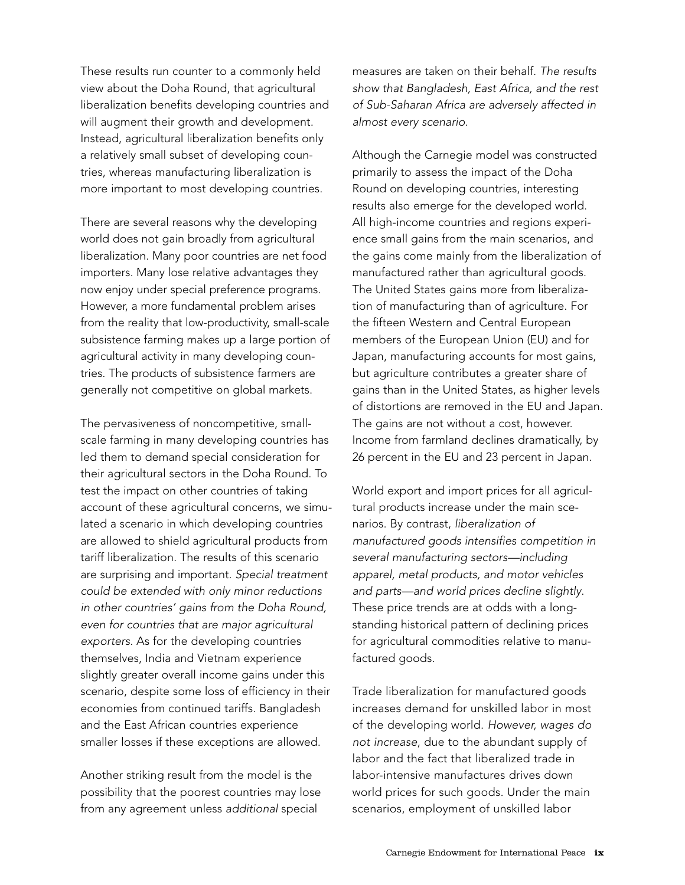unskilled labor, an inaccurate assumption that can produce inaccurate results. The Carnegie model treats agricultural labor markets separately from urban unskilled labor markets in developing countries. These innovations make the Carnegie model more accurate in gauging the impact of trade policies on countries with large unskilled and agricultural labor forces.

The Carnegie model was used to simulate a range of plausible outcomes from the Doha Round. The central scenario anticipates an ambitious expansion of market access for manufactured goods, a more modest expansion for agricultural products, reductions of domestic subsidies and elimination of export subsidies for agricultural products. It requires lesser measures by developing countries and none by the least developed countries (LDCs), based on guidelines already agreed. A second main scenario was constructed after the Hong Kong meeting to simulate agreements reached there. In this scenario, the same level of tariff cuts is applied to both agriculture and manufacturing. The reductions are set at levels close to proposals that are now on the negotiating table.

#### **Findings That Defy Conventional Wisdom about the Doha Round**

The most important finding at the aggregate, global level is that *any of the plausible trade scenarios will produce only modest gains, on the order of a one-time increase in world income of \$40 to \$60 billion.* This represents an increase of less than 0.2 percent of current global gross domestic product (GDP). The limited nature of the gains from the Doha Round goes far in explaining the lack of urgency demonstrated by WTO negotiators. Given relatively low gains, the adjustment costs to which countries expose themselves when they change trade policies may loom larger than in the past. Losses of existing jobs and

firms are often more painful politically than potential gains in future growth. Major countries are likely to insist that any agreement must accommodate their main defensive interests. As a result, the Doha Round will probably achieve only modest changes in any sector.

The modest overall gains would have quite different economic effects on different countries and regions. *There are both net winners and net losers under different scenarios, and the poorest countries are among the net losers under all likely Doha scenarios*. At the country level, maximum gains or losses are about 1 percent of GDP for the most affected economies. The biggest gainer is China, with gains ranging from 0.8 to 1.2 percent of GDP under different scenarios. The biggest losers are some Sub-Saharan African countries, which see a reduction in income of just under 1 percent. Most countries' gains or losses range from 0 to 0.5 percent of current GDP.

*Among developing countries, about 90 percent of the gains from Doha scenarios would come from liberalization of trade in manufactured goods.* Most developing countries gain from liberalization of trade in manufactured goods, with China gaining the most and Asian countries gaining more than Latin American and African countries.

*The benefits of agricultural trade liberalization flow overwhelmingly to rich countries, while developing countries actually suffer slight losses as a group.* There are great differences in the impact on different developing countries. A few countries gain, notably Brazil, Argentina, and Thailand, but more suffer small losses from agricultural liberalization. The losers include many of the poorest countries in the world, including Bangladesh and the countries of East Africa and the rest of Sub-Saharan Africa. Middle Eastern and North African countries, Vietnam, Mexico, and China also experience losses.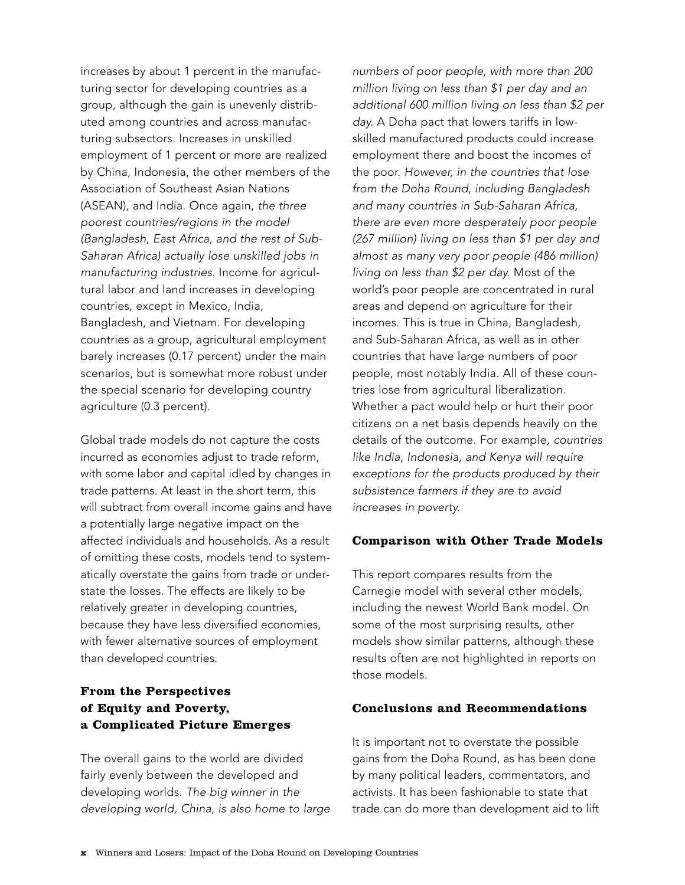These results run counter to a commonly held view about the Doha Round, that agricultural liberalization benefits developing countries and will augment their growth and development. Instead, agricultural liberalization benefits only a relatively small subset of developing countries, whereas manufacturing liberalization is more important to most developing countries.

There are several reasons why the developing world does not gain broadly from agricultural liberalization. Many poor countries are net food importers. Many lose relative advantages they now enjoy under special preference programs. However, a more fundamental problem arises from the reality that low-productivity, small-scale subsistence farming makes up a large portion of agricultural activity in many developing countries. The products of subsistence farmers are generally not competitive on global markets.

The pervasiveness of noncompetitive, smallscale farming in many developing countries has led them to demand special consideration for their agricultural sectors in the Doha Round. To test the impact on other countries of taking account of these agricultural concerns, we simulated a scenario in which developing countries are allowed to shield agricultural products from tariff liberalization*.* The results of this scenario are surprising and important. *Special treatment could be extended with only minor reductions in other countries' gains from the Doha Round, even for countries that are major agricultural exporters.* As for the developing countries themselves, India and Vietnam experience slightly greater overall income gains under this scenario, despite some loss of efficiency in their economies from continued tariffs. Bangladesh and the East African countries experience smaller losses if these exceptions are allowed.

Another striking result from the model is the possibility that the poorest countries may lose from any agreement unless *additional* special

measures are taken on their behalf. *The results show that Bangladesh, East Africa, and the rest of Sub-Saharan Africa are adversely affected in almost every scenario.*

Although the Carnegie model was constructed primarily to assess the impact of the Doha Round on developing countries, interesting results also emerge for the developed world. All high-income countries and regions experience small gains from the main scenarios, and the gains come mainly from the liberalization of manufactured rather than agricultural goods*.* The United States gains more from liberalization of manufacturing than of agriculture. For the fifteen Western and Central European members of the European Union (EU) and for Japan, manufacturing accounts for most gains, but agriculture contributes a greater share of gains than in the United States, as higher levels of distortions are removed in the EU and Japan. The gains are not without a cost, however. Income from farmland declines dramatically, by 26 percent in the EU and 23 percent in Japan.

World export and import prices for all agricultural products increase under the main scenarios. By contrast, *liberalization of manufactured goods intensifies competition in several manufacturing sectors—including apparel, metal products, and motor vehicles and parts—and world prices decline slightly*. These price trends are at odds with a longstanding historical pattern of declining prices for agricultural commodities relative to manufactured goods.

Trade liberalization for manufactured goods increases demand for unskilled labor in most of the developing world. *However, wages do not increase*, due to the abundant supply of labor and the fact that liberalized trade in labor-intensive manufactures drives down world prices for such goods. Under the main scenarios, employment of unskilled labor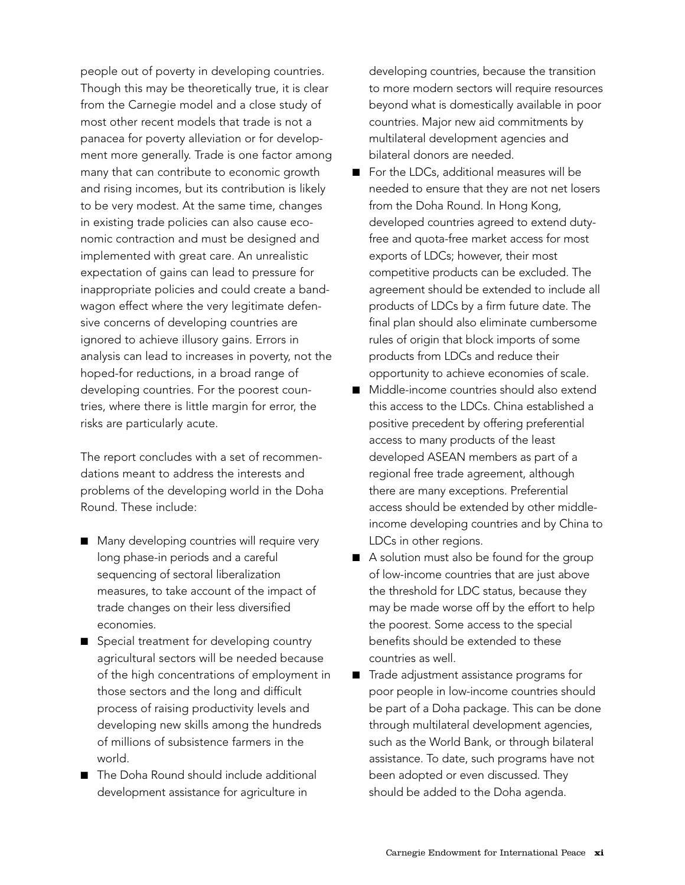increases by about 1 percent in the manufacturing sector for developing countries as a group, although the gain is unevenly distributed among countries and across manufacturing subsectors. Increases in unskilled employment of 1 percent or more are realized by China, Indonesia, the other members of the Association of Southeast Asian Nations (ASEAN), and India. Once again, *the three poorest countries/regions in the model (Bangladesh, East Africa, and the rest of Sub-Saharan Africa) actually lose unskilled jobs in manufacturing industries.* Income for agricultural labor and land increases in developing countries, except in Mexico, India, Bangladesh, and Vietnam. For developing countries as a group, agricultural employment barely increases (0.17 percent) under the main scenarios, but is somewhat more robust under the special scenario for developing country agriculture (0.3 percent).

Global trade models do not capture the costs incurred as economies adjust to trade reform, with some labor and capital idled by changes in trade patterns. At least in the short term, this will subtract from overall income gains and have a potentially large negative impact on the affected individuals and households. As a result of omitting these costs, models tend to systematically overstate the gains from trade or understate the losses. The effects are likely to be relatively greater in developing countries, because they have less diversified economies, with fewer alternative sources of employment than developed countries.

#### **From the Perspectives of Equity and Poverty, a Complicated Picture Emerges**

The overall gains to the world are divided fairly evenly between the developed and developing worlds. *The big winner in the developing world, China, is also home to large*

*numbers of poor people, with more than 200 million living on less than \$1 per day and an additional 600 million living on less than \$2 per day.* A Doha pact that lowers tariffs in lowskilled manufactured products could increase employment there and boost the incomes of the poor. *However, in the countries that lose from the Doha Round, including Bangladesh and many countries in Sub-Saharan Africa, there are even more desperately poor people (267 million) living on less than \$1 per day and almost as many very poor people (486 million) living on less than \$2 per day.* Most of the world's poor people are concentrated in rural areas and depend on agriculture for their incomes. This is true in China, Bangladesh, and Sub-Saharan Africa, as well as in other countries that have large numbers of poor people, most notably India. All of these countries lose from agricultural liberalization. Whether a pact would help or hurt their poor citizens on a net basis depends heavily on the details of the outcome. For example, *countries like India, Indonesia, and Kenya will require exceptions for the products produced by their subsistence farmers if they are to avoid increases in poverty.* 

#### **Comparison with Other Trade Models**

This report compares results from the Carnegie model with several other models, including the newest World Bank model. On some of the most surprising results, other models show similar patterns, although these results often are not highlighted in reports on those models.

#### **Conclusions and Recommendations**

It is important not to overstate the possible gains from the Doha Round, as has been done by many political leaders, commentators, and activists. It has been fashionable to state that trade can do more than development aid to lift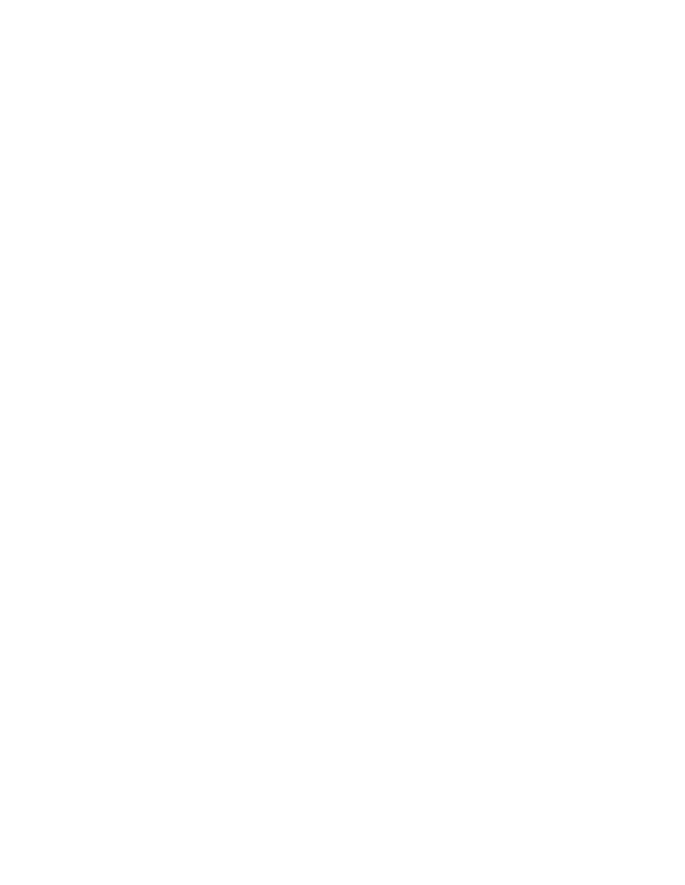people out of poverty in developing countries. Though this may be theoretically true, it is clear from the Carnegie model and a close study of most other recent models that trade is not a panacea for poverty alleviation or for development more generally. Trade is one factor among many that can contribute to economic growth and rising incomes, but its contribution is likely to be very modest. At the same time, changes in existing trade policies can also cause economic contraction and must be designed and implemented with great care. An unrealistic expectation of gains can lead to pressure for inappropriate policies and could create a bandwagon effect where the very legitimate defensive concerns of developing countries are ignored to achieve illusory gains. Errors in analysis can lead to increases in poverty, not the hoped-for reductions, in a broad range of developing countries. For the poorest countries, where there is little margin for error, the risks are particularly acute.

The report concludes with a set of recommendations meant to address the interests and problems of the developing world in the Doha Round. These include:

- Many developing countries will require very long phase-in periods and a careful sequencing of sectoral liberalization measures, to take account of the impact of trade changes on their less diversified economies.
- Special treatment for developing country agricultural sectors will be needed because of the high concentrations of employment in those sectors and the long and difficult process of raising productivity levels and developing new skills among the hundreds of millions of subsistence farmers in the world.
- The Doha Round should include additional development assistance for agriculture in

developing countries, because the transition to more modern sectors will require resources beyond what is domestically available in poor countries. Major new aid commitments by multilateral development agencies and bilateral donors are needed.

- For the LDCs, additional measures will be needed to ensure that they are not net losers from the Doha Round. In Hong Kong, developed countries agreed to extend dutyfree and quota-free market access for most exports of LDCs; however, their most competitive products can be excluded. The agreement should be extended to include all products of LDCs by a firm future date. The final plan should also eliminate cumbersome rules of origin that block imports of some products from LDCs and reduce their opportunity to achieve economies of scale.
- Middle-income countries should also extend this access to the LDCs. China established a positive precedent by offering preferential access to many products of the least developed ASEAN members as part of a regional free trade agreement, although there are many exceptions. Preferential access should be extended by other middleincome developing countries and by China to LDCs in other regions.
- A solution must also be found for the group of low-income countries that are just above the threshold for LDC status, because they may be made worse off by the effort to help the poorest. Some access to the special benefits should be extended to these countries as well.
- Trade adjustment assistance programs for poor people in low-income countries should be part of a Doha package. This can be done through multilateral development agencies, such as the World Bank, or through bilateral assistance. To date, such programs have not been adopted or even discussed. They should be added to the Doha agenda.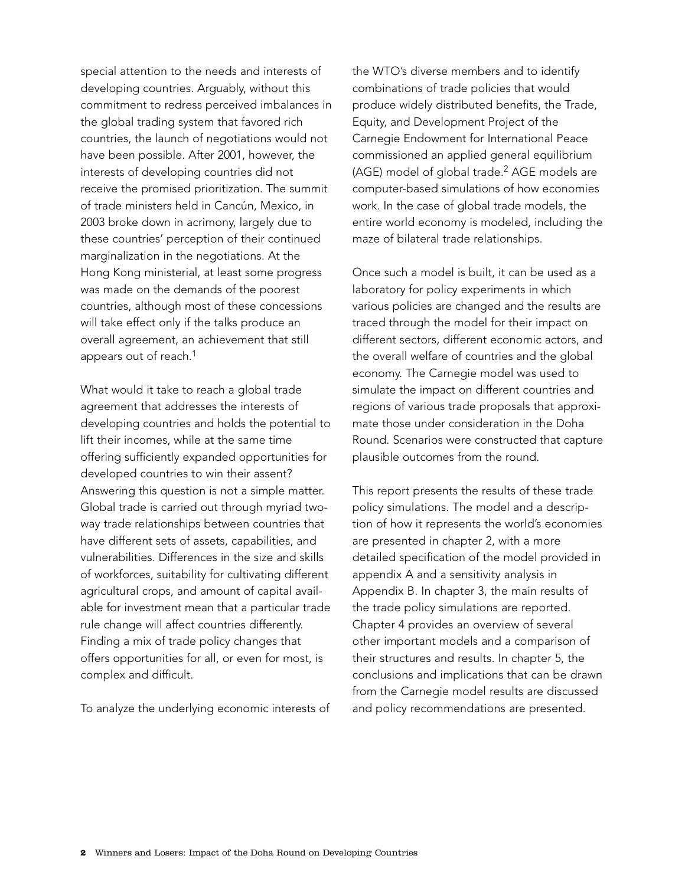## Introduction: A Changing World of Trade

Efforts to liberalize global trade<br>through the World Trade<br>Organization (WTO) have made<br>limited progress since the<br>current round of negotiations<br>was launched in Doha, Qatar, in 2001. Meeting through the World Trade Organization (WTO) have made limited progress since the current round of negotiations in Hong Kong in December 2005, trade ministers from the 149 WTO member countries resolved only a few issues, while postponing the deadline for resolution of the main controversies until April 30, 2006. Despite the presence of the most senior negotiators and the glare of media attention, member countries were unable to break stalemates that exist in virtually every major area of the negotiations.

Why are these negotiations so difficult? The answers lie mainly in the developing world. Earlier trade rounds primarily involved developed countries and addressed their priorities. During the past twenty years, however, the global trade regime has expanded to include most of the developing world, including communist countries such as China, which were outside the capitalist trading system in earlier rounds of trade talks. India and a number of smaller countries were less engaged in earlier rounds, reflecting economies that were largely closed at the time. The relative weight of these countries in the global economy has grown enormously over the same period, and it will continue to expand due to higher rates of growth in these countries compared with mature economies.

As developing countries join global trade negotiations, they bring their own offensive and defensive concerns. Offensively, they want to liberalize sectors in which they are competitive, such as agriculture, textiles, and apparel. These sectors were liberalized least in earlier trade rounds, due to strong domestic constituencies in developed countries. The developing countries also have their own defensive concerns, often involving agricultural sectors that employ large shares of their population but are not competitive in global markets, or even in domestic markets in the absence of tariffs. Many are also concerned defensively about manufacturing and service sectors, where they hope to nurture domestic industries behind trade barriers. In most developing countries, growing manufacturing and service sectors are seen as essential to absorb growing labor forces and large numbers of low-income, lowproductivity farmers.

The different priorities of developed and developing countries make it inevitable that current and future bargaining rounds will be even more complex and difficult than past negotiations. At the same time, the size and high growth rates of many developing economies mean that their presence in the global trading system is welcome. In recognition of the new reality, the current negotiations were named the "Doha Development Round" and were launched with a commitment by wealthy countries to pay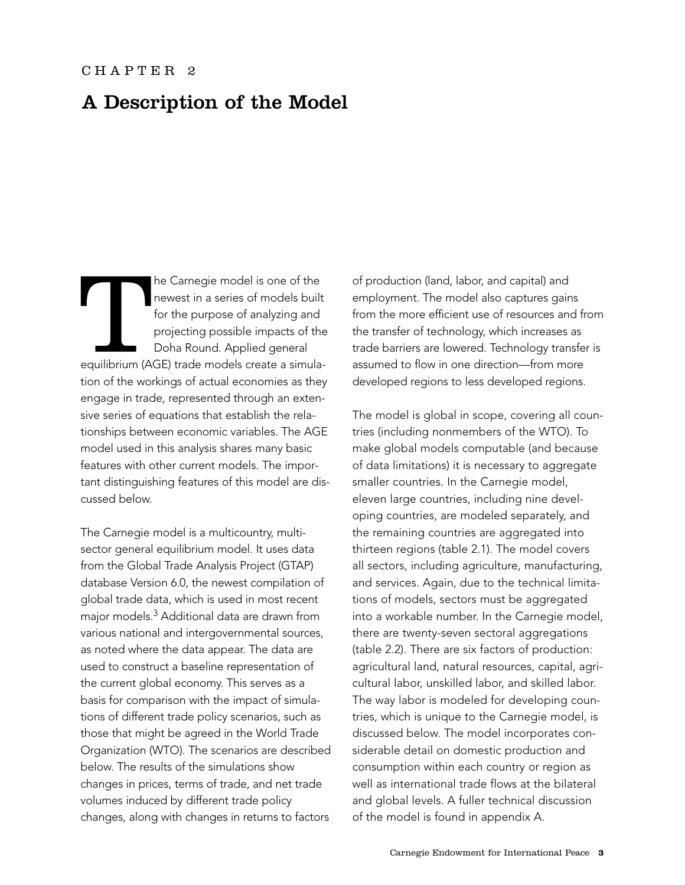special attention to the needs and interests of developing countries. Arguably, without this commitment to redress perceived imbalances in the global trading system that favored rich countries, the launch of negotiations would not have been possible. After 2001, however, the interests of developing countries did not receive the promised prioritization. The summit of trade ministers held in Cancún, Mexico, in 2003 broke down in acrimony, largely due to these countries' perception of their continued marginalization in the negotiations. At the Hong Kong ministerial, at least some progress was made on the demands of the poorest countries, although most of these concessions will take effect only if the talks produce an overall agreement, an achievement that still appears out of reach.1

What would it take to reach a global trade agreement that addresses the interests of developing countries and holds the potential to lift their incomes, while at the same time offering sufficiently expanded opportunities for developed countries to win their assent? Answering this question is not a simple matter. Global trade is carried out through myriad twoway trade relationships between countries that have different sets of assets, capabilities, and vulnerabilities. Differences in the size and skills of workforces, suitability for cultivating different agricultural crops, and amount of capital available for investment mean that a particular trade rule change will affect countries differently. Finding a mix of trade policy changes that offers opportunities for all, or even for most, is complex and difficult.

To analyze the underlying economic interests of

the WTO's diverse members and to identify combinations of trade policies that would produce widely distributed benefits, the Trade, Equity, and Development Project of the Carnegie Endowment for International Peace commissioned an applied general equilibrium (AGE) model of global trade.2 AGE models are computer-based simulations of how economies work. In the case of global trade models, the entire world economy is modeled, including the maze of bilateral trade relationships.

Once such a model is built, it can be used as a laboratory for policy experiments in which various policies are changed and the results are traced through the model for their impact on different sectors, different economic actors, and the overall welfare of countries and the global economy. The Carnegie model was used to simulate the impact on different countries and regions of various trade proposals that approximate those under consideration in the Doha Round. Scenarios were constructed that capture plausible outcomes from the round.

This report presents the results of these trade policy simulations. The model and a description of how it represents the world's economies are presented in chapter 2, with a more detailed specification of the model provided in appendix A and a sensitivity analysis in Appendix B. In chapter 3, the main results of the trade policy simulations are reported. Chapter 4 provides an overview of several other important models and a comparison of their structures and results. In chapter 5, the conclusions and implications that can be drawn from the Carnegie model results are discussed and policy recommendations are presented.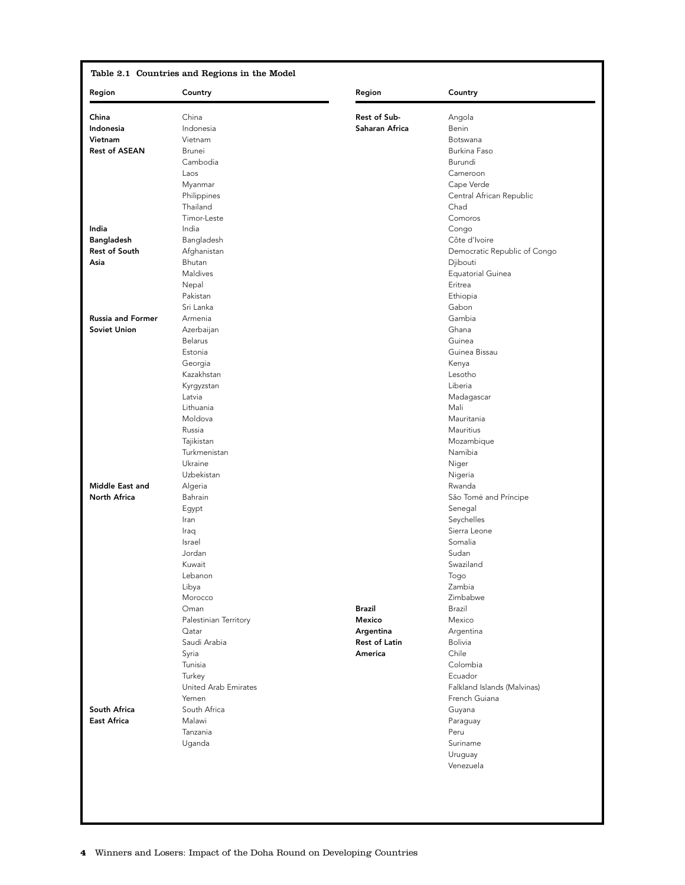#### CHAPTER 2

## A Description of the Model

The Carnegie model is one of the<br>
newest in a series of models built<br>
for the purpose of analyzing and<br>
projecting possible impacts of the<br>
Doha Round. Applied general<br>
equilibrium (AGE) trade models create a simulanewest in a series of models built for the purpose of analyzing and projecting possible impacts of the Doha Round. Applied general tion of the workings of actual economies as they engage in trade, represented through an extensive series of equations that establish the relationships between economic variables. The AGE model used in this analysis shares many basic features with other current models. The important distinguishing features of this model are discussed below.

The Carnegie model is a multicountry, multisector general equilibrium model. It uses data from the Global Trade Analysis Project (GTAP) database Version 6.0, the newest compilation of global trade data, which is used in most recent major models.3 Additional data are drawn from various national and intergovernmental sources, as noted where the data appear. The data are used to construct a baseline representation of the current global economy. This serves as a basis for comparison with the impact of simulations of different trade policy scenarios, such as those that might be agreed in the World Trade Organization (WTO). The scenarios are described below. The results of the simulations show changes in prices, terms of trade, and net trade volumes induced by different trade policy changes, along with changes in returns to factors

of production (land, labor, and capital) and employment. The model also captures gains from the more efficient use of resources and from the transfer of technology, which increases as trade barriers are lowered. Technology transfer is assumed to flow in one direction—from more developed regions to less developed regions.

The model is global in scope, covering all countries (including nonmembers of the WTO). To make global models computable (and because of data limitations) it is necessary to aggregate smaller countries. In the Carnegie model, eleven large countries, including nine developing countries, are modeled separately, and the remaining countries are aggregated into thirteen regions (table 2.1). The model covers all sectors, including agriculture, manufacturing, and services. Again, due to the technical limitations of models, sectors must be aggregated into a workable number. In the Carnegie model, there are twenty-seven sectoral aggregations (table 2.2). There are six factors of production: agricultural land, natural resources, capital, agricultural labor, unskilled labor, and skilled labor. The way labor is modeled for developing countries, which is unique to the Carnegie model, is discussed below. The model incorporates considerable detail on domestic production and consumption within each country or region as well as international trade flows at the bilateral and global levels. A fuller technical discussion of the model is found in appendix A.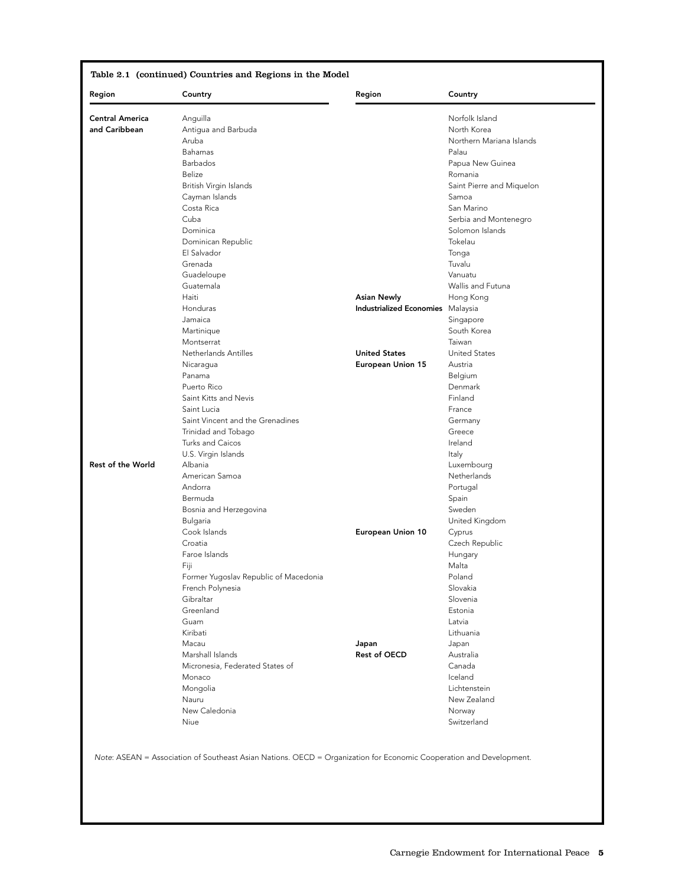| Region                   | Country               | Region               | Country                      |
|--------------------------|-----------------------|----------------------|------------------------------|
| China                    | China                 | Rest of Sub-         | Angola                       |
| Indonesia                | Indonesia             | Saharan Africa       | Benin                        |
| Vietnam                  | Vietnam               |                      | Botswana                     |
| <b>Rest of ASEAN</b>     | <b>Brunei</b>         |                      | Burkina Faso                 |
|                          | Cambodia              |                      | Burundi                      |
|                          | Laos                  |                      | Cameroon                     |
|                          |                       |                      |                              |
|                          | Myanmar               |                      | Cape Verde                   |
|                          | Philippines           |                      | Central African Republic     |
|                          | Thailand              |                      | Chad                         |
|                          | Timor-Leste           |                      | Comoros                      |
| India                    | India                 |                      | Congo                        |
| Bangladesh               | Bangladesh            |                      | Côte d'Ivoire                |
| <b>Rest of South</b>     | Afghanistan           |                      | Democratic Republic of Congo |
| Asia                     | Bhutan                |                      | Djibouti                     |
|                          | Maldives              |                      | Equatorial Guinea            |
|                          | Nepal                 |                      | Eritrea                      |
|                          | Pakistan              |                      | Ethiopia                     |
|                          | Sri Lanka             |                      | Gabon                        |
| <b>Russia and Former</b> | Armenia               |                      | Gambia                       |
| <b>Soviet Union</b>      | Azerbaijan            |                      | Ghana                        |
|                          | <b>Belarus</b>        |                      | Guinea                       |
|                          | Estonia               |                      | Guinea Bissau                |
|                          |                       |                      |                              |
|                          | Georgia               |                      | Kenya                        |
|                          | Kazakhstan            |                      | Lesotho                      |
|                          | Kyrgyzstan            |                      | Liberia                      |
|                          | Latvia                |                      | Madagascar                   |
|                          | Lithuania             |                      | Mali                         |
|                          | Moldova               |                      | Mauritania                   |
|                          | Russia                |                      | Mauritius                    |
|                          | Tajikistan            |                      | Mozambique                   |
|                          | Turkmenistan          |                      | Namibia                      |
|                          | Ukraine               |                      | Niger                        |
|                          | Uzbekistan            |                      | Nigeria                      |
| Middle East and          | Algeria               |                      | Rwanda                       |
| North Africa             | Bahrain               |                      | São Tomé and Príncipe        |
|                          | Egypt                 |                      | Senegal                      |
|                          | Iran                  |                      | Seychelles                   |
|                          |                       |                      | Sierra Leone                 |
|                          | Iraq                  |                      |                              |
|                          | Israel                |                      | Somalia                      |
|                          | Jordan                |                      | Sudan                        |
|                          | Kuwait                |                      | Swaziland                    |
|                          | Lebanon               |                      | Togo                         |
|                          | Libya                 |                      | Zambia                       |
|                          | Morocco               |                      | Zimbabwe                     |
|                          | Oman                  | <b>Brazil</b>        | Brazil                       |
|                          | Palestinian Territory | Mexico               | Mexico                       |
|                          | Qatar                 | Argentina            | Argentina                    |
|                          | Saudi Arabia          | <b>Rest of Latin</b> | <b>Bolivia</b>               |
|                          | Syria                 | America              | Chile                        |
|                          | Tunisia               |                      | Colombia                     |
|                          | Turkey                |                      | Ecuador                      |
|                          | United Arab Emirates  |                      | Falkland Islands (Malvinas)  |
|                          |                       |                      |                              |
|                          | Yemen                 |                      | French Guiana                |
| South Africa             | South Africa          |                      | Guyana                       |
| <b>East Africa</b>       | Malawi                |                      | Paraguay                     |
|                          | Tanzania              |                      | Peru                         |
|                          | Uganda                |                      | Suriname                     |
|                          |                       |                      | Uruguay                      |
|                          |                       |                      | Venezuela                    |
|                          |                       |                      |                              |
|                          |                       |                      |                              |

l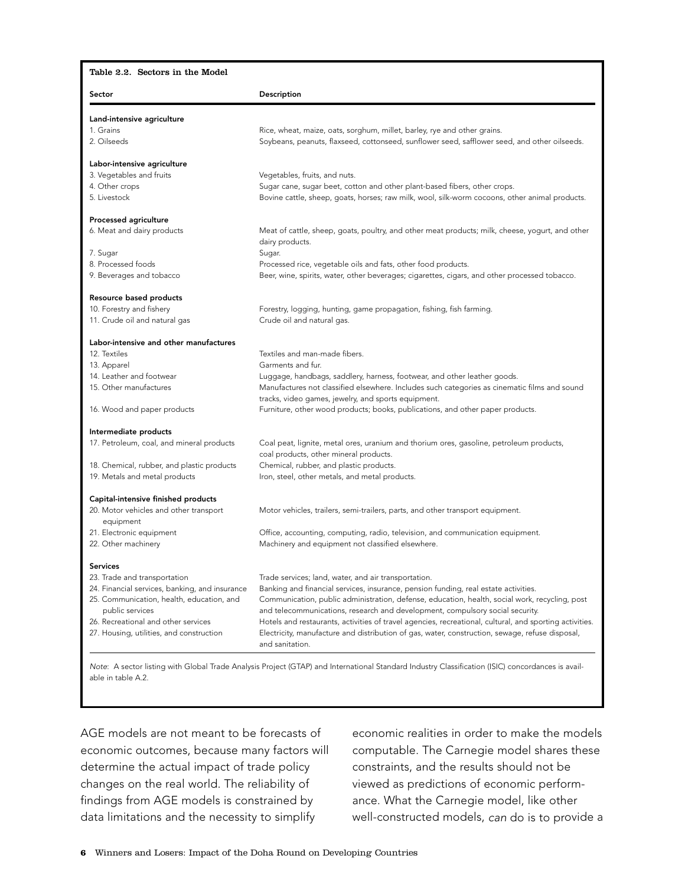| Country                               | Region                            | Country                   |
|---------------------------------------|-----------------------------------|---------------------------|
| Anguilla                              |                                   | Norfolk Island            |
| Antigua and Barbuda                   |                                   | North Korea               |
| Aruba                                 |                                   | Northern Mariana Islands  |
| Bahamas                               |                                   | Palau                     |
| <b>Barbados</b>                       |                                   | Papua New Guinea          |
| Belize                                |                                   | Romania                   |
| British Virgin Islands                |                                   | Saint Pierre and Miquelon |
| Cayman Islands                        |                                   | Samoa                     |
| Costa Rica                            |                                   | San Marino                |
| Cuba                                  |                                   |                           |
|                                       |                                   | Serbia and Montenegro     |
| Dominica                              |                                   | Solomon Islands           |
| Dominican Republic                    |                                   | Tokelau                   |
| El Salvador                           |                                   | Tonga                     |
| Grenada                               |                                   | Tuvalu                    |
| Guadeloupe                            |                                   | Vanuatu                   |
| Guatemala                             |                                   | Wallis and Futuna         |
| Haiti                                 | <b>Asian Newly</b>                | Hong Kong                 |
| Honduras                              | Industrialized Economies Malaysia |                           |
| Jamaica                               |                                   | Singapore                 |
| Martinique                            |                                   | South Korea               |
| Montserrat                            |                                   | Taiwan                    |
| Netherlands Antilles                  | <b>United States</b>              | <b>United States</b>      |
| Nicaragua                             | <b>European Union 15</b>          | Austria                   |
| Panama                                |                                   | Belgium                   |
| Puerto Rico                           |                                   | Denmark                   |
| Saint Kitts and Nevis                 |                                   | Finland                   |
|                                       |                                   |                           |
| Saint Lucia                           |                                   | France                    |
| Saint Vincent and the Grenadines      |                                   | Germany                   |
| Trinidad and Tobago                   |                                   | Greece                    |
| Turks and Caicos                      |                                   | Ireland                   |
| U.S. Virgin Islands                   |                                   | Italy                     |
| Albania                               |                                   | Luxembourg                |
| American Samoa                        |                                   | Netherlands               |
| Andorra                               |                                   | Portugal                  |
| Bermuda                               |                                   | Spain                     |
| Bosnia and Herzegovina                |                                   | Sweden                    |
| Bulgaria                              |                                   | United Kingdom            |
| Cook Islands                          | <b>European Union 10</b>          | Cyprus                    |
| Croatia                               |                                   | Czech Republic            |
| Faroe Islands                         |                                   | Hungary                   |
| Fiji                                  |                                   | Malta                     |
| Former Yugoslav Republic of Macedonia |                                   | Poland                    |
|                                       |                                   | Slovakia                  |
| French Polynesia                      |                                   |                           |
| Gibraltar                             |                                   | Slovenia                  |
| Greenland                             |                                   | Estonia                   |
| Guam                                  |                                   | Latvia                    |
| Kiribati                              |                                   | Lithuania                 |
| Macau                                 | Japan                             | Japan                     |
| Marshall Islands                      | <b>Rest of OECD</b>               | Australia                 |
| Micronesia, Federated States of       |                                   | Canada                    |
| Monaco                                |                                   | Iceland                   |
| Mongolia                              |                                   | Lichtenstein              |
| Nauru                                 |                                   | New Zealand               |
| New Caledonia                         |                                   | Norway                    |
| Niue                                  |                                   | Switzerland               |
|                                       |                                   |                           |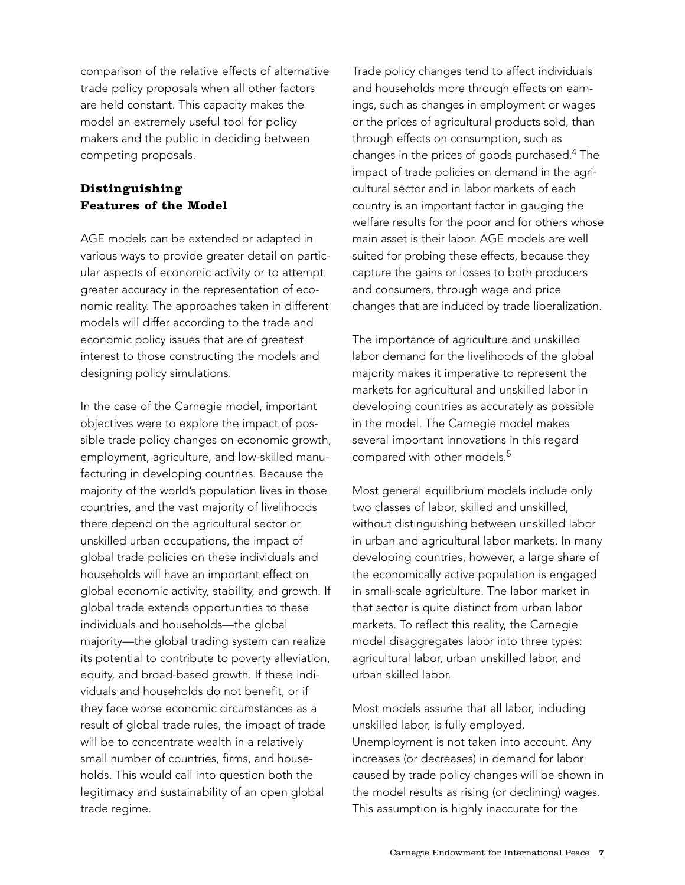#### Table 2.2. Sectors in the Model

| Sector                                                             | Description                                                                                                                                       |
|--------------------------------------------------------------------|---------------------------------------------------------------------------------------------------------------------------------------------------|
| Land-intensive agriculture                                         |                                                                                                                                                   |
| 1. Grains                                                          | Rice, wheat, maize, oats, sorghum, millet, barley, rye and other grains.                                                                          |
| 2. Oilseeds                                                        | Soybeans, peanuts, flaxseed, cottonseed, sunflower seed, safflower seed, and other oilseeds.                                                      |
| Labor-intensive agriculture                                        |                                                                                                                                                   |
| 3. Vegetables and fruits                                           | Vegetables, fruits, and nuts.                                                                                                                     |
| 4. Other crops                                                     | Sugar cane, sugar beet, cotton and other plant-based fibers, other crops.                                                                         |
| 5. Livestock                                                       | Bovine cattle, sheep, goats, horses; raw milk, wool, silk-worm cocoons, other animal products.                                                    |
| <b>Processed agriculture</b>                                       |                                                                                                                                                   |
| 6. Meat and dairy products                                         | Meat of cattle, sheep, goats, poultry, and other meat products; milk, cheese, yogurt, and other<br>dairy products.                                |
| 7. Sugar                                                           | Sugar.                                                                                                                                            |
| 8. Processed foods                                                 | Processed rice, vegetable oils and fats, other food products.                                                                                     |
| 9. Beverages and tobacco                                           | Beer, wine, spirits, water, other beverages; cigarettes, cigars, and other processed tobacco.                                                     |
| Resource based products                                            |                                                                                                                                                   |
| 10. Forestry and fishery                                           | Forestry, logging, hunting, game propagation, fishing, fish farming.                                                                              |
| 11. Crude oil and natural gas                                      | Crude oil and natural gas.                                                                                                                        |
| Labor-intensive and other manufactures                             |                                                                                                                                                   |
| 12. Textiles                                                       | Textiles and man-made fibers.                                                                                                                     |
| 13. Apparel                                                        | Garments and fur.                                                                                                                                 |
| 14. Leather and footwear                                           | Luggage, handbags, saddlery, harness, footwear, and other leather goods.                                                                          |
| 15. Other manufactures                                             | Manufactures not classified elsewhere. Includes such categories as cinematic films and sound                                                      |
| 16. Wood and paper products                                        | tracks, video games, jewelry, and sports equipment.<br>Furniture, other wood products; books, publications, and other paper products.             |
|                                                                    |                                                                                                                                                   |
| Intermediate products<br>17. Petroleum, coal, and mineral products | Coal peat, lignite, metal ores, uranium and thorium ores, gasoline, petroleum products,                                                           |
|                                                                    | coal products, other mineral products.                                                                                                            |
| 18. Chemical, rubber, and plastic products                         | Chemical, rubber, and plastic products.                                                                                                           |
| 19. Metals and metal products                                      | Iron, steel, other metals, and metal products.                                                                                                    |
|                                                                    |                                                                                                                                                   |
| Capital-intensive finished products                                |                                                                                                                                                   |
| 20. Motor vehicles and other transport<br>equipment                | Motor vehicles, trailers, semi-trailers, parts, and other transport equipment.                                                                    |
| 21. Electronic equipment                                           | Office, accounting, computing, radio, television, and communication equipment.                                                                    |
| 22. Other machinery                                                | Machinery and equipment not classified elsewhere.                                                                                                 |
| <b>Services</b>                                                    |                                                                                                                                                   |
| 23. Trade and transportation                                       | Trade services; land, water, and air transportation.                                                                                              |
| 24. Financial services, banking, and insurance                     | Banking and financial services, insurance, pension funding, real estate activities.                                                               |
| 25. Communication, health, education, and                          | Communication, public administration, defense, education, health, social work, recycling, post                                                    |
| public services                                                    | and telecommunications, research and development, compulsory social security.                                                                     |
| 26. Recreational and other services                                | Hotels and restaurants, activities of travel agencies, recreational, cultural, and sporting activities.                                           |
| 27. Housing, utilities, and construction                           | Electricity, manufacture and distribution of gas, water, construction, sewage, refuse disposal,<br>and sanitation.                                |
|                                                                    | Note: A sector listing with Global Trade Analysis Project (GTAP) and International Standard Industry Classification (ISIC) concordances is avail- |

able in table A.2.

AGE models are not meant to be forecasts of economic outcomes, because many factors will determine the actual impact of trade policy changes on the real world. The reliability of findings from AGE models is constrained by data limitations and the necessity to simplify

economic realities in order to make the models computable. The Carnegie model shares these constraints, and the results should not be viewed as predictions of economic performance. What the Carnegie model, like other well-constructed models, *can* do is to provide a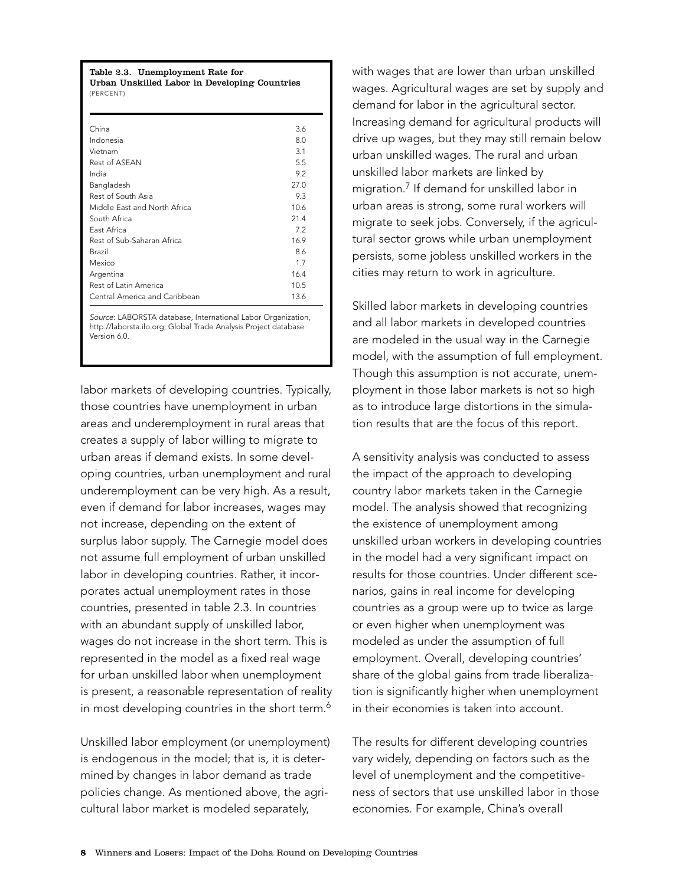comparison of the relative effects of alternative trade policy proposals when all other factors are held constant. This capacity makes the model an extremely useful tool for policy makers and the public in deciding between competing proposals.

#### **Distinguishing Features of the Model**

AGE models can be extended or adapted in various ways to provide greater detail on particular aspects of economic activity or to attempt greater accuracy in the representation of economic reality. The approaches taken in different models will differ according to the trade and economic policy issues that are of greatest interest to those constructing the models and designing policy simulations.

In the case of the Carnegie model, important objectives were to explore the impact of possible trade policy changes on economic growth, employment, agriculture, and low-skilled manufacturing in developing countries. Because the majority of the world's population lives in those countries, and the vast majority of livelihoods there depend on the agricultural sector or unskilled urban occupations, the impact of global trade policies on these individuals and households will have an important effect on global economic activity, stability, and growth. If global trade extends opportunities to these individuals and households—the global majority—the global trading system can realize its potential to contribute to poverty alleviation, equity, and broad-based growth. If these individuals and households do not benefit, or if they face worse economic circumstances as a result of global trade rules, the impact of trade will be to concentrate wealth in a relatively small number of countries, firms, and households. This would call into question both the legitimacy and sustainability of an open global trade regime.

Trade policy changes tend to affect individuals and households more through effects on earnings, such as changes in employment or wages or the prices of agricultural products sold, than through effects on consumption, such as changes in the prices of goods purchased.4 The impact of trade policies on demand in the agricultural sector and in labor markets of each country is an important factor in gauging the welfare results for the poor and for others whose main asset is their labor. AGE models are well suited for probing these effects, because they capture the gains or losses to both producers and consumers, through wage and price changes that are induced by trade liberalization.

The importance of agriculture and unskilled labor demand for the livelihoods of the global majority makes it imperative to represent the markets for agricultural and unskilled labor in developing countries as accurately as possible in the model. The Carnegie model makes several important innovations in this regard compared with other models.5

Most general equilibrium models include only two classes of labor, skilled and unskilled, without distinguishing between unskilled labor in urban and agricultural labor markets. In many developing countries, however, a large share of the economically active population is engaged in small-scale agriculture. The labor market in that sector is quite distinct from urban labor markets. To reflect this reality, the Carnegie model disaggregates labor into three types: agricultural labor, urban unskilled labor, and urban skilled labor.

Most models assume that all labor, including unskilled labor, is fully employed. Unemployment is not taken into account. Any increases (or decreases) in demand for labor caused by trade policy changes will be shown in the model results as rising (or declining) wages. This assumption is highly inaccurate for the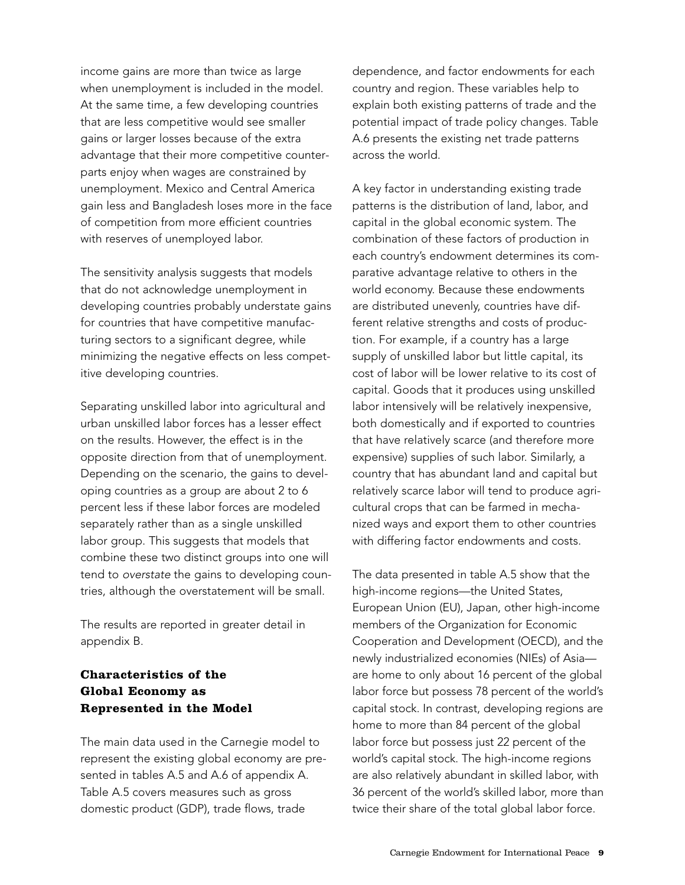Table 2.3. Unemployment Rate for Urban Unskilled Labor in Developing Countries (PERCENT)

| China<br>3.6<br>8.0<br>Indonesia<br>3.1<br>Vietnam |  |
|----------------------------------------------------|--|
|                                                    |  |
|                                                    |  |
|                                                    |  |
| Rest of ASEAN<br>5.5                               |  |
| 9.2<br>India                                       |  |
| 270<br>Bangladesh                                  |  |
| Rest of South Asia<br>9.3                          |  |
| Middle East and North Africa<br>10.6               |  |
| South Africa<br>21.4                               |  |
| <b>East Africa</b><br>7.2                          |  |
| Rest of Sub-Saharan Africa<br>16.9                 |  |
| Brazil<br>8.6                                      |  |
| 1.7<br>Mexico                                      |  |
| 16.4<br>Argentina                                  |  |
| Rest of Latin America<br>10.5                      |  |
| Central America and Caribbean<br>13.6              |  |

*Source*: LABORSTA database, International Labor Organization, http://laborsta.ilo.org; Global Trade Analysis Project database Version 6.0.

labor markets of developing countries. Typically, those countries have unemployment in urban areas and underemployment in rural areas that creates a supply of labor willing to migrate to urban areas if demand exists. In some developing countries, urban unemployment and rural underemployment can be very high. As a result, even if demand for labor increases, wages may not increase, depending on the extent of surplus labor supply. The Carnegie model does not assume full employment of urban unskilled labor in developing countries. Rather, it incorporates actual unemployment rates in those countries, presented in table 2.3. In countries with an abundant supply of unskilled labor, wages do not increase in the short term. This is represented in the model as a fixed real wage for urban unskilled labor when unemployment is present, a reasonable representation of reality in most developing countries in the short term.<sup>6</sup>

Unskilled labor employment (or unemployment) is endogenous in the model; that is, it is determined by changes in labor demand as trade policies change. As mentioned above, the agricultural labor market is modeled separately,

with wages that are lower than urban unskilled wages. Agricultural wages are set by supply and demand for labor in the agricultural sector. Increasing demand for agricultural products will drive up wages, but they may still remain below urban unskilled wages. The rural and urban unskilled labor markets are linked by migration.7 If demand for unskilled labor in urban areas is strong, some rural workers will migrate to seek jobs. Conversely, if the agricultural sector grows while urban unemployment persists, some jobless unskilled workers in the cities may return to work in agriculture.

Skilled labor markets in developing countries and all labor markets in developed countries are modeled in the usual way in the Carnegie model, with the assumption of full employment. Though this assumption is not accurate, unemployment in those labor markets is not so high as to introduce large distortions in the simulation results that are the focus of this report.

A sensitivity analysis was conducted to assess the impact of the approach to developing country labor markets taken in the Carnegie model. The analysis showed that recognizing the existence of unemployment among unskilled urban workers in developing countries in the model had a very significant impact on results for those countries. Under different scenarios, gains in real income for developing countries as a group were up to twice as large or even higher when unemployment was modeled as under the assumption of full employment. Overall, developing countries' share of the global gains from trade liberalization is significantly higher when unemployment in their economies is taken into account.

The results for different developing countries vary widely, depending on factors such as the level of unemployment and the competitiveness of sectors that use unskilled labor in those economies. For example, China's overall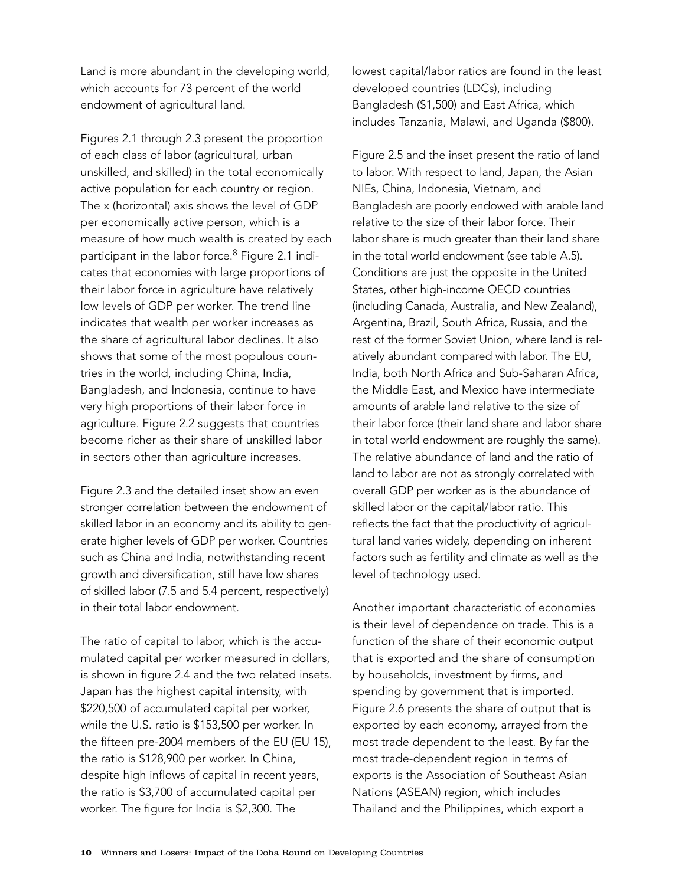income gains are more than twice as large when unemployment is included in the model. At the same time, a few developing countries that are less competitive would see smaller gains or larger losses because of the extra advantage that their more competitive counterparts enjoy when wages are constrained by unemployment. Mexico and Central America gain less and Bangladesh loses more in the face of competition from more efficient countries with reserves of unemployed labor.

The sensitivity analysis suggests that models that do not acknowledge unemployment in developing countries probably understate gains for countries that have competitive manufacturing sectors to a significant degree, while minimizing the negative effects on less competitive developing countries.

Separating unskilled labor into agricultural and urban unskilled labor forces has a lesser effect on the results. However, the effect is in the opposite direction from that of unemployment. Depending on the scenario, the gains to developing countries as a group are about 2 to 6 percent less if these labor forces are modeled separately rather than as a single unskilled labor group. This suggests that models that combine these two distinct groups into one will tend to *overstate* the gains to developing countries, although the overstatement will be small.

The results are reported in greater detail in appendix B.

#### **Characteristics of the Global Economy as Represented in the Model**

The main data used in the Carnegie model to represent the existing global economy are presented in tables A.5 and A.6 of appendix A. Table A.5 covers measures such as gross domestic product (GDP), trade flows, trade

dependence, and factor endowments for each country and region. These variables help to explain both existing patterns of trade and the potential impact of trade policy changes. Table A.6 presents the existing net trade patterns across the world.

A key factor in understanding existing trade patterns is the distribution of land, labor, and capital in the global economic system. The combination of these factors of production in each country's endowment determines its comparative advantage relative to others in the world economy. Because these endowments are distributed unevenly, countries have different relative strengths and costs of production. For example, if a country has a large supply of unskilled labor but little capital, its cost of labor will be lower relative to its cost of capital. Goods that it produces using unskilled labor intensively will be relatively inexpensive, both domestically and if exported to countries that have relatively scarce (and therefore more expensive) supplies of such labor. Similarly, a country that has abundant land and capital but relatively scarce labor will tend to produce agricultural crops that can be farmed in mechanized ways and export them to other countries with differing factor endowments and costs.

The data presented in table A.5 show that the high-income regions—the United States, European Union (EU), Japan, other high-income members of the Organization for Economic Cooperation and Development (OECD), and the newly industrialized economies (NIEs) of Asia are home to only about 16 percent of the global labor force but possess 78 percent of the world's capital stock. In contrast, developing regions are home to more than 84 percent of the global labor force but possess just 22 percent of the world's capital stock. The high-income regions are also relatively abundant in skilled labor, with 36 percent of the world's skilled labor, more than twice their share of the total global labor force.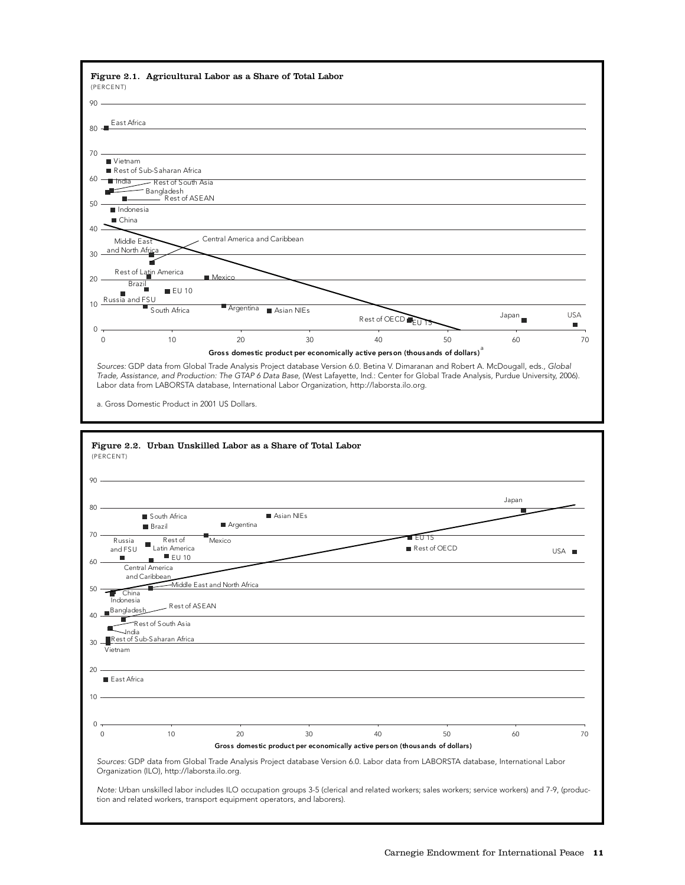Land is more abundant in the developing world, which accounts for 73 percent of the world endowment of agricultural land.

Figures 2.1 through 2.3 present the proportion of each class of labor (agricultural, urban unskilled, and skilled) in the total economically active population for each country or region. The x (horizontal) axis shows the level of GDP per economically active person, which is a measure of how much wealth is created by each participant in the labor force.<sup>8</sup> Figure 2.1 indicates that economies with large proportions of their labor force in agriculture have relatively low levels of GDP per worker. The trend line indicates that wealth per worker increases as the share of agricultural labor declines. It also shows that some of the most populous countries in the world, including China, India, Bangladesh, and Indonesia, continue to have very high proportions of their labor force in agriculture. Figure 2.2 suggests that countries become richer as their share of unskilled labor in sectors other than agriculture increases.

Figure 2.3 and the detailed inset show an even stronger correlation between the endowment of skilled labor in an economy and its ability to generate higher levels of GDP per worker. Countries such as China and India, notwithstanding recent growth and diversification, still have low shares of skilled labor (7.5 and 5.4 percent, respectively) in their total labor endowment.

The ratio of capital to labor, which is the accumulated capital per worker measured in dollars, is shown in figure 2.4 and the two related insets. Japan has the highest capital intensity, with \$220,500 of accumulated capital per worker, while the U.S. ratio is \$153,500 per worker. In the fifteen pre-2004 members of the EU (EU 15), the ratio is \$128,900 per worker. In China, despite high inflows of capital in recent years, the ratio is \$3,700 of accumulated capital per worker. The figure for India is \$2,300. The

lowest capital/labor ratios are found in the least developed countries (LDCs), including Bangladesh (\$1,500) and East Africa, which includes Tanzania, Malawi, and Uganda (\$800).

Figure 2.5 and the inset present the ratio of land to labor. With respect to land, Japan, the Asian NIEs, China, Indonesia, Vietnam, and Bangladesh are poorly endowed with arable land relative to the size of their labor force. Their labor share is much greater than their land share in the total world endowment (see table A.5). Conditions are just the opposite in the United States, other high-income OECD countries (including Canada, Australia, and New Zealand), Argentina, Brazil, South Africa, Russia, and the rest of the former Soviet Union, where land is relatively abundant compared with labor. The EU, India, both North Africa and Sub-Saharan Africa, the Middle East, and Mexico have intermediate amounts of arable land relative to the size of their labor force (their land share and labor share in total world endowment are roughly the same). The relative abundance of land and the ratio of land to labor are not as strongly correlated with overall GDP per worker as is the abundance of skilled labor or the capital/labor ratio. This reflects the fact that the productivity of agricultural land varies widely, depending on inherent factors such as fertility and climate as well as the level of technology used.

Another important characteristic of economies is their level of dependence on trade. This is a function of the share of their economic output that is exported and the share of consumption by households, investment by firms, and spending by government that is imported. Figure 2.6 presents the share of output that is exported by each economy, arrayed from the most trade dependent to the least. By far the most trade-dependent region in terms of exports is the Association of Southeast Asian Nations (ASEAN) region, which includes Thailand and the Philippines, which export a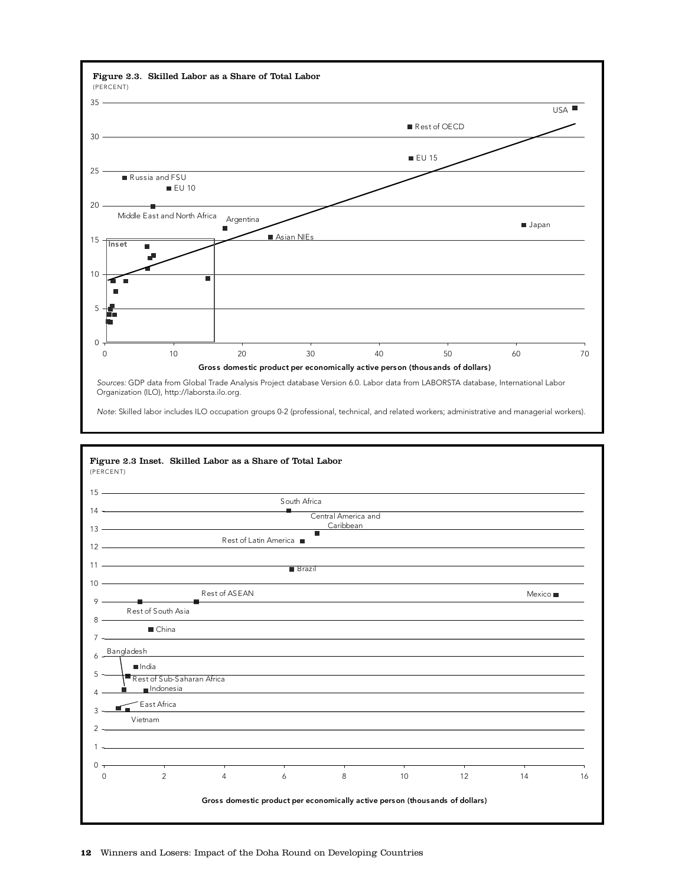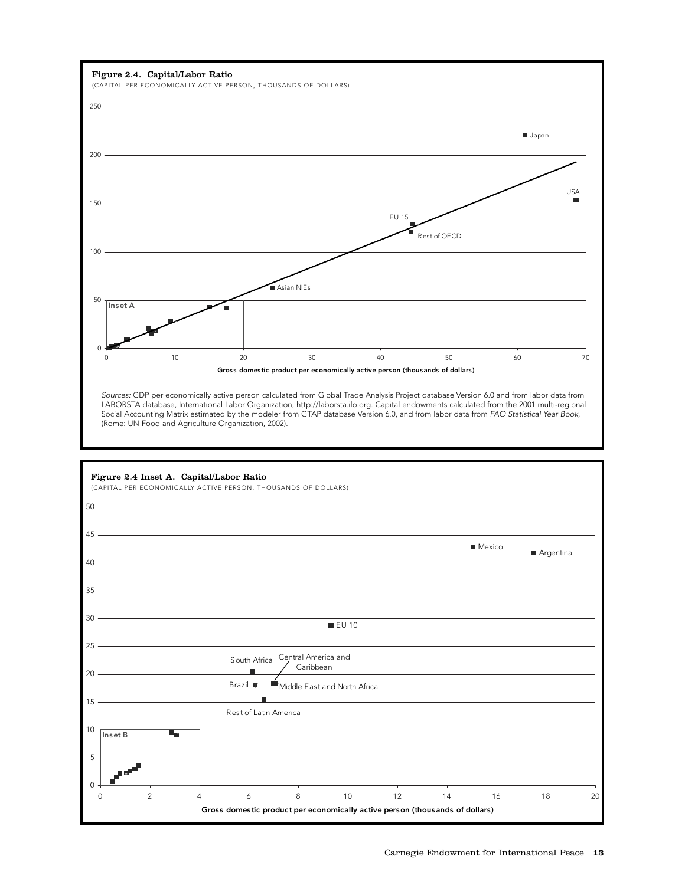

Organization (ILO), http://laborsta.ilo.org.

*Note*: Skilled labor includes ILO occupation groups 0-2 (professional, technical, and related workers; administrative and managerial workers).



**12** Winners and Losers: Impact of the Doha Round on Developing Countries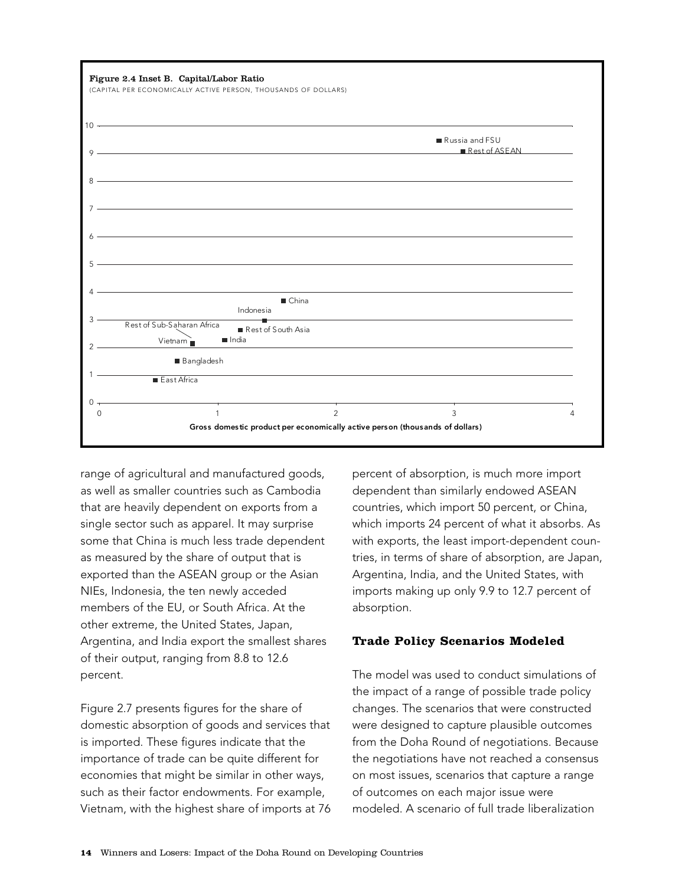

*Sources:* GDP per economically active person calculated from Global Trade Analysis Project database Version 6.0 and from labor data from LABORSTA database, International Labor Organization, http://laborsta.ilo.org. Capital endowments calculated from the 2001 multi-regional Social Accounting Matrix estimated by the modeler from GTAP database Version 6.0, and from labor data from *FAO Statistical Year Book*, (Rome: UN Food and Agriculture Organization, 2002).

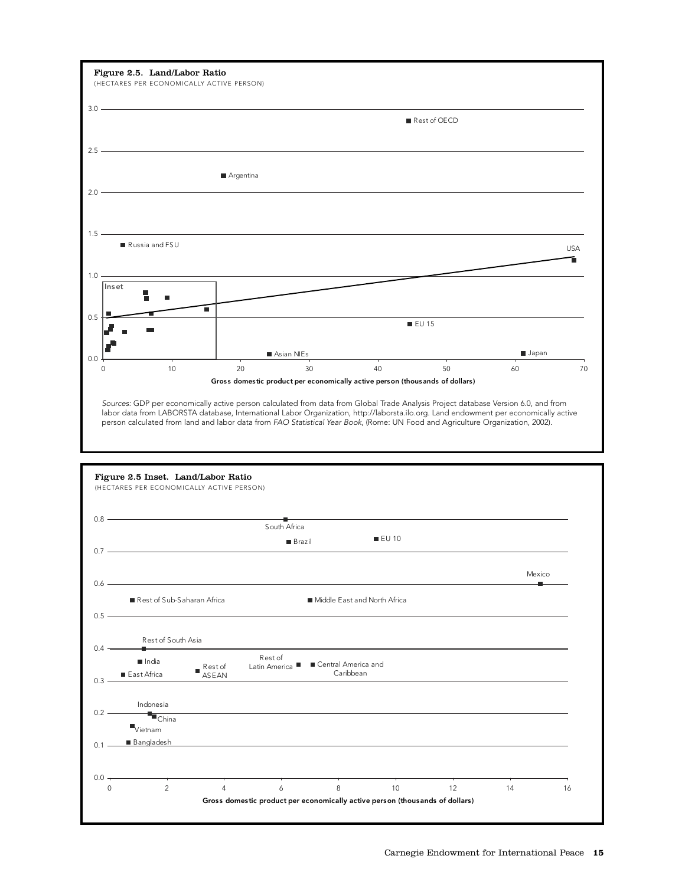

range of agricultural and manufactured goods, as well as smaller countries such as Cambodia that are heavily dependent on exports from a single sector such as apparel. It may surprise some that China is much less trade dependent as measured by the share of output that is exported than the ASEAN group or the Asian NIEs, Indonesia, the ten newly acceded members of the EU, or South Africa. At the other extreme, the United States, Japan, Argentina, and India export the smallest shares of their output, ranging from 8.8 to 12.6 percent.

Figure 2.7 presents figures for the share of domestic absorption of goods and services that is imported. These figures indicate that the importance of trade can be quite different for economies that might be similar in other ways, such as their factor endowments. For example, Vietnam, with the highest share of imports at 76 percent of absorption, is much more import dependent than similarly endowed ASEAN countries, which import 50 percent, or China, which imports 24 percent of what it absorbs. As with exports, the least import-dependent countries, in terms of share of absorption, are Japan, Argentina, India, and the United States, with imports making up only 9.9 to 12.7 percent of absorption.

#### **Trade Policy Scenarios Modeled**

The model was used to conduct simulations of the impact of a range of possible trade policy changes. The scenarios that were constructed were designed to capture plausible outcomes from the Doha Round of negotiations. Because the negotiations have not reached a consensus on most issues, scenarios that capture a range of outcomes on each major issue were modeled. A scenario of full trade liberalization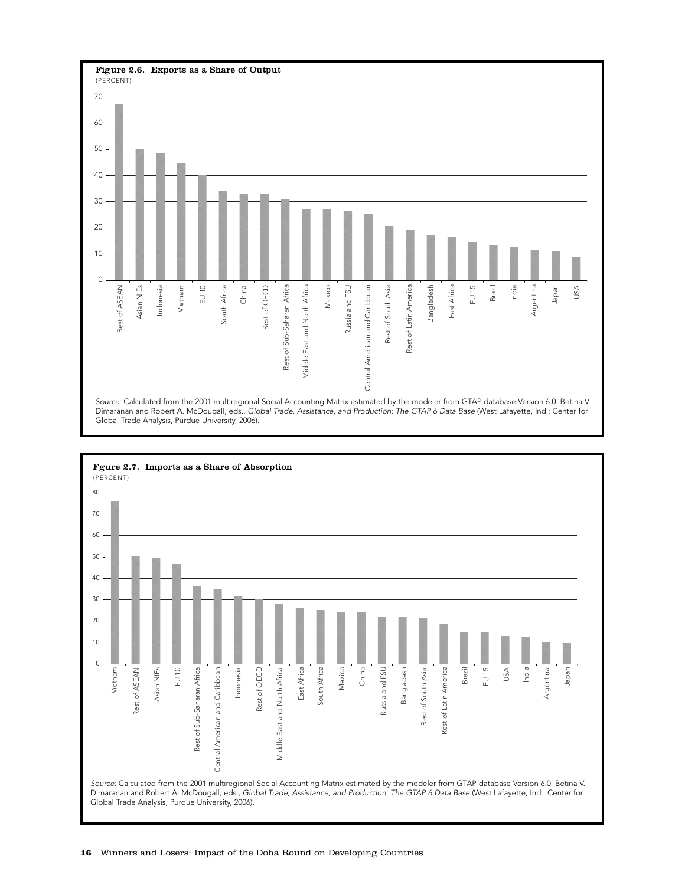

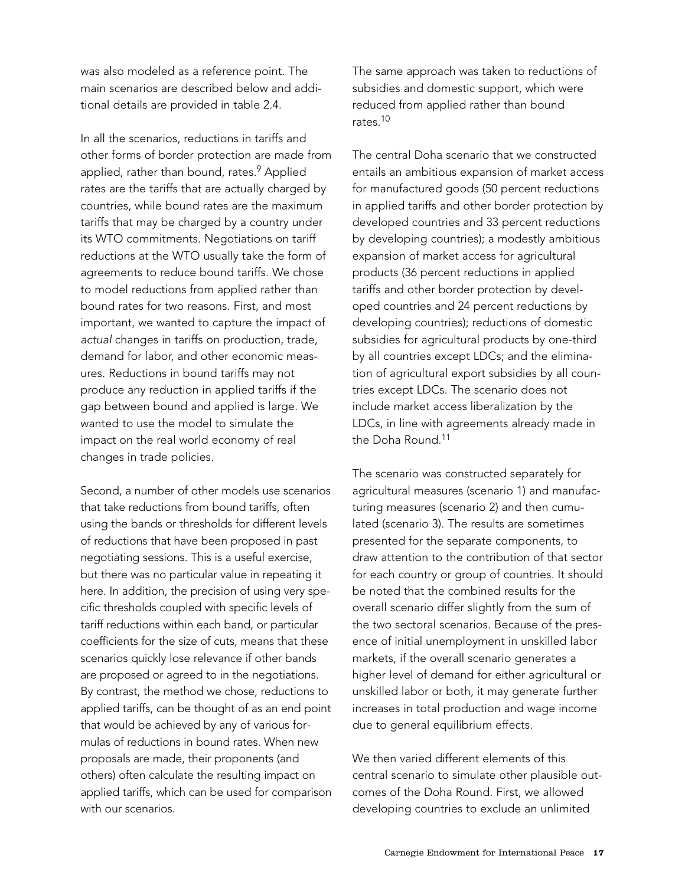

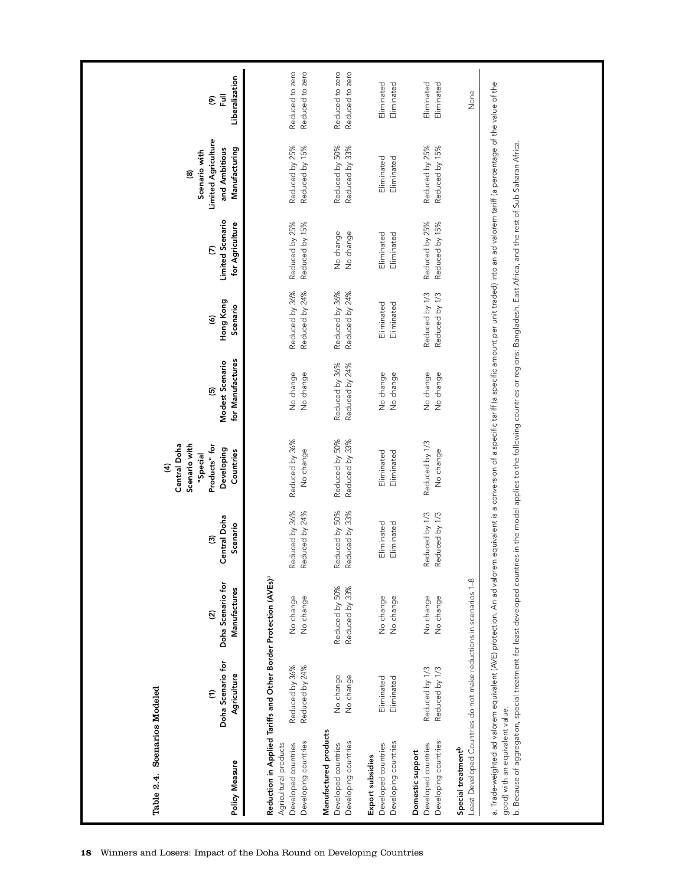was also modeled as a reference point. The main scenarios are described below and additional details are provided in table 2.4.

In all the scenarios, reductions in tariffs and other forms of border protection are made from applied, rather than bound, rates.<sup>9</sup> Applied rates are the tariffs that are actually charged by countries, while bound rates are the maximum tariffs that may be charged by a country under its WTO commitments. Negotiations on tariff reductions at the WTO usually take the form of agreements to reduce bound tariffs. We chose to model reductions from applied rather than bound rates for two reasons. First, and most important, we wanted to capture the impact of *actual* changes in tariffs on production, trade, demand for labor, and other economic measures. Reductions in bound tariffs may not produce any reduction in applied tariffs if the gap between bound and applied is large. We wanted to use the model to simulate the impact on the real world economy of real changes in trade policies.

Second, a number of other models use scenarios that take reductions from bound tariffs, often using the bands or thresholds for different levels of reductions that have been proposed in past negotiating sessions. This is a useful exercise, but there was no particular value in repeating it here. In addition, the precision of using very specific thresholds coupled with specific levels of tariff reductions within each band, or particular coefficients for the size of cuts, means that these scenarios quickly lose relevance if other bands are proposed or agreed to in the negotiations. By contrast, the method we chose, reductions to applied tariffs, can be thought of as an end point that would be achieved by any of various formulas of reductions in bound rates. When new proposals are made, their proponents (and others) often calculate the resulting impact on applied tariffs, which can be used for comparison with our scenarios.

The same approach was taken to reductions of subsidies and domestic support, which were reduced from applied rather than bound rates.10

The central Doha scenario that we constructed entails an ambitious expansion of market access for manufactured goods (50 percent reductions in applied tariffs and other border protection by developed countries and 33 percent reductions by developing countries); a modestly ambitious expansion of market access for agricultural products (36 percent reductions in applied tariffs and other border protection by developed countries and 24 percent reductions by developing countries); reductions of domestic subsidies for agricultural products by one-third by all countries except LDCs; and the elimination of agricultural export subsidies by all countries except LDCs. The scenario does not include market access liberalization by the LDCs, in line with agreements already made in the Doha Round.11

The scenario was constructed separately for agricultural measures (scenario 1) and manufacturing measures (scenario 2) and then cumulated (scenario 3). The results are sometimes presented for the separate components, to draw attention to the contribution of that sector for each country or group of countries. It should be noted that the combined results for the overall scenario differ slightly from the sum of the two sectoral scenarios. Because of the presence of initial unemployment in unskilled labor markets, if the overall scenario generates a higher level of demand for either agricultural or unskilled labor or both, it may generate further increases in total production and wage income due to general equilibrium effects.

We then varied different elements of this central scenario to simulate other plausible outcomes of the Doha Round. First, we allowed developing countries to exclude an unlimited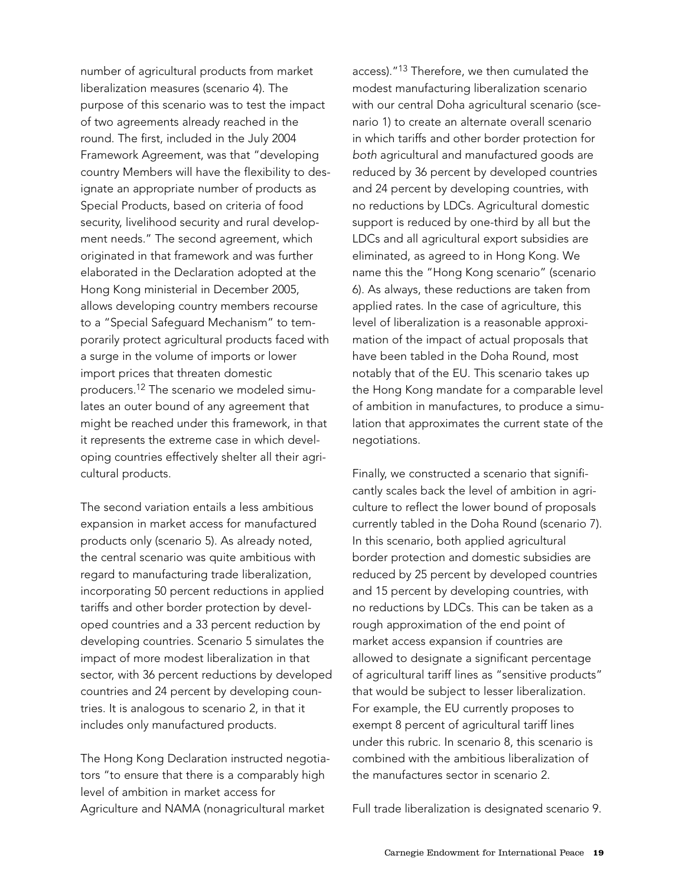| Liberalization<br>쿦<br>$\widehat{\mathfrak{G}}$                                            | Reduced to zero<br>Reduced to zero                                                                                                                   | Reduced to zero<br>Reduced to zero                                   | Eliminated<br>Eliminated                                        | Eliminated<br>Eliminated                                        | None                                                                                                |                                                                                                                                                                                                                                                                                                                                                                                                                                                                   |
|--------------------------------------------------------------------------------------------|------------------------------------------------------------------------------------------------------------------------------------------------------|----------------------------------------------------------------------|-----------------------------------------------------------------|-----------------------------------------------------------------|-----------------------------------------------------------------------------------------------------|-------------------------------------------------------------------------------------------------------------------------------------------------------------------------------------------------------------------------------------------------------------------------------------------------------------------------------------------------------------------------------------------------------------------------------------------------------------------|
| Limited Agriculture<br>and Ambitious<br>Manufacturing<br>Scenario with<br>ම                | Reduced by 25%<br>Reduced by 15%                                                                                                                     | Reduced by 33%<br>Reduced by 50%                                     | Eliminated<br>Eliminated                                        | Reduced by 25%<br>Reduced by 15%                                |                                                                                                     |                                                                                                                                                                                                                                                                                                                                                                                                                                                                   |
| Limited Scenario<br>for Agriculture<br>ε                                                   | Reduced by 15%<br>Reduced by 25%                                                                                                                     | No change<br>No change                                               | Eliminated<br>Eliminated                                        | Reduced by 25%<br>Reduced by 15%                                |                                                                                                     |                                                                                                                                                                                                                                                                                                                                                                                                                                                                   |
| Hong Kong<br>Scenario<br>$\hat{\mathbf{e}}$                                                | Reduced by 36%<br>Reduced by 24%                                                                                                                     | Reduced by 36%<br>Reduced by 24%                                     | Eliminated<br>Eliminated                                        | Reduced by 1/3<br>Reduced by 1/3                                |                                                                                                     |                                                                                                                                                                                                                                                                                                                                                                                                                                                                   |
| for Manufactures<br>Modest Scenario<br>0                                                   | No change<br>No change                                                                                                                               | Reduced by 36%<br>Reduced by 24%                                     | No change<br>No change                                          | No change<br>No change                                          |                                                                                                     |                                                                                                                                                                                                                                                                                                                                                                                                                                                                   |
| Central Doha<br>Scenario with<br>Products" for<br>Developing<br>Countries<br>"Special<br>E | Reduced by 36%<br>No change                                                                                                                          | Reduced by 33%<br>Reduced by 50%                                     | Eliminated<br>Eliminated                                        | Reduced by 1/3<br>No change                                     |                                                                                                     |                                                                                                                                                                                                                                                                                                                                                                                                                                                                   |
| Central Doha<br>Scenario<br>ම                                                              | Reduced by 36%<br>Reduced by 24%                                                                                                                     | educed by 50%<br>leduced by 33%<br>œ                                 | Eliminated<br>Eliminated                                        | Reduced by 1/3<br>Reduced by 1/3                                |                                                                                                     |                                                                                                                                                                                                                                                                                                                                                                                                                                                                   |
| Doha Scenario for<br>Manufactures<br>ତ୍ର                                                   | No change<br>No change                                                                                                                               | Reduced by 50%<br>Reduced by 33%                                     | No change<br>No change                                          | No change<br>No change                                          |                                                                                                     |                                                                                                                                                                                                                                                                                                                                                                                                                                                                   |
| Doha Scenario for<br>Agriculture<br>ε                                                      | Reduced by 36%<br>Reduced by 24%                                                                                                                     | No change<br>No change                                               | Eliminated<br>Eliminated                                        | Reduced by 1/3<br>Reduced by 1/3                                |                                                                                                     |                                                                                                                                                                                                                                                                                                                                                                                                                                                                   |
| Table 2.4. Scenarios Modeled<br>Policy Measure                                             | Reduction in Applied Tariffs and Other Border Protection (AVEs) <sup>ª</sup><br>Developing countries<br>Developed countries<br>Agricultural products | Manufactured products<br>Developing countries<br>Developed countries | Developing countries<br>Developed countries<br>Export subsidies | Developing countries<br>Developed countries<br>Domestic support | Least Developed Countries do not make reductions in scenarios 1-8<br>Special treatment <sup>b</sup> | a. Trade-weighted ad valorem equivalent (AVE) protection. An ad valorem equivalent is a conversion of a specific tariff (a specific amount per unit traded) into an ad valorem tariff (a percentage of the value of the<br>b. Because of aggregation, special treatment for least developed countries in the model applies to the following countries or regions: Bangladesh, East Africa, and the rest of Sub-Saharan Africa.<br>good) with an equivalent value. |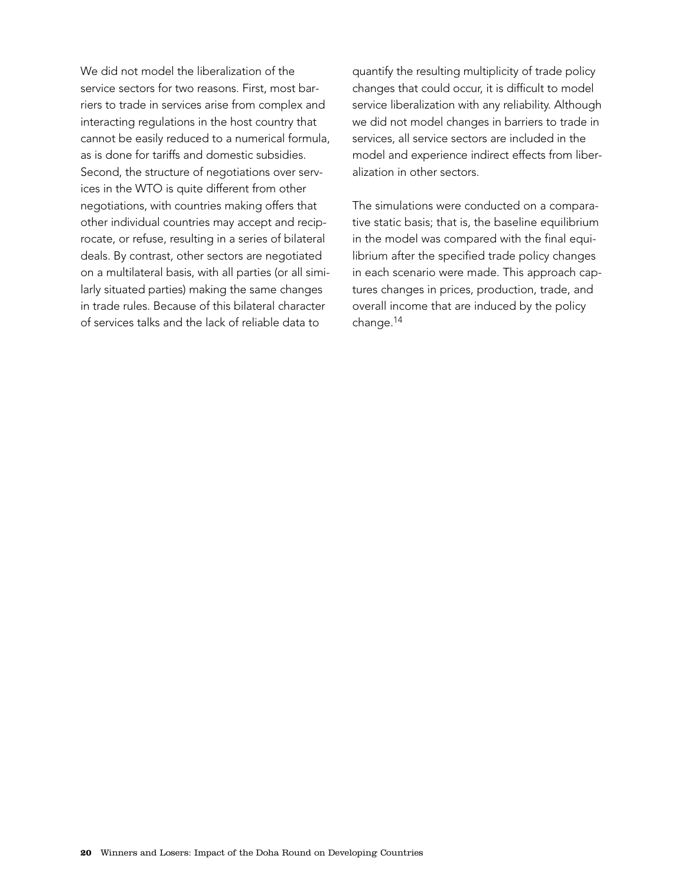number of agricultural products from market liberalization measures (scenario 4). The purpose of this scenario was to test the impact of two agreements already reached in the round. The first, included in the July 2004 Framework Agreement, was that "developing country Members will have the flexibility to designate an appropriate number of products as Special Products, based on criteria of food security, livelihood security and rural development needs." The second agreement, which originated in that framework and was further elaborated in the Declaration adopted at the Hong Kong ministerial in December 2005, allows developing country members recourse to a "Special Safeguard Mechanism" to temporarily protect agricultural products faced with a surge in the volume of imports or lower import prices that threaten domestic producers.12 The scenario we modeled simulates an outer bound of any agreement that might be reached under this framework, in that it represents the extreme case in which developing countries effectively shelter all their agricultural products.

The second variation entails a less ambitious expansion in market access for manufactured products only (scenario 5). As already noted, the central scenario was quite ambitious with regard to manufacturing trade liberalization, incorporating 50 percent reductions in applied tariffs and other border protection by developed countries and a 33 percent reduction by developing countries. Scenario 5 simulates the impact of more modest liberalization in that sector, with 36 percent reductions by developed countries and 24 percent by developing countries. It is analogous to scenario 2, in that it includes only manufactured products.

The Hong Kong Declaration instructed negotiators "to ensure that there is a comparably high level of ambition in market access for Agriculture and NAMA (nonagricultural market

access)."13 Therefore, we then cumulated the modest manufacturing liberalization scenario with our central Doha agricultural scenario (scenario 1) to create an alternate overall scenario in which tariffs and other border protection for *both* agricultural and manufactured goods are reduced by 36 percent by developed countries and 24 percent by developing countries, with no reductions by LDCs. Agricultural domestic support is reduced by one-third by all but the LDCs and all agricultural export subsidies are eliminated, as agreed to in Hong Kong. We name this the "Hong Kong scenario" (scenario 6). As always, these reductions are taken from applied rates. In the case of agriculture, this level of liberalization is a reasonable approximation of the impact of actual proposals that have been tabled in the Doha Round, most notably that of the EU. This scenario takes up the Hong Kong mandate for a comparable level of ambition in manufactures, to produce a simulation that approximates the current state of the negotiations.

Finally, we constructed a scenario that significantly scales back the level of ambition in agriculture to reflect the lower bound of proposals currently tabled in the Doha Round (scenario 7). In this scenario, both applied agricultural border protection and domestic subsidies are reduced by 25 percent by developed countries and 15 percent by developing countries, with no reductions by LDCs. This can be taken as a rough approximation of the end point of market access expansion if countries are allowed to designate a significant percentage of agricultural tariff lines as "sensitive products" that would be subject to lesser liberalization. For example, the EU currently proposes to exempt 8 percent of agricultural tariff lines under this rubric. In scenario 8, this scenario is combined with the ambitious liberalization of the manufactures sector in scenario 2.

Full trade liberalization is designated scenario 9.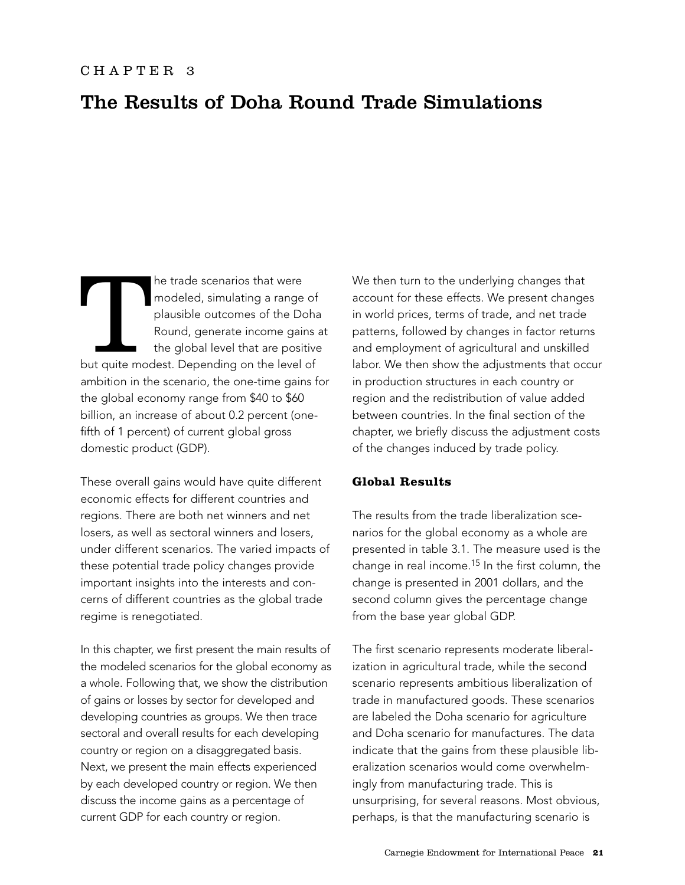We did not model the liberalization of the service sectors for two reasons. First, most barriers to trade in services arise from complex and interacting regulations in the host country that cannot be easily reduced to a numerical formula, as is done for tariffs and domestic subsidies. Second, the structure of negotiations over services in the WTO is quite different from other negotiations, with countries making offers that other individual countries may accept and reciprocate, or refuse, resulting in a series of bilateral deals. By contrast, other sectors are negotiated on a multilateral basis, with all parties (or all similarly situated parties) making the same changes in trade rules. Because of this bilateral character of services talks and the lack of reliable data to

quantify the resulting multiplicity of trade policy changes that could occur, it is difficult to model service liberalization with any reliability. Although we did not model changes in barriers to trade in services, all service sectors are included in the model and experience indirect effects from liberalization in other sectors.

The simulations were conducted on a comparative static basis; that is, the baseline equilibrium in the model was compared with the final equilibrium after the specified trade policy changes in each scenario were made. This approach captures changes in prices, production, trade, and overall income that are induced by the policy change.14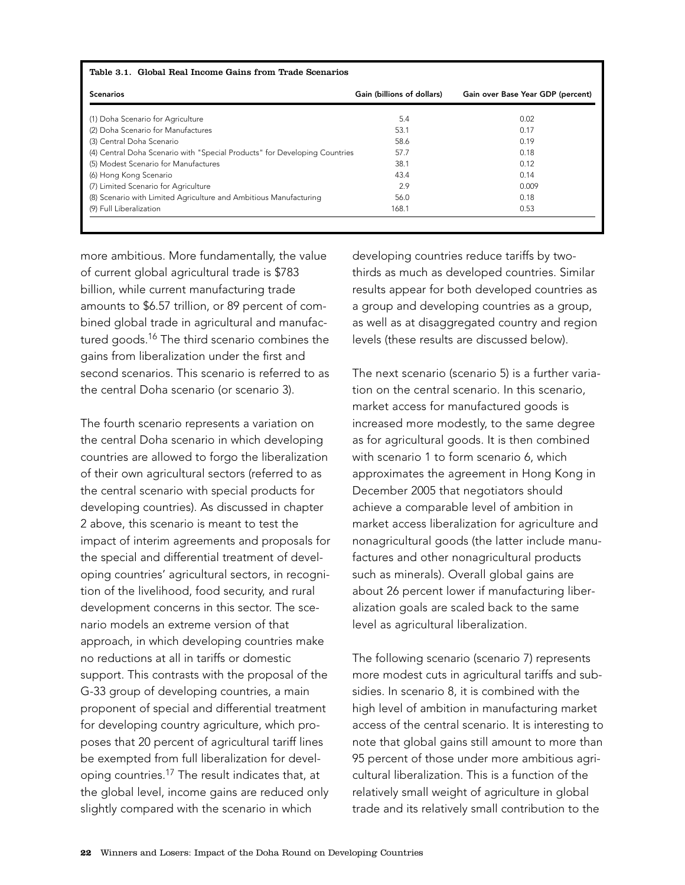#### CHAPTER 3

## The Results of Doha Round Trade Simulations

The trade scenarios that were<br>
modeled, simulating a range of<br>
plausible outcomes of the Doh<br>
Round, generate income gains<br>
the global level that are positiv<br>
but quite modest. Depending on the level of modeled, simulating a range of plausible outcomes of the Doha Round, generate income gains at the global level that are positive ambition in the scenario, the one-time gains for the global economy range from \$40 to \$60 billion, an increase of about 0.2 percent (onefifth of 1 percent) of current global gross domestic product (GDP).

These overall gains would have quite different economic effects for different countries and regions. There are both net winners and net losers, as well as sectoral winners and losers, under different scenarios. The varied impacts of these potential trade policy changes provide important insights into the interests and concerns of different countries as the global trade regime is renegotiated.

In this chapter, we first present the main results of the modeled scenarios for the global economy as a whole. Following that, we show the distribution of gains or losses by sector for developed and developing countries as groups. We then trace sectoral and overall results for each developing country or region on a disaggregated basis. Next, we present the main effects experienced by each developed country or region. We then discuss the income gains as a percentage of current GDP for each country or region.

We then turn to the underlying changes that account for these effects. We present changes in world prices, terms of trade, and net trade patterns, followed by changes in factor returns and employment of agricultural and unskilled labor. We then show the adjustments that occur in production structures in each country or region and the redistribution of value added between countries. In the final section of the chapter, we briefly discuss the adjustment costs of the changes induced by trade policy.

#### **Global Results**

The results from the trade liberalization scenarios for the global economy as a whole are presented in table 3.1. The measure used is the change in real income.15 In the first column, the change is presented in 2001 dollars, and the second column gives the percentage change from the base year global GDP.

The first scenario represents moderate liberalization in agricultural trade, while the second scenario represents ambitious liberalization of trade in manufactured goods. These scenarios are labeled the Doha scenario for agriculture and Doha scenario for manufactures. The data indicate that the gains from these plausible liberalization scenarios would come overwhelmingly from manufacturing trade. This is unsurprising, for several reasons. Most obvious, perhaps, is that the manufacturing scenario is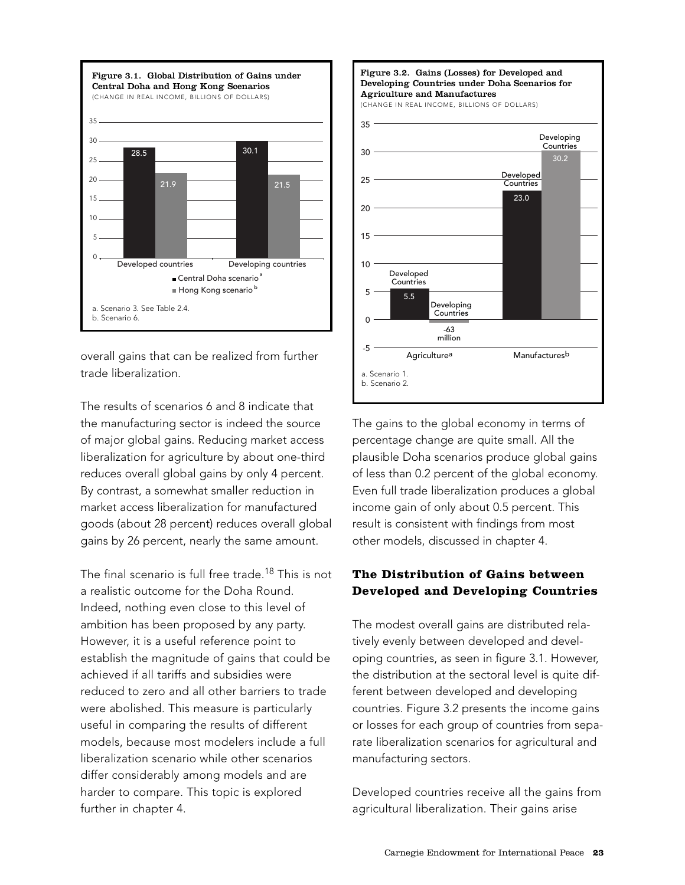#### Table 3.1. Global Real Income Gains from Trade Scenarios

| <b>Scenarios</b>                                                           | Gain (billions of dollars) | Gain over Base Year GDP (percent) |
|----------------------------------------------------------------------------|----------------------------|-----------------------------------|
| (1) Doha Scenario for Agriculture                                          | 5.4                        | 0.02                              |
| (2) Doha Scenario for Manufactures                                         | 53.1                       | 0.17                              |
| (3) Central Doha Scenario                                                  | 58.6                       | 0.19                              |
| (4) Central Doha Scenario with "Special Products" for Developing Countries | 57.7                       | 0.18                              |
| (5) Modest Scenario for Manufactures                                       | 38.1                       | 0.12                              |
| (6) Hong Kong Scenario                                                     | 43.4                       | 0.14                              |
| (7) Limited Scenario for Agriculture                                       | 2.9                        | 0.009                             |
| (8) Scenario with Limited Agriculture and Ambitious Manufacturing          | 56.0                       | 0.18                              |
| (9) Full Liberalization                                                    | 168.1                      | 0.53                              |
|                                                                            |                            |                                   |

more ambitious. More fundamentally, the value of current global agricultural trade is \$783 billion, while current manufacturing trade amounts to \$6.57 trillion, or 89 percent of combined global trade in agricultural and manufactured goods.<sup>16</sup> The third scenario combines the gains from liberalization under the first and second scenarios. This scenario is referred to as the central Doha scenario (or scenario 3).

The fourth scenario represents a variation on the central Doha scenario in which developing countries are allowed to forgo the liberalization of their own agricultural sectors (referred to as the central scenario with special products for developing countries). As discussed in chapter 2 above, this scenario is meant to test the impact of interim agreements and proposals for the special and differential treatment of developing countries' agricultural sectors, in recognition of the livelihood, food security, and rural development concerns in this sector. The scenario models an extreme version of that approach, in which developing countries make no reductions at all in tariffs or domestic support. This contrasts with the proposal of the G-33 group of developing countries, a main proponent of special and differential treatment for developing country agriculture, which proposes that 20 percent of agricultural tariff lines be exempted from full liberalization for developing countries.17 The result indicates that, at the global level, income gains are reduced only slightly compared with the scenario in which

developing countries reduce tariffs by twothirds as much as developed countries. Similar results appear for both developed countries as a group and developing countries as a group, as well as at disaggregated country and region levels (these results are discussed below).

The next scenario (scenario 5) is a further variation on the central scenario. In this scenario, market access for manufactured goods is increased more modestly, to the same degree as for agricultural goods. It is then combined with scenario 1 to form scenario 6, which approximates the agreement in Hong Kong in December 2005 that negotiators should achieve a comparable level of ambition in market access liberalization for agriculture and nonagricultural goods (the latter include manufactures and other nonagricultural products such as minerals). Overall global gains are about 26 percent lower if manufacturing liberalization goals are scaled back to the same level as agricultural liberalization.

The following scenario (scenario 7) represents more modest cuts in agricultural tariffs and subsidies. In scenario 8, it is combined with the high level of ambition in manufacturing market access of the central scenario. It is interesting to note that global gains still amount to more than 95 percent of those under more ambitious agricultural liberalization. This is a function of the relatively small weight of agriculture in global trade and its relatively small contribution to the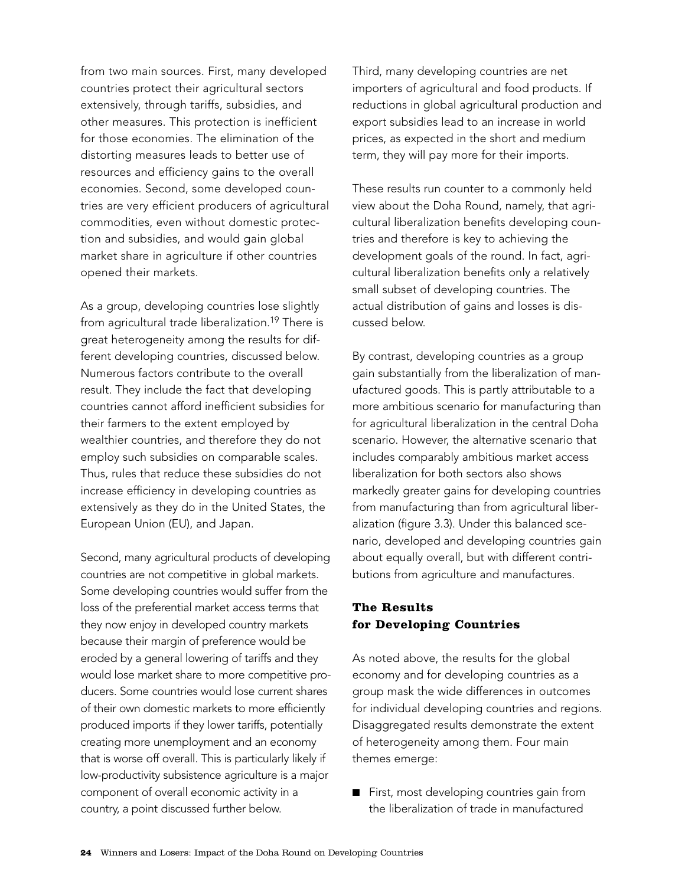

overall gains that can be realized from further trade liberalization.

The results of scenarios 6 and 8 indicate that the manufacturing sector is indeed the source of major global gains. Reducing market access liberalization for agriculture by about one-third reduces overall global gains by only 4 percent. By contrast, a somewhat smaller reduction in market access liberalization for manufactured goods (about 28 percent) reduces overall global gains by 26 percent, nearly the same amount.

The final scenario is full free trade.<sup>18</sup> This is not a realistic outcome for the Doha Round. Indeed, nothing even close to this level of ambition has been proposed by any party. However, it is a useful reference point to establish the magnitude of gains that could be achieved if all tariffs and subsidies were reduced to zero and all other barriers to trade were abolished. This measure is particularly useful in comparing the results of different models, because most modelers include a full liberalization scenario while other scenarios differ considerably among models and are harder to compare. This topic is explored further in chapter 4.



The gains to the global economy in terms of percentage change are quite small. All the plausible Doha scenarios produce global gains of less than 0.2 percent of the global economy. Even full trade liberalization produces a global income gain of only about 0.5 percent. This result is consistent with findings from most other models, discussed in chapter 4.

#### **The Distribution of Gains between Developed and Developing Countries**

The modest overall gains are distributed relatively evenly between developed and developing countries, as seen in figure 3.1. However, the distribution at the sectoral level is quite different between developed and developing countries. Figure 3.2 presents the income gains or losses for each group of countries from separate liberalization scenarios for agricultural and manufacturing sectors.

Developed countries receive all the gains from agricultural liberalization. Their gains arise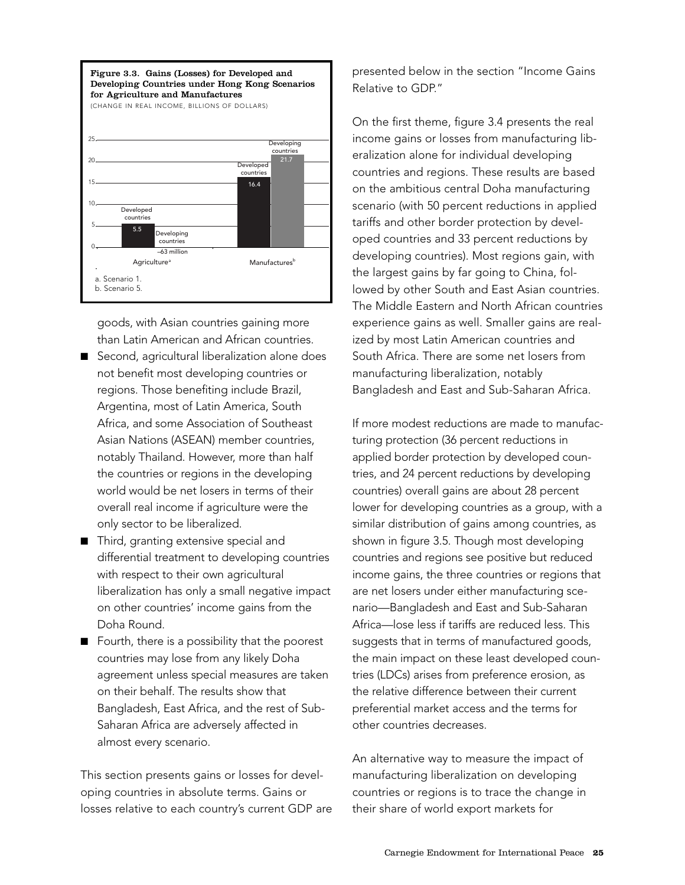from two main sources. First, many developed countries protect their agricultural sectors extensively, through tariffs, subsidies, and other measures. This protection is inefficient for those economies. The elimination of the distorting measures leads to better use of resources and efficiency gains to the overall economies. Second, some developed countries are very efficient producers of agricultural commodities, even without domestic protection and subsidies, and would gain global market share in agriculture if other countries opened their markets.

As a group, developing countries lose slightly from agricultural trade liberalization.<sup>19</sup> There is great heterogeneity among the results for different developing countries, discussed below. Numerous factors contribute to the overall result. They include the fact that developing countries cannot afford inefficient subsidies for their farmers to the extent employed by wealthier countries, and therefore they do not employ such subsidies on comparable scales. Thus, rules that reduce these subsidies do not increase efficiency in developing countries as extensively as they do in the United States, the European Union (EU), and Japan.

Second, many agricultural products of developing countries are not competitive in global markets. Some developing countries would suffer from the loss of the preferential market access terms that they now enjoy in developed country markets because their margin of preference would be eroded by a general lowering of tariffs and they would lose market share to more competitive producers. Some countries would lose current shares of their own domestic markets to more efficiently produced imports if they lower tariffs, potentially creating more unemployment and an economy that is worse off overall. This is particularly likely if low-productivity subsistence agriculture is a major component of overall economic activity in a country, a point discussed further below.

Third, many developing countries are net importers of agricultural and food products. If reductions in global agricultural production and export subsidies lead to an increase in world prices, as expected in the short and medium term, they will pay more for their imports.

These results run counter to a commonly held view about the Doha Round, namely, that agricultural liberalization benefits developing countries and therefore is key to achieving the development goals of the round. In fact, agricultural liberalization benefits only a relatively small subset of developing countries. The actual distribution of gains and losses is discussed below.

By contrast, developing countries as a group gain substantially from the liberalization of manufactured goods. This is partly attributable to a more ambitious scenario for manufacturing than for agricultural liberalization in the central Doha scenario. However, the alternative scenario that includes comparably ambitious market access liberalization for both sectors also shows markedly greater gains for developing countries from manufacturing than from agricultural liberalization (figure 3.3). Under this balanced scenario, developed and developing countries gain about equally overall, but with different contributions from agriculture and manufactures.

# **The Results for Developing Countries**

As noted above, the results for the global economy and for developing countries as a group mask the wide differences in outcomes for individual developing countries and regions. Disaggregated results demonstrate the extent of heterogeneity among them. Four main themes emerge:

■ First, most developing countries gain from the liberalization of trade in manufactured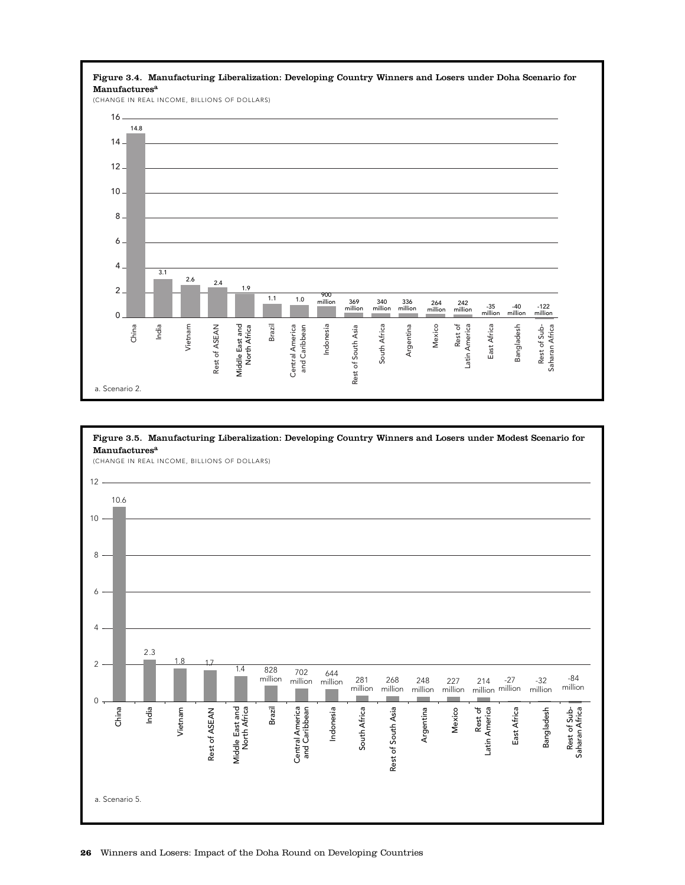

goods, with Asian countries gaining more than Latin American and African countries.

- Second, agricultural liberalization alone does not benefit most developing countries or regions. Those benefiting include Brazil, Argentina, most of Latin America, South Africa, and some Association of Southeast Asian Nations (ASEAN) member countries, notably Thailand. However, more than half the countries or regions in the developing world would be net losers in terms of their overall real income if agriculture were the only sector to be liberalized.
- Third, granting extensive special and differential treatment to developing countries with respect to their own agricultural liberalization has only a small negative impact on other countries' income gains from the Doha Round.
- Fourth, there is a possibility that the poorest countries may lose from any likely Doha agreement unless special measures are taken on their behalf. The results show that Bangladesh, East Africa, and the rest of Sub-Saharan Africa are adversely affected in almost every scenario.

This section presents gains or losses for developing countries in absolute terms. Gains or losses relative to each country's current GDP are presented below in the section "Income Gains Relative to GDP."

On the first theme, figure 3.4 presents the real income gains or losses from manufacturing liberalization alone for individual developing countries and regions. These results are based on the ambitious central Doha manufacturing scenario (with 50 percent reductions in applied tariffs and other border protection by developed countries and 33 percent reductions by developing countries). Most regions gain, with the largest gains by far going to China, followed by other South and East Asian countries. The Middle Eastern and North African countries experience gains as well. Smaller gains are realized by most Latin American countries and South Africa. There are some net losers from manufacturing liberalization, notably Bangladesh and East and Sub-Saharan Africa.

If more modest reductions are made to manufacturing protection (36 percent reductions in applied border protection by developed countries, and 24 percent reductions by developing countries) overall gains are about 28 percent lower for developing countries as a group, with a similar distribution of gains among countries, as shown in figure 3.5. Though most developing countries and regions see positive but reduced income gains, the three countries or regions that are net losers under either manufacturing scenario—Bangladesh and East and Sub-Saharan Africa—lose less if tariffs are reduced less. This suggests that in terms of manufactured goods, the main impact on these least developed countries (LDCs) arises from preference erosion, as the relative difference between their current preferential market access and the terms for other countries decreases.

An alternative way to measure the impact of manufacturing liberalization on developing countries or regions is to trace the change in their share of world export markets for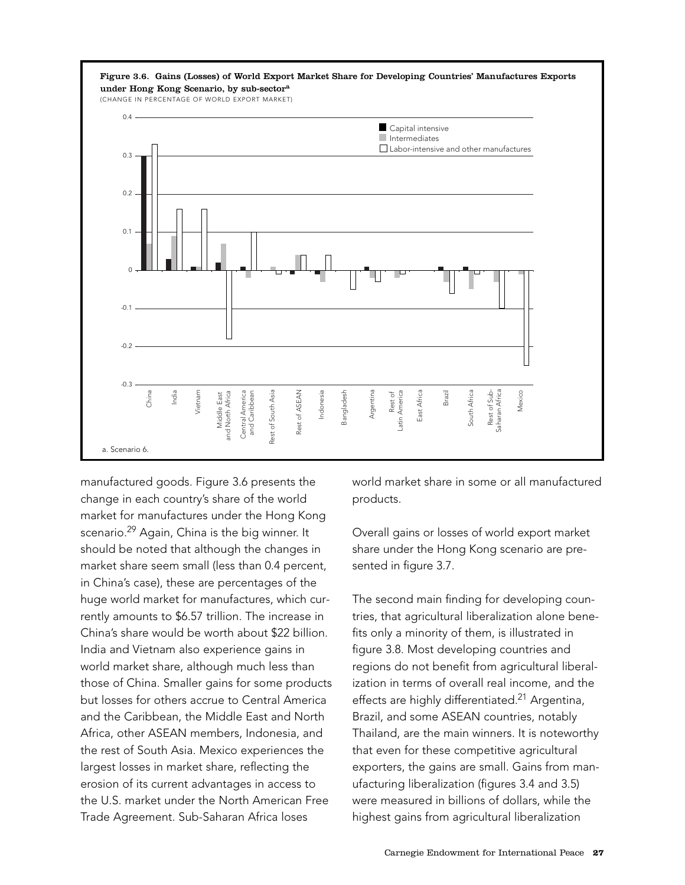

Figure 3.5. Manufacturing Liberalization: Developing Country Winners and Losers under Modest Scenario for Manufactures<sup>a</sup>



**26** Winners and Losers: Impact of the Doha Round on Developing Countries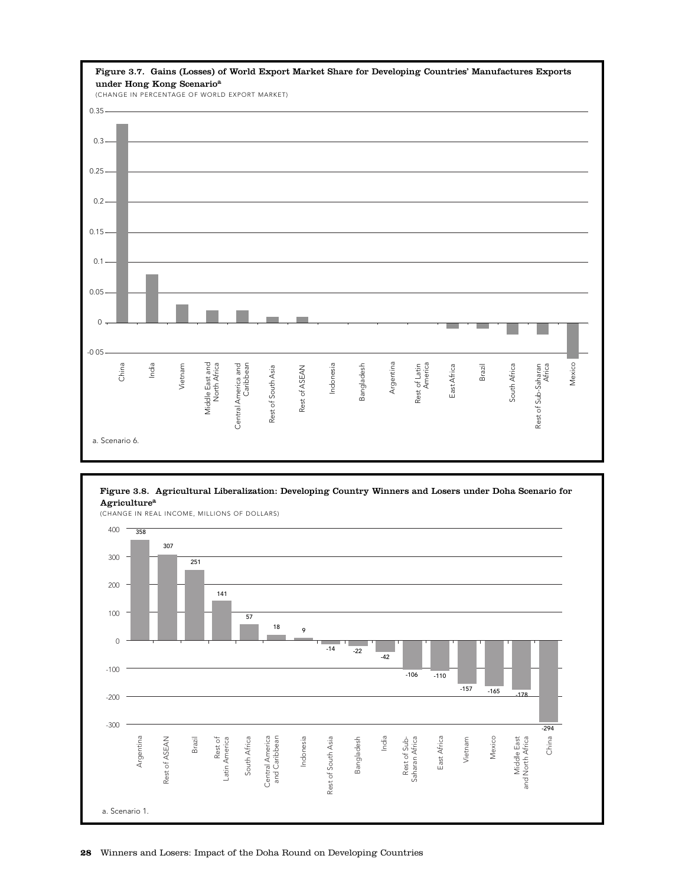

manufactured goods. Figure 3.6 presents the change in each country's share of the world market for manufactures under the Hong Kong scenario.<sup>29</sup> Again, China is the big winner. It should be noted that although the changes in market share seem small (less than 0.4 percent, in China's case), these are percentages of the huge world market for manufactures, which currently amounts to \$6.57 trillion. The increase in China's share would be worth about \$22 billion. India and Vietnam also experience gains in world market share, although much less than those of China. Smaller gains for some products but losses for others accrue to Central America and the Caribbean, the Middle East and North Africa, other ASEAN members, Indonesia, and the rest of South Asia. Mexico experiences the largest losses in market share, reflecting the erosion of its current advantages in access to the U.S. market under the North American Free Trade Agreement. Sub-Saharan Africa loses

world market share in some or all manufactured products.

Overall gains or losses of world export market share under the Hong Kong scenario are presented in figure 3.7.

The second main finding for developing countries, that agricultural liberalization alone benefits only a minority of them, is illustrated in figure 3.8. Most developing countries and regions do not benefit from agricultural liberalization in terms of overall real income, and the effects are highly differentiated.<sup>21</sup> Argentina, Brazil, and some ASEAN countries, notably Thailand, are the main winners. It is noteworthy that even for these competitive agricultural exporters, the gains are small. Gains from manufacturing liberalization (figures 3.4 and 3.5) were measured in billions of dollars, while the highest gains from agricultural liberalization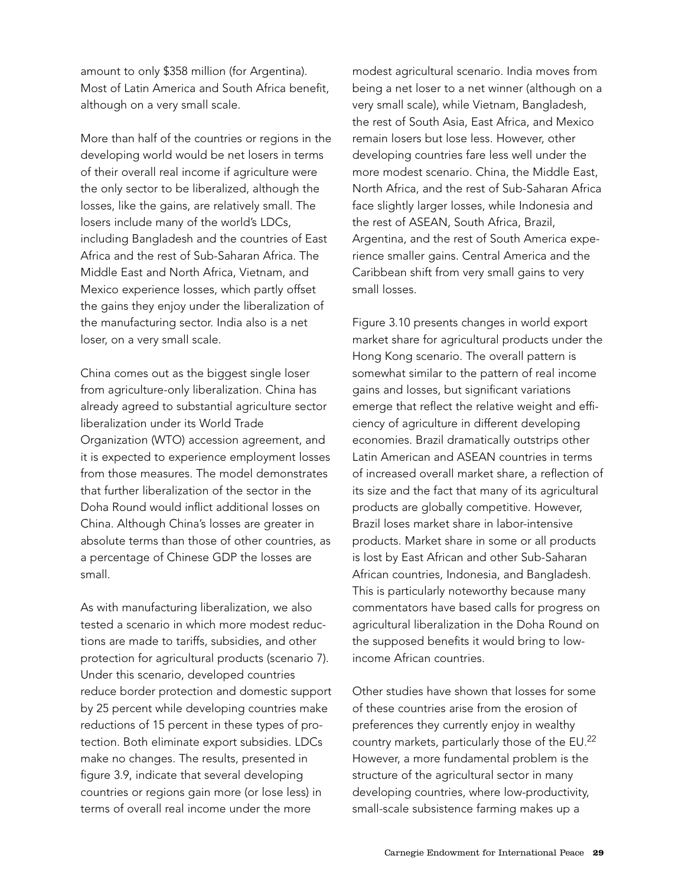

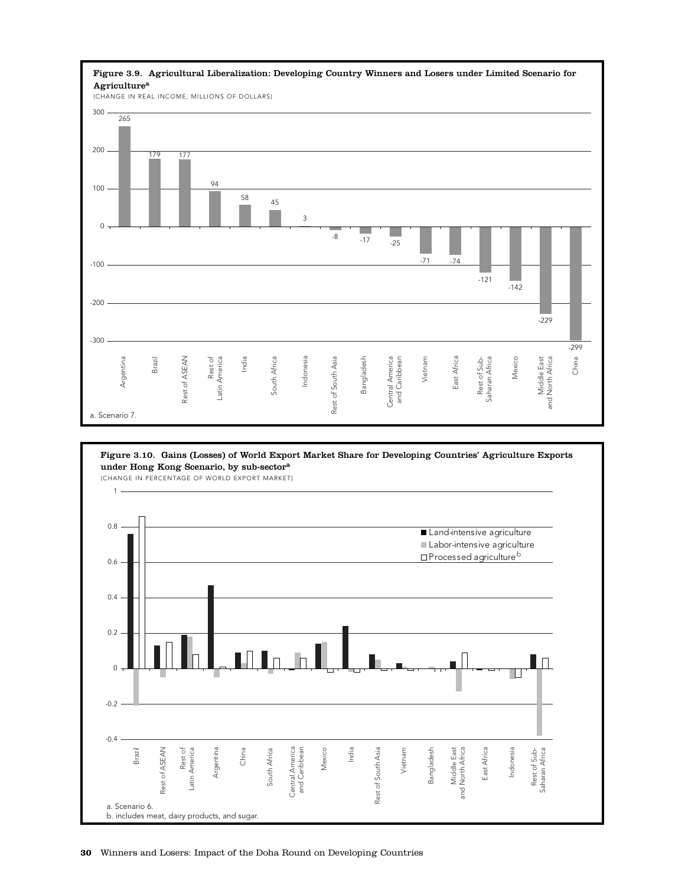amount to only \$358 million (for Argentina). Most of Latin America and South Africa benefit, although on a very small scale.

More than half of the countries or regions in the developing world would be net losers in terms of their overall real income if agriculture were the only sector to be liberalized, although the losses, like the gains, are relatively small. The losers include many of the world's LDCs, including Bangladesh and the countries of East Africa and the rest of Sub-Saharan Africa. The Middle East and North Africa, Vietnam, and Mexico experience losses, which partly offset the gains they enjoy under the liberalization of the manufacturing sector. India also is a net loser, on a very small scale.

China comes out as the biggest single loser from agriculture-only liberalization. China has already agreed to substantial agriculture sector liberalization under its World Trade Organization (WTO) accession agreement, and it is expected to experience employment losses from those measures. The model demonstrates that further liberalization of the sector in the Doha Round would inflict additional losses on China. Although China's losses are greater in absolute terms than those of other countries, as a percentage of Chinese GDP the losses are small.

As with manufacturing liberalization, we also tested a scenario in which more modest reductions are made to tariffs, subsidies, and other protection for agricultural products (scenario 7). Under this scenario, developed countries reduce border protection and domestic support by 25 percent while developing countries make reductions of 15 percent in these types of protection. Both eliminate export subsidies. LDCs make no changes. The results, presented in figure 3.9, indicate that several developing countries or regions gain more (or lose less) in terms of overall real income under the more

modest agricultural scenario. India moves from being a net loser to a net winner (although on a very small scale), while Vietnam, Bangladesh, the rest of South Asia, East Africa, and Mexico remain losers but lose less. However, other developing countries fare less well under the more modest scenario. China, the Middle East, North Africa, and the rest of Sub-Saharan Africa face slightly larger losses, while Indonesia and the rest of ASEAN, South Africa, Brazil, Argentina, and the rest of South America experience smaller gains. Central America and the Caribbean shift from very small gains to very small losses.

Figure 3.10 presents changes in world export market share for agricultural products under the Hong Kong scenario. The overall pattern is somewhat similar to the pattern of real income gains and losses, but significant variations emerge that reflect the relative weight and efficiency of agriculture in different developing economies. Brazil dramatically outstrips other Latin American and ASEAN countries in terms of increased overall market share, a reflection of its size and the fact that many of its agricultural products are globally competitive. However, Brazil loses market share in labor-intensive products. Market share in some or all products is lost by East African and other Sub-Saharan African countries, Indonesia, and Bangladesh. This is particularly noteworthy because many commentators have based calls for progress on agricultural liberalization in the Doha Round on the supposed benefits it would bring to lowincome African countries.

Other studies have shown that losses for some of these countries arise from the erosion of preferences they currently enjoy in wealthy country markets, particularly those of the EU.22 However, a more fundamental problem is the structure of the agricultural sector in many developing countries, where low-productivity, small-scale subsistence farming makes up a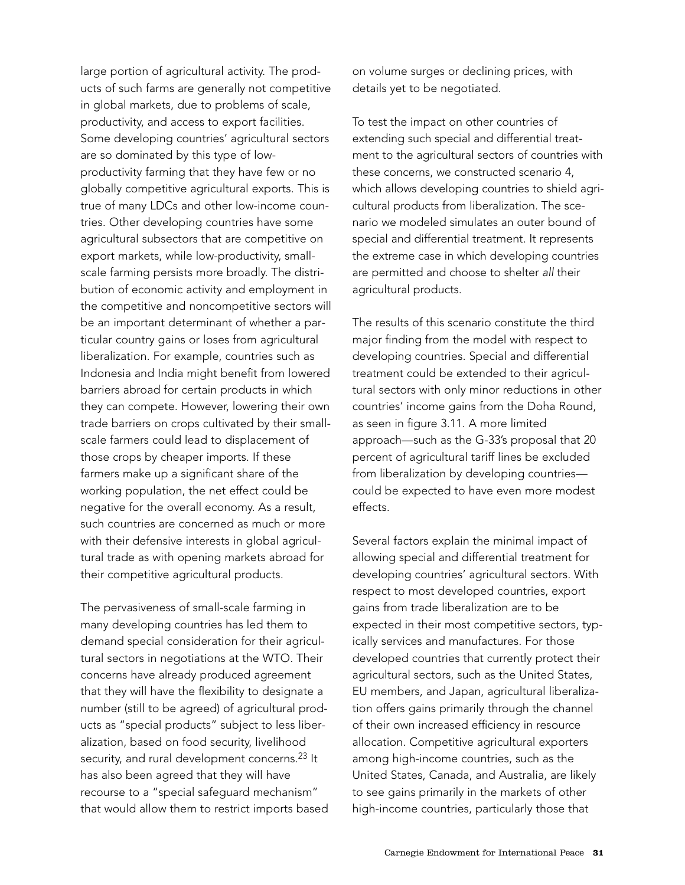

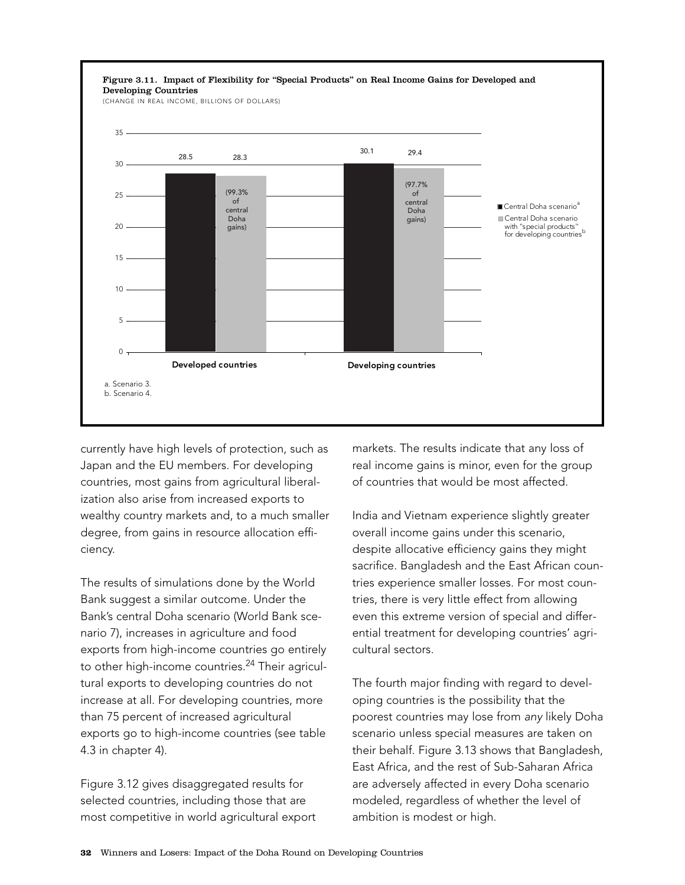large portion of agricultural activity. The products of such farms are generally not competitive in global markets, due to problems of scale, productivity, and access to export facilities. Some developing countries' agricultural sectors are so dominated by this type of lowproductivity farming that they have few or no globally competitive agricultural exports. This is true of many LDCs and other low-income countries. Other developing countries have some agricultural subsectors that are competitive on export markets, while low-productivity, smallscale farming persists more broadly. The distribution of economic activity and employment in the competitive and noncompetitive sectors will be an important determinant of whether a particular country gains or loses from agricultural liberalization. For example, countries such as Indonesia and India might benefit from lowered barriers abroad for certain products in which they can compete. However, lowering their own trade barriers on crops cultivated by their smallscale farmers could lead to displacement of those crops by cheaper imports. If these farmers make up a significant share of the working population, the net effect could be negative for the overall economy. As a result, such countries are concerned as much or more with their defensive interests in global agricultural trade as with opening markets abroad for their competitive agricultural products.

The pervasiveness of small-scale farming in many developing countries has led them to demand special consideration for their agricultural sectors in negotiations at the WTO. Their concerns have already produced agreement that they will have the flexibility to designate a number (still to be agreed) of agricultural products as "special products" subject to less liberalization, based on food security, livelihood security, and rural development concerns.<sup>23</sup> It has also been agreed that they will have recourse to a "special safeguard mechanism" that would allow them to restrict imports based on volume surges or declining prices, with details yet to be negotiated.

To test the impact on other countries of extending such special and differential treatment to the agricultural sectors of countries with these concerns, we constructed scenario 4, which allows developing countries to shield agricultural products from liberalization. The scenario we modeled simulates an outer bound of special and differential treatment. It represents the extreme case in which developing countries are permitted and choose to shelter *all* their agricultural products.

The results of this scenario constitute the third major finding from the model with respect to developing countries. Special and differential treatment could be extended to their agricultural sectors with only minor reductions in other countries' income gains from the Doha Round, as seen in figure 3.11. A more limited approach—such as the G-33's proposal that 20 percent of agricultural tariff lines be excluded from liberalization by developing countries could be expected to have even more modest effects.

Several factors explain the minimal impact of allowing special and differential treatment for developing countries' agricultural sectors. With respect to most developed countries, export gains from trade liberalization are to be expected in their most competitive sectors, typically services and manufactures. For those developed countries that currently protect their agricultural sectors, such as the United States, EU members, and Japan, agricultural liberalization offers gains primarily through the channel of their own increased efficiency in resource allocation. Competitive agricultural exporters among high-income countries, such as the United States, Canada, and Australia, are likely to see gains primarily in the markets of other high-income countries, particularly those that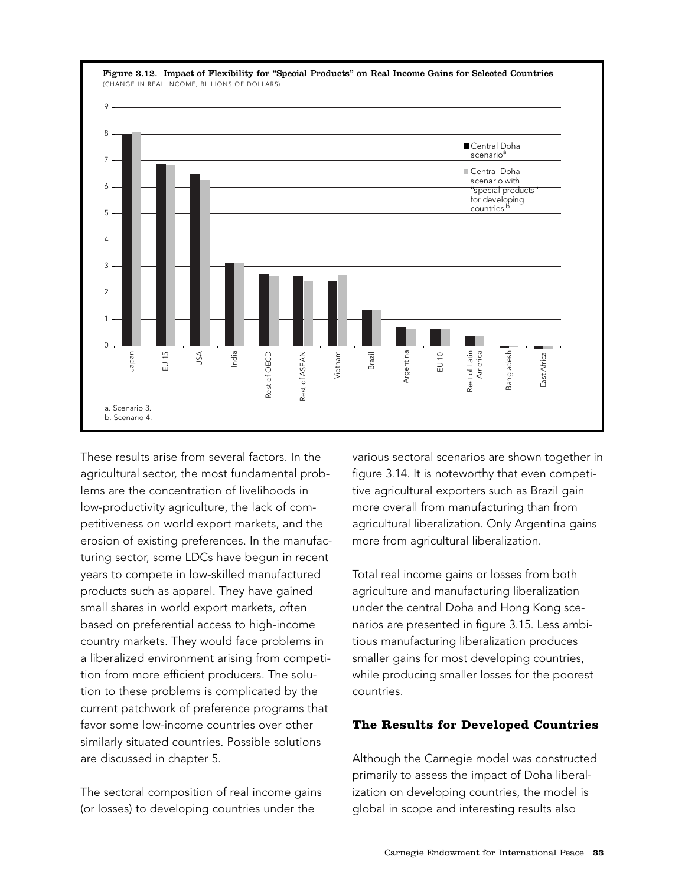

currently have high levels of protection, such as Japan and the EU members. For developing countries, most gains from agricultural liberalization also arise from increased exports to wealthy country markets and, to a much smaller degree, from gains in resource allocation efficiency.

The results of simulations done by the World Bank suggest a similar outcome. Under the Bank's central Doha scenario (World Bank scenario 7), increases in agriculture and food exports from high-income countries go entirely to other high-income countries.<sup>24</sup> Their agricultural exports to developing countries do not increase at all. For developing countries, more than 75 percent of increased agricultural exports go to high-income countries (see table 4.3 in chapter 4).

Figure 3.12 gives disaggregated results for selected countries, including those that are most competitive in world agricultural export markets. The results indicate that any loss of real income gains is minor, even for the group of countries that would be most affected.

India and Vietnam experience slightly greater overall income gains under this scenario, despite allocative efficiency gains they might sacrifice. Bangladesh and the East African countries experience smaller losses. For most countries, there is very little effect from allowing even this extreme version of special and differential treatment for developing countries' agricultural sectors.

The fourth major finding with regard to developing countries is the possibility that the poorest countries may lose from *any* likely Doha scenario unless special measures are taken on their behalf. Figure 3.13 shows that Bangladesh, East Africa, and the rest of Sub-Saharan Africa are adversely affected in every Doha scenario modeled, regardless of whether the level of ambition is modest or high.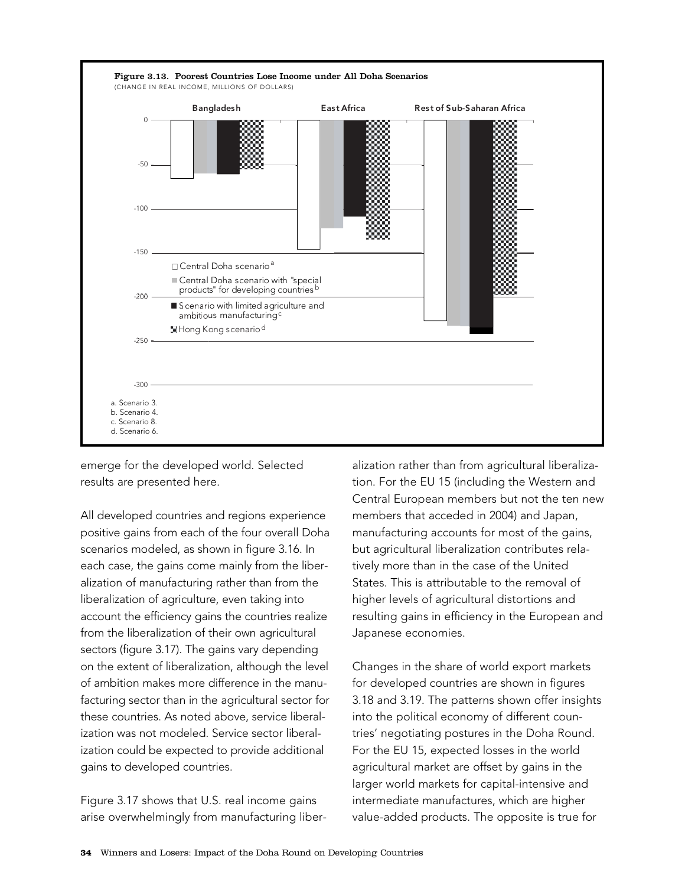

These results arise from several factors. In the agricultural sector, the most fundamental problems are the concentration of livelihoods in low-productivity agriculture, the lack of competitiveness on world export markets, and the erosion of existing preferences. In the manufacturing sector, some LDCs have begun in recent years to compete in low-skilled manufactured products such as apparel. They have gained small shares in world export markets, often based on preferential access to high-income country markets. They would face problems in a liberalized environment arising from competition from more efficient producers. The solution to these problems is complicated by the current patchwork of preference programs that favor some low-income countries over other similarly situated countries. Possible solutions are discussed in chapter 5.

The sectoral composition of real income gains (or losses) to developing countries under the

various sectoral scenarios are shown together in figure 3.14. It is noteworthy that even competitive agricultural exporters such as Brazil gain more overall from manufacturing than from agricultural liberalization. Only Argentina gains more from agricultural liberalization.

Total real income gains or losses from both agriculture and manufacturing liberalization under the central Doha and Hong Kong scenarios are presented in figure 3.15. Less ambitious manufacturing liberalization produces smaller gains for most developing countries, while producing smaller losses for the poorest countries.

# **The Results for Developed Countries**

Although the Carnegie model was constructed primarily to assess the impact of Doha liberalization on developing countries, the model is global in scope and interesting results also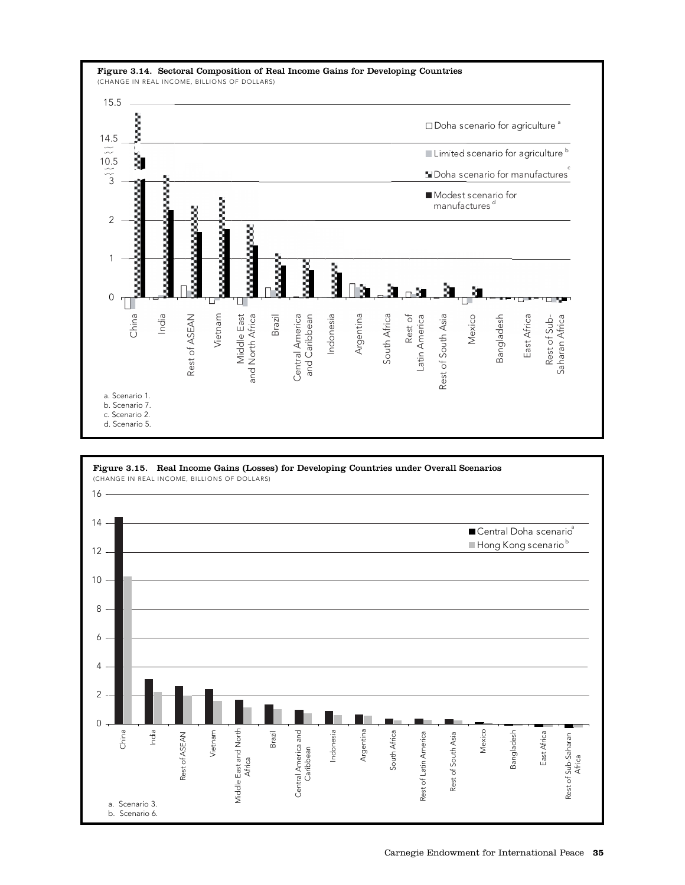

emerge for the developed world. Selected results are presented here.

All developed countries and regions experience positive gains from each of the four overall Doha scenarios modeled, as shown in figure 3.16. In each case, the gains come mainly from the liberalization of manufacturing rather than from the liberalization of agriculture, even taking into account the efficiency gains the countries realize from the liberalization of their own agricultural sectors (figure 3.17). The gains vary depending on the extent of liberalization, although the level of ambition makes more difference in the manufacturing sector than in the agricultural sector for these countries. As noted above, service liberalization was not modeled. Service sector liberalization could be expected to provide additional gains to developed countries.

Figure 3.17 shows that U.S. real income gains arise overwhelmingly from manufacturing liberalization rather than from agricultural liberalization. For the EU 15 (including the Western and Central European members but not the ten new members that acceded in 2004) and Japan, manufacturing accounts for most of the gains, but agricultural liberalization contributes relatively more than in the case of the United States. This is attributable to the removal of higher levels of agricultural distortions and resulting gains in efficiency in the European and Japanese economies.

Changes in the share of world export markets for developed countries are shown in figures 3.18 and 3.19. The patterns shown offer insights into the political economy of different countries' negotiating postures in the Doha Round. For the EU 15, expected losses in the world agricultural market are offset by gains in the larger world markets for capital-intensive and intermediate manufactures, which are higher value-added products. The opposite is true for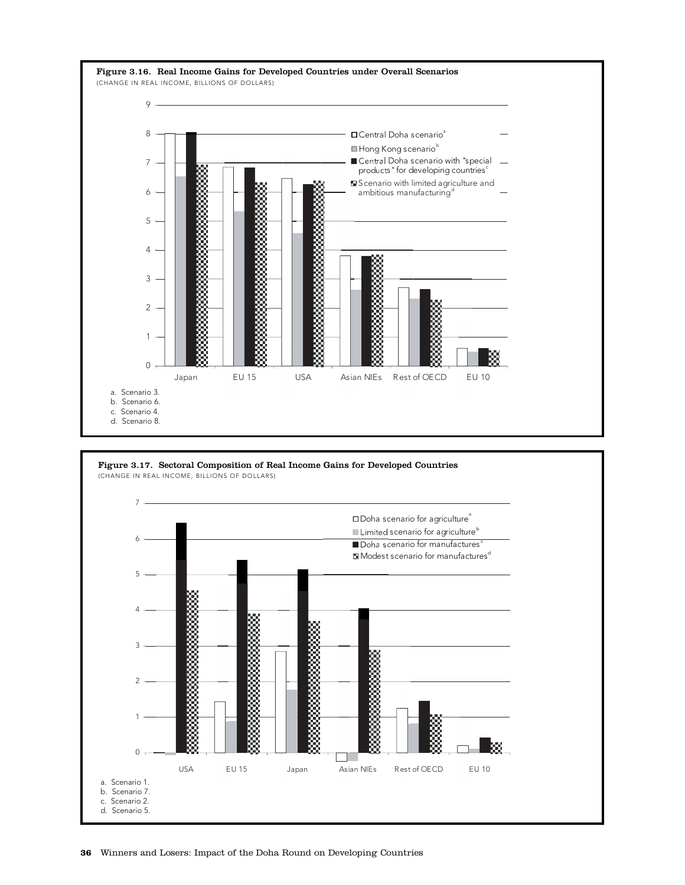

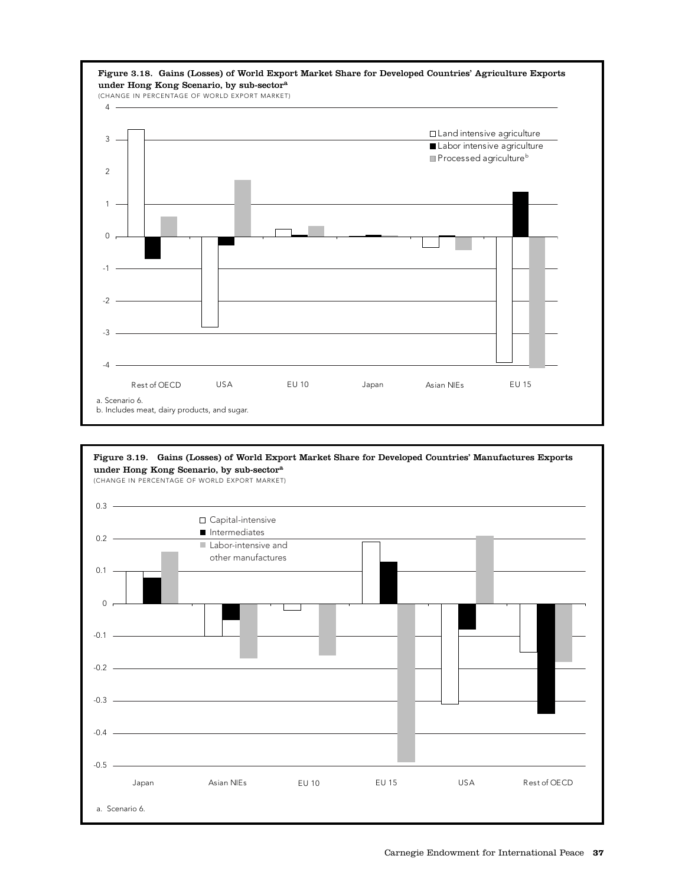



**36** Winners and Losers: Impact of the Doha Round on Developing Countries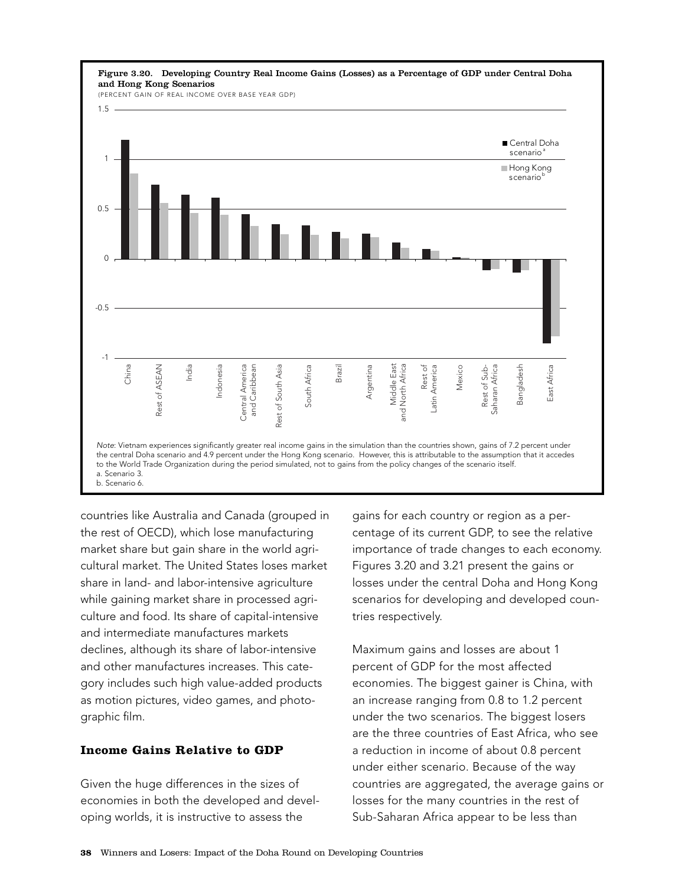



Carnegie Endowment for International Peace **37**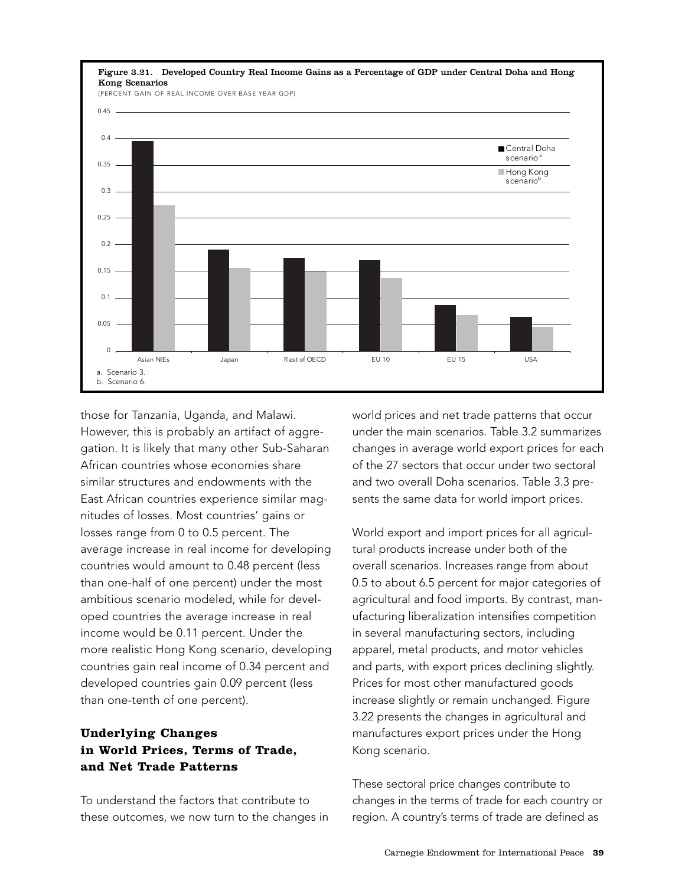

countries like Australia and Canada (grouped in the rest of OECD), which lose manufacturing market share but gain share in the world agricultural market. The United States loses market share in land- and labor-intensive agriculture while gaining market share in processed agriculture and food. Its share of capital-intensive and intermediate manufactures markets declines, although its share of labor-intensive and other manufactures increases. This category includes such high value-added products as motion pictures, video games, and photographic film.

# **Income Gains Relative to GDP**

Given the huge differences in the sizes of economies in both the developed and developing worlds, it is instructive to assess the

gains for each country or region as a percentage of its current GDP, to see the relative importance of trade changes to each economy. Figures 3.20 and 3.21 present the gains or losses under the central Doha and Hong Kong scenarios for developing and developed countries respectively.

Maximum gains and losses are about 1 percent of GDP for the most affected economies. The biggest gainer is China, with an increase ranging from 0.8 to 1.2 percent under the two scenarios. The biggest losers are the three countries of East Africa, who see a reduction in income of about 0.8 percent under either scenario. Because of the way countries are aggregated, the average gains or losses for the many countries in the rest of Sub-Saharan Africa appear to be less than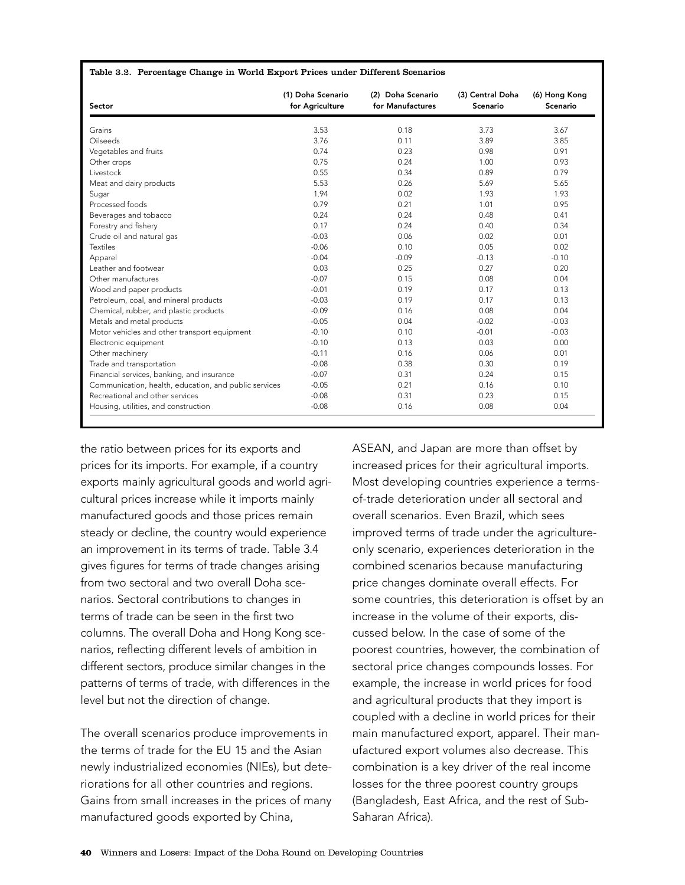

those for Tanzania, Uganda, and Malawi. However, this is probably an artifact of aggregation. It is likely that many other Sub-Saharan African countries whose economies share similar structures and endowments with the East African countries experience similar magnitudes of losses. Most countries' gains or losses range from 0 to 0.5 percent. The average increase in real income for developing countries would amount to 0.48 percent (less than one-half of one percent) under the most ambitious scenario modeled, while for developed countries the average increase in real income would be 0.11 percent. Under the more realistic Hong Kong scenario, developing countries gain real income of 0.34 percent and developed countries gain 0.09 percent (less than one-tenth of one percent).

# **Underlying Changes in World Prices, Terms of Trade, and Net Trade Patterns**

To understand the factors that contribute to these outcomes, we now turn to the changes in world prices and net trade patterns that occur under the main scenarios. Table 3.2 summarizes changes in average world export prices for each of the 27 sectors that occur under two sectoral and two overall Doha scenarios. Table 3.3 presents the same data for world import prices.

World export and import prices for all agricultural products increase under both of the overall scenarios. Increases range from about 0.5 to about 6.5 percent for major categories of agricultural and food imports. By contrast, manufacturing liberalization intensifies competition in several manufacturing sectors, including apparel, metal products, and motor vehicles and parts, with export prices declining slightly. Prices for most other manufactured goods increase slightly or remain unchanged. Figure 3.22 presents the changes in agricultural and manufactures export prices under the Hong Kong scenario.

These sectoral price changes contribute to changes in the terms of trade for each country or region. A country's terms of trade are defined as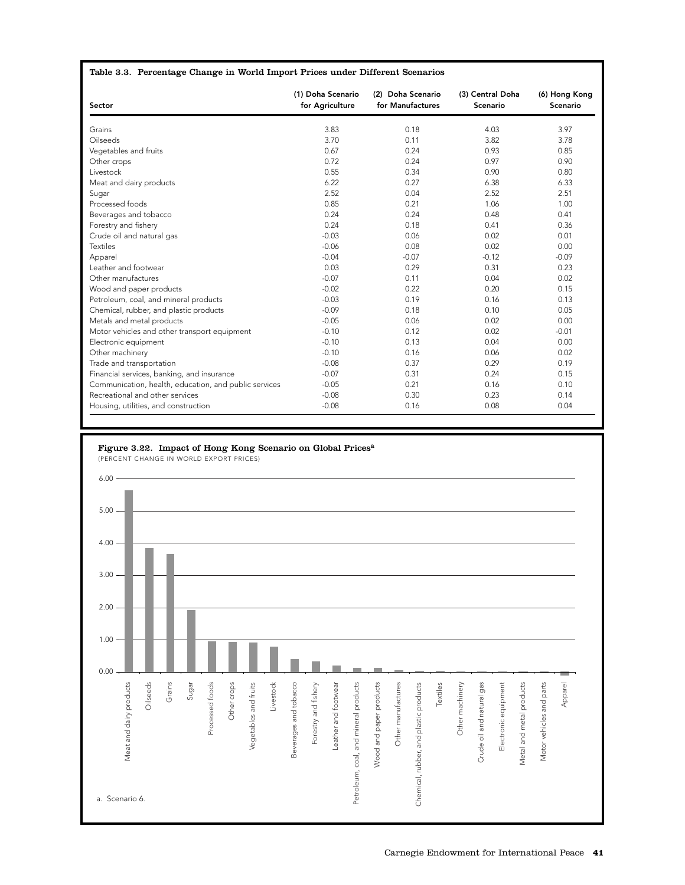|  | Table 3.2. Percentage Change in World Export Prices under Different Scenarios |  |  |  |  |  |  |  |
|--|-------------------------------------------------------------------------------|--|--|--|--|--|--|--|
|--|-------------------------------------------------------------------------------|--|--|--|--|--|--|--|

| Sector                                                | (1) Doha Scenario<br>for Agriculture | (2) Doha Scenario<br>for Manufactures | (3) Central Doha<br>Scenario | (6) Hong Kong<br><b>Scenario</b> |
|-------------------------------------------------------|--------------------------------------|---------------------------------------|------------------------------|----------------------------------|
| Grains                                                | 3.53                                 | 0.18                                  | 3.73                         | 3.67                             |
| Oilseeds                                              | 3.76                                 | 0.11                                  | 3.89                         | 3.85                             |
| Vegetables and fruits                                 | 0.74                                 | 0.23                                  | 0.98                         | 0.91                             |
| Other crops                                           | 0.75                                 | 0.24                                  | 1.00                         | 0.93                             |
| Livestock                                             | 0.55                                 | 0.34                                  | 0.89                         | 0.79                             |
| Meat and dairy products                               | 5.53                                 | 0.26                                  | 5.69                         | 5.65                             |
| Sugar                                                 | 1.94                                 | 0.02                                  | 1.93                         | 1.93                             |
| Processed foods                                       | 0.79                                 | 0.21                                  | 1.01                         | 0.95                             |
| Beverages and tobacco                                 | 0.24                                 | 0.24                                  | 0.48                         | 0.41                             |
| Forestry and fishery                                  | 0.17                                 | 0.24                                  | 0.40                         | 0.34                             |
| Crude oil and natural gas                             | $-0.03$                              | 0.06                                  | 0.02                         | 0.01                             |
| <b>Textiles</b>                                       | $-0.06$                              | 0.10                                  | 0.05                         | 0.02                             |
| Apparel                                               | $-0.04$                              | $-0.09$                               | $-0.13$                      | $-0.10$                          |
| Leather and footwear                                  | 0.03                                 | 0.25                                  | 0.27                         | 0.20                             |
| Other manufactures                                    | $-0.07$                              | 0.15                                  | 0.08                         | 0.04                             |
| Wood and paper products                               | $-0.01$                              | 0.19                                  | 0.17                         | 0.13                             |
| Petroleum, coal, and mineral products                 | $-0.03$                              | 0.19                                  | 0.17                         | 0.13                             |
| Chemical, rubber, and plastic products                | $-0.09$                              | 0.16                                  | 0.08                         | 0.04                             |
| Metals and metal products                             | $-0.05$                              | 0.04                                  | $-0.02$                      | $-0.03$                          |
| Motor vehicles and other transport equipment          | $-0.10$                              | 0.10                                  | $-0.01$                      | $-0.03$                          |
| Electronic equipment                                  | $-0.10$                              | 0.13                                  | 0.03                         | 0.00                             |
| Other machinery                                       | $-0.11$                              | 0.16                                  | 0.06                         | 0.01                             |
| Trade and transportation                              | $-0.08$                              | 0.38                                  | 0.30                         | 0.19                             |
| Financial services, banking, and insurance            | $-0.07$                              | 0.31                                  | 0.24                         | 0.15                             |
| Communication, health, education, and public services | $-0.05$                              | 0.21                                  | 0.16                         | 0.10                             |
| Recreational and other services                       | $-0.08$                              | 0.31                                  | 0.23                         | 0.15                             |
| Housing, utilities, and construction                  | $-0.08$                              | 0.16                                  | 0.08                         | 0.04                             |

the ratio between prices for its exports and prices for its imports. For example, if a country exports mainly agricultural goods and world agricultural prices increase while it imports mainly manufactured goods and those prices remain steady or decline, the country would experience an improvement in its terms of trade. Table 3.4 gives figures for terms of trade changes arising from two sectoral and two overall Doha scenarios. Sectoral contributions to changes in terms of trade can be seen in the first two columns. The overall Doha and Hong Kong scenarios, reflecting different levels of ambition in different sectors, produce similar changes in the patterns of terms of trade, with differences in the level but not the direction of change.

The overall scenarios produce improvements in the terms of trade for the EU 15 and the Asian newly industrialized economies (NIEs), but deteriorations for all other countries and regions. Gains from small increases in the prices of many manufactured goods exported by China,

ASEAN, and Japan are more than offset by increased prices for their agricultural imports. Most developing countries experience a termsof-trade deterioration under all sectoral and overall scenarios. Even Brazil, which sees improved terms of trade under the agricultureonly scenario, experiences deterioration in the combined scenarios because manufacturing price changes dominate overall effects. For some countries, this deterioration is offset by an increase in the volume of their exports, discussed below. In the case of some of the poorest countries, however, the combination of sectoral price changes compounds losses. For example, the increase in world prices for food and agricultural products that they import is coupled with a decline in world prices for their main manufactured export, apparel. Their manufactured export volumes also decrease. This combination is a key driver of the real income losses for the three poorest country groups (Bangladesh, East Africa, and the rest of Sub-Saharan Africa).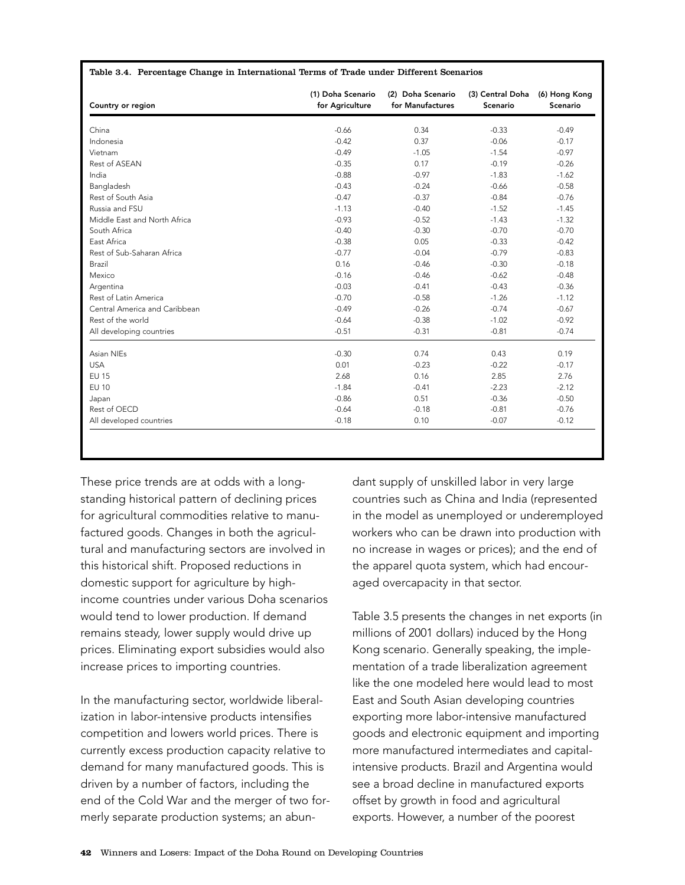|  |  |  |  |  |  |  | Table 3.3. Percentage Change in World Import Prices under Different Scenarios |
|--|--|--|--|--|--|--|-------------------------------------------------------------------------------|
|--|--|--|--|--|--|--|-------------------------------------------------------------------------------|

| Sector                                                | (1) Doha Scenario<br>for Agriculture | (2) Doha Scenario<br>for Manufactures | (3) Central Doha<br><b>Scenario</b> | (6) Hong Kong<br>Scenario |
|-------------------------------------------------------|--------------------------------------|---------------------------------------|-------------------------------------|---------------------------|
| Grains                                                | 3.83                                 | 0.18                                  | 4.03                                | 3.97                      |
| Oilseeds                                              | 3.70                                 | 0.11                                  | 3.82                                | 3.78                      |
| Vegetables and fruits                                 | 0.67                                 | 0.24                                  | 0.93                                | 0.85                      |
| Other crops                                           | 0.72                                 | 0.24                                  | 0.97                                | 0.90                      |
| Livestock                                             | 0.55                                 | 0.34                                  | 0.90                                | 0.80                      |
| Meat and dairy products                               | 6.22                                 | 0.27                                  | 6.38                                | 6.33                      |
| Sugar                                                 | 2.52                                 | 0.04                                  | 2.52                                | 2.51                      |
| Processed foods                                       | 0.85                                 | 0.21                                  | 1.06                                | 1.00                      |
| Beverages and tobacco                                 | 0.24                                 | 0.24                                  | 0.48                                | 0.41                      |
| Forestry and fishery                                  | 0.24                                 | 0.18                                  | 0.41                                | 0.36                      |
| Crude oil and natural gas                             | $-0.03$                              | 0.06                                  | 0.02                                | 0.01                      |
| <b>Textiles</b>                                       | $-0.06$                              | 0.08                                  | 0.02                                | 0.00                      |
| Apparel                                               | $-0.04$                              | $-0.07$                               | $-0.12$                             | $-0.09$                   |
| Leather and footwear                                  | 0.03                                 | 0.29                                  | 0.31                                | 0.23                      |
| Other manufactures                                    | $-0.07$                              | 0.11                                  | 0.04                                | 0.02                      |
| Wood and paper products                               | $-0.02$                              | 0.22                                  | 0.20                                | 0.15                      |
| Petroleum, coal, and mineral products                 | $-0.03$                              | 0.19                                  | 0.16                                | 0.13                      |
| Chemical, rubber, and plastic products                | $-0.09$                              | 0.18                                  | 0.10                                | 0.05                      |
| Metals and metal products                             | $-0.05$                              | 0.06                                  | 0.02                                | 0.00                      |
| Motor vehicles and other transport equipment          | $-0.10$                              | 0.12                                  | 0.02                                | $-0.01$                   |
| Electronic equipment                                  | $-0.10$                              | 0.13                                  | 0.04                                | 0.00                      |
| Other machinery                                       | $-0.10$                              | 0.16                                  | 0.06                                | 0.02                      |
| Trade and transportation                              | $-0.08$                              | 0.37                                  | 0.29                                | 0.19                      |
| Financial services, banking, and insurance            | $-0.07$                              | 0.31                                  | 0.24                                | 0.15                      |
| Communication, health, education, and public services | $-0.05$                              | 0.21                                  | 0.16                                | 0.10                      |
| Recreational and other services                       | $-0.08$                              | 0.30                                  | 0.23                                | 0.14                      |
| Housing, utilities, and construction                  | $-0.08$                              | 0.16                                  | 0.08                                | 0.04                      |



Figure 3.22. Impact of Hong Kong Scenario on Global Prices<sup>a</sup> (PERCENT CHANGE IN WORLD EXPORT PRICES)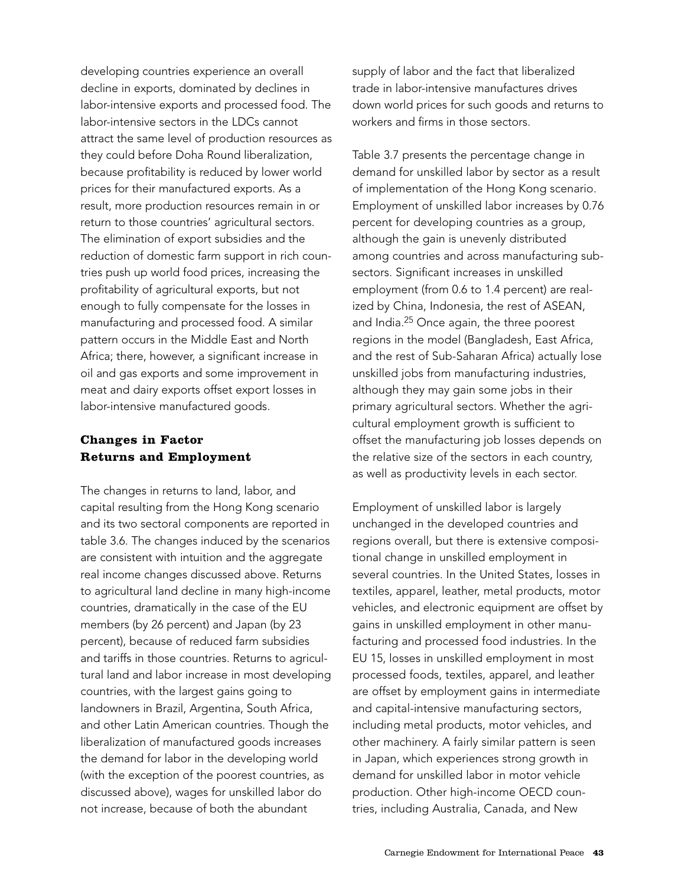| Country or region             | (1) Doha Scenario<br>for Agriculture | (2) Doha Scenario<br>for Manufactures | (3) Central Doha<br>Scenario | (6) Hong Kong<br>Scenario |
|-------------------------------|--------------------------------------|---------------------------------------|------------------------------|---------------------------|
| China                         | $-0.66$                              | 0.34                                  | $-0.33$                      | $-0.49$                   |
| Indonesia                     | $-0.42$                              | 0.37                                  | $-0.06$                      | $-0.17$                   |
| Vietnam                       | $-0.49$                              | $-1.05$                               | $-1.54$                      | $-0.97$                   |
| Rest of ASEAN                 | $-0.35$                              | 0.17                                  | $-0.19$                      | $-0.26$                   |
| India                         | $-0.88$                              | $-0.97$                               | $-1.83$                      | $-1.62$                   |
| Bangladesh                    | $-0.43$                              | $-0.24$                               | $-0.66$                      | $-0.58$                   |
| Rest of South Asia            | $-0.47$                              | $-0.37$                               | $-0.84$                      | $-0.76$                   |
| Russia and FSU                | $-1.13$                              | $-0.40$                               | $-1.52$                      | $-1.45$                   |
| Middle East and North Africa  | $-0.93$                              | $-0.52$                               | $-1.43$                      | $-1.32$                   |
| South Africa                  | $-0.40$                              | $-0.30$                               | $-0.70$                      | $-0.70$                   |
| East Africa                   | $-0.38$                              | 0.05                                  | $-0.33$                      | $-0.42$                   |
| Rest of Sub-Saharan Africa    | $-0.77$                              | $-0.04$                               | $-0.79$                      | $-0.83$                   |
| Brazil                        | 0.16                                 | $-0.46$                               | $-0.30$                      | $-0.18$                   |
| Mexico                        | $-0.16$                              | $-0.46$                               | $-0.62$                      | $-0.48$                   |
| Argentina                     | $-0.03$                              | $-0.41$                               | $-0.43$                      | $-0.36$                   |
| Rest of Latin America         | $-0.70$                              | $-0.58$                               | $-1.26$                      | $-1.12$                   |
| Central America and Caribbean | $-0.49$                              | $-0.26$                               | $-0.74$                      | $-0.67$                   |
| Rest of the world             | $-0.64$                              | $-0.38$                               | $-1.02$                      | $-0.92$                   |
| All developing countries      | $-0.51$                              | $-0.31$                               | $-0.81$                      | $-0.74$                   |
| Asian NIEs                    | $-0.30$                              | 0.74                                  | 0.43                         | 0.19                      |
| <b>USA</b>                    | 0.01                                 | $-0.23$                               | $-0.22$                      | $-0.17$                   |
| <b>EU 15</b>                  | 2.68                                 | 0.16                                  | 2.85                         | 2.76                      |
| <b>EU 10</b>                  | $-1.84$                              | $-0.41$                               | $-2.23$                      | $-2.12$                   |
| Japan                         | $-0.86$                              | 0.51                                  | $-0.36$                      | $-0.50$                   |
| Rest of OECD                  | $-0.64$                              | $-0.18$                               | $-0.81$                      | $-0.76$                   |
| All developed countries       | $-0.18$                              | 0.10                                  | $-0.07$                      | $-0.12$                   |

These price trends are at odds with a longstanding historical pattern of declining prices for agricultural commodities relative to manufactured goods. Changes in both the agricultural and manufacturing sectors are involved in this historical shift. Proposed reductions in domestic support for agriculture by highincome countries under various Doha scenarios would tend to lower production. If demand remains steady, lower supply would drive up prices. Eliminating export subsidies would also increase prices to importing countries.

In the manufacturing sector, worldwide liberalization in labor-intensive products intensifies competition and lowers world prices. There is currently excess production capacity relative to demand for many manufactured goods. This is driven by a number of factors, including the end of the Cold War and the merger of two formerly separate production systems; an abundant supply of unskilled labor in very large countries such as China and India (represented in the model as unemployed or underemployed workers who can be drawn into production with no increase in wages or prices); and the end of the apparel quota system, which had encouraged overcapacity in that sector.

Table 3.5 presents the changes in net exports (in millions of 2001 dollars) induced by the Hong Kong scenario. Generally speaking, the implementation of a trade liberalization agreement like the one modeled here would lead to most East and South Asian developing countries exporting more labor-intensive manufactured goods and electronic equipment and importing more manufactured intermediates and capitalintensive products. Brazil and Argentina would see a broad decline in manufactured exports offset by growth in food and agricultural exports. However, a number of the poorest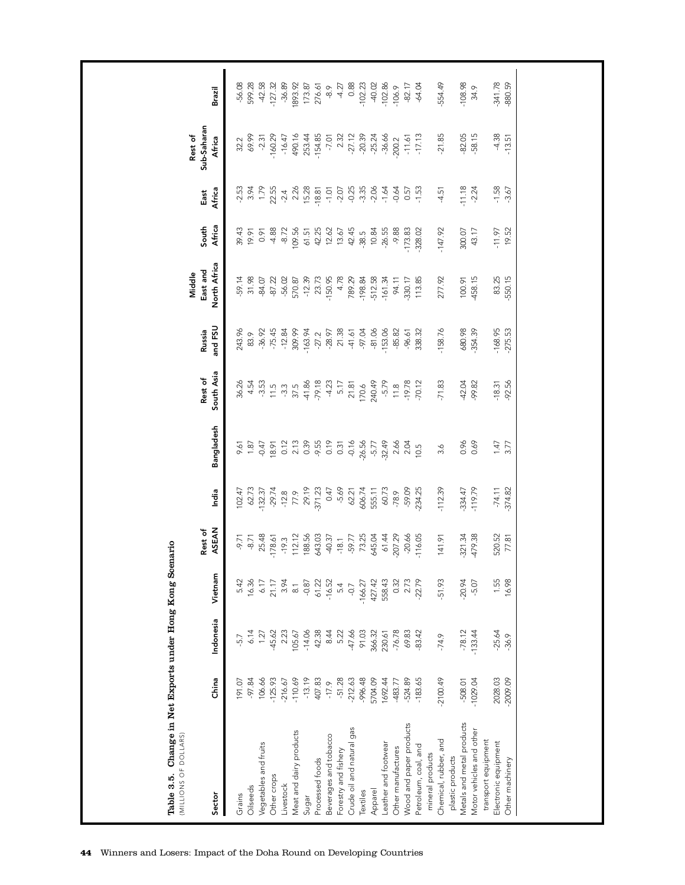developing countries experience an overall decline in exports, dominated by declines in labor-intensive exports and processed food. The labor-intensive sectors in the LDCs cannot attract the same level of production resources as they could before Doha Round liberalization, because profitability is reduced by lower world prices for their manufactured exports. As a result, more production resources remain in or return to those countries' agricultural sectors. The elimination of export subsidies and the reduction of domestic farm support in rich countries push up world food prices, increasing the profitability of agricultural exports, but not enough to fully compensate for the losses in manufacturing and processed food. A similar pattern occurs in the Middle East and North Africa; there, however, a significant increase in oil and gas exports and some improvement in meat and dairy exports offset export losses in labor-intensive manufactured goods.

# **Changes in Factor Returns and Employment**

The changes in returns to land, labor, and capital resulting from the Hong Kong scenario and its two sectoral components are reported in table 3.6. The changes induced by the scenarios are consistent with intuition and the aggregate real income changes discussed above. Returns to agricultural land decline in many high-income countries, dramatically in the case of the EU members (by 26 percent) and Japan (by 23 percent), because of reduced farm subsidies and tariffs in those countries. Returns to agricultural land and labor increase in most developing countries, with the largest gains going to landowners in Brazil, Argentina, South Africa, and other Latin American countries. Though the liberalization of manufactured goods increases the demand for labor in the developing world (with the exception of the poorest countries, as discussed above), wages for unskilled labor do not increase, because of both the abundant

supply of labor and the fact that liberalized trade in labor-intensive manufactures drives down world prices for such goods and returns to workers and firms in those sectors.

Table 3.7 presents the percentage change in demand for unskilled labor by sector as a result of implementation of the Hong Kong scenario. Employment of unskilled labor increases by 0.76 percent for developing countries as a group, although the gain is unevenly distributed among countries and across manufacturing subsectors. Significant increases in unskilled employment (from 0.6 to 1.4 percent) are realized by China, Indonesia, the rest of ASEAN, and India.25 Once again, the three poorest regions in the model (Bangladesh, East Africa, and the rest of Sub-Saharan Africa) actually lose unskilled jobs from manufacturing industries, although they may gain some jobs in their primary agricultural sectors. Whether the agricultural employment growth is sufficient to offset the manufacturing job losses depends on the relative size of the sectors in each country, as well as productivity levels in each sector.

Employment of unskilled labor is largely unchanged in the developed countries and regions overall, but there is extensive compositional change in unskilled employment in several countries. In the United States, losses in textiles, apparel, leather, metal products, motor vehicles, and electronic equipment are offset by gains in unskilled employment in other manufacturing and processed food industries. In the EU 15, losses in unskilled employment in most processed foods, textiles, apparel, and leather are offset by employment gains in intermediate and capital-intensive manufacturing sectors, including metal products, motor vehicles, and other machinery. A fairly similar pattern is seen in Japan, which experiences strong growth in demand for unskilled labor in motor vehicle production. Other high-income OECD countries, including Australia, Canada, and New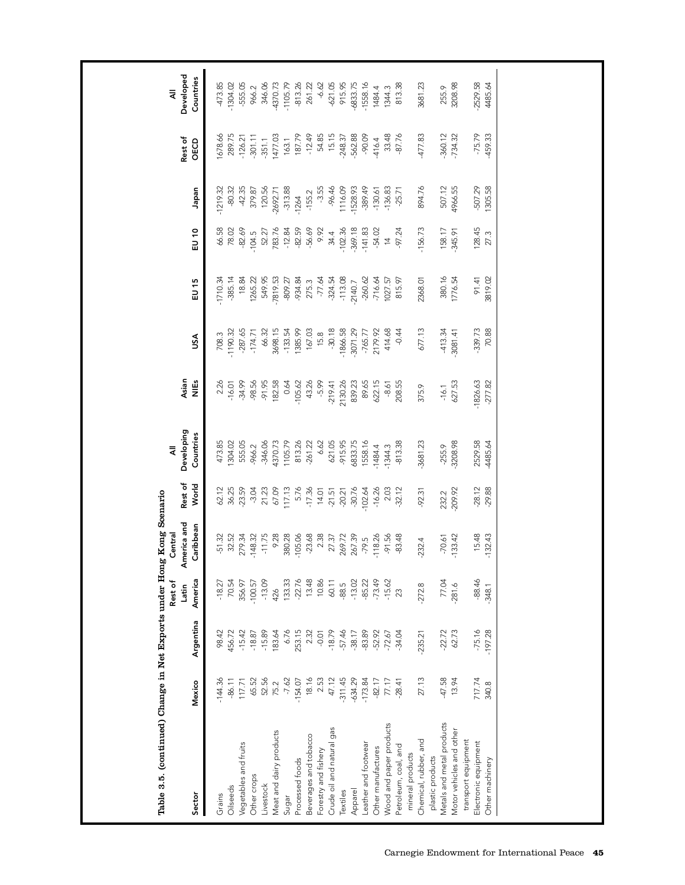| Brazil                                                                                          | 599.28<br>$-56.08$ | $-42.58$              | $-127.32$   | $-36.89$  | 1893.92                 | 173.87    | 276.61          | $-8.9$                | $-4.27$              | 0.88                      | $-102.23$ | -40.02    | $-102.86$            | $-106.9$           | $-82.17$                | $-64.04$             |                  | $-554.49$             | $-108.98$                                     | 34.9                     |                     | $-341.78$            | $-880.59$       |
|-------------------------------------------------------------------------------------------------|--------------------|-----------------------|-------------|-----------|-------------------------|-----------|-----------------|-----------------------|----------------------|---------------------------|-----------|-----------|----------------------|--------------------|-------------------------|----------------------|------------------|-----------------------|-----------------------------------------------|--------------------------|---------------------|----------------------|-----------------|
| Sub-Saharan<br>Rest of<br>Africa                                                                | 69.99<br>32.2      | $-2.31$               | $-160.29$   | $-16.47$  | 490.16                  | 253.44    | $-154.85$       | $-7.01$               | 2.32                 | $-27.12$                  | $-20.39$  | $-25.24$  | $-36.66$             | $-200.2$           | $-11.61$                | $-17.13$             |                  | $-21.85$              | $-82.05$                                      | $-58.15$                 |                     | $-4.38$              | $-13.51$        |
| Africa<br>East                                                                                  | 3.94<br>$-2.53$    | 1.79                  | 22.55       | $-2.4$    | 2.26                    | 15.28     | $-18.81$        | $-1.01$               | $-2.07$              | $-0.25$                   | $-3.35$   | $-2.06$   | $-1.64$              | $-0.64$            | 0.57                    | $-1.53$              |                  | $-4.51$               | $-11.18$                                      | $-2.24$                  |                     | $-1.58$              | $-3.67$         |
| Africa<br>South                                                                                 | 39.43<br>19.91     | 0.91                  | $-4.88$     | $-8.72$   | 109.56                  | 61.51     | 42.25           | 12.62                 | 13.67                | 42.45                     | $-38.5$   | 10.84     | $-26.55$             | $-9.88$            | $-173.83$               | $-328.02$            |                  | $-147.92$             | 300.07                                        | 43.17                    |                     | $-11.97$             | 19.52           |
| North Africa<br>East and<br>Middle                                                              | $-59.14$<br>31.98  | $-84.07$              | $-87.22$    | $-56.02$  | 570.87                  | $-12.39$  | 23.73           | $-150.95$             | 4.78                 | 789.29                    | $-198.84$ | $-512.58$ | $-161.34$            | 94.11              | -330.17                 | 113.85               |                  | 277.92                | 100.91                                        | 458.15                   |                     | 83.25                | $-550.15$       |
| and FSU<br>Russia                                                                               | 243.96<br>83.9     | $-36.92$              | $-75.45$    | $-12.84$  | 309.99                  | $-163.94$ | $-27.2$         | $-28.97$              | 21.38                | $-41.61$                  | -97.04    | $-81.06$  | $-153.06$            | $-85.82$           | $-96.61$                | 338.32               |                  | $-158.76$             | 680.98                                        | $-354.39$                |                     | $-168.95$            | $-275.53$       |
| South Asia<br>Rest of                                                                           | 36.26<br>4.54      | $-3.53$               | 11.5        | $-3.3$    | 37.5                    | $-41.86$  | $-79.18$        | $-4.23$               | 5.17                 | 21.81                     | 170.6     | 240.49    | $-5.79$              | 11.8               | $-19.78$                | $-70.12$             |                  | $-71.83$              | -42.04                                        | $-99.82$                 |                     | $-18.31$             | $-92.56$        |
| Bangladesh                                                                                      | 1.87<br>9.61       | $-0.47$               | 18.91       | 0.12      | 2.13                    | 0.39      | $-9.55$         | 0.19                  | 0.31                 | $-0.16$                   | $-26.56$  | $-5.77$   | 32.49                | 2.66               | 2.04                    | 10.5                 |                  | $3.\overline{6}$      | 0.96                                          | 0.69                     |                     | 1.47                 | 3.77            |
| India                                                                                           | 62.73<br>102.47    | 132.37                | $-29.74$    | $-12.8$   | 77.9                    | 29.19     | $-371.23$       | 0.47                  | $-5.69$              | 62.21                     | 606.74    | 555.11    | 60.73                | $-78.9$            | -59.09                  | 234.25               |                  | $-112.39$             | $-334.47$                                     | $-119.79$                |                     | $-74.11$             | $-374.82$       |
| ASEAN<br>Rest of                                                                                | $-8.71$<br>$-9.71$ | 25.48                 | $-178.61$   | $-19.3$   | 112.12                  | 188.56    | 643.03          | -40.37                | $-18.1$              | -59.77                    | 73.25     | 645.04    | 61.44                | 207.29             | $-20.66$                | $-116.05$            |                  | 141.91                | $-321.34$                                     | -479.38                  |                     | 520.52               | 77.81           |
| Vietnam                                                                                         | 5.42<br>16.36      | 6.17                  | 21.17       | 3.94      | $\overline{8}$ .        | $-0.87$   | 61.22           | $-16.52$              | 5.4                  | $-0.7$                    | $-166.27$ | 427.42    | 558.43               | 0.32               | 2.73                    | $-22.79$             |                  | $-51.93$              | $-20.94$                                      | $-5.07$                  |                     | 1.55                 | 16.98           |
| Indonesia                                                                                       | 6.14<br>$-5.7$     | 1.27                  | $-45.62$    | 2.23      | 105.67                  | $-14.06$  | 42.38           | 8.44                  | 5.22                 | $-47.66$                  | 91.03     | 366.32    | 230.61               | $-76.78$           | 69.83                   | $-83.42$             |                  | $-74.9$               | $-78.12$                                      | $-133.44$                |                     | $-25.64$             | $-36.9$         |
| China                                                                                           | $-97.84$<br>191.07 | 106.66                | $-125.93$   | $-216.67$ | $-110.69$               | $-13.19$  | 407.83          | $-17.9$               | $-51.28$             | $-212.63$                 | $-996.48$ | 5704.09   | 1692.44              | 483.77             | $-524.89$               | $-183.65$            |                  | $-2100.49$            | $-508.01$                                     | $-1029.04$               |                     | 2028.03              | 2009.09         |
| Change in Net Exports under Hong Kong Scenario<br>(MILLIONS OF DOLLARS)<br>Table 3.5.<br>Sector | Oilseeds<br>Grains | Vegetables and fruits | Other crops | Livestock | Meat and dairy products | Sugar     | Processed foods | Beverages and tobacco | Forestry and fishery | Crude oil and natural gas | Textiles  | Apparel   | Leather and footwear | Other manufactures | Wood and paper products | Petroleum, coal, and | mineral products | Chemical, rubber, and | Metals and metal products<br>plastic products | Motor vehicles and other | transport equipment | Electronic equipment | Other machinery |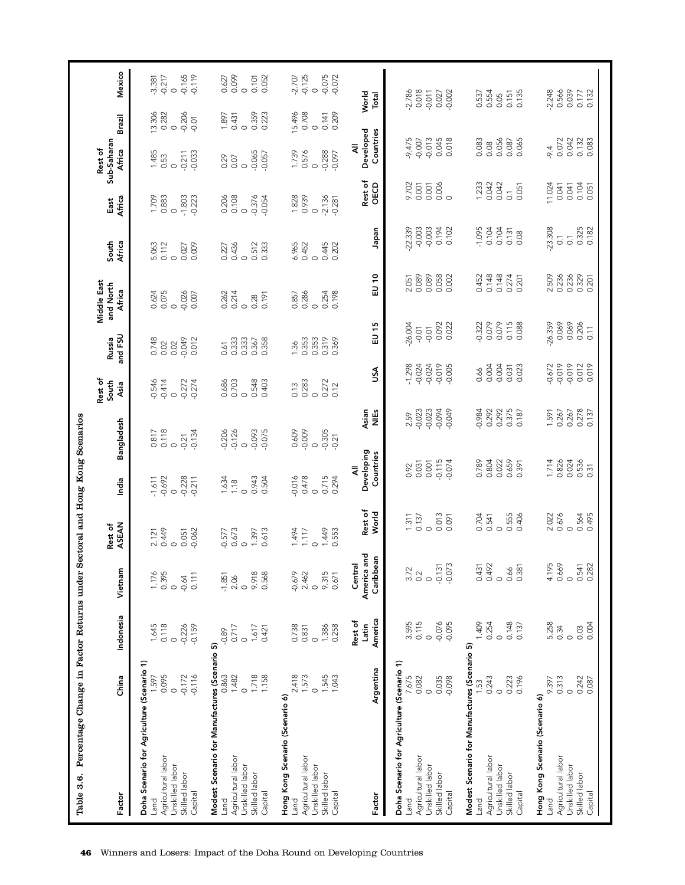| Developed<br>Countries<br>₹                                                     | $-473.85$  | $-1304.02$ | $-555.05$<br>966.2                   | 346.06    | 4370.73                 | $-1105.79$ | $-813.26$       | 261.22                | $-6.62$              | $-621.05$                 | 915.95     | -6833.75   | $-1558.16$           | 1484.4             | 1344.3                  | 813.38               |                  | 3681.23               |                  | 255.9                     | 3208.98                  | $-2529.58$                                  | 4485.64         |  |
|---------------------------------------------------------------------------------|------------|------------|--------------------------------------|-----------|-------------------------|------------|-----------------|-----------------------|----------------------|---------------------------|------------|------------|----------------------|--------------------|-------------------------|----------------------|------------------|-----------------------|------------------|---------------------------|--------------------------|---------------------------------------------|-----------------|--|
| Rest of<br>OECD                                                                 | 1678.66    | 289.75     | $-126.21$<br>$-301.11$               | $-351.1$  | 1477.03                 | 163.1      | 187.79          | $-12.49$              | 54.85                | 15.15                     | $-248.37$  | -562.88    | -90.09               | 416.4              | 33.48                   | $-87.76$             |                  | -477.83               |                  | $-360.12$                 | $-734.32$                | $-75.79$                                    | 459.33          |  |
| Japan                                                                           | $-1219.32$ | $-80.32$   | $-42.35$<br>379.87                   | 120.56    | $-2692.71$              | $-313.88$  | $-1264$         | $-155.2$              | $-3.55$              | $-96.46$                  | 1116.09    | $-1528.93$ | $-389.49$            | $-130.61$          | $-136.83$               | $-25.71$             |                  | 894.76                |                  | 507.12                    | 4966.55                  | $-507.29$                                   | 1305.58         |  |
| 인 10                                                                            | 66.58      | 78.02      | $-82.69$<br>$-104.5$                 | 52.27     | 783.76                  | $-12.84$   | $-82.59$        | $-56.69$              | 9.92                 | 34.4                      | $-102.36$  | $-369.18$  | $-141.83$            | $-54.02$           | $\frac{4}{3}$           | $-97.24$             |                  | $-156.73$             |                  | 158.17                    | $-345.91$                | 128.45                                      | 27.3            |  |
| ED 15                                                                           | 1710.34    | $-385.14$  | 18.84<br>1265.22                     | 549.95    | $-7819.53$              | $-809.27$  | -934.84         | 275.3                 | $-77.64$             | $-324.54$                 | $-113.08$  | $-2140.7$  | $-260.62$            | $-716.64$          | 1027.57                 | 815.97               |                  | 2368.01               |                  | 380.16                    | 1776.54                  | 91.41                                       | 3819.02         |  |
| υsΑ                                                                             | 708.3      | $-1190.32$ | $-287.65$<br>$-174.71$               | 66.32     | 3698.15                 | $-133.54$  | 1385.99         | 167.03                | 15.8                 | $-30.18$                  | $-1866.58$ | $-3071.29$ | $-765.77$            | 2179.92            | 414.68                  | $-0.44$              |                  | 677.13                |                  | $-413.34$                 | $-3081.41$               | $-339.73$                                   | 70.88           |  |
| Asian<br>NIEs                                                                   | 2.26       | $-16.01$   | $-34.99$<br>$-98.56$                 | $-91.95$  | 182.58                  | 0.64       | $-105.62$       | 43.26                 | $-5.99$              | $-219.41$                 | 2130.26    | 839.23     | 89.65                | 622.15             | $-8.61$                 | 208.55               |                  | 375.9                 |                  | $-16.1$                   | 627.53                   | $-1826.63$                                  | $-277.82$       |  |
| Developing<br>Countries<br>₹                                                    | 473.85     | 1304.02    | 555.05<br>$-966.2$                   | $-346.06$ | 4370.73                 | 1105.79    | 813.26          | $-261.22$             | 6.62                 | 621.05                    | $-915.95$  | 6833.75    | 1558.16              | $-1484.4$          | $-1344.3$               | $-813.38$            |                  | 3681.23               |                  | $-255.9$                  | $-3208.98$               | 2529.58                                     | 4485.64         |  |
| Rest of<br>World                                                                | 62.12      | 36.25      | $-23.59$<br>$-3.04$                  | 21.23     | 67.09                   | 117.13     | 5.76            | $-17.36$              | 14.01                | $-21.51$                  | $-20.21$   | $-30.76$   | $-102.64$            | $-16.26$           | 2.03                    | $-32.12$             |                  | $-92.31$              |                  | 232.2                     | $-209.92$                | $-28.12$                                    | $-29.88$        |  |
| America and<br>Caribbean<br>Central                                             | $-51.32$   | 32.52      | 279.34<br>$-148.32$                  | $-11.75$  | 9.28                    | 380.28     | $-105.06$       | $-23.68$              | 2.38                 | 27.37                     | 269.72     | 267.39     | $-79.5$              | $-118.26$          | $-91.56$                | $-83.48$             |                  | $-232.4$              |                  | $-70.61$                  | $-133.42$                | 15.48                                       | $-132.43$       |  |
| America<br>Rest of<br>Latin                                                     | $-18.27$   | 70.54      | 356.97<br>$-100.57$                  | $-13.09$  | 426                     | 133.33     | $-22.76$        | 13.48                 | 10.86                | 60.11                     | $-88.5$    | $-13.02$   | $-85.22$             | $-73.49$           | $-15.62$                | 23                   |                  | $-2728$               |                  | 77.04                     | $-281.6$                 | $-88.46$                                    | $-348.1$        |  |
| Argentina                                                                       | 98.42      | 456.72     | $-15.42$<br>$-18.87$                 | $-15.89$  | 183.64                  | 6.76       | 253.15          | 2.32                  | $-0.01$              | $-18.79$                  | $-57.46$   | $-38.17$   | $-83.89$             | -52.92             | $-72.67$                | $-34.04$             |                  | $-235.21$             |                  | $-22.72$                  | 62.73                    | $-75.16$                                    | $-197.28$       |  |
| Mexico                                                                          | $-144.36$  | $-86.11$   | 65.52<br>117.71                      | 52.56     | 75.2                    | $-7.62$    | $-154.07$       | 18.16                 | 2.53                 | 47.12                     | $-311.45$  | $-634.29$  | $-173.84$            | $-82.17$           | 77.17                   | $-28.41$             |                  | 27.13                 |                  | $-47.58$                  | 13.94                    | 717.74                                      | 340.8           |  |
| Table 3.5. (continued) Change in Net Exports under Hong Kong Scenario<br>Sector | Grains     | Oilseeds   | Vegetables and fruits<br>Other crops | Livestock | Meat and dairy products | Sugar      | Processed foods | Beverages and tobacco | Forestry and fishery | Crude oil and natural gas | Textiles   | Apparel    | Leather and footwear | Other manufactures | Wood and paper products | Petroleum, coal, and | mineral products | Chemical, rubber, and | plastic products | Metals and metal products | Motor vehicles and other | transport equipment<br>Electronic equipment | Other machinery |  |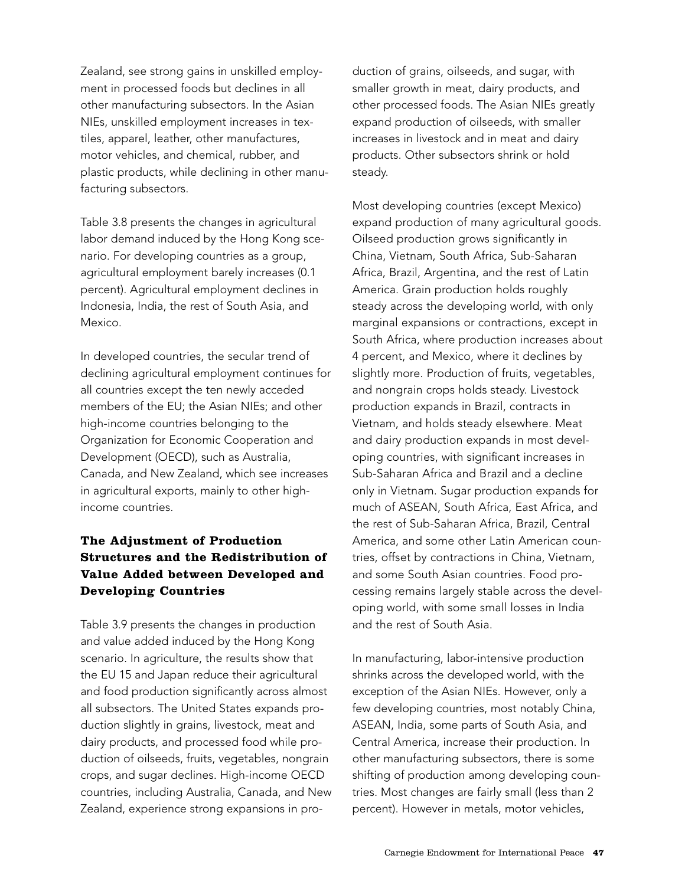|                                                                                       | Mexico                                    | $-0.165$<br>$-0.119$<br>$-0.217$<br>$-3.381$<br>$\circ$                                                                 | 0.099<br>0.052<br>0.101<br>0.627<br>$\circ$                                                                                | $-0.125$<br>$-0.075$<br>$-2.707$<br>$\circ$                                                                  |                                        |                                                                                                                      |                                                                                                                            |                                                                                                              |
|---------------------------------------------------------------------------------------|-------------------------------------------|-------------------------------------------------------------------------------------------------------------------------|----------------------------------------------------------------------------------------------------------------------------|--------------------------------------------------------------------------------------------------------------|----------------------------------------|----------------------------------------------------------------------------------------------------------------------|----------------------------------------------------------------------------------------------------------------------------|--------------------------------------------------------------------------------------------------------------|
|                                                                                       | Brazil                                    | $-0.206$<br>13.306<br>0.282<br>0.01<br>$\circ$                                                                          | 0.359<br>0.223<br>1.897<br>0.431<br>$\circ$                                                                                | 15.496<br>0.708<br>0.209<br>0.141<br>$\circ$                                                                 | World<br>Total                         | 0.018<br>$-2.786$<br>$-0.011$<br>$-0.002$<br>0.027                                                                   | 0.554<br>0.151<br>0.135<br>0.537<br>0.05                                                                                   | 0.566<br>$-2.248$<br>0.039<br>0.132<br>0.177                                                                 |
|                                                                                       | Sub-Saharan<br>Rest of<br>Africa          | 1.485<br>$-0.033$<br>$-0.211$<br>0.53<br>$\circ$                                                                        | $-0.065$<br>$-0.057$<br>0.29<br>0.07<br>$\circ$                                                                            | 0.576<br>1.739<br>$-0.288$<br>$\circ$                                                                        | Developed<br>Countries<br>₹            | -9.475<br>$-0.013$<br>0.045<br>0.018<br>$-0.007$                                                                     | 0.083<br>0.056<br>0.065<br>0.087<br>0.08                                                                                   | 0.072<br>0.042<br>0.132<br>0.083<br>$-9.4$                                                                   |
|                                                                                       | Africa<br>East                            | $-0.223$<br>1.709<br>0.883<br>$-1.803$<br>$\circ$                                                                       | 0.206<br>0.108<br>$-0.376$<br>$-0.054$<br>$\circ$                                                                          | 1.828<br>0.939<br>$-2.136$<br>$-0.281$<br>$\circ$                                                            | Rest of<br>OECD                        | 0.006<br>0.007<br>9.702<br>$\circ$                                                                                   | 0.042<br>1.233<br>0.042<br>0.051<br>$\overline{0}$ .                                                                       | 11.024<br>0.041<br>$0.041$<br>$0.104$<br>$0.051$                                                             |
|                                                                                       | South<br>Africa                           | 5.063<br>0.112<br>0.009<br>0.027                                                                                        | 0.333<br>0.436<br>0.512<br>0.227                                                                                           | 6.965<br>0.445<br>0.202<br>0.452                                                                             | Japan                                  | $-0.003$<br>22.339<br>$-0.003$<br>0.194<br>0.102                                                                     | $-1.095$<br>0.104<br>0.104<br>0.131<br>0.08                                                                                | $-23.308$<br>0.325<br>0.182<br>$\overline{0}$ .<br>$\overline{0}$ .                                          |
|                                                                                       | <b>Middle East</b><br>and North<br>Africa | $\circ$<br>0.075<br>$-0.026$<br>0.624<br>0.007                                                                          | $\circ$<br>0.214<br>0.262<br>0.191<br>0.28                                                                                 | $\circ$<br>0.286<br>0.254<br>0.198<br>0.857                                                                  | EU 10                                  | 0.089<br>0.089<br>0.058<br>0.002<br>2.051                                                                            | 0.148<br>0.148<br>0.274<br>0.452                                                                                           | 0.236<br>0.236<br>0.329<br>0.201<br>2.509                                                                    |
|                                                                                       | Russia                                    | $\circ$<br>$-0.049$<br>0.748<br>0.012<br>0.02<br>0.02                                                                   | $\circ$<br>0.333<br>0.333<br>0.358<br>0.367<br>0.61                                                                        | $\circ$<br>0.353<br>0.353<br>0.319<br>0.369<br>1.36                                                          | EV 15                                  | $-26.004$<br>0.092<br>0.022<br>$-0.01$<br>$-0.01$                                                                    | 0.115<br>0.079<br>0.079<br>0.088<br>$-0.322$                                                                               | 0.069<br>0.069<br>$-26.359$<br>0.206<br>0.11                                                                 |
|                                                                                       | and FSU<br>Rest of<br>South<br>Asia       | $-0.546$<br>$-0.414$<br>$-0.272$<br>$-0.274$                                                                            | 0.686<br>0.703<br>0.548<br>0.403<br>$\circ$                                                                                | 0.272<br>0.283<br>0.12<br>0.13                                                                               | Α                                      | $-0.019$<br>$-1.298$<br>$-0.024$<br>$-0.024$<br>$-0.005$                                                             | 0.004<br>0.004<br>0.023<br>0.031<br>0.66                                                                                   | $-0.672$<br>$-0.019$<br>$-0.019$<br>0.012<br>0.019                                                           |
|                                                                                       |                                           | $\circ$                                                                                                                 |                                                                                                                            | $\circ$                                                                                                      | Asian<br>NiËs                          | $-0.023$<br>$-0.023$<br>$-0.094$<br>$-0.049$<br>2.59                                                                 | 0.292<br>0.375<br>0.292<br>$-0.984$                                                                                        | 0.278<br>1.591<br>0.267<br>0.267<br>0.137                                                                    |
|                                                                                       | Bangladesh                                | 0.817<br>0.118<br>$-0.134$<br>$-0.21$<br>$\circ$                                                                        | $-0.126$<br>$-0.075$<br>$-0.206$<br>$-0.093$<br>$\circ$                                                                    | $-0.305$<br>0.609<br>$-0.009$<br>$-0.21$<br>$\circ$                                                          | Developing<br>Countries<br>₹           | $-0.115$<br>0.031<br>0.001<br>$-0.074$<br>0.92                                                                       | 0.789<br>0.804<br>0.022<br>0.659<br>0.391                                                                                  | 0.826<br>0.024<br>1.714<br>0.536                                                                             |
|                                                                                       | India                                     | $-0.692$<br>$-0.228$<br>$-1.611$<br>$-0.211$<br>$\circ$                                                                 | 0.943<br>0.504<br>1.634<br>1.18<br>$\circ$                                                                                 | 0.715<br>$-0.016$<br>0.478<br>0.294<br>$\circ$                                                               |                                        |                                                                                                                      |                                                                                                                            |                                                                                                              |
|                                                                                       | ASEAN<br>Rest of                          | 0.449<br>$-0.062$<br>0.051<br>2.121<br>$\circ$                                                                          | 0.673<br>0.613<br>$-0.577$<br>1.397<br>$\circ$                                                                             | 1.449<br>1.494<br>0.553<br>1.117<br>$\circ$                                                                  | Rest of<br>World                       | 0.013<br>1.311<br>0.137<br>0.091<br>$\circ$                                                                          | 0.555<br>0.704<br>0.541<br>0.406<br>$\circ$                                                                                | 0.676<br>2.022<br>0.564<br>0.495<br>$\circ$                                                                  |
|                                                                                       | Vietnam                                   | 0.395<br>1.176<br>0.111<br>$-0.64$<br>$\circ$                                                                           | 9.918<br>0.568<br>$-1.851$<br>2.06<br>$\circ$                                                                              | 9.315<br>2.462<br>$-0.679$<br>0.671<br>$\circ$                                                               | and<br>Caribbean<br>Central<br>America | $-0.131$<br>3.72<br>$-0.07$<br>0.2<br>$\circ$                                                                        | 0.431<br>0.492<br>0.381<br>0.66<br>$\circ$                                                                                 | 4.195<br>0.669<br>0.282<br>0.541                                                                             |
|                                                                                       | Indonesia                                 | 1.645<br>0.118<br>$-0.226$<br>$-0.159$<br>$\circ$                                                                       | 0.717<br>0.421<br>1.617<br>$-0.89$<br>$\circ$                                                                              | 0.738<br>1.386<br>0.258<br>0.831<br>$\circ$                                                                  | America<br>Rest of<br>Latin            | $-0.076$<br>3.595<br>0.115<br>$-0.095$<br>$\circ$                                                                    | 1.409<br>0.254<br>0.148<br>0.137<br>$\circ$                                                                                | 5.258<br>0.004<br>0.34<br>0.03<br>$\circ$                                                                    |
|                                                                                       | China                                     | 0.095<br>$-0.172$<br>$-0.116$<br>1.597<br>$\circ$                                                                       | 0.863<br>1.718<br>1.482<br>1.158<br>$\circ$                                                                                | 2.418<br>1.573<br>1.545<br>1.043<br>$\circ$                                                                  | Argentina                              | ╤<br>7.675<br>0.082<br>0.035<br>$-0.098$<br>$\circ$                                                                  | 0.243<br>0.223<br>0.196<br>1.53<br>$\circ$                                                                                 | 9.397<br>0.313<br>0.242<br>0.087<br>$\circ$                                                                  |
| Table 3.6. Percentage Change in Factor Returns under Sectoral and Hong Kong Scenarios | Factor                                    | Doha Scenario for Agriculture (Scenario 1)<br>Agricultural labor<br>Unskilled labor<br>Skilled labor<br>Capital<br>Land | Modest Scenario for Manufactures (Scenario 5)<br>Agricultural labor<br>Unskilled labor<br>Skilled labor<br>Capital<br>Land | Hong Kong Scenario (Scenario 6)<br>Agricultural labor<br>Unskilled labor<br>Skilled labor<br>Capital<br>Land | Factor                                 | Doha Scenario for Agriculture (Scenario<br>Agricultural labor<br>Unskilled labor<br>Skilled labor<br>Capital<br>Land | Modest Scenario for Manufactures (Scenario 5)<br>Agricultural labor<br>Unskilled labor<br>Skilled labor<br>Capital<br>Land | Hong Kong Scenario (Scenario 6)<br>Agricultural labor<br>Unskilled labor<br>Skilled labor<br>Capital<br>Land |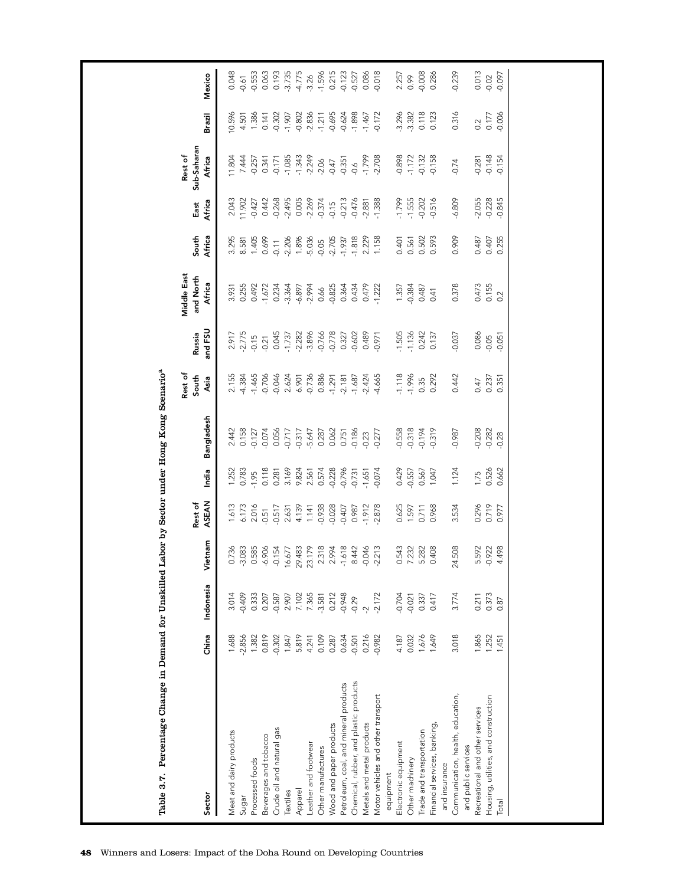Zealand, see strong gains in unskilled employment in processed foods but declines in all other manufacturing subsectors. In the Asian NIEs, unskilled employment increases in textiles, apparel, leather, other manufactures, motor vehicles, and chemical, rubber, and plastic products, while declining in other manufacturing subsectors.

Table 3.8 presents the changes in agricultural labor demand induced by the Hong Kong scenario. For developing countries as a group, agricultural employment barely increases (0.1 percent). Agricultural employment declines in Indonesia, India, the rest of South Asia, and Mexico.

In developed countries, the secular trend of declining agricultural employment continues for all countries except the ten newly acceded members of the EU; the Asian NIEs; and other high-income countries belonging to the Organization for Economic Cooperation and Development (OECD), such as Australia, Canada, and New Zealand, which see increases in agricultural exports, mainly to other highincome countries.

# **The Adjustment of Production Structures and the Redistribution of Value Added between Developed and Developing Countries**

Table 3.9 presents the changes in production and value added induced by the Hong Kong scenario. In agriculture, the results show that the EU 15 and Japan reduce their agricultural and food production significantly across almost all subsectors. The United States expands production slightly in grains, livestock, meat and dairy products, and processed food while production of oilseeds, fruits, vegetables, nongrain crops, and sugar declines. High-income OECD countries, including Australia, Canada, and New Zealand, experience strong expansions in production of grains, oilseeds, and sugar, with smaller growth in meat, dairy products, and other processed foods. The Asian NIEs greatly expand production of oilseeds, with smaller increases in livestock and in meat and dairy products. Other subsectors shrink or hold steady.

Most developing countries (except Mexico) expand production of many agricultural goods. Oilseed production grows significantly in China, Vietnam, South Africa, Sub-Saharan Africa, Brazil, Argentina, and the rest of Latin America. Grain production holds roughly steady across the developing world, with only marginal expansions or contractions, except in South Africa, where production increases about 4 percent, and Mexico, where it declines by slightly more. Production of fruits, vegetables, and nongrain crops holds steady. Livestock production expands in Brazil, contracts in Vietnam, and holds steady elsewhere. Meat and dairy production expands in most developing countries, with significant increases in Sub-Saharan Africa and Brazil and a decline only in Vietnam. Sugar production expands for much of ASEAN, South Africa, East Africa, and the rest of Sub-Saharan Africa, Brazil, Central America, and some other Latin American countries, offset by contractions in China, Vietnam, and some South Asian countries. Food processing remains largely stable across the developing world, with some small losses in India and the rest of South Asia.

In manufacturing, labor-intensive production shrinks across the developed world, with the exception of the Asian NIEs. However, only a few developing countries, most notably China, ASEAN, India, some parts of South Asia, and Central America, increase their production. In other manufacturing subsectors, there is some shifting of production among developing countries. Most changes are fairly small (less than 2 percent). However in metals, motor vehicles,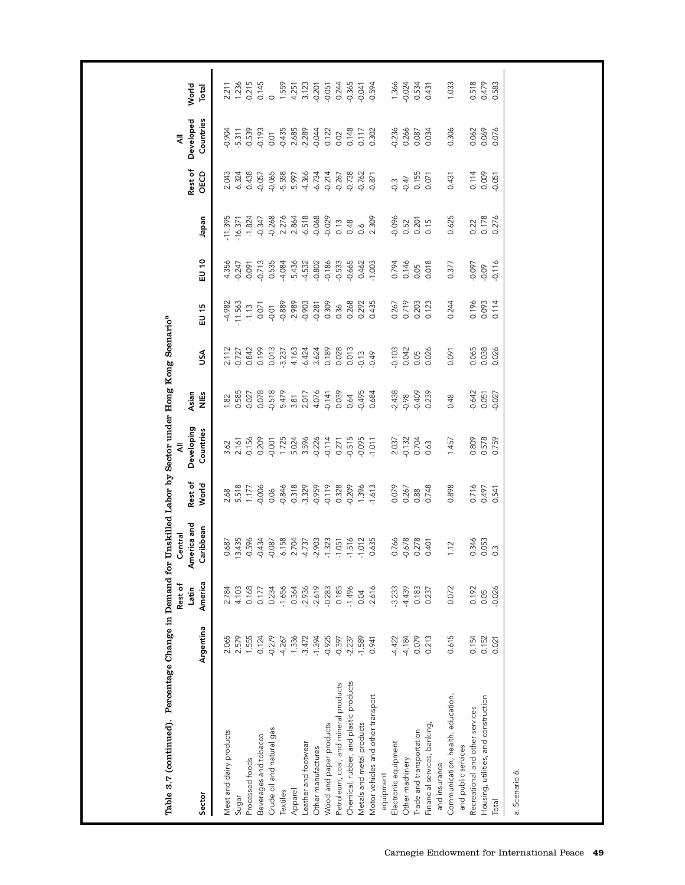|                                                        | Mexico<br>Brazil<br>Sub-Saharan<br>Rest of<br>Africa<br>Africa<br>East<br>Africa<br>South<br><b>Middle East</b><br>and North<br>Africa | 10.596<br>11.804<br>2.043<br>3.295<br>3.931 | 4.501<br>7.444<br>11.902<br>8.581<br>0.255 | 1.386<br>$-0.257$<br>$-0.427$<br>1.405<br>0.492 | 0.141<br>0.341<br>0.442<br>0.699<br>$-1.672$ | $-0.302$<br>$-0.171$<br>$-0.268$<br>$-0.11$<br>0.234 | $-1.907$<br>$-1.085$<br>$-2.495$<br>$-2.206$<br>$-3.364$ | $-0.802$<br>$-1.343$<br>0.005<br>1.896<br>$-6.897$ | $-2.836$<br>$-2.249$<br>$-2.269$<br>$-5.036$<br>$-2.994$ | $-1.211$<br>$-2.06$<br>$-0.374$<br>$-0.05$<br>0.66 | $-0.695$<br>$-0.47$<br>$-0.15$<br>$-2.705$<br>$-0.825$ | $-0.624$<br>$-0.351$<br>$-0.213$<br>$-1.937$<br>0.364 | $-1.898$<br>$-0.6$<br>$-0.476$<br>$-1.818$<br>0.434 | $-1.467$<br>$-1.799$<br>$-2.881$<br>2.229<br>0.479 | $-0.172$<br>$-2.708$<br>$-1.388$<br>1.158<br>.1.222 |           | $-3.296$<br>-0.898<br>$-1.799$<br>0.401<br>1.357<br>-0.384 | $-3.382$<br>$-1.172$<br>$-1.555$<br>0.561 | 0.118<br>$-0.132$<br>$-0.202$<br>0.502<br>0.487 | 0.123<br>$-0.158$<br>$-0.516$<br>0.593<br>0.41 |               | 0.316<br>$-0.74$<br>$-6.809$<br>0.909<br>0.378 | 0.2<br>$-0.281$<br>$-2.055$<br>0.487<br>0.473          | 0.177<br>$-0.148$<br>$-0.228$<br>0.407<br>0.155 | $-0.006$<br>$-0.154$<br>$-0.845$<br>0.255<br>0.2 |  |
|--------------------------------------------------------|----------------------------------------------------------------------------------------------------------------------------------------|---------------------------------------------|--------------------------------------------|-------------------------------------------------|----------------------------------------------|------------------------------------------------------|----------------------------------------------------------|----------------------------------------------------|----------------------------------------------------------|----------------------------------------------------|--------------------------------------------------------|-------------------------------------------------------|-----------------------------------------------------|----------------------------------------------------|-----------------------------------------------------|-----------|------------------------------------------------------------|-------------------------------------------|-------------------------------------------------|------------------------------------------------|---------------|------------------------------------------------|--------------------------------------------------------|-------------------------------------------------|--------------------------------------------------|--|
|                                                        | and FSU<br>Russia                                                                                                                      | 2.917                                       | $-2.775$                                   | $-0.15$                                         | 0.21                                         | 0.045                                                | $-1.737$                                                 | $-2.282$                                           | $-3.896$                                                 | $-0.766$                                           | $-0.778$                                               | 0.327                                                 | $-0.602$                                            | 0.489                                              | 0.971                                               |           | $-1.505$                                                   | $-1.136$                                  | 0.242                                           | 0.137                                          |               | $-0.037$                                       | 0.086                                                  | $-0.05$                                         | $-0.051$                                         |  |
|                                                        | Rest of<br>South<br>Asia                                                                                                               | 2.155                                       | 4.384                                      | $-1.465$                                        | $-0.706$                                     | $-0.046$                                             | 2.624                                                    | 6.901                                              | $-0.736$                                                 | 0.886                                              | $-1.291$                                               | $-2.181$                                              | $-1.687$                                            | $-2.424$                                           | 4.665                                               |           | $-1.118$                                                   | $-1.996$                                  | 0.35                                            | 0.292                                          |               | 0.442                                          | 0.47                                                   | 0.237                                           | 0.351                                            |  |
| Labor by Sector under Hong Kong Scenario <sup>a</sup>  | Bangladesh                                                                                                                             | 2.442                                       | 0.158                                      | 0.127                                           | $-0.074$                                     | 0.056                                                | $-0.717$                                                 | $-0.317$                                           | $-5.647$                                                 | 0.287                                              | 0.062                                                  | 0.751                                                 | $-0.186$                                            | 0.23                                               | 0.277                                               |           | $-0.558$<br>$-0.318$                                       |                                           | $-0.194$                                        | $-0.319$                                       |               | $-0.987$                                       | $-0.208$                                               | $-0.282$                                        | 0.28                                             |  |
|                                                        | India                                                                                                                                  | 1.252                                       | 0.783                                      | $-1.95$                                         | 0.118                                        | 0.281                                                | 3.169                                                    | 9.824                                              | 2.561                                                    | 0.574                                              | $-0.228$                                               | $-0.796$                                              | $-0.731$                                            | $-1.651$                                           | $-0.074$                                            |           | 0.429                                                      | $-0.557$                                  | 0.567                                           | 1.047                                          |               | 1.124                                          | 1.75                                                   | 0.526                                           | 0.662                                            |  |
|                                                        | ASEAN<br>Rest of                                                                                                                       | 1.613                                       | 6.173                                      | 2.016                                           | 0.51                                         | $-0.517$                                             | 2.631                                                    | 4.139                                              | 1.141                                                    | -0.938                                             | $-0.028$                                               | $-0.407$                                              | 0.987                                               | $-1.912$                                           | $-2.878$                                            |           | 0.625                                                      | 1.597                                     | 0.711                                           | 0.968                                          |               | 3.534                                          | 0.296                                                  | 0.719                                           | 0.977                                            |  |
|                                                        | ietnam<br>⋝                                                                                                                            | 0.736                                       | $-3.083$                                   | 0.585                                           | $-6.906$                                     | $-0.154$<br>16.677                                   |                                                          | 29.483                                             | 23.179                                                   | 2.318                                              | 2.994                                                  | $-1.618$                                              | 8.442                                               | $-0.046$                                           | $-2.213$                                            |           | 0.543                                                      | 7.232                                     | 5.282                                           | 0.408                                          |               | 24.508                                         | 5.592                                                  | $-0.922$                                        | 4.498                                            |  |
|                                                        | Indonesia                                                                                                                              | 3.014                                       | $-0.409$                                   | 0.333                                           | 0.207                                        | $-0.587$                                             | 2.907                                                    | 7.102                                              | 7.365                                                    | $-3.581$                                           | 0.212                                                  | $-0.948$                                              | $-0.29$                                             | $\tilde{\gamma}$                                   | $-2.172$                                            |           | $-0.704$                                                   | $-0.021$                                  | 0.337                                           | 0.417                                          |               | 3.774                                          | 0.211                                                  | 0.373                                           | 0.87                                             |  |
|                                                        | China                                                                                                                                  | 1.688                                       | $-2.856$                                   | 1.382                                           | 0.819                                        | $-0.302$                                             | 1.847                                                    | 5.819                                              | 4.241                                                    | 0.109                                              | 0.287                                                  | 0.634                                                 | $-0.501$                                            | 0.216                                              | $-0.982$                                            |           | 4.187                                                      | 0.032                                     | 1.676                                           | 1.649                                          |               | 3.018                                          | 1.865                                                  | 1.252                                           | 1.451                                            |  |
| Table 3.7. Percentage Change in Demand for Unskilled I | Sector                                                                                                                                 | Meat and dairy products                     | Sugar                                      | Processed foods                                 | Beverages and tobacco                        | Crude oil and natural gas                            | Textiles                                                 | Apparel                                            | Leather and footwear                                     | Other manufactures                                 | Wood and paper products                                | Petroleum, coal, and mineral products                 | Chemical, rubber, and plastic products              | Metals and metal products                          | Motor vehicles and other transport                  | equipment | Electronic equipment                                       | Other machinery                           | Trade and transportation                        | Financial services, banking,                   | and insurance | Communication, health, education,              | Recreational and other services<br>and public services | Housing, utilities, and construction            | Total                                            |  |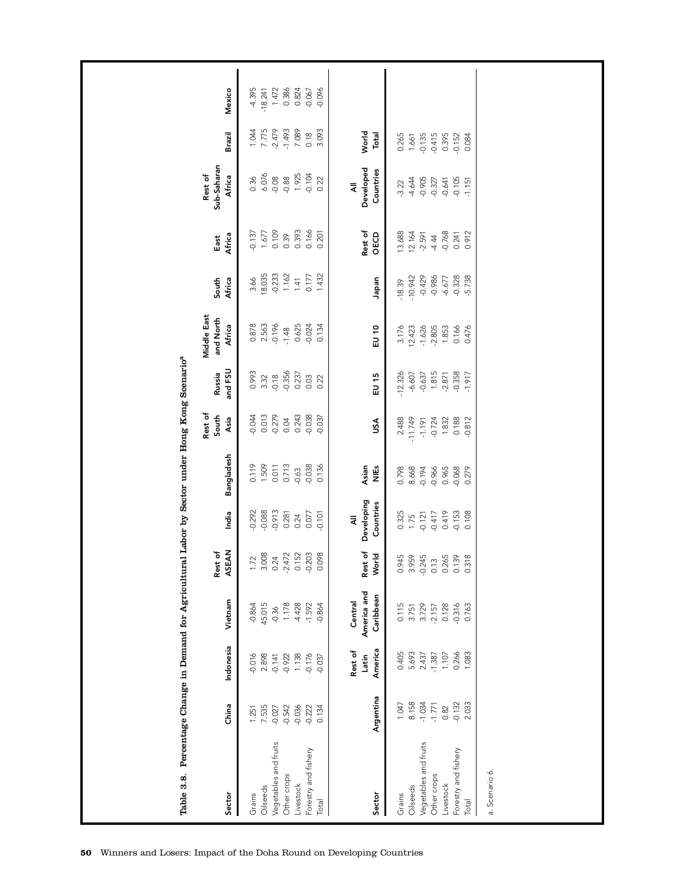|                                                                                                                                  | 1.236<br>$-0.215$<br>0.145<br>2.211                                                                       | 1.559<br>3.123<br>0.244<br>4.251<br>$-0.201$<br>$-0.051$                                                                              | $-0.365$<br>1.366<br>$-0.024$<br>0.534<br>1.033<br>$-0.594$<br>$-0.041$<br>0.431                                                                                                                                                                                                    | 0.479<br>0.518<br>0.583                                                                                                   |
|----------------------------------------------------------------------------------------------------------------------------------|-----------------------------------------------------------------------------------------------------------|---------------------------------------------------------------------------------------------------------------------------------------|-------------------------------------------------------------------------------------------------------------------------------------------------------------------------------------------------------------------------------------------------------------------------------------|---------------------------------------------------------------------------------------------------------------------------|
| World<br>Total                                                                                                                   | $\circ$                                                                                                   |                                                                                                                                       |                                                                                                                                                                                                                                                                                     |                                                                                                                           |
| Developed<br>Countries<br>₹                                                                                                      | $-0.539$<br>$-5.311$<br>$-0.904$<br>$-0.193$<br>0.01                                                      | $-0.435$<br>$-2.685$<br>$-2.289$<br>$-0.044$<br>0.122<br>0.02                                                                         | 0.266<br>0.148<br>0.306<br>0.117<br>0.302<br>$-0.236$<br>0.087<br>0.034                                                                                                                                                                                                             | 0.069<br>0.076<br>0.062                                                                                                   |
| Rest of<br>OECD                                                                                                                  | 2.043<br>6.324<br>0.438<br>$-0.065$<br>$-0.057$                                                           | -5.558<br>$-0.214$<br>$-4.366$<br>-5.997<br>$-6.734$<br>$-0.267$                                                                      | $-0.738$<br>0.155<br>$-0.762$<br>0.431<br>$-0.871$<br>0.071<br>$-0.47$<br>$0.\overline{3}$                                                                                                                                                                                          | 0.114<br>0.009<br>$-0.051$                                                                                                |
| Japan                                                                                                                            | $-0.268$<br>$-11.395$<br>$-1.824$<br>$-16.371$<br>$-0.347$                                                | 2.276<br>$-6.518$<br>$-2.864$<br>$-0.068$<br>$-0.029$<br>0.13                                                                         | $-0.096$<br>0.625<br>2.309<br>0.201<br>0.52<br>0.48<br>0.15<br>0.6                                                                                                                                                                                                                  | 0.178<br>0.276<br>0.22                                                                                                    |
| EU 10                                                                                                                            | $-0.713$<br>0.535<br>4.356<br>$-0.247$<br>$-0.091$                                                        | $-5.436$<br>-4.532<br>$-0.186$<br>-4.084<br>$-0.802$<br>$-0.533$                                                                      | $-0.665$<br>0.462<br>0.146<br>$-0.018$<br>$-1.003$<br>0.794<br>0.377<br>0.05                                                                                                                                                                                                        | $-0.116$<br>$-0.097$<br>$-0.09$                                                                                           |
| EU 15                                                                                                                            | 11.563<br>-4.982<br>0.071<br>$-1.13$<br>$-0.01$                                                           | $-2.989$<br>$-0.903$<br>0.309<br>$-0.889$<br>$-0.281$<br>0.36                                                                         | 0.719<br>0.203<br>0.268<br>0.123<br>0.244<br>0.292<br>0.435<br>0.267                                                                                                                                                                                                                | 0.196<br>0.093<br>0.114                                                                                                   |
| Α                                                                                                                                | 2.112<br>0.842<br>0.199<br>0.013<br>$-0.727$                                                              | $-4.163$<br>$-6.424$<br>0.189<br>3.624<br>0.028<br>$-3.237$                                                                           | 0.042<br>0.013<br>0.026<br>$-0.103$<br>0.05<br>0.091<br>0.13<br>64.0                                                                                                                                                                                                                | 0.065<br>0.038<br>0.026                                                                                                   |
| Asian<br>Шű                                                                                                                      | 0.585<br>0.078<br>$-0.518$<br>$-0.027$<br>1.82                                                            | 5.479<br>4.076<br>2.017<br>0.039<br>$-0.141$<br>3.81                                                                                  | 0.495<br>$-0.409$<br>$-2.438$<br>$-0.98$<br>$-0.239$<br>0.684<br>0.64<br>0.48                                                                                                                                                                                                       | $-0.642$<br>0.051<br>$-0.027$                                                                                             |
| Developing<br>Countries<br>₹                                                                                                     | $-0.156$<br>0.209<br>2.161<br>$-0.001$<br>3.62                                                            | 1.725<br>$-0.226$<br>$-0.114$<br>5.024<br>3.596<br>0.271                                                                              | $-0.515$<br>$-0.095$<br>$-0.132$<br>0.704<br>$-1.011$<br>2.037<br>1.457<br>0.63                                                                                                                                                                                                     | 0.578<br>0.809<br>0.759                                                                                                   |
| Rest of<br>World                                                                                                                 | 5.518<br>$-0.006$<br>1.177<br>0.06<br>2.68                                                                | $-0.318$<br>-3.329<br>$-0.959$<br>$-0.119$<br>$-0.846$<br>0.328                                                                       | $-0.209$<br>0.748<br>0.898<br>$-1.613$<br>0.079<br>1.396<br>0.267<br>0.88                                                                                                                                                                                                           | 0.716<br>0.541<br>0.497                                                                                                   |
| America and<br>Caribbean<br>Central                                                                                              | 13.435<br>$-0.596$<br>$-0.434$<br>0.687<br>$-0.087$                                                       | 6.158<br>$-2.903$<br>2.704<br>4.737<br>$-1.323$<br>$-1.051$                                                                           | $-0.678$<br>0.278<br>$-1.516$<br>$-1.012$<br>0.635<br>0.766<br>0.401<br>1.12                                                                                                                                                                                                        | 0.346<br>0.053<br>$0.\overline{3}$                                                                                        |
| America<br>Rest of<br>Latin                                                                                                      | 4.103<br>0.168<br>0.234<br>2.784<br>0.177                                                                 | $-2.619$<br>$-0.283$<br>0.185<br>$-1.656$<br>$-0.364$<br>$-2.936$                                                                     | $-1.496$<br>$-2.616$<br>$-4.439$<br>0.183<br>0.072<br>3.233<br>0.237<br>0.04                                                                                                                                                                                                        | 0.192<br>$-0.026$<br>0.05                                                                                                 |
| Argentina                                                                                                                        | 2.579<br>2.065<br>1.555<br>$-0.279$<br>0.124                                                              | $-1.336$<br>$-3.472$<br>$-0.925$<br>$-1.394$<br>$-4.267$<br>$-0.397$                                                                  | 0.079<br>$-1.589$<br>-4.184<br>0.213<br>0.615<br>$-4.422$<br>$-2.237$<br>0.941                                                                                                                                                                                                      | 0.154<br>0.152<br>0.021                                                                                                   |
| Table 3.7 (continued). Percentage Change in Demand for Unskilled Labor by Sector under Hong Kong Scenario <sup>s</sup><br>Sector | Crude oil and natural gas<br>Meat and dairy products<br>Beverages and tobacco<br>Processed foods<br>Sugar | Petroleum, coal, and mineral products<br>Wood and paper products<br>Leather and footwear<br>Other manufactures<br>Apparel<br>Textiles | Chemical, rubber, and plastic products<br>Motor vehicles and other transport<br>Communication, health, education,<br>Metals and metal products<br>Financial services, banking,<br>Trade and transportation<br>Electronic equipment<br>Other machinery<br>and insurance<br>equipment | Housing, utilities, and construction<br>Recreational and other services<br>and public services<br>a. Scenario 6.<br>Total |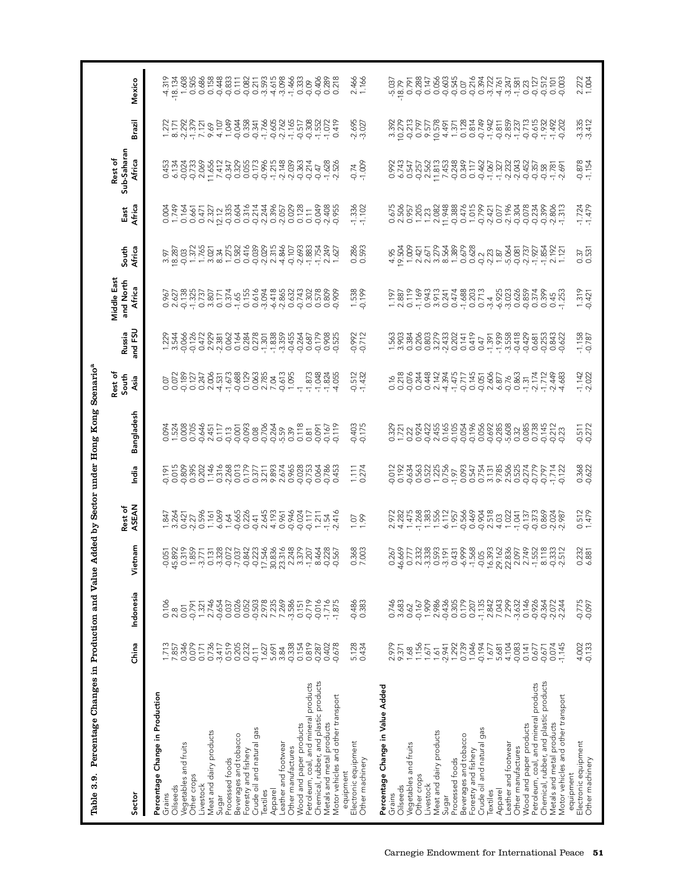| Table 3.8. Percentage Change in Demand for Agricultural Labor by Sector under Hong Kong Scenaric <sup>a</sup> |                      |                      |                          |                                          |                         |                      |                          |                      |                                           |                      |                   |                                  |                      |                      |
|---------------------------------------------------------------------------------------------------------------|----------------------|----------------------|--------------------------|------------------------------------------|-------------------------|----------------------|--------------------------|----------------------|-------------------------------------------|----------------------|-------------------|----------------------------------|----------------------|----------------------|
| Sector                                                                                                        | China                | Indonesia            | Vietnam                  | ASEAN<br>ځ<br>م<br>Rest                  | India                   | Bangladesh           | Rest of<br>South<br>Asia | and FSU<br>Russia    | <b>Middle East</b><br>and North<br>Africa | Africa<br>South      | Africa<br>East    | Sub-Saharan<br>Rest of<br>Africa | Brazil               | Mexico               |
| Grains                                                                                                        | 1.251                | $-0.016$             | $-0.864$                 | $1.72$<br>3.008                          | $-0.292$                | 0.119                | $-0.044$                 | 0.993                | 0.878                                     | 3.66                 | $-0.137$          | 0.36                             | 1.044                | $-4.395$             |
| Vegetables and fruits<br>Oilseeds                                                                             | 7.535<br>$-0.027$    | 2.898<br>$-0.141$    | 45.015<br>$-0.36$        |                                          | $-0.088$<br>$-0.913$    | 1.509<br>0.011       | 0.013<br>$-0.279$        | $-0.18$<br>3.32      | 2.563<br>$-0.196$                         | 18.035<br>$-0.233$   | 0.109<br>1.677    | 6.076<br>$-0.08$                 | 7.775<br>$-2.479$    | 1.472<br>$-18.241$   |
| Other crops                                                                                                   | $-0.542$             | $-0.922$             | 1.178                    | $0.24$<br>$-2.472$<br>$0.152$<br>$0.203$ | 0.281                   | 0.713                | 0.04                     | $-0.356$             | $-1.48$                                   | 1.162                | 0.39              | $-0.88$                          | $-1.493$             | 0.386                |
| Livestock                                                                                                     | $-0.036$             | 1.138                | $-4.428$                 |                                          | 0.24                    | $-0.63$              | 0.243                    | 0.237                | 0.625                                     | 1.41                 | 0.393             | 1.925                            | 7.089                | 0.824                |
| Forestry and fishery<br>Total                                                                                 | $-0.222$<br>0.134    | $-0.176$<br>$-0.037$ | $-1.592$<br>$-0.864$     | 0.098                                    | 0.077<br>$-0.101$       | $-0.038$<br>0.136    | $-0.038$<br>$-0.037$     | 0.03<br>0.22         | $-0.024$<br>0.134                         | 0.177<br>1.432       | 0.166<br>0.201    | $-0.104$<br>0.22                 | 3.093<br>0.18        | $-0.067$<br>$-0.096$ |
|                                                                                                               |                      | Rest of              | Central                  |                                          | ₹                       |                      |                          |                      |                                           |                      |                   | ₹                                |                      |                      |
| Sector                                                                                                        | Argentina            | America<br>Latin     | America and<br>Caribbean | ځ<br>م<br>World<br>Rest                  | Developing<br>Countries | Asian<br>NIES        | υsΑ                      | EU 15                | EU 10                                     | Japan                | Rest of<br>OECD   | Developed<br>Countries           | World<br>Total       |                      |
| Grains                                                                                                        | 1.047                | 0.405                | 0.115                    | 0.945                                    | 0.325                   | 0.798                | 2.488                    | $-12.326$            | 3.176                                     | $-18.39$             | 13.688            | $-3.22$                          | 0.265                |                      |
| Oilseeds                                                                                                      | 8.158                | 5.693                | 3.751                    | 3.959                                    | 1.75                    | 8.668                | $-11.749$                | $-6.607$             | 12.423                                    | $-10.942$            | 12.164            | $-4.644$                         | 1.661                |                      |
| Vegetables and fruits<br>Other crops                                                                          | $-1.034$<br>$-1.771$ | 2.437<br>$-1.387$    | 3.729<br>$-2.157$        | $-0.245$<br>0.13                         | $-0.121$<br>$-0.417$    | $-0.194$<br>$-0.966$ | $-0.724$<br>$-1.191$     | 1.815<br>$-0.637$    | $-1.626$<br>$-2.805$                      | $-0.429$<br>$-0.986$ | $-2.591$<br>-4.44 | $-0.905$<br>$-0.327$             | $-0.135$<br>$-0.415$ |                      |
| Livestock                                                                                                     | 0.82                 | 1.107                | 0.128                    | 0.265                                    | 0.419                   | 0.965                | 1.832                    | $-2.871$             | 1.853                                     | $-6.677$             | $-0.768$          | $-0.641$                         | 0.395                |                      |
| Forestry and fishery<br>Total                                                                                 | $-0.132$<br>2.033    | 0.266<br>1.083       | $-0.316$<br>0.763        | 0.139<br>0.318                           | $-0.153$<br>0.108       | $-0.068$<br>0.279    | 0.188<br>$-0.812$        | $-0.358$<br>$-1.917$ | 0.166<br>0.476                            | $-0.328$<br>$-5.738$ | 0.912<br>0.241    | $-0.105$<br>$-1.151$             | $-0.152$<br>0.084    |                      |
| a. Scenario 6.                                                                                                |                      |                      |                          |                                          |                         |                      |                          |                      |                                           |                      |                   |                                  |                      |                      |
|                                                                                                               |                      |                      |                          |                                          |                         |                      |                          |                      |                                           |                      |                   |                                  |                      |                      |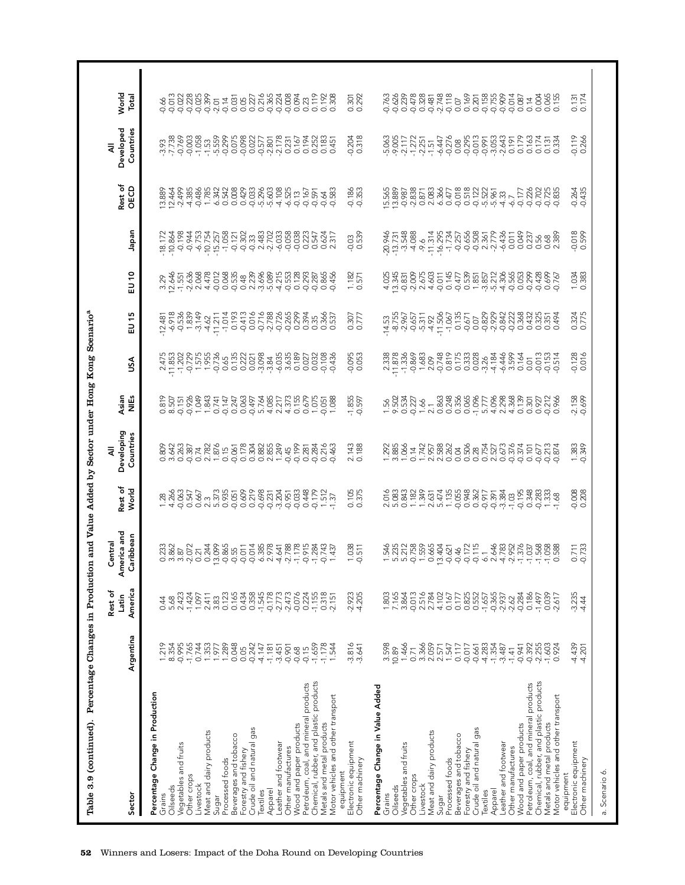|                                                          | Mexico                             | $4.319$<br>18.134<br>1.608                                                                                                                                                                                                                                                                                                                                                                                                                                                                                        | 2.466<br>1.166                          | ŵब्रें ०५००५००००५५५-०५५०५<br>०८८४-०००७००७८८५७५८-०८०<br>७९८४-४०५८ २४४२५                                                                                                                                                                                                                                                                                                                                                                                                                                 | 2.272<br>1.004                                       |
|----------------------------------------------------------|------------------------------------|-------------------------------------------------------------------------------------------------------------------------------------------------------------------------------------------------------------------------------------------------------------------------------------------------------------------------------------------------------------------------------------------------------------------------------------------------------------------------------------------------------------------|-----------------------------------------|--------------------------------------------------------------------------------------------------------------------------------------------------------------------------------------------------------------------------------------------------------------------------------------------------------------------------------------------------------------------------------------------------------------------------------------------------------------------------------------------------------|------------------------------------------------------|
|                                                          | Brazil                             |                                                                                                                                                                                                                                                                                                                                                                                                                                                                                                                   | $-2.695$<br>$-3.027$                    |                                                                                                                                                                                                                                                                                                                                                                                                                                                                                                        | $-3.335$<br>$-3.412$                                 |
|                                                          | Sub-Saharan<br>Rest of<br>Africa   |                                                                                                                                                                                                                                                                                                                                                                                                                                                                                                                   | $-1.009$                                |                                                                                                                                                                                                                                                                                                                                                                                                                                                                                                        | $-0.878$                                             |
|                                                          | Africa<br>East                     |                                                                                                                                                                                                                                                                                                                                                                                                                                                                                                                   | $-1.336$<br>$-1.102$                    | 5<br>65653 38886556756888885<br>666538888655675888888                                                                                                                                                                                                                                                                                                                                                                                                                                                  | $-1.724$<br>$-1.479$                                 |
|                                                          | South<br>Africa                    | $\begin{array}{l} 0.876 \\ 0.876 \\ 0.876 \\ 0.876 \\ 0.876 \\ 0.876 \\ 0.876 \\ 0.876 \\ 0.876 \\ 0.876 \\ 0.876 \\ 0.876 \\ 0.876 \\ 0.876 \\ 0.876 \\ 0.876 \\ 0.876 \\ 0.876 \\ 0.876 \\ 0.876 \\ 0.876 \\ 0.876 \\ 0.876 \\ 0.876 \\ 0.876 \\ 0.876 \\ 0.876 \\ 0.876 \\ 0.876 \\ 0.876 \\ 0.$                                                                                                                                                                                                               | 0.286                                   |                                                                                                                                                                                                                                                                                                                                                                                                                                                                                                        | $0.37$<br>$0.531$                                    |
|                                                          | Middle East<br>and North<br>Africa |                                                                                                                                                                                                                                                                                                                                                                                                                                                                                                                   | $1.538$<br>$-0.199$                     |                                                                                                                                                                                                                                                                                                                                                                                                                                                                                                        | $1.319$<br>$-0.421$                                  |
|                                                          | and FSU<br>Russia                  | cuddowyoood--wddoddd<br>Gwdd-49:wooddawaw49306<br>Y4885829485698884                                                                                                                                                                                                                                                                                                                                                                                                                                               | -0.992<br>-0.712                        |                                                                                                                                                                                                                                                                                                                                                                                                                                                                                                        | $-1.158$<br>$-0.787$                                 |
|                                                          | Rest of<br>South<br>Asia           |                                                                                                                                                                                                                                                                                                                                                                                                                                                                                                                   | $-0.512$<br>$-1.432$                    | oodoog4-dodgaado-44-64<br>SUOS44-845-4008868-5-436<br>Tubdaada-5-5-85088-4568                                                                                                                                                                                                                                                                                                                                                                                                                          | $-1.142$<br>$-2.022$                                 |
| Added by Sector under Hong Kong Scenario <sup>a</sup>    | Bangladesh                         |                                                                                                                                                                                                                                                                                                                                                                                                                                                                                                                   | $-0.403$<br>$-0.175$                    |                                                                                                                                                                                                                                                                                                                                                                                                                                                                                                        | $-0.511$<br>$-0.272$                                 |
|                                                          | India                              |                                                                                                                                                                                                                                                                                                                                                                                                                                                                                                                   | $\frac{1.111}{0.274}$                   |                                                                                                                                                                                                                                                                                                                                                                                                                                                                                                        | 0.368                                                |
|                                                          | Rest of<br>ASEAN                   |                                                                                                                                                                                                                                                                                                                                                                                                                                                                                                                   | 1.99                                    |                                                                                                                                                                                                                                                                                                                                                                                                                                                                                                        | 0.512<br>1.479                                       |
|                                                          | etnam<br>⋝                         |                                                                                                                                                                                                                                                                                                                                                                                                                                                                                                                   | 0.368<br>7.003                          |                                                                                                                                                                                                                                                                                                                                                                                                                                                                                                        | 0.232<br>6.881                                       |
|                                                          | Indonesia                          | 1.321<br>2.746<br>0.026<br>0.503<br>2.978<br>7.235<br>7.269<br>$-3.586$<br>$-0.719$<br>$-1.716$<br>$-1.875$<br>$-0.654$<br>0.037<br>0.052<br>$-0.016$<br>0.106<br>0.151<br>$-0.791$<br>0.01<br>2.8                                                                                                                                                                                                                                                                                                                | 0.383<br>$-0.486$                       | 1.909<br>2.986<br>$-0.436$<br>0.305<br>$-1.135$<br>2.842<br>7.043<br>7.299<br>0.146<br>-0.926<br>3.683<br>$-3.632$<br>$-0.364$<br>$-2.072$<br>$-2.244$<br>0.746<br>$-0.167$<br>0.207<br>0.62                                                                                                                                                                                                                                                                                                           | $-0.775$                                             |
|                                                          | China                              | 0.346<br>$\begin{array}{l} 0.410 \\ 0.4100 \\ -0.41000 \\ -0.41000 \\ -0.41000 \\ -0.41000 \\ -0.41000 \\ -0.41000 \\ -0.41000 \\ -0.41000 \\ -0.41000 \\ -0.41000 \\ -0.41000 \\ -0.41000 \\ -0.41000 \\ -0.41000 \\ -0.41000 \\ -0.41000 \\ -0.41000 \\ -0.41000 \\ -0.41000 \\ -0.41000 \\ -0.41000 \\ -0.41000 \\$<br>0.079<br>0.819<br>0.287<br>0.402<br>1.713<br>$-0.678$<br>0.171<br>7.857                                                                                                                 | 5.128                                   | 1.156<br>1.292<br>0.739<br>1.046<br>$-0.083$<br>$-0.194$<br>$\frac{1.677}{5.681}$<br>0.074<br>2.979<br>$-1.145$<br>1.671<br>$1.61$<br>-2.941<br>0.141<br>0.677<br>9.371<br>1.68<br>$-0.671$                                                                                                                                                                                                                                                                                                            | 4.002<br>$-0.133$                                    |
| Percentage Changes in Production and Value<br>Table 3.9. | Sector                             | Chemical, rubber, and plastic products<br>Petroleum, coal, and mineral products<br>Percentage Change in Production<br>Motor vehicles and other transport<br>Metals and metal products<br>Wood and paper products<br>Crude oil and natural gas<br>Meat and dairy products<br>Beverages and tobacco<br>Leather and footwear<br>Vegetables and fruits<br>Other manufactures<br>Forestry and fishery<br>Processed foods<br>equipment<br>Other crops<br>Oilseeds<br>Livestoc<br>Apparel<br>Textiles<br>Grains<br>Sugar | Electronic equipment<br>Other machinery | Chemical, rubber, and plastic products<br>Petroleum, coal, and mineral products<br>Percentage Change in Value Added<br>Motor vehicles and other transport<br>Metals and metal products<br>Wood and paper products<br>Crude oil and natural gas<br>Meat and dairy products<br>Beverages and tobacco<br>Leather and footwear<br>Vegetables and fruits<br>Other manufactures<br>Forestry and fishery<br>Processed foods<br>Other crops<br>Oilseeds<br>Livestock<br>Apparel<br>Textiles<br>Grains<br>Sugar | Electronic equipment<br>Other machinery<br>equipment |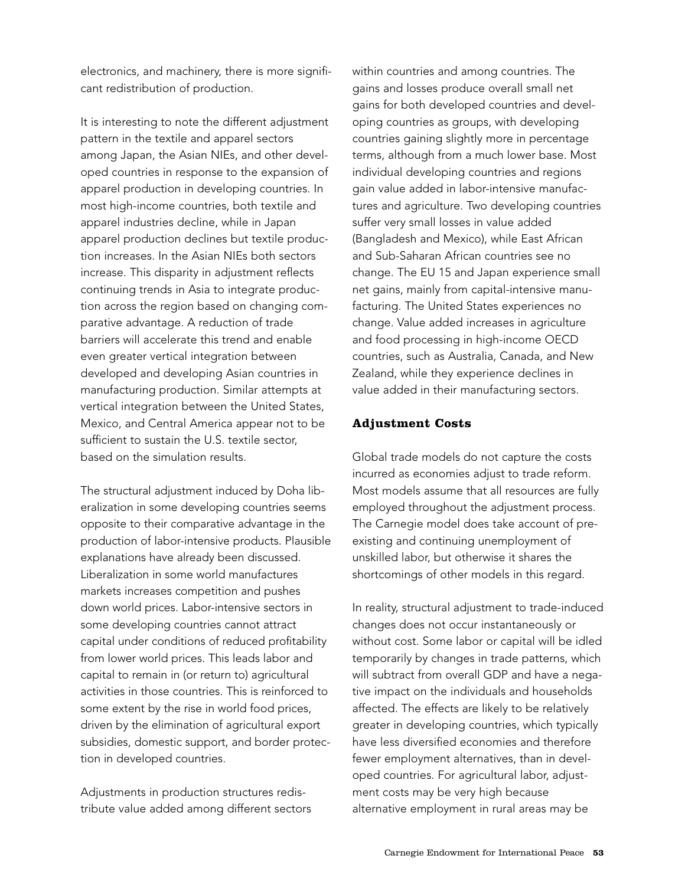|                                                                                                                         | World<br>Total                      | 0.301<br>0.131<br>0.174                                                                                                                                                                                                                                                                                                                                                                                                                                                                                                                                                                                                                                                                                                                                                                                                                                                                                                                                                                                                                                                                                                                           |
|-------------------------------------------------------------------------------------------------------------------------|-------------------------------------|---------------------------------------------------------------------------------------------------------------------------------------------------------------------------------------------------------------------------------------------------------------------------------------------------------------------------------------------------------------------------------------------------------------------------------------------------------------------------------------------------------------------------------------------------------------------------------------------------------------------------------------------------------------------------------------------------------------------------------------------------------------------------------------------------------------------------------------------------------------------------------------------------------------------------------------------------------------------------------------------------------------------------------------------------------------------------------------------------------------------------------------------------|
|                                                                                                                         | Developed<br>Countries<br>₹         | 0.318<br>$-0.119$<br>$0.266$<br>0.1533<br>0.151<br>0.0.00                                                                                                                                                                                                                                                                                                                                                                                                                                                                                                                                                                                                                                                                                                                                                                                                                                                                                                                                                                                                                                                                                         |
|                                                                                                                         | Rest of<br>OECD                     | $-0.186$<br>$-0.264$<br>$-0.583$<br>$-0.64$                                                                                                                                                                                                                                                                                                                                                                                                                                                                                                                                                                                                                                                                                                                                                                                                                                                                                                                                                                                                                                                                                                       |
|                                                                                                                         | Japan                               | $-0.03$<br>0.539<br>0.257<br>0.658<br>0.5081<br>0.778<br>0.438<br>$-0.018$<br>0.599<br>$-0.038$<br>$0.223$<br>$0.547$<br>$\begin{array}{r} -13.731 \\ -3.548 \\ -3.548 \\ -4.088 \\ +1.314 \\ -16.295 \end{array}$<br>$-1.734$<br>0.011<br>0.049<br>0.237<br>20.946<br>2.317<br>0.68<br>2.389<br>0.56                                                                                                                                                                                                                                                                                                                                                                                                                                                                                                                                                                                                                                                                                                                                                                                                                                             |
|                                                                                                                         | S<br>品                              | 1.034<br>$\frac{1.182}{0.571}$<br>$-4.306$<br>-0.565<br>0.053<br>-0.299<br>$-0.428$<br>0.699<br>0.767                                                                                                                                                                                                                                                                                                                                                                                                                                                                                                                                                                                                                                                                                                                                                                                                                                                                                                                                                                                                                                             |
|                                                                                                                         | m<br>$\overline{\phantom{0}}$<br>品  | 0.193<br>0.413<br>0.012<br>0.788<br>0.72<br>$\begin{array}{l} 14.53 \\ 4.755 \\ 9.755 \\ -2.967 \\ -1.506 \\ -1.506 \\ -1.067 \\ \end{array}$<br>517<br>007<br>0082822<br>00099922<br>0.324<br>$\begin{array}{l} 12.481 \\ 7.536 \\ -6.538 \\ -6.539 \\ -7.539 \\ -7.539 \\ -7.539 \\ -7.539 \\ -7.539 \\ -7.539 \\ -7.539 \\ -7.539 \\ -7.539 \\ -7.539 \\ -7.539 \\ -7.539 \\ -7.539 \\ -7.539 \\ -7.539 \\ -7.539 \\ -7.539 \\ -7.539 \\ -7.539 \\ -7.539 \\ -7.539 \\ -7.539 \\ -7.539 \\ -7.539 \\ -7.539 \\ -7.539 \\ -7$<br>$-0.265$<br>0.299<br>0.368<br>0.394<br>0.307<br>0.777<br>0.435<br>0.325<br>0.0.494<br>366<br>0.35                                                                                                                                                                                                                                                                                                                                                                                                                                                                                                              |
|                                                                                                                         | υsΑ                                 | -0.095<br>0.053<br>$-0.128$<br>0.016<br>3.635<br>-6.446<br>3.599<br>0.164<br>0.027<br>$-4.184$<br>$-0.013$<br>$-0.514$<br>$-0.108$<br>0.436<br>0.15<br>0.01                                                                                                                                                                                                                                                                                                                                                                                                                                                                                                                                                                                                                                                                                                                                                                                                                                                                                                                                                                                       |
|                                                                                                                         | Asian<br>NIEs                       | $\begin{array}{l} 64 \\ 7 \\ -1000 \\ -2000 \\ -1000 \\ -1000 \\ -1000 \\ -1000 \\ -1000 \\ -1000 \\ -1000 \\ -1000 \\ -1000 \\ -1000 \\ -1000 \\ -1000 \\ -1000 \\ -1000 \\ -1000 \\ -1000 \\ -1000 \\ -1000 \\ -1000 \\ -1000 \\ -1000 \\ -1000 \\ -1000 \\ -1000 \\ -1000 \\ -1000 \\ -1000 \\ -1000 \\ -1000 \\ -1000 \\ -1000 \\ -1000 \\ -1$<br>4.085<br>2.217<br>$-1.855$<br>$-0.597$<br>$-2.158$<br>$-0.699$<br>0.155<br>0.679<br>1.075<br>$1.56$<br>$9.502$<br>$0.534$<br>$0.227$<br>4.368<br>0.139<br>1.088<br>0.927<br>0.212<br>0.966                                                                                                                                                                                                                                                                                                                                                                                                                                                                                                                                                                                                  |
|                                                                                                                         | Developing<br>Countries<br>₹        | 2.143<br>0.188<br>1.383<br>0.809<br>3.642<br>0.263<br>0.216<br>-0.463                                                                                                                                                                                                                                                                                                                                                                                                                                                                                                                                                                                                                                                                                                                                                                                                                                                                                                                                                                                                                                                                             |
|                                                                                                                         | ፟፟፟፟፟፟<br>World<br>Rest             | 0.105<br>0.375<br>$1,28$<br>$4,266$<br>$-0.063$<br>547<br>667<br>0683755000<br>06870000000<br>0.698<br>0.2704<br>0.010<br>0.010<br>0.448<br>2.016<br>5.083<br>0.843<br>$7.349$<br>$2.631$<br>$5.474$<br>1.135<br>0.948<br>$\begin{array}{c} 0.362 \\ 0.917 \\ 0.917 \\ 0.9384 \\ 0.384 \\ 0.195 \\ \end{array}$<br>$0.348$<br>$0.283$<br>$1.333$<br>$-1.68$<br>0.208<br>1.182<br>$1.512$<br>$-1.37$                                                                                                                                                                                                                                                                                                                                                                                                                                                                                                                                                                                                                                                                                                                                               |
|                                                                                                                         | America and<br>Caribbean<br>Central | 1.038<br>$0.775$ $0.775$ $0.775$ $0.775$ $0.775$ $0.775$ $0.775$ $0.775$ $0.775$ $0.775$ $0.775$ $0.775$ $0.775$ $0.775$ $0.775$ $0.775$ $0.775$ $0.775$<br>0.711<br>-0.733<br>$-0.743$<br>1.437                                                                                                                                                                                                                                                                                                                                                                                                                                                                                                                                                                                                                                                                                                                                                                                                                                                                                                                                                  |
|                                                                                                                         | America<br>Rest of<br>Latin         | $-1.545$<br>2.411<br>3.83<br>0.123<br>0.165<br>0.434<br>0.358<br>$0.178$<br>$2.773$<br>$0.473$<br>$0.076$<br>0.224<br>$-1.155$<br>0.318<br>$-2.923$<br>$-4.205$<br>7.165<br>3.864<br>2.516<br>2.784<br>$\begin{array}{c} 4.102 \\ 0.167 \\ 0.083 \\ 0.094 \\ 0.094 \\ 0.095 \\ 0.097 \\ 0.093 \\ 0.093 \\ 0.093 \\ 0.093 \\ 0.093 \\ 0.093 \\ 0.093 \\ 0.093 \\ 0.093 \\ 0.093 \\ 0.093 \\ 0.093 \\ 0.093 \\ 0.093 \\ 0.093 \\ 0.093 \\ 0.093 \\ 0.093 \\ 0.093 \\ 0.093 \\ 0.093 \\ 0.093 \\ 0.093 \\ 0.$<br>$-3.235$<br>$-1.424$<br>1.803<br>$-2.62$<br>$-0.284$<br>0.186<br>0.039<br>2.423<br>1.097<br>2.151<br>$-1.497$<br>$-2.617$<br>5.68<br>-4.44<br>0.44                                                                                                                                                                                                                                                                                                                                                                                                                                                                                  |
|                                                                                                                         | Argentina                           | $-3.816$<br>$-3.641$<br>$-4.439$<br>$-0.242$<br>$-1.659$<br>$-1.178$<br>1.466<br>3.366<br>2.059<br>$-4.283$<br>$-1.354$<br>$-0.392$<br>$-2.255$<br>$-1.603$<br>8.354<br>$-0.995$<br>$-1.765$<br>0.744<br>1.353<br>1.289<br>0.048<br>3.598<br>1.219<br>$-4.147$<br>$-3.451$<br>1.544<br>0.117<br>$-3.487$<br>$-0.941$<br>0.924<br>$-0.901$<br>1.547<br>$-0.017$<br>$-0.661$<br>$-4.201$<br>$-1.181$<br>2.571<br>0.05<br>$-0.68$<br>$-0.15$<br>10.89<br>0.71<br>$-1.41$                                                                                                                                                                                                                                                                                                                                                                                                                                                                                                                                                                                                                                                                             |
| Table 3.9 (continued). Percentage Changes in Production and Value Added by Sector under Hong Kong Scenario <sup>s</sup> | Sector                              | Chemical, rubber, and plastic products<br>Chemical, rubber, and plastic products<br>Petroleum, coal, and mineral products<br>Petroleum, coal, and mineral products<br>Percentage Change in Value Added<br>Percentage Change in Production<br>Motor vehicles and other transport<br>Motor vehicles and other transport<br>Metals and metal products<br>Metals and metal products<br>Wood and paper products<br>Wood and paper products<br>Crude oil and natural gas<br>Crude oil and natural gas<br>Meat and dairy products<br>Meat and dairy products<br>Beverages and tobacco<br>Beverages and tobacco<br>Electronic equipment<br>Electronic equipment<br>Leather and footwear<br>Leather and footwear<br>Vegetables and fruits<br>Vegetables and fruits<br>Other manufactures<br>Other manufactures<br>Forestry and fishery<br>Forestry and fishery<br>Other machinery<br>Other machinery<br>Processed foods<br>Processed foods<br>equipment<br>a. Scenario 6.<br>equipment<br>Other crops<br>Other crops<br>Livestock<br>Livestock<br>Oilseeds<br>Oilseeds<br>Apparel<br>Apparel<br>Textiles<br>Textiles<br>Grains<br>Grains<br>Sugar<br>Sugar |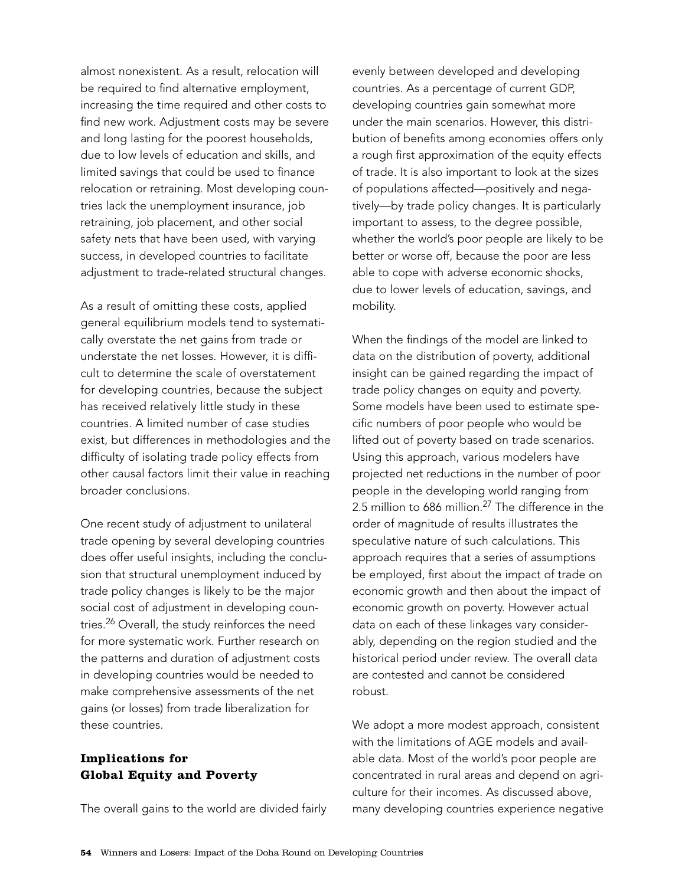electronics, and machinery, there is more significant redistribution of production.

It is interesting to note the different adjustment pattern in the textile and apparel sectors among Japan, the Asian NIEs, and other developed countries in response to the expansion of apparel production in developing countries. In most high-income countries, both textile and apparel industries decline, while in Japan apparel production declines but textile production increases. In the Asian NIEs both sectors increase. This disparity in adjustment reflects continuing trends in Asia to integrate production across the region based on changing comparative advantage. A reduction of trade barriers will accelerate this trend and enable even greater vertical integration between developed and developing Asian countries in manufacturing production. Similar attempts at vertical integration between the United States, Mexico, and Central America appear not to be sufficient to sustain the U.S. textile sector, based on the simulation results.

The structural adjustment induced by Doha liberalization in some developing countries seems opposite to their comparative advantage in the production of labor-intensive products. Plausible explanations have already been discussed. Liberalization in some world manufactures markets increases competition and pushes down world prices. Labor-intensive sectors in some developing countries cannot attract capital under conditions of reduced profitability from lower world prices. This leads labor and capital to remain in (or return to) agricultural activities in those countries. This is reinforced to some extent by the rise in world food prices, driven by the elimination of agricultural export subsidies, domestic support, and border protection in developed countries.

Adjustments in production structures redistribute value added among different sectors within countries and among countries. The gains and losses produce overall small net gains for both developed countries and developing countries as groups, with developing countries gaining slightly more in percentage terms, although from a much lower base. Most individual developing countries and regions gain value added in labor-intensive manufactures and agriculture. Two developing countries suffer very small losses in value added (Bangladesh and Mexico), while East African and Sub-Saharan African countries see no change. The EU 15 and Japan experience small net gains, mainly from capital-intensive manufacturing. The United States experiences no change. Value added increases in agriculture and food processing in high-income OECD countries, such as Australia, Canada, and New Zealand, while they experience declines in value added in their manufacturing sectors.

#### **Adjustment Costs**

Global trade models do not capture the costs incurred as economies adjust to trade reform. Most models assume that all resources are fully employed throughout the adjustment process. The Carnegie model does take account of preexisting and continuing unemployment of unskilled labor, but otherwise it shares the shortcomings of other models in this regard.

In reality, structural adjustment to trade-induced changes does not occur instantaneously or without cost. Some labor or capital will be idled temporarily by changes in trade patterns, which will subtract from overall GDP and have a negative impact on the individuals and households affected. The effects are likely to be relatively greater in developing countries, which typically have less diversified economies and therefore fewer employment alternatives, than in developed countries. For agricultural labor, adjustment costs may be very high because alternative employment in rural areas may be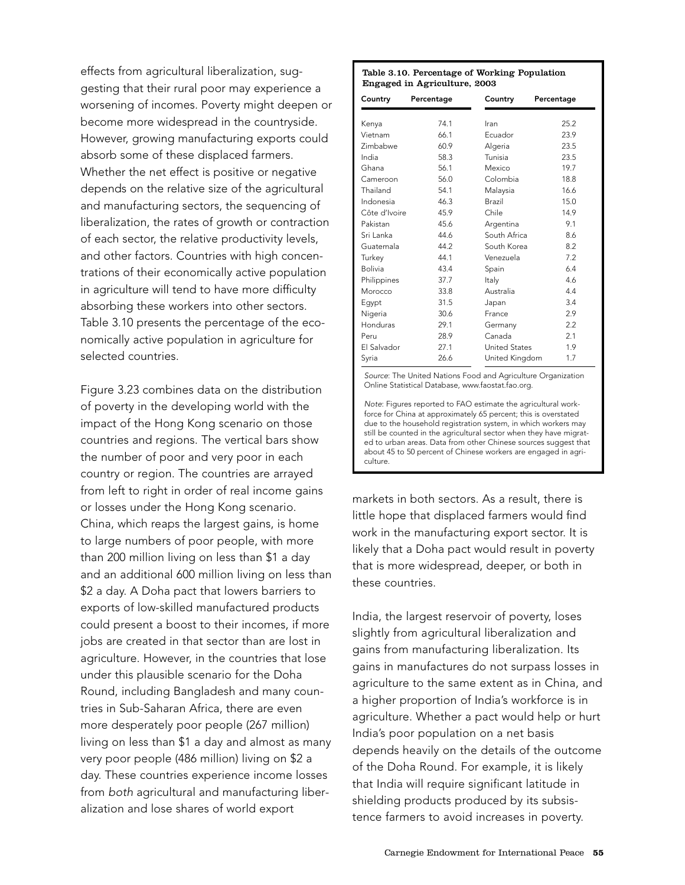almost nonexistent. As a result, relocation will be required to find alternative employment, increasing the time required and other costs to find new work. Adjustment costs may be severe and long lasting for the poorest households, due to low levels of education and skills, and limited savings that could be used to finance relocation or retraining. Most developing countries lack the unemployment insurance, job retraining, job placement, and other social safety nets that have been used, with varying success, in developed countries to facilitate adjustment to trade-related structural changes.

As a result of omitting these costs, applied general equilibrium models tend to systematically overstate the net gains from trade or understate the net losses. However, it is difficult to determine the scale of overstatement for developing countries, because the subject has received relatively little study in these countries. A limited number of case studies exist, but differences in methodologies and the difficulty of isolating trade policy effects from other causal factors limit their value in reaching broader conclusions.

One recent study of adjustment to unilateral trade opening by several developing countries does offer useful insights, including the conclusion that structural unemployment induced by trade policy changes is likely to be the major social cost of adjustment in developing countries.<sup>26</sup> Overall, the study reinforces the need for more systematic work. Further research on the patterns and duration of adjustment costs in developing countries would be needed to make comprehensive assessments of the net gains (or losses) from trade liberalization for these countries.

# **Implications for Global Equity and Poverty**

The overall gains to the world are divided fairly

evenly between developed and developing countries. As a percentage of current GDP, developing countries gain somewhat more under the main scenarios. However, this distribution of benefits among economies offers only a rough first approximation of the equity effects of trade. It is also important to look at the sizes of populations affected—positively and negatively—by trade policy changes. It is particularly important to assess, to the degree possible, whether the world's poor people are likely to be better or worse off, because the poor are less able to cope with adverse economic shocks, due to lower levels of education, savings, and mobility.

When the findings of the model are linked to data on the distribution of poverty, additional insight can be gained regarding the impact of trade policy changes on equity and poverty. Some models have been used to estimate specific numbers of poor people who would be lifted out of poverty based on trade scenarios. Using this approach, various modelers have projected net reductions in the number of poor people in the developing world ranging from 2.5 million to 686 million.27 The difference in the order of magnitude of results illustrates the speculative nature of such calculations. This approach requires that a series of assumptions be employed, first about the impact of trade on economic growth and then about the impact of economic growth on poverty. However actual data on each of these linkages vary considerably, depending on the region studied and the historical period under review. The overall data are contested and cannot be considered robust.

We adopt a more modest approach, consistent with the limitations of AGE models and available data. Most of the world's poor people are concentrated in rural areas and depend on agriculture for their incomes. As discussed above, many developing countries experience negative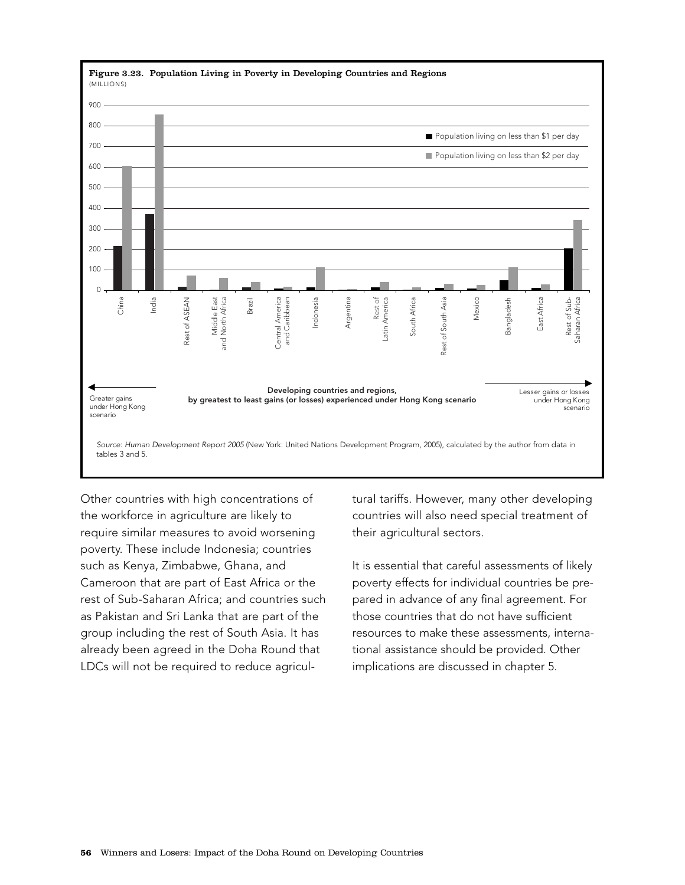effects from agricultural liberalization, suggesting that their rural poor may experience a worsening of incomes. Poverty might deepen or become more widespread in the countryside. However, growing manufacturing exports could absorb some of these displaced farmers. Whether the net effect is positive or negative depends on the relative size of the agricultural and manufacturing sectors, the sequencing of liberalization, the rates of growth or contraction of each sector, the relative productivity levels, and other factors. Countries with high concentrations of their economically active population in agriculture will tend to have more difficulty absorbing these workers into other sectors. Table 3.10 presents the percentage of the economically active population in agriculture for selected countries.

Figure 3.23 combines data on the distribution of poverty in the developing world with the impact of the Hong Kong scenario on those countries and regions. The vertical bars show the number of poor and very poor in each country or region. The countries are arrayed from left to right in order of real income gains or losses under the Hong Kong scenario. China, which reaps the largest gains, is home to large numbers of poor people, with more than 200 million living on less than \$1 a day and an additional 600 million living on less than \$2 a day. A Doha pact that lowers barriers to exports of low-skilled manufactured products could present a boost to their incomes, if more jobs are created in that sector than are lost in agriculture. However, in the countries that lose under this plausible scenario for the Doha Round, including Bangladesh and many countries in Sub-Saharan Africa, there are even more desperately poor people (267 million) living on less than \$1 a day and almost as many very poor people (486 million) living on \$2 a day. These countries experience income losses from *both* agricultural and manufacturing liberalization and lose shares of world export

| Table 3.10. Percentage of Working Population |
|----------------------------------------------|
| Engaged in Agriculture, 2003                 |

| Country        | Percentage | Country              | Percentage |
|----------------|------------|----------------------|------------|
| Kenya          | 74.1       | Iran                 | 25.2       |
| Vietnam        | 66.1       | Ecuador              | 23.9       |
| Zimbabwe       | 60.9       | Algeria              | 23.5       |
| India          | 58.3       | Tunisia              | 23.5       |
| Ghana          | 56.1       | Mexico               | 19.7       |
| Cameroon       | 56.0       | Colombia             | 18.8       |
| Thailand       | 54.1       | Malaysia             | 16.6       |
| Indonesia      | 46.3       | Brazil               | 15.0       |
| Côte d'Ivoire  | 45.9       | Chile                | 14.9       |
| Pakistan       | 45.6       | Argentina            | 9.1        |
| Sri Lanka      | 44.6       | South Africa         | 8.6        |
| Guatemala      | 44.2       | South Korea          | 8.2        |
| Turkey         | 44.1       | Venezuela            | 7.2        |
| <b>Bolivia</b> | 43.4       | Spain                | 6.4        |
| Philippines    | 37.7       | Italy                | 4.6        |
| Morocco        | 33.8       | Australia            | 4.4        |
| Eqypt          | 31.5       | Japan                | 3.4        |
| Nigeria        | 30.6       | France               | 2.9        |
| Honduras       | 29.1       | Germany              | 2.2        |
| Peru           | 28.9       | Canada               | 2.1        |
| El Salvador    | 27.1       | <b>United States</b> | 1.9        |
| Syria          | 26.6       | United Kingdom       | 1.7        |

*Source*: The United Nations Food and Agriculture Organization Online Statistical Database, www.faostat.fao.org.

*Note*: Figures reported to FAO estimate the agricultural workforce for China at approximately 65 percent; this is overstated due to the household registration system, in which workers may still be counted in the agricultural sector when they have migrated to urban areas. Data from other Chinese sources suggest that about 45 to 50 percent of Chinese workers are engaged in agriculture.

markets in both sectors. As a result, there is little hope that displaced farmers would find work in the manufacturing export sector. It is likely that a Doha pact would result in poverty that is more widespread, deeper, or both in these countries.

India, the largest reservoir of poverty, loses slightly from agricultural liberalization and gains from manufacturing liberalization. Its gains in manufactures do not surpass losses in agriculture to the same extent as in China, and a higher proportion of India's workforce is in agriculture. Whether a pact would help or hurt India's poor population on a net basis depends heavily on the details of the outcome of the Doha Round. For example, it is likely that India will require significant latitude in shielding products produced by its subsistence farmers to avoid increases in poverty.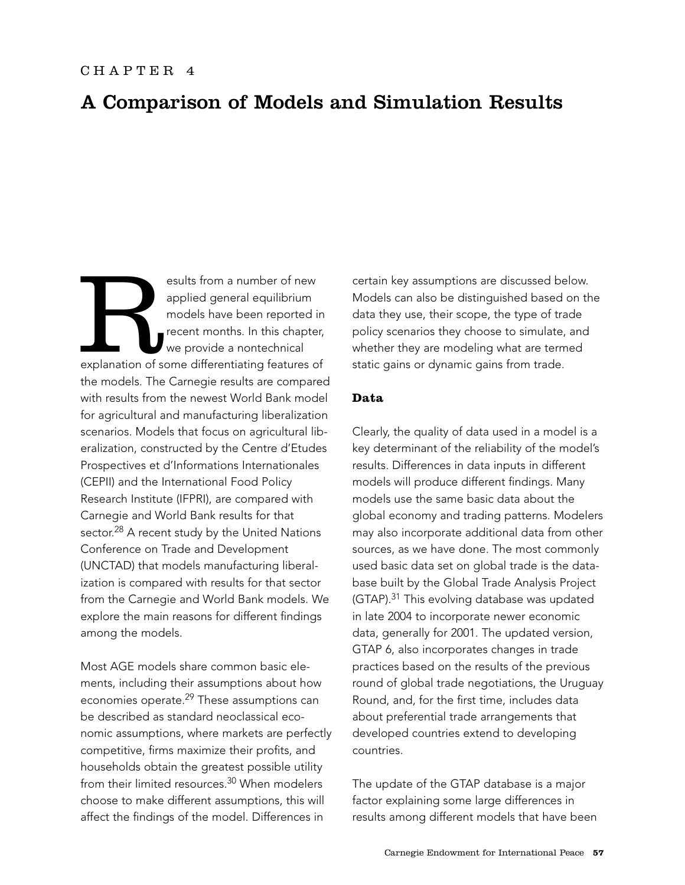

Other countries with high concentrations of the workforce in agriculture are likely to require similar measures to avoid worsening poverty. These include Indonesia; countries such as Kenya, Zimbabwe, Ghana, and Cameroon that are part of East Africa or the rest of Sub-Saharan Africa; and countries such as Pakistan and Sri Lanka that are part of the group including the rest of South Asia. It has already been agreed in the Doha Round that LDCs will not be required to reduce agricultural tariffs. However, many other developing countries will also need special treatment of their agricultural sectors.

It is essential that careful assessments of likely poverty effects for individual countries be prepared in advance of any final agreement. For those countries that do not have sufficient resources to make these assessments, international assistance should be provided. Other implications are discussed in chapter 5.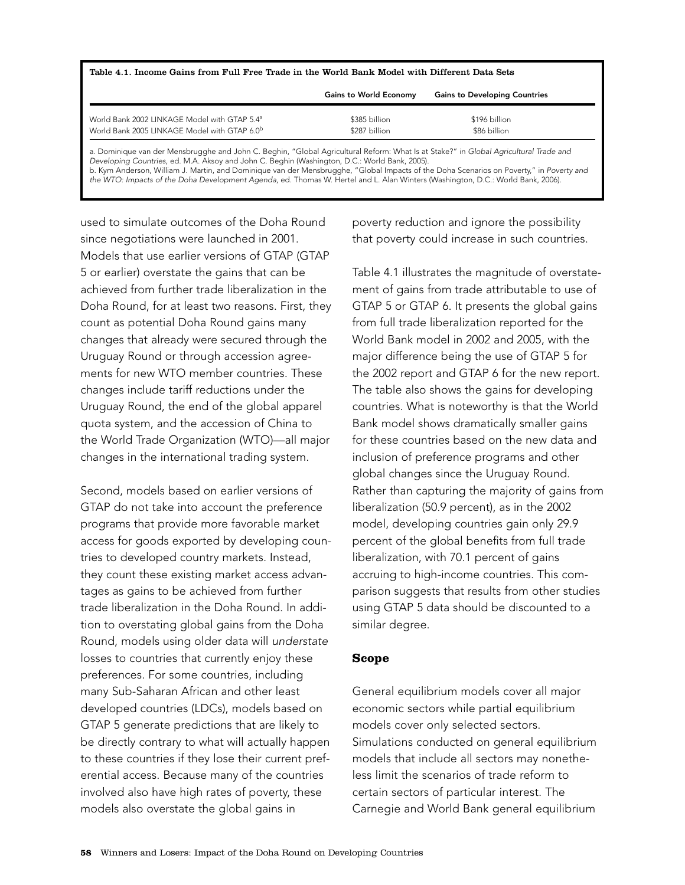## CHAPTER 4

# A Comparison of Models and Simulation Results

esults from a number of new<br>
applied general equilibrium<br>
models have been reported in<br>
recent months. In this chapter,<br>
we provide a nontechnical<br>
explanation of some differentiating features of applied general equilibrium models have been reported in recent months. In this chapter, we provide a nontechnical the models. The Carnegie results are compared with results from the newest World Bank model for agricultural and manufacturing liberalization scenarios. Models that focus on agricultural liberalization, constructed by the Centre d'Etudes Prospectives et d'Informations Internationales (CEPII) and the International Food Policy Research Institute (IFPRI), are compared with Carnegie and World Bank results for that sector.<sup>28</sup> A recent study by the United Nations Conference on Trade and Development (UNCTAD) that models manufacturing liberalization is compared with results for that sector from the Carnegie and World Bank models. We explore the main reasons for different findings among the models.

Most AGE models share common basic elements, including their assumptions about how economies operate.<sup>29</sup> These assumptions can be described as standard neoclassical economic assumptions, where markets are perfectly competitive, firms maximize their profits, and households obtain the greatest possible utility from their limited resources.30 When modelers choose to make different assumptions, this will affect the findings of the model. Differences in

certain key assumptions are discussed below. Models can also be distinguished based on the data they use, their scope, the type of trade policy scenarios they choose to simulate, and whether they are modeling what are termed static gains or dynamic gains from trade.

# **Data**

Clearly, the quality of data used in a model is a key determinant of the reliability of the model's results. Differences in data inputs in different models will produce different findings. Many models use the same basic data about the global economy and trading patterns. Modelers may also incorporate additional data from other sources, as we have done. The most commonly used basic data set on global trade is the database built by the Global Trade Analysis Project (GTAP).31 This evolving database was updated in late 2004 to incorporate newer economic data, generally for 2001. The updated version, GTAP 6, also incorporates changes in trade practices based on the results of the previous round of global trade negotiations, the Uruguay Round, and, for the first time, includes data about preferential trade arrangements that developed countries extend to developing countries.

The update of the GTAP database is a major factor explaining some large differences in results among different models that have been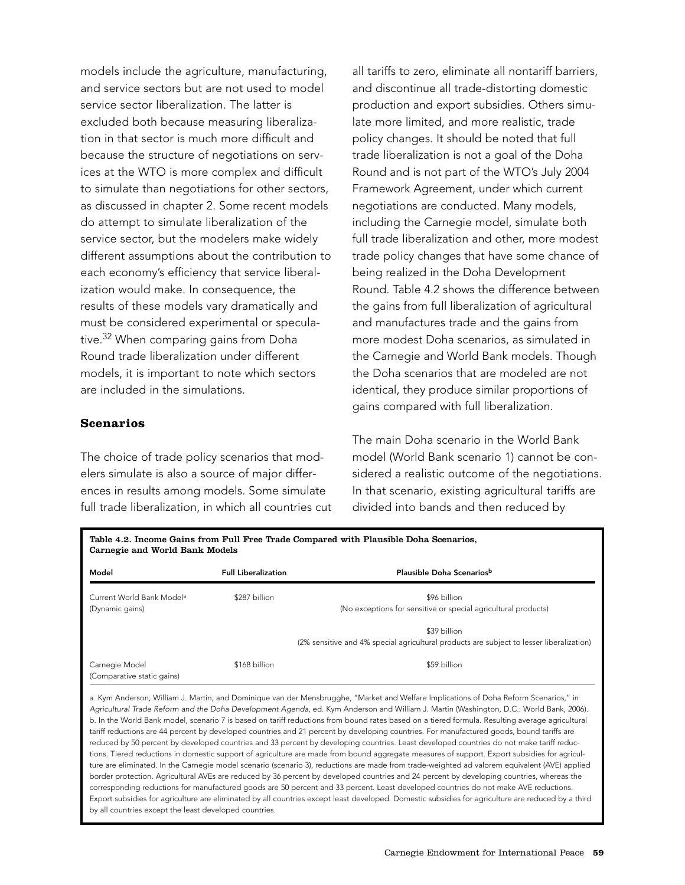#### Table 4.1. Income Gains from Full Free Trade in the World Bank Model with Different Data Sets

|                                                          | <b>Gains to World Economy</b> | <b>Gains to Developing Countries</b> |
|----------------------------------------------------------|-------------------------------|--------------------------------------|
| World Bank 2002 LINKAGE Model with GTAP 5.4ª             | \$385 billion                 | \$196 billion                        |
| World Bank 2005 LINKAGE Model with GTAP 6.0 <sup>b</sup> | \$287 billion                 | \$86 billion                         |

*the WTO: Impacts of the Doha Development Agenda*, ed. Thomas W. Hertel and L. Alan Winters (Washington, D.C.: World Bank, 2006).

used to simulate outcomes of the Doha Round since negotiations were launched in 2001. Models that use earlier versions of GTAP (GTAP 5 or earlier) overstate the gains that can be achieved from further trade liberalization in the Doha Round, for at least two reasons. First, they count as potential Doha Round gains many changes that already were secured through the Uruguay Round or through accession agreements for new WTO member countries. These changes include tariff reductions under the Uruguay Round, the end of the global apparel quota system, and the accession of China to the World Trade Organization (WTO)—all major changes in the international trading system.

Second, models based on earlier versions of GTAP do not take into account the preference programs that provide more favorable market access for goods exported by developing countries to developed country markets. Instead, they count these existing market access advantages as gains to be achieved from further trade liberalization in the Doha Round. In addition to overstating global gains from the Doha Round, models using older data will *understate* losses to countries that currently enjoy these preferences. For some countries, including many Sub-Saharan African and other least developed countries (LDCs), models based on GTAP 5 generate predictions that are likely to be directly contrary to what will actually happen to these countries if they lose their current preferential access. Because many of the countries involved also have high rates of poverty, these models also overstate the global gains in

poverty reduction and ignore the possibility that poverty could increase in such countries.

Table 4.1 illustrates the magnitude of overstatement of gains from trade attributable to use of GTAP 5 or GTAP 6. It presents the global gains from full trade liberalization reported for the World Bank model in 2002 and 2005, with the major difference being the use of GTAP 5 for the 2002 report and GTAP 6 for the new report. The table also shows the gains for developing countries. What is noteworthy is that the World Bank model shows dramatically smaller gains for these countries based on the new data and inclusion of preference programs and other global changes since the Uruguay Round. Rather than capturing the majority of gains from liberalization (50.9 percent), as in the 2002 model, developing countries gain only 29.9 percent of the global benefits from full trade liberalization, with 70.1 percent of gains accruing to high-income countries. This comparison suggests that results from other studies using GTAP 5 data should be discounted to a similar degree.

#### **Scope**

General equilibrium models cover all major economic sectors while partial equilibrium models cover only selected sectors. Simulations conducted on general equilibrium models that include all sectors may nonetheless limit the scenarios of trade reform to certain sectors of particular interest. The Carnegie and World Bank general equilibrium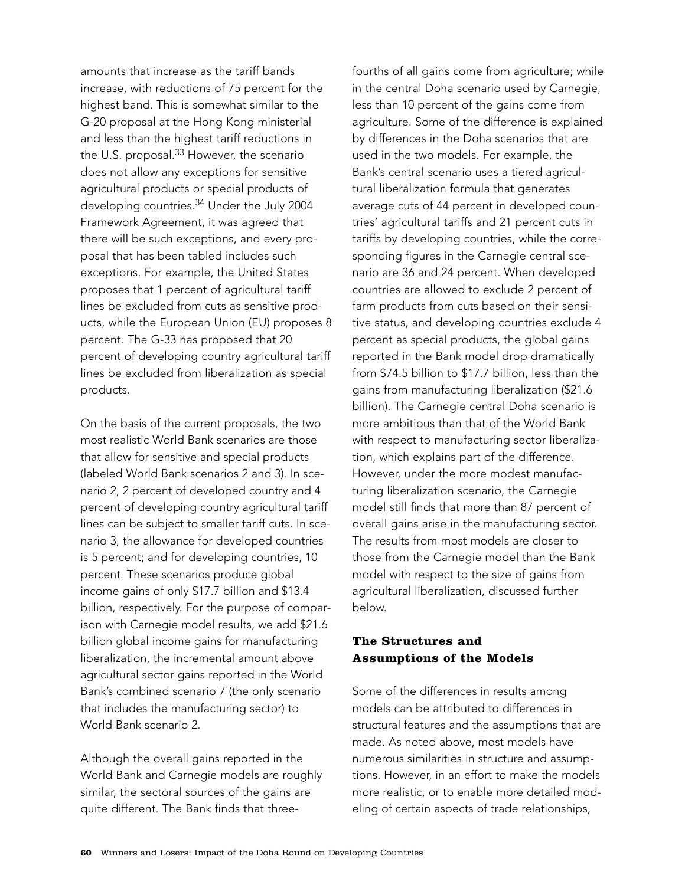models include the agriculture, manufacturing, and service sectors but are not used to model service sector liberalization. The latter is excluded both because measuring liberalization in that sector is much more difficult and because the structure of negotiations on services at the WTO is more complex and difficult to simulate than negotiations for other sectors, as discussed in chapter 2. Some recent models do attempt to simulate liberalization of the service sector, but the modelers make widely different assumptions about the contribution to each economy's efficiency that service liberalization would make. In consequence, the results of these models vary dramatically and must be considered experimental or speculative.<sup>32</sup> When comparing gains from Doha Round trade liberalization under different models, it is important to note which sectors are included in the simulations.

# **Scenarios**

The choice of trade policy scenarios that modelers simulate is also a source of major differences in results among models. Some simulate full trade liberalization, in which all countries cut all tariffs to zero, eliminate all nontariff barriers, and discontinue all trade-distorting domestic production and export subsidies. Others simulate more limited, and more realistic, trade policy changes. It should be noted that full trade liberalization is not a goal of the Doha Round and is not part of the WTO's July 2004 Framework Agreement, under which current negotiations are conducted. Many models, including the Carnegie model, simulate both full trade liberalization and other, more modest trade policy changes that have some chance of being realized in the Doha Development Round. Table 4.2 shows the difference between the gains from full liberalization of agricultural and manufactures trade and the gains from more modest Doha scenarios, as simulated in the Carnegie and World Bank models. Though the Doha scenarios that are modeled are not identical, they produce similar proportions of gains compared with full liberalization.

The main Doha scenario in the World Bank model (World Bank scenario 1) cannot be considered a realistic outcome of the negotiations. In that scenario, existing agricultural tariffs are divided into bands and then reduced by

| Model                                 | <b>Full Liberalization</b> | Plausible Doha Scenarios <sup>b</sup>                                                    |
|---------------------------------------|----------------------------|------------------------------------------------------------------------------------------|
| Current World Bank Model <sup>a</sup> | \$287 billion              | \$96 billion                                                                             |
| (Dynamic gains)                       |                            | (No exceptions for sensitive or special agricultural products)                           |
|                                       |                            | \$39 billion                                                                             |
|                                       |                            | (2% sensitive and 4% special agricultural products are subject to lesser liberalization) |
| Carnegie Model                        | \$168 billion              | \$59 billion                                                                             |
| (Comparative static gains)            |                            |                                                                                          |

*Agricultural Trade Reform and the Doha Development Agenda*, ed. Kym Anderson and William J. Martin (Washington, D.C.: World Bank, 2006). b. In the World Bank model, scenario 7 is based on tariff reductions from bound rates based on a tiered formula. Resulting average agricultural tariff reductions are 44 percent by developed countries and 21 percent by developing countries. For manufactured goods, bound tariffs are reduced by 50 percent by developed countries and 33 percent by developing countries. Least developed countries do not make tariff reductions. Tiered reductions in domestic support of agriculture are made from bound aggregate measures of support. Export subsidies for agriculture are eliminated. In the Carnegie model scenario (scenario 3), reductions are made from trade-weighted ad valorem equivalent (AVE) applied border protection. Agricultural AVEs are reduced by 36 percent by developed countries and 24 percent by developing countries, whereas the corresponding reductions for manufactured goods are 50 percent and 33 percent. Least developed countries do not make AVE reductions. Export subsidies for agriculture are eliminated by all countries except least developed. Domestic subsidies for agriculture are reduced by a third by all countries except the least developed countries.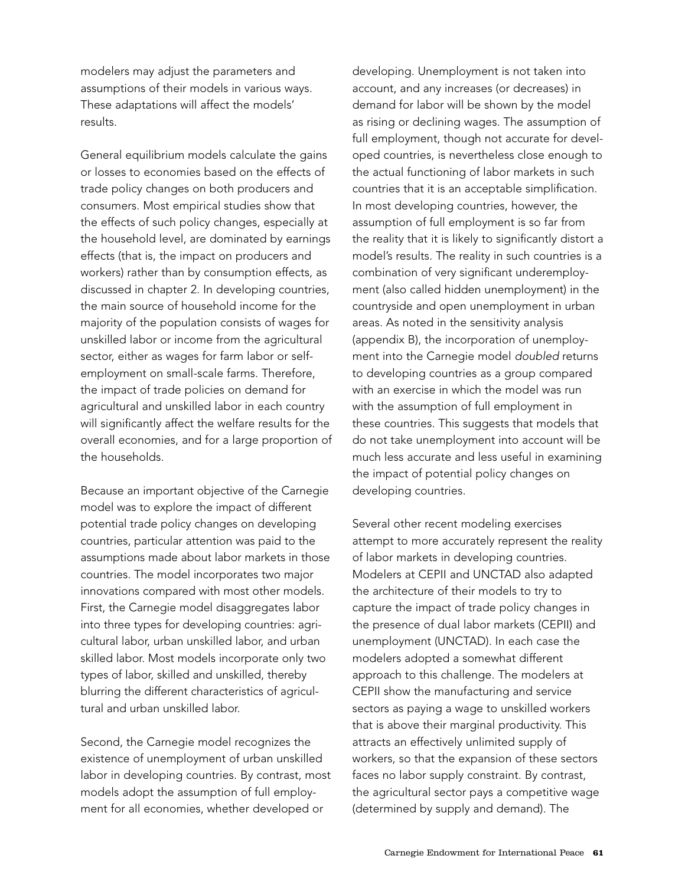amounts that increase as the tariff bands increase, with reductions of 75 percent for the highest band. This is somewhat similar to the G-20 proposal at the Hong Kong ministerial and less than the highest tariff reductions in the U.S. proposal.<sup>33</sup> However, the scenario does not allow any exceptions for sensitive agricultural products or special products of developing countries.<sup>34</sup> Under the July 2004 Framework Agreement, it was agreed that there will be such exceptions, and every proposal that has been tabled includes such exceptions. For example, the United States proposes that 1 percent of agricultural tariff lines be excluded from cuts as sensitive products, while the European Union (EU) proposes 8 percent. The G-33 has proposed that 20 percent of developing country agricultural tariff lines be excluded from liberalization as special products.

On the basis of the current proposals, the two most realistic World Bank scenarios are those that allow for sensitive and special products (labeled World Bank scenarios 2 and 3). In scenario 2, 2 percent of developed country and 4 percent of developing country agricultural tariff lines can be subject to smaller tariff cuts. In scenario 3, the allowance for developed countries is 5 percent; and for developing countries, 10 percent. These scenarios produce global income gains of only \$17.7 billion and \$13.4 billion, respectively. For the purpose of comparison with Carnegie model results, we add \$21.6 billion global income gains for manufacturing liberalization, the incremental amount above agricultural sector gains reported in the World Bank's combined scenario 7 (the only scenario that includes the manufacturing sector) to World Bank scenario 2.

Although the overall gains reported in the World Bank and Carnegie models are roughly similar, the sectoral sources of the gains are quite different. The Bank finds that threefourths of all gains come from agriculture; while in the central Doha scenario used by Carnegie, less than 10 percent of the gains come from agriculture. Some of the difference is explained by differences in the Doha scenarios that are used in the two models. For example, the Bank's central scenario uses a tiered agricultural liberalization formula that generates average cuts of 44 percent in developed countries' agricultural tariffs and 21 percent cuts in tariffs by developing countries, while the corresponding figures in the Carnegie central scenario are 36 and 24 percent. When developed countries are allowed to exclude 2 percent of farm products from cuts based on their sensitive status, and developing countries exclude 4 percent as special products, the global gains reported in the Bank model drop dramatically from \$74.5 billion to \$17.7 billion, less than the gains from manufacturing liberalization (\$21.6 billion). The Carnegie central Doha scenario is more ambitious than that of the World Bank with respect to manufacturing sector liberalization, which explains part of the difference. However, under the more modest manufacturing liberalization scenario, the Carnegie model still finds that more than 87 percent of overall gains arise in the manufacturing sector. The results from most models are closer to those from the Carnegie model than the Bank model with respect to the size of gains from agricultural liberalization, discussed further below.

## **The Structures and Assumptions of the Models**

Some of the differences in results among models can be attributed to differences in structural features and the assumptions that are made. As noted above, most models have numerous similarities in structure and assumptions. However, in an effort to make the models more realistic, or to enable more detailed modeling of certain aspects of trade relationships,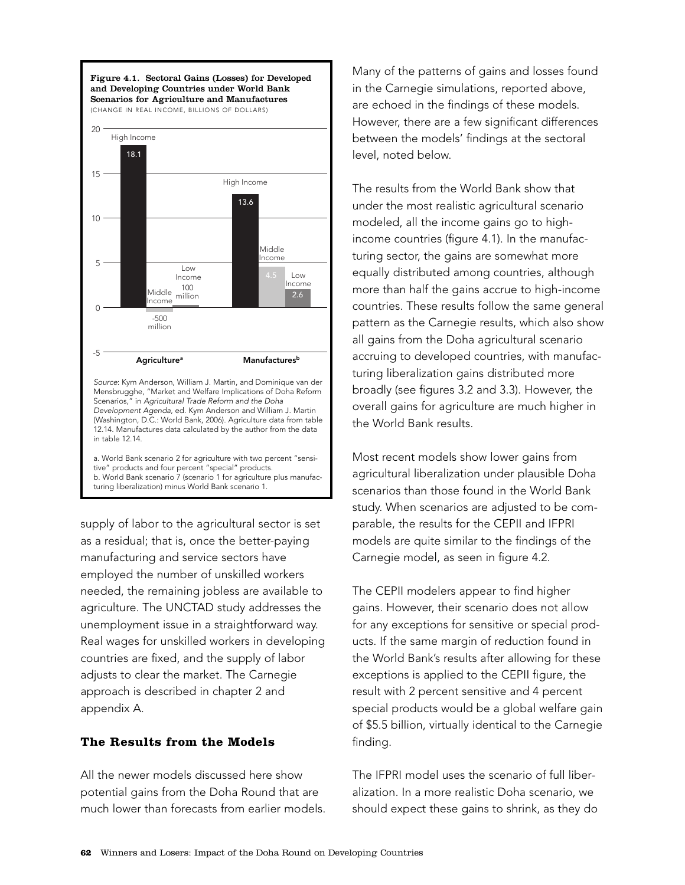modelers may adjust the parameters and assumptions of their models in various ways. These adaptations will affect the models' results.

General equilibrium models calculate the gains or losses to economies based on the effects of trade policy changes on both producers and consumers. Most empirical studies show that the effects of such policy changes, especially at the household level, are dominated by earnings effects (that is, the impact on producers and workers) rather than by consumption effects, as discussed in chapter 2. In developing countries, the main source of household income for the majority of the population consists of wages for unskilled labor or income from the agricultural sector, either as wages for farm labor or selfemployment on small-scale farms. Therefore, the impact of trade policies on demand for agricultural and unskilled labor in each country will significantly affect the welfare results for the overall economies, and for a large proportion of the households.

Because an important objective of the Carnegie model was to explore the impact of different potential trade policy changes on developing countries, particular attention was paid to the assumptions made about labor markets in those countries. The model incorporates two major innovations compared with most other models. First, the Carnegie model disaggregates labor into three types for developing countries: agricultural labor, urban unskilled labor, and urban skilled labor. Most models incorporate only two types of labor, skilled and unskilled, thereby blurring the different characteristics of agricultural and urban unskilled labor.

Second, the Carnegie model recognizes the existence of unemployment of urban unskilled labor in developing countries. By contrast, most models adopt the assumption of full employment for all economies, whether developed or

developing. Unemployment is not taken into account, and any increases (or decreases) in demand for labor will be shown by the model as rising or declining wages. The assumption of full employment, though not accurate for developed countries, is nevertheless close enough to the actual functioning of labor markets in such countries that it is an acceptable simplification. In most developing countries, however, the assumption of full employment is so far from the reality that it is likely to significantly distort a model's results. The reality in such countries is a combination of very significant underemployment (also called hidden unemployment) in the countryside and open unemployment in urban areas. As noted in the sensitivity analysis (appendix B), the incorporation of unemployment into the Carnegie model *doubled* returns to developing countries as a group compared with an exercise in which the model was run with the assumption of full employment in these countries. This suggests that models that do not take unemployment into account will be much less accurate and less useful in examining the impact of potential policy changes on developing countries.

Several other recent modeling exercises attempt to more accurately represent the reality of labor markets in developing countries. Modelers at CEPII and UNCTAD also adapted the architecture of their models to try to capture the impact of trade policy changes in the presence of dual labor markets (CEPII) and unemployment (UNCTAD). In each case the modelers adopted a somewhat different approach to this challenge. The modelers at CEPII show the manufacturing and service sectors as paying a wage to unskilled workers that is above their marginal productivity. This attracts an effectively unlimited supply of workers, so that the expansion of these sectors faces no labor supply constraint. By contrast, the agricultural sector pays a competitive wage (determined by supply and demand). The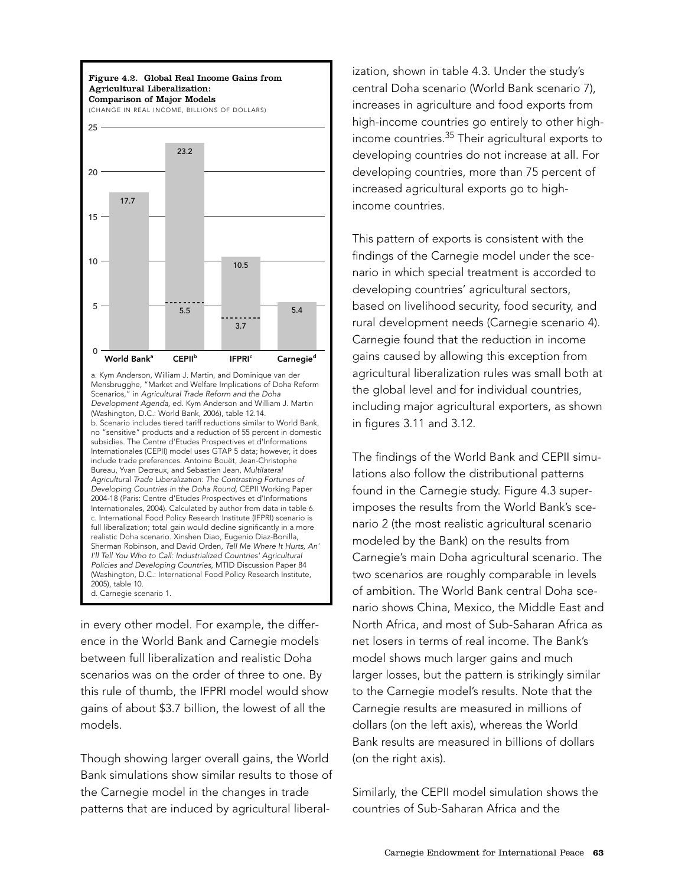

supply of labor to the agricultural sector is set as a residual; that is, once the better-paying manufacturing and service sectors have employed the number of unskilled workers needed, the remaining jobless are available to agriculture. The UNCTAD study addresses the unemployment issue in a straightforward way. Real wages for unskilled workers in developing countries are fixed, and the supply of labor adjusts to clear the market. The Carnegie approach is described in chapter 2 and appendix A.

#### **The Results from the Models**

All the newer models discussed here show potential gains from the Doha Round that are much lower than forecasts from earlier models. Many of the patterns of gains and losses found in the Carnegie simulations, reported above, are echoed in the findings of these models. However, there are a few significant differences between the models' findings at the sectoral level, noted below.

The results from the World Bank show that under the most realistic agricultural scenario modeled, all the income gains go to highincome countries (figure 4.1). In the manufacturing sector, the gains are somewhat more equally distributed among countries, although more than half the gains accrue to high-income countries. These results follow the same general pattern as the Carnegie results, which also show all gains from the Doha agricultural scenario accruing to developed countries, with manufacturing liberalization gains distributed more broadly (see figures 3.2 and 3.3). However, the overall gains for agriculture are much higher in the World Bank results.

Most recent models show lower gains from agricultural liberalization under plausible Doha scenarios than those found in the World Bank study. When scenarios are adjusted to be comparable, the results for the CEPII and IFPRI models are quite similar to the findings of the Carnegie model, as seen in figure 4.2.

The CEPII modelers appear to find higher gains. However, their scenario does not allow for any exceptions for sensitive or special products. If the same margin of reduction found in the World Bank's results after allowing for these exceptions is applied to the CEPII figure, the result with 2 percent sensitive and 4 percent special products would be a global welfare gain of \$5.5 billion, virtually identical to the Carnegie finding.

The IFPRI model uses the scenario of full liberalization. In a more realistic Doha scenario, we should expect these gains to shrink, as they do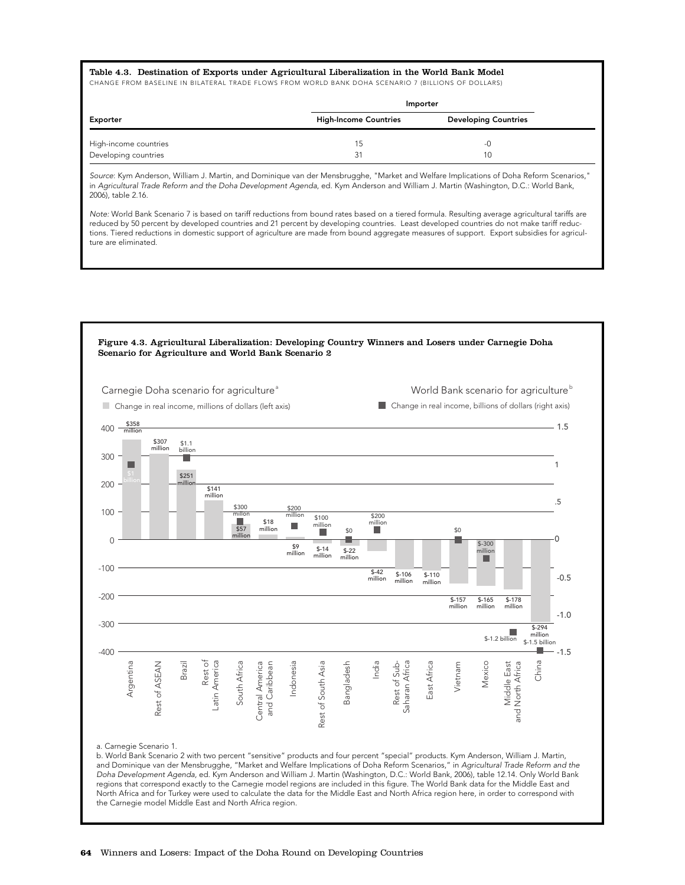

in every other model. For example, the difference in the World Bank and Carnegie models between full liberalization and realistic Doha scenarios was on the order of three to one. By this rule of thumb, the IFPRI model would show gains of about \$3.7 billion, the lowest of all the models.

Though showing larger overall gains, the World Bank simulations show similar results to those of the Carnegie model in the changes in trade patterns that are induced by agricultural liberalization, shown in table 4.3. Under the study's central Doha scenario (World Bank scenario 7), increases in agriculture and food exports from high-income countries go entirely to other highincome countries.35 Their agricultural exports to developing countries do not increase at all. For developing countries, more than 75 percent of increased agricultural exports go to highincome countries.

This pattern of exports is consistent with the findings of the Carnegie model under the scenario in which special treatment is accorded to developing countries' agricultural sectors, based on livelihood security, food security, and rural development needs (Carnegie scenario 4). Carnegie found that the reduction in income gains caused by allowing this exception from agricultural liberalization rules was small both at the global level and for individual countries, including major agricultural exporters, as shown in figures 3.11 and 3.12.

The findings of the World Bank and CEPII simulations also follow the distributional patterns found in the Carnegie study. Figure 4.3 superimposes the results from the World Bank's scenario 2 (the most realistic agricultural scenario modeled by the Bank) on the results from Carnegie's main Doha agricultural scenario. The two scenarios are roughly comparable in levels of ambition. The World Bank central Doha scenario shows China, Mexico, the Middle East and North Africa, and most of Sub-Saharan Africa as net losers in terms of real income. The Bank's model shows much larger gains and much larger losses, but the pattern is strikingly similar to the Carnegie model's results. Note that the Carnegie results are measured in millions of dollars (on the left axis), whereas the World Bank results are measured in billions of dollars (on the right axis).

Similarly, the CEPII model simulation shows the countries of Sub-Saharan Africa and the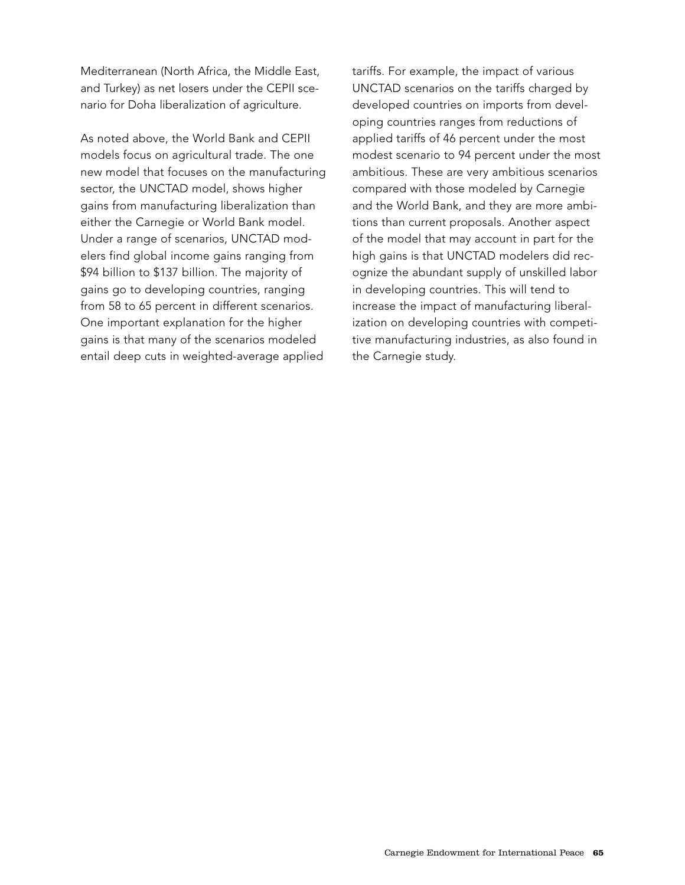#### Table 4.3. Destination of Exports under Agricultural Liberalization in the World Bank Model

CHANGE FROM BASELINE IN BILATERAL TRADE FLOWS FROM WORLD BANK DOHA SCENARIO 7 (BILLIONS OF DOLLARS)

|                       | Importer                     |                             |  |  |  |  |  |
|-----------------------|------------------------------|-----------------------------|--|--|--|--|--|
| <b>Exporter</b>       | <b>High-Income Countries</b> | <b>Developing Countries</b> |  |  |  |  |  |
| High-income countries | 15                           | -0                          |  |  |  |  |  |
| Developing countries  | 31                           | 10                          |  |  |  |  |  |

*Source*: Kym Anderson, William J. Martin, and Dominique van der Mensbrugghe, "Market and Welfare Implications of Doha Reform Scenarios," in *Agricultural Trade Reform and the Doha Development Agenda*, ed. Kym Anderson and William J. Martin (Washington, D.C.: World Bank, 2006), table 2.16.

*Note:* World Bank Scenario 7 is based on tariff reductions from bound rates based on a tiered formula. Resulting average agricultural tariffs are reduced by 50 percent by developed countries and 21 percent by developing countries. Least developed countries do not make tariff reductions. Tiered reductions in domestic support of agriculture are made from bound aggregate measures of support. Export subsidies for agriculture are eliminated.

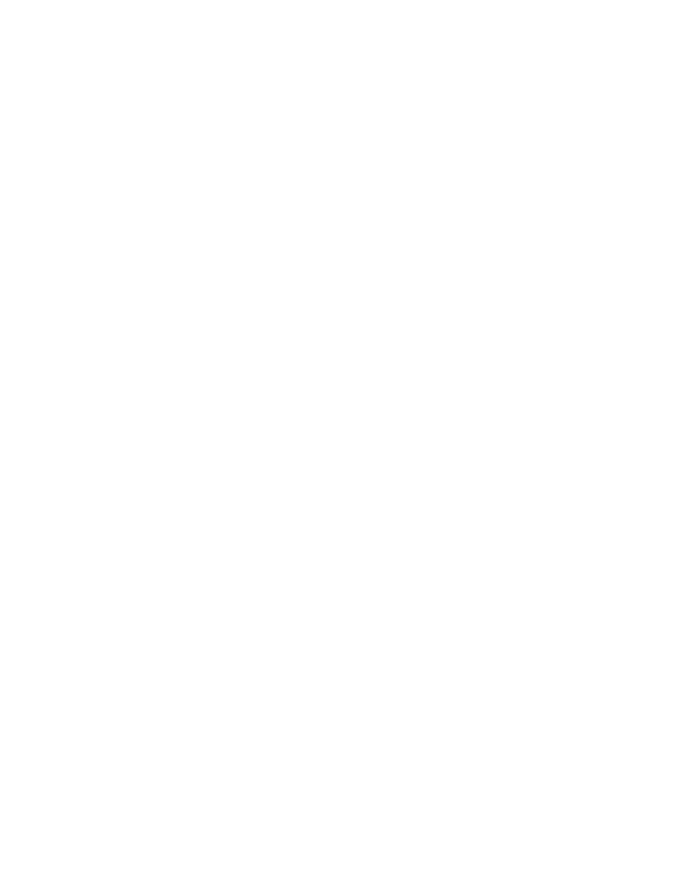Mediterranean (North Africa, the Middle East, and Turkey) as net losers under the CEPII scenario for Doha liberalization of agriculture.

As noted above, the World Bank and CEPII models focus on agricultural trade. The one new model that focuses on the manufacturing sector, the UNCTAD model, shows higher gains from manufacturing liberalization than either the Carnegie or World Bank model. Under a range of scenarios, UNCTAD modelers find global income gains ranging from \$94 billion to \$137 billion. The majority of gains go to developing countries, ranging from 58 to 65 percent in different scenarios. One important explanation for the higher gains is that many of the scenarios modeled entail deep cuts in weighted-average applied

tariffs. For example, the impact of various UNCTAD scenarios on the tariffs charged by developed countries on imports from developing countries ranges from reductions of applied tariffs of 46 percent under the most modest scenario to 94 percent under the most ambitious. These are very ambitious scenarios compared with those modeled by Carnegie and the World Bank, and they are more ambitions than current proposals. Another aspect of the model that may account in part for the high gains is that UNCTAD modelers did recognize the abundant supply of unskilled labor in developing countries. This will tend to increase the impact of manufacturing liberalization on developing countries with competitive manufacturing industries, as also found in the Carnegie study.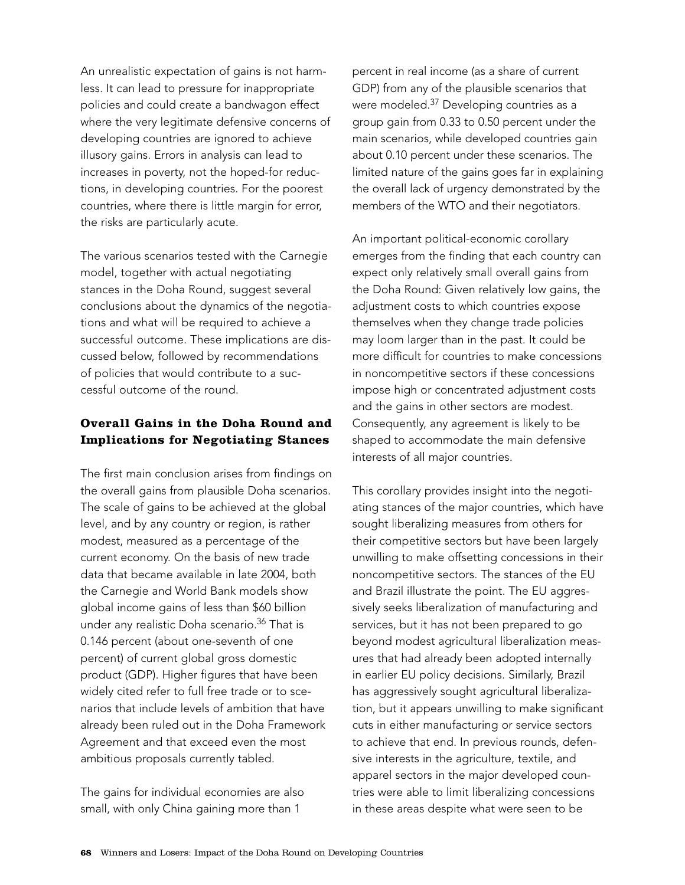#### CHAPTER 5

# Policy Implications and Recommendations

The main findings of the Carnegie<br>
model shed light on the chal-<br>
lenges faced by World Trade<br>
Organization (WTO) members in<br>
concluding the Doha Round of<br>
multilateral trade negotiations. The negotiating model shed light on the challenges faced by World Trade Organization (WTO) members in concluding the Doha Round of rules of the WTO generally require that agreements be reached by consensus. Thus, negotiators must find a balance of terms that offer potential gains to all countries and regions, while fulfilling the commitment made at the launch of negotiations to conclude a "development round" that provides a better balance between the interests of rich and poor countries.

In the Uruguay and previous rounds of multilateral trade negotiations, the search for a consensus package was driven by the interests of the largest developed countries and blocs. The limits of that approach became apparent at the WTO ministerial meeting in Cancún in 2003, when the outline of an agricultural agreement, worked out in advance between the United States and European Union, was rejected by various groups of developing countries, leading to a breakdown of the negotiations. The coalitions formed at that time by developing countries have persisted and deepened. It is now clear that no new consensus—and thus no agreement—can be achieved without meeting their needs.

Finding the combination of measures that can achieve a balanced and mutually beneficial result from the Doha Round requires realistic estimates of the benefits to be achieved through different combinations of market access commitments and other liberalization measures, as well as reliable estimates of how those benefits are distributed among countries across the global economy. General equilibrium modeling is well suited for this purpose, and the Carnegie model has particular value because of its realism in modeling developing countries, the new majority in world trade negotiations, and its focus on issues and scenarios of interest to them.

The Carnegie model and a close analysis of most other recent models makes clear that trade is not a panacea for poverty alleviation or for development more generally. It is important not to overstate the possible gains from the Doha Round, as has been done by many political leaders, commentators, and activists. For example, it has been fashionable to state that trade can do more than development aid to lift people out of poverty in developing countries. Though this may be theoretically true, it is clear that trade has a modest contribution to make and is only one policy mechanism among many that must be pursued to achieve economic growth and rising incomes.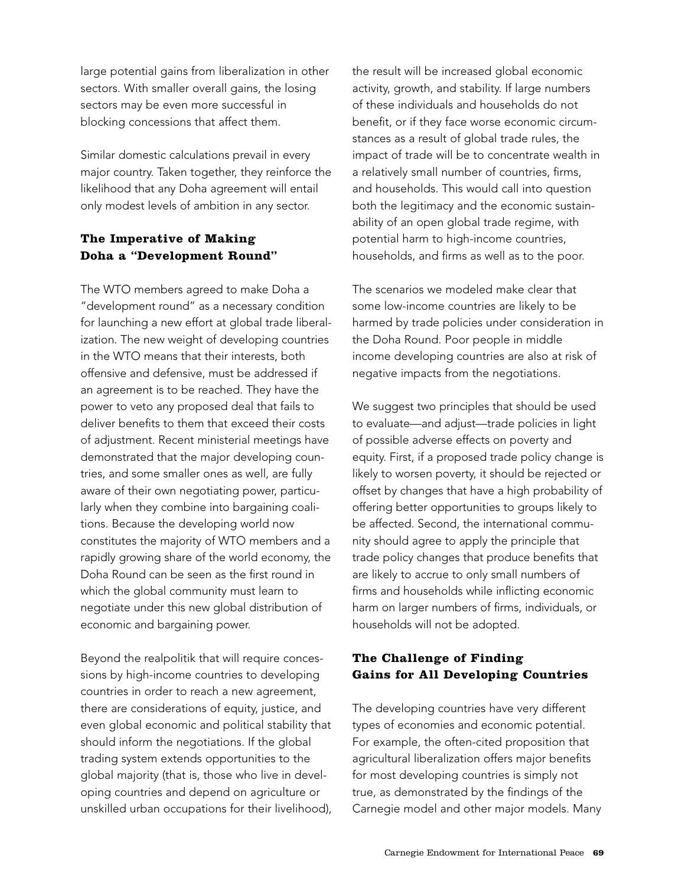An unrealistic expectation of gains is not harmless. It can lead to pressure for inappropriate policies and could create a bandwagon effect where the very legitimate defensive concerns of developing countries are ignored to achieve illusory gains. Errors in analysis can lead to increases in poverty, not the hoped-for reductions, in developing countries. For the poorest countries, where there is little margin for error, the risks are particularly acute.

The various scenarios tested with the Carnegie model, together with actual negotiating stances in the Doha Round, suggest several conclusions about the dynamics of the negotiations and what will be required to achieve a successful outcome. These implications are discussed below, followed by recommendations of policies that would contribute to a successful outcome of the round.

## **Overall Gains in the Doha Round and Implications for Negotiating Stances**

The first main conclusion arises from findings on the overall gains from plausible Doha scenarios. The scale of gains to be achieved at the global level, and by any country or region, is rather modest, measured as a percentage of the current economy. On the basis of new trade data that became available in late 2004, both the Carnegie and World Bank models show global income gains of less than \$60 billion under any realistic Doha scenario.<sup>36</sup> That is 0.146 percent (about one-seventh of one percent) of current global gross domestic product (GDP). Higher figures that have been widely cited refer to full free trade or to scenarios that include levels of ambition that have already been ruled out in the Doha Framework Agreement and that exceed even the most ambitious proposals currently tabled.

The gains for individual economies are also small, with only China gaining more than 1

percent in real income (as a share of current GDP) from any of the plausible scenarios that were modeled.37 Developing countries as a group gain from 0.33 to 0.50 percent under the main scenarios, while developed countries gain about 0.10 percent under these scenarios. The limited nature of the gains goes far in explaining the overall lack of urgency demonstrated by the members of the WTO and their negotiators.

An important political-economic corollary emerges from the finding that each country can expect only relatively small overall gains from the Doha Round: Given relatively low gains, the adjustment costs to which countries expose themselves when they change trade policies may loom larger than in the past. It could be more difficult for countries to make concessions in noncompetitive sectors if these concessions impose high or concentrated adjustment costs and the gains in other sectors are modest. Consequently, any agreement is likely to be shaped to accommodate the main defensive interests of all major countries.

This corollary provides insight into the negotiating stances of the major countries, which have sought liberalizing measures from others for their competitive sectors but have been largely unwilling to make offsetting concessions in their noncompetitive sectors. The stances of the EU and Brazil illustrate the point. The EU aggressively seeks liberalization of manufacturing and services, but it has not been prepared to go beyond modest agricultural liberalization measures that had already been adopted internally in earlier EU policy decisions. Similarly, Brazil has aggressively sought agricultural liberalization, but it appears unwilling to make significant cuts in either manufacturing or service sectors to achieve that end. In previous rounds, defensive interests in the agriculture, textile, and apparel sectors in the major developed countries were able to limit liberalizing concessions in these areas despite what were seen to be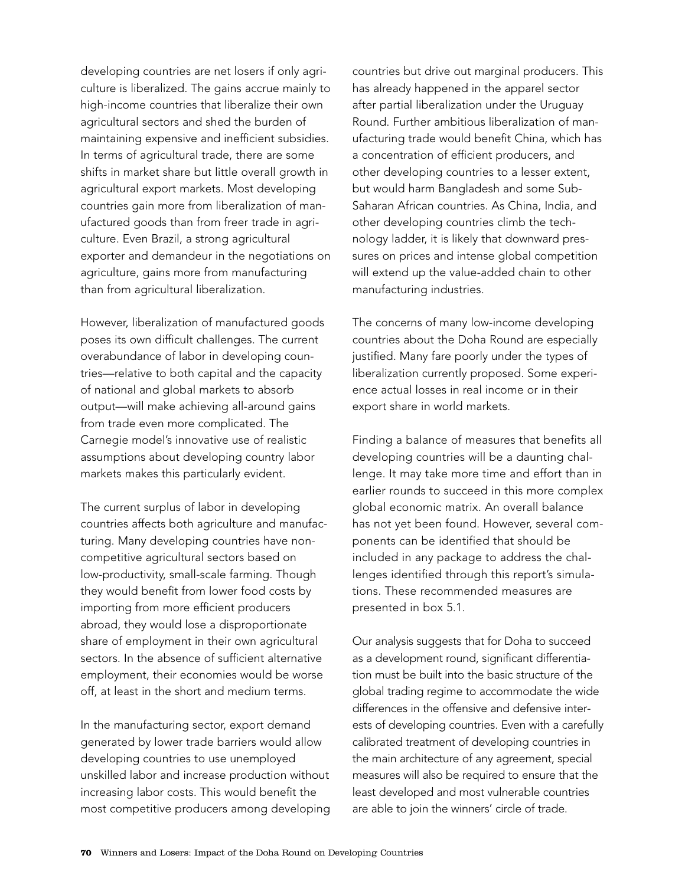large potential gains from liberalization in other sectors. With smaller overall gains, the losing sectors may be even more successful in blocking concessions that affect them.

Similar domestic calculations prevail in every major country. Taken together, they reinforce the likelihood that any Doha agreement will entail only modest levels of ambition in any sector.

## **The Imperative of Making Doha a "Development Round"**

The WTO members agreed to make Doha a "development round" as a necessary condition for launching a new effort at global trade liberalization. The new weight of developing countries in the WTO means that their interests, both offensive and defensive, must be addressed if an agreement is to be reached. They have the power to veto any proposed deal that fails to deliver benefits to them that exceed their costs of adjustment. Recent ministerial meetings have demonstrated that the major developing countries, and some smaller ones as well, are fully aware of their own negotiating power, particularly when they combine into bargaining coalitions. Because the developing world now constitutes the majority of WTO members and a rapidly growing share of the world economy, the Doha Round can be seen as the first round in which the global community must learn to negotiate under this new global distribution of economic and bargaining power.

Beyond the realpolitik that will require concessions by high-income countries to developing countries in order to reach a new agreement, there are considerations of equity, justice, and even global economic and political stability that should inform the negotiations. If the global trading system extends opportunities to the global majority (that is, those who live in developing countries and depend on agriculture or unskilled urban occupations for their livelihood), the result will be increased global economic activity, growth, and stability. If large numbers of these individuals and households do not benefit, or if they face worse economic circumstances as a result of global trade rules, the impact of trade will be to concentrate wealth in a relatively small number of countries, firms, and households. This would call into question both the legitimacy and the economic sustainability of an open global trade regime, with potential harm to high-income countries, households, and firms as well as to the poor.

The scenarios we modeled make clear that some low-income countries are likely to be harmed by trade policies under consideration in the Doha Round. Poor people in middle income developing countries are also at risk of negative impacts from the negotiations.

We suggest two principles that should be used to evaluate—and adjust—trade policies in light of possible adverse effects on poverty and equity. First, if a proposed trade policy change is likely to worsen poverty, it should be rejected or offset by changes that have a high probability of offering better opportunities to groups likely to be affected. Second, the international community should agree to apply the principle that trade policy changes that produce benefits that are likely to accrue to only small numbers of firms and households while inflicting economic harm on larger numbers of firms, individuals, or households will not be adopted.

## **The Challenge of Finding Gains for All Developing Countries**

The developing countries have very different types of economies and economic potential. For example, the often-cited proposition that agricultural liberalization offers major benefits for most developing countries is simply not true, as demonstrated by the findings of the Carnegie model and other major models. Many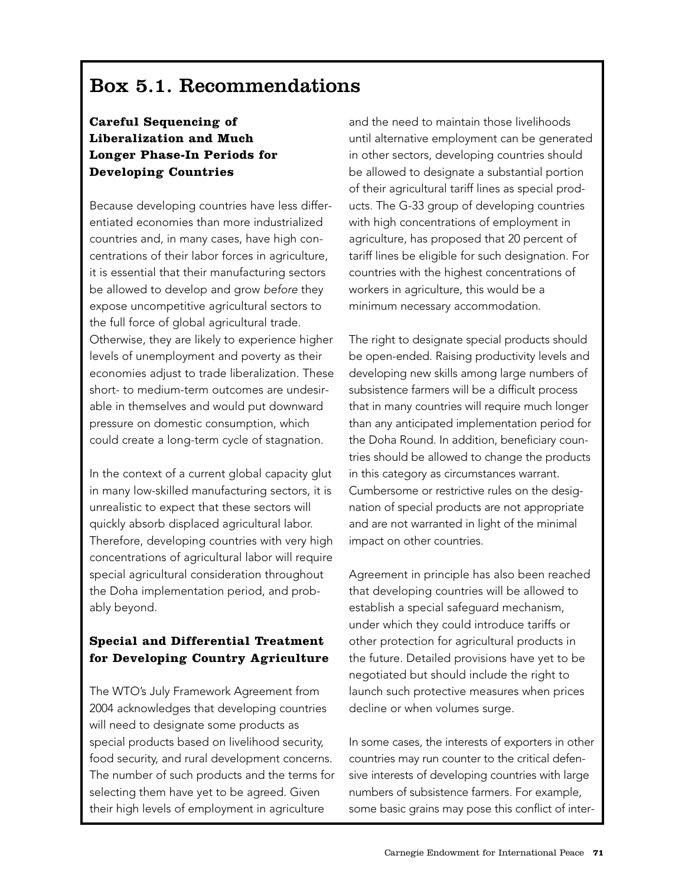developing countries are net losers if only agriculture is liberalized. The gains accrue mainly to high-income countries that liberalize their own agricultural sectors and shed the burden of maintaining expensive and inefficient subsidies. In terms of agricultural trade, there are some shifts in market share but little overall growth in agricultural export markets. Most developing countries gain more from liberalization of manufactured goods than from freer trade in agriculture. Even Brazil, a strong agricultural exporter and demandeur in the negotiations on agriculture, gains more from manufacturing than from agricultural liberalization.

However, liberalization of manufactured goods poses its own difficult challenges. The current overabundance of labor in developing countries—relative to both capital and the capacity of national and global markets to absorb output—will make achieving all-around gains from trade even more complicated. The Carnegie model's innovative use of realistic assumptions about developing country labor markets makes this particularly evident.

The current surplus of labor in developing countries affects both agriculture and manufacturing. Many developing countries have noncompetitive agricultural sectors based on low-productivity, small-scale farming. Though they would benefit from lower food costs by importing from more efficient producers abroad, they would lose a disproportionate share of employment in their own agricultural sectors. In the absence of sufficient alternative employment, their economies would be worse off, at least in the short and medium terms.

In the manufacturing sector, export demand generated by lower trade barriers would allow developing countries to use unemployed unskilled labor and increase production without increasing labor costs. This would benefit the most competitive producers among developing countries but drive out marginal producers. This has already happened in the apparel sector after partial liberalization under the Uruguay Round. Further ambitious liberalization of manufacturing trade would benefit China, which has a concentration of efficient producers, and other developing countries to a lesser extent, but would harm Bangladesh and some Sub-Saharan African countries. As China, India, and other developing countries climb the technology ladder, it is likely that downward pressures on prices and intense global competition will extend up the value-added chain to other manufacturing industries.

The concerns of many low-income developing countries about the Doha Round are especially justified. Many fare poorly under the types of liberalization currently proposed. Some experience actual losses in real income or in their export share in world markets.

Finding a balance of measures that benefits all developing countries will be a daunting challenge. It may take more time and effort than in earlier rounds to succeed in this more complex global economic matrix. An overall balance has not yet been found. However, several components can be identified that should be included in any package to address the challenges identified through this report's simulations. These recommended measures are presented in box 5.1.

Our analysis suggests that for Doha to succeed as a development round, significant differentiation must be built into the basic structure of the global trading regime to accommodate the wide differences in the offensive and defensive interests of developing countries. Even with a carefully calibrated treatment of developing countries in the main architecture of any agreement, special measures will also be required to ensure that the least developed and most vulnerable countries are able to join the winners' circle of trade.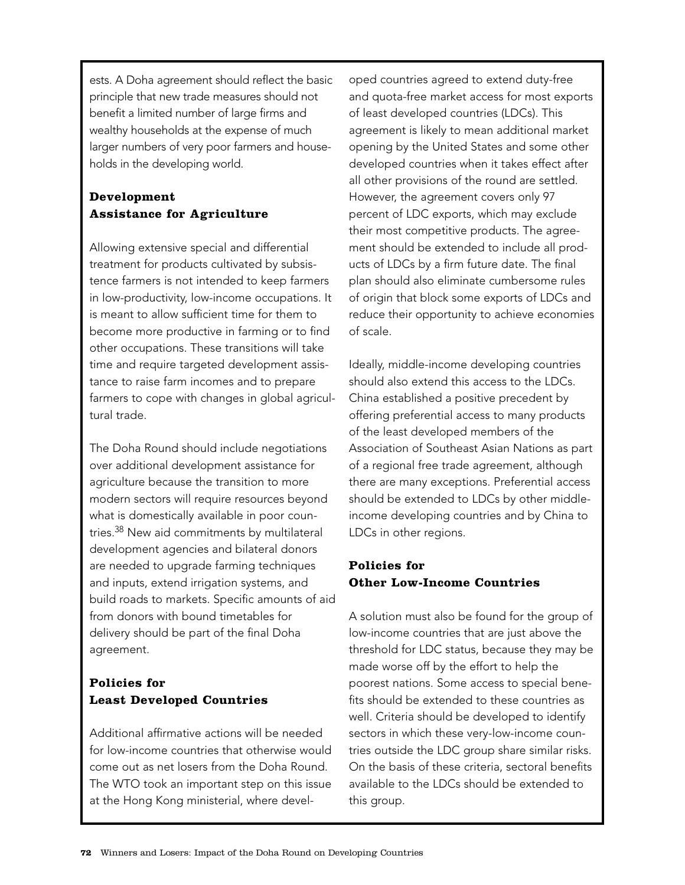# Box 5.1. Recommendations

## **Careful Sequencing of Liberalization and Much Longer Phase-In Periods for Developing Countries**

Because developing countries have less differentiated economies than more industrialized countries and, in many cases, have high concentrations of their labor forces in agriculture, it is essential that their manufacturing sectors be allowed to develop and grow *before* they expose uncompetitive agricultural sectors to the full force of global agricultural trade. Otherwise, they are likely to experience higher levels of unemployment and poverty as their economies adjust to trade liberalization. These short- to medium-term outcomes are undesirable in themselves and would put downward pressure on domestic consumption, which could create a long-term cycle of stagnation.

In the context of a current global capacity glut in many low-skilled manufacturing sectors, it is unrealistic to expect that these sectors will quickly absorb displaced agricultural labor. Therefore, developing countries with very high concentrations of agricultural labor will require special agricultural consideration throughout the Doha implementation period, and probably beyond.

## **Special and Differential Treatment for Developing Country Agriculture**

The WTO's July Framework Agreement from 2004 acknowledges that developing countries will need to designate some products as special products based on livelihood security, food security, and rural development concerns. The number of such products and the terms for selecting them have yet to be agreed. Given their high levels of employment in agriculture

and the need to maintain those livelihoods until alternative employment can be generated in other sectors, developing countries should be allowed to designate a substantial portion of their agricultural tariff lines as special products. The G-33 group of developing countries with high concentrations of employment in agriculture, has proposed that 20 percent of tariff lines be eligible for such designation. For countries with the highest concentrations of workers in agriculture, this would be a minimum necessary accommodation.

The right to designate special products should be open-ended. Raising productivity levels and developing new skills among large numbers of subsistence farmers will be a difficult process that in many countries will require much longer than any anticipated implementation period for the Doha Round. In addition, beneficiary countries should be allowed to change the products in this category as circumstances warrant. Cumbersome or restrictive rules on the designation of special products are not appropriate and are not warranted in light of the minimal impact on other countries.

Agreement in principle has also been reached that developing countries will be allowed to establish a special safeguard mechanism, under which they could introduce tariffs or other protection for agricultural products in the future. Detailed provisions have yet to be negotiated but should include the right to launch such protective measures when prices decline or when volumes surge.

In some cases, the interests of exporters in other countries may run counter to the critical defensive interests of developing countries with large numbers of subsistence farmers. For example, some basic grains may pose this conflict of inter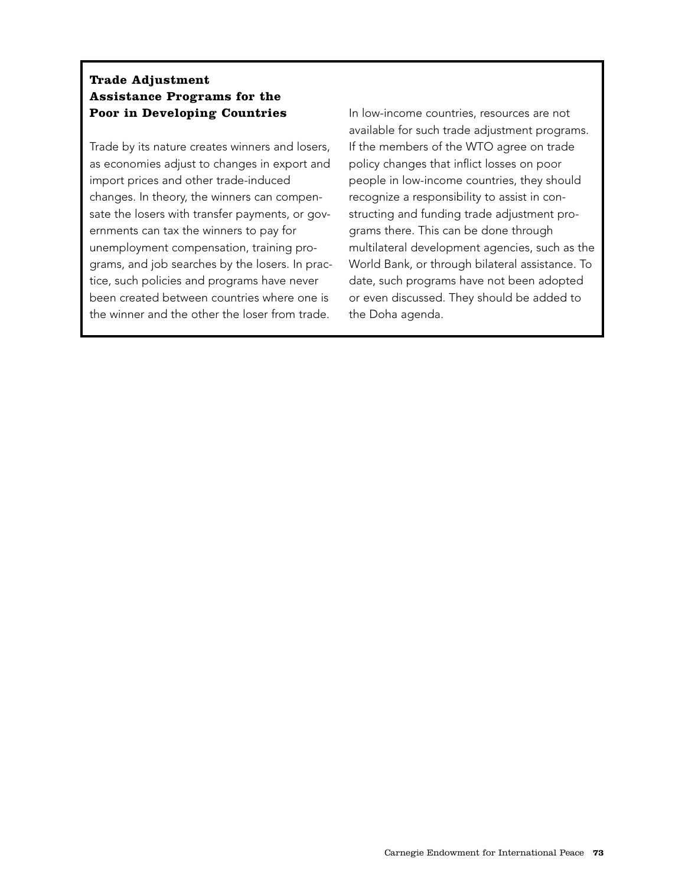ests. A Doha agreement should reflect the basic principle that new trade measures should not benefit a limited number of large firms and wealthy households at the expense of much larger numbers of very poor farmers and households in the developing world.

## **Development Assistance for Agriculture**

Allowing extensive special and differential treatment for products cultivated by subsistence farmers is not intended to keep farmers in low-productivity, low-income occupations. It is meant to allow sufficient time for them to become more productive in farming or to find other occupations. These transitions will take time and require targeted development assistance to raise farm incomes and to prepare farmers to cope with changes in global agricultural trade.

The Doha Round should include negotiations over additional development assistance for agriculture because the transition to more modern sectors will require resources beyond what is domestically available in poor countries.<sup>38</sup> New aid commitments by multilateral development agencies and bilateral donors are needed to upgrade farming techniques and inputs, extend irrigation systems, and build roads to markets. Specific amounts of aid from donors with bound timetables for delivery should be part of the final Doha agreement.

## **Policies for Least Developed Countries**

Additional affirmative actions will be needed for low-income countries that otherwise would come out as net losers from the Doha Round. The WTO took an important step on this issue at the Hong Kong ministerial, where developed countries agreed to extend duty-free and quota-free market access for most exports of least developed countries (LDCs). This agreement is likely to mean additional market opening by the United States and some other developed countries when it takes effect after all other provisions of the round are settled. However, the agreement covers only 97 percent of LDC exports, which may exclude their most competitive products. The agreement should be extended to include all products of LDCs by a firm future date. The final plan should also eliminate cumbersome rules of origin that block some exports of LDCs and reduce their opportunity to achieve economies of scale.

Ideally, middle-income developing countries should also extend this access to the LDCs. China established a positive precedent by offering preferential access to many products of the least developed members of the Association of Southeast Asian Nations as part of a regional free trade agreement, although there are many exceptions. Preferential access should be extended to LDCs by other middleincome developing countries and by China to LDCs in other regions.

## **Policies for Other Low-Income Countries**

A solution must also be found for the group of low-income countries that are just above the threshold for LDC status, because they may be made worse off by the effort to help the poorest nations. Some access to special benefits should be extended to these countries as well. Criteria should be developed to identify sectors in which these very-low-income countries outside the LDC group share similar risks. On the basis of these criteria, sectoral benefits available to the LDCs should be extended to this group.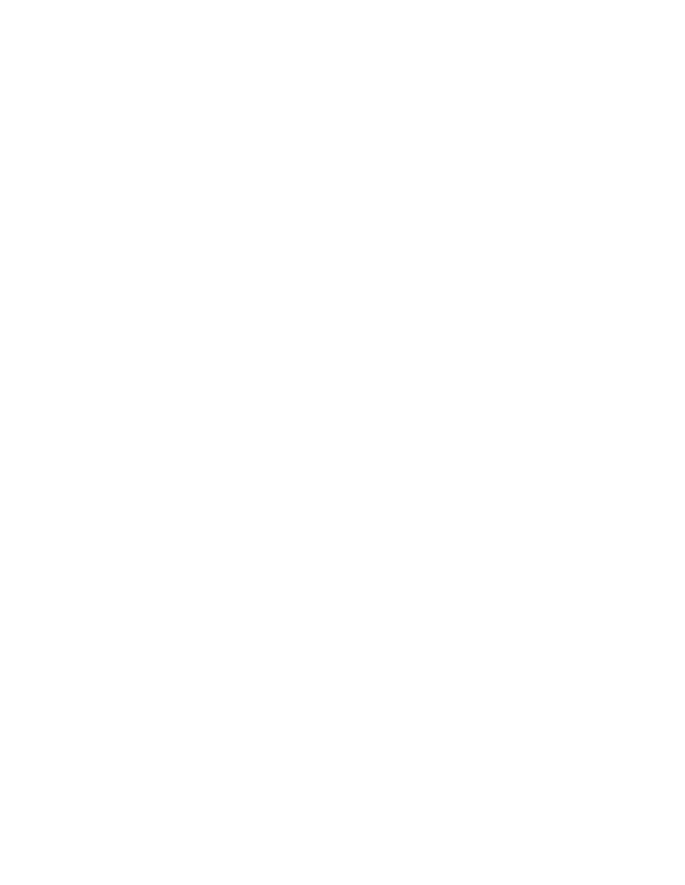## **Trade Adjustment Assistance Programs for the Poor in Developing Countries**

Trade by its nature creates winners and losers, as economies adjust to changes in export and import prices and other trade-induced changes. In theory, the winners can compensate the losers with transfer payments, or governments can tax the winners to pay for unemployment compensation, training programs, and job searches by the losers. In practice, such policies and programs have never been created between countries where one is the winner and the other the loser from trade.

In low-income countries, resources are not available for such trade adjustment programs. If the members of the WTO agree on trade policy changes that inflict losses on poor people in low-income countries, they should recognize a responsibility to assist in constructing and funding trade adjustment programs there. This can be done through multilateral development agencies, such as the World Bank, or through bilateral assistance. To date, such programs have not been adopted or even discussed. They should be added to the Doha agenda.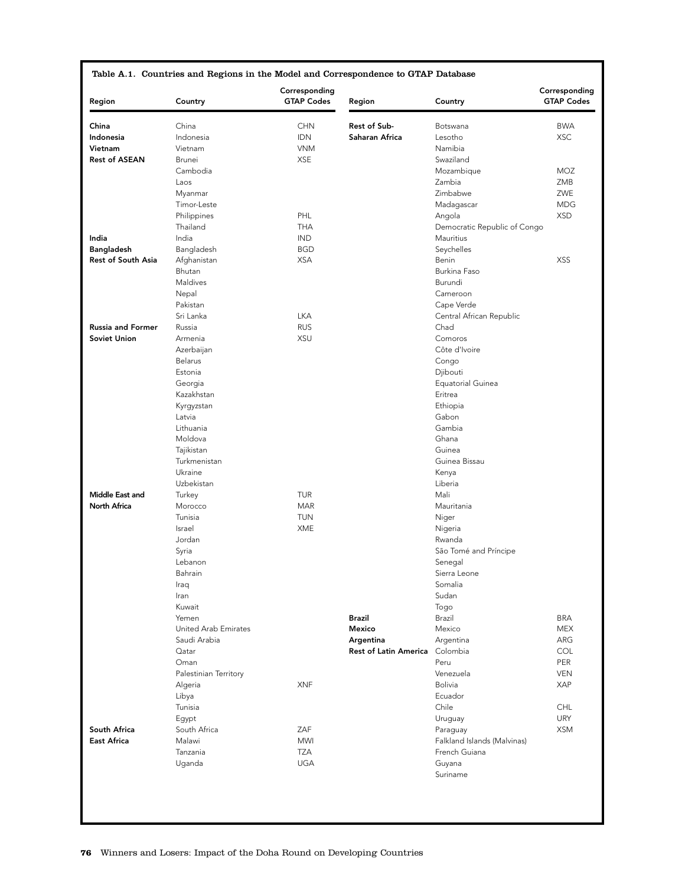## APPENDIX A

# Technical Specifications of the Model

#### **I. The Structure of the Model**

The model is an update and extension of the applied general equilibrium (AGE) models used in the study of China's accession to the World Trade Organization (WTO) by Zhi Wang, with endogenous unskilled labor unemployment in developing countries.<sup>39</sup> It is part of a family of models used widely to analyze the impact of global trade liberalization and structural adjustment programs. It focuses on the real side of the world economy and incorporates considerable detail on sectoral output and real trade flows, both bilateral and global. However, this structural detail is obtained at the cost of not explicitly modeling financial markets, interest rates, and inflation.

Given a world equilibrium in the base year, the model generates the pattern of production and trade changes from the base that result from world economic adjustment to the shocks specified in various alternative scenarios of trade liberalization. The model has a focus on developing countries, with twenty-four fully endogenized regions and twenty-seven production sectors in each region to represent the world economy. Details of the regions and sectors and their correspondence to the GTAP database are provided in table A.1 and table A.2.

There are six primary factors of production: agricultural land, natural resources, capital, agricultural labor, unskilled labor, and skilled labor. Skilled and unskilled labor have basic education in common, with skilled labor also having more advanced training. Agricultural labor has little or no education. Natural resources are sector specific. Land and agricultural labor are employed only in agricultural sectors. Agricultural laborers may migrate in response to increased demand in urban unskilled labor markets, depending on the level of unemployment in these markets and rural/urban wage differentials. The elasticity of substitution is 1. Other primary factors are assumed to be mobile across sectors but immobile across regions. All commodity and factor markets, except unskilled labor, are assumed to clear through market prices. For unskilled labor, the market equilibrium specification of Harris and Todaro is adopted for all developing countries in the model,<sup>40</sup> in which the wage is assumed fixed to a price index. This reflects the abundant supply of unskilled labor and the presence of unemployment in most developing countries. Unskilled labor employment is endogenous, adjusting to clear the unskilled labor market in developing countries. Full employment is assumed in developed country labor markets.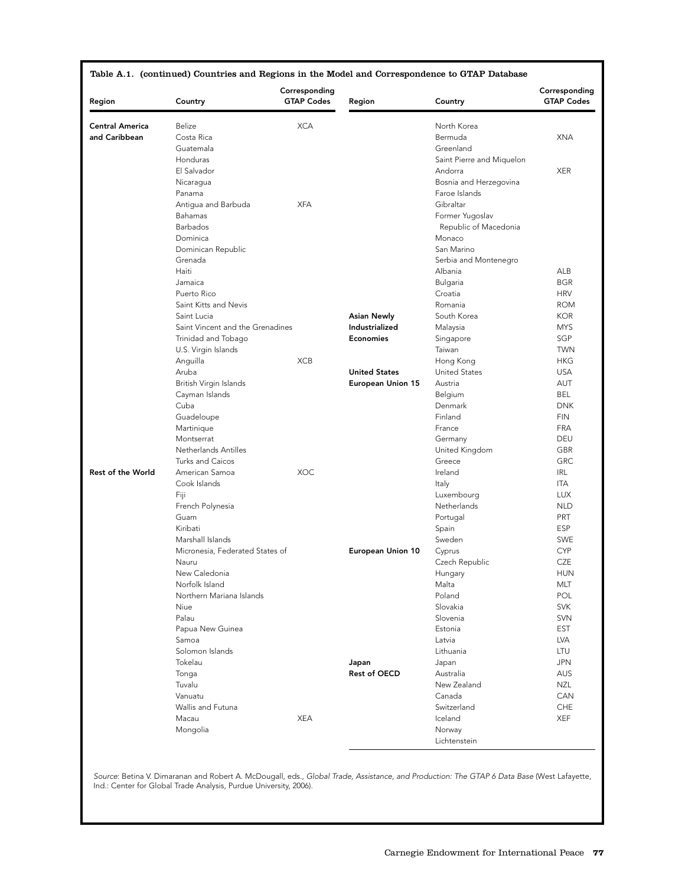| Region                    | Country               | Corresponding<br><b>GTAP Codes</b> | Region                         | Country                      | Corresponding<br><b>GTAP Codes</b> |
|---------------------------|-----------------------|------------------------------------|--------------------------------|------------------------------|------------------------------------|
| China                     | China                 | <b>CHN</b>                         | Rest of Sub-                   | Botswana                     | <b>BWA</b>                         |
| Indonesia                 | Indonesia             | <b>IDN</b>                         | Saharan Africa                 | Lesotho                      | <b>XSC</b>                         |
| Vietnam                   | Vietnam               | <b>VNM</b>                         |                                | Namibia                      |                                    |
| <b>Rest of ASEAN</b>      | <b>Brunei</b>         | <b>XSE</b>                         |                                | Swaziland                    |                                    |
|                           | Cambodia              |                                    |                                |                              |                                    |
|                           |                       |                                    |                                | Mozambique                   | MOZ                                |
|                           | Laos                  |                                    |                                | Zambia                       | ZMB                                |
|                           | Myanmar               |                                    |                                | Zimbabwe                     | ZWE                                |
|                           | Timor-Leste           |                                    |                                | Madagascar                   | <b>MDG</b>                         |
|                           | Philippines           | PHL                                |                                | Angola                       | <b>XSD</b>                         |
|                           | Thailand              | THA                                |                                | Democratic Republic of Congo |                                    |
| India                     | India                 | IND                                |                                | Mauritius                    |                                    |
| <b>Bangladesh</b>         | Bangladesh            | <b>BGD</b>                         |                                | Seychelles                   |                                    |
| <b>Rest of South Asia</b> | Afghanistan           | <b>XSA</b>                         |                                | Benin                        | <b>XSS</b>                         |
|                           | Bhutan                |                                    |                                | Burkina Faso                 |                                    |
|                           | Maldives              |                                    |                                | Burundi                      |                                    |
|                           |                       |                                    |                                | Cameroon                     |                                    |
|                           | Nepal                 |                                    |                                |                              |                                    |
|                           | Pakistan              |                                    |                                | Cape Verde                   |                                    |
|                           | Sri Lanka             | <b>LKA</b>                         |                                | Central African Republic     |                                    |
| <b>Russia and Former</b>  | Russia                | <b>RUS</b>                         |                                | Chad                         |                                    |
| <b>Soviet Union</b>       | Armenia               | <b>XSU</b>                         |                                | Comoros                      |                                    |
|                           | Azerbaijan            |                                    |                                | Côte d'Ivoire                |                                    |
|                           | Belarus               |                                    |                                | Congo                        |                                    |
|                           | Estonia               |                                    |                                | Djibouti                     |                                    |
|                           | Georgia               |                                    |                                | Equatorial Guinea            |                                    |
|                           | Kazakhstan            |                                    |                                | Eritrea                      |                                    |
|                           | Kyrgyzstan            |                                    |                                | Ethiopia                     |                                    |
|                           | Latvia                |                                    |                                | Gabon                        |                                    |
|                           |                       |                                    |                                |                              |                                    |
|                           | Lithuania             |                                    |                                | Gambia                       |                                    |
|                           | Moldova               |                                    |                                | Ghana                        |                                    |
|                           | Tajikistan            |                                    |                                | Guinea                       |                                    |
|                           | Turkmenistan          |                                    |                                | Guinea Bissau                |                                    |
|                           | Ukraine               |                                    |                                | Kenya                        |                                    |
|                           | Uzbekistan            |                                    |                                | Liberia                      |                                    |
| Middle East and           | Turkey                | <b>TUR</b>                         |                                | Mali                         |                                    |
| <b>North Africa</b>       | Morocco               | <b>MAR</b>                         |                                | Mauritania                   |                                    |
|                           | Tunisia               | <b>TUN</b>                         |                                | Niger                        |                                    |
|                           | Israel                | XME                                |                                | Nigeria                      |                                    |
|                           | Jordan                |                                    |                                | Rwanda                       |                                    |
|                           |                       |                                    |                                |                              |                                    |
|                           | Syria                 |                                    |                                | São Tomé and Príncipe        |                                    |
|                           | Lebanon               |                                    |                                | Senegal                      |                                    |
|                           | Bahrain               |                                    |                                | Sierra Leone                 |                                    |
|                           | Iraq                  |                                    |                                | Somalia                      |                                    |
|                           | Iran                  |                                    |                                | Sudan                        |                                    |
|                           | Kuwait                |                                    |                                | Togo                         |                                    |
|                           | Yemen                 |                                    | Brazil                         | Brazil                       | <b>BRA</b>                         |
|                           | United Arab Emirates  |                                    | Mexico                         | Mexico                       | <b>MEX</b>                         |
|                           | Saudi Arabia          |                                    | Argentina                      | Argentina                    | <b>ARG</b>                         |
|                           | Qatar                 |                                    | Rest of Latin America Colombia |                              | <b>COL</b>                         |
|                           | Oman                  |                                    |                                | Peru                         | PER                                |
|                           |                       |                                    |                                |                              |                                    |
|                           | Palestinian Territory |                                    |                                | Venezuela                    | <b>VEN</b>                         |
|                           | Algeria               | <b>XNF</b>                         |                                | <b>Bolivia</b>               | XAP                                |
|                           | Libya                 |                                    |                                | Ecuador                      |                                    |
|                           | Tunisia               |                                    |                                | Chile                        | <b>CHL</b>                         |
|                           | Egypt                 |                                    |                                | Uruguay                      | <b>URY</b>                         |
| South Africa              | South Africa          | ZAF                                |                                | Paraguay                     | <b>XSM</b>                         |
| <b>East Africa</b>        | Malawi                | <b>MWI</b>                         |                                | Falkland Islands (Malvinas)  |                                    |
|                           | Tanzania              | <b>TZA</b>                         |                                | French Guiana                |                                    |
|                           | Uganda                | <b>UGA</b>                         |                                | Guyana                       |                                    |
|                           |                       |                                    |                                |                              |                                    |
|                           |                       |                                    |                                | Suriname                     |                                    |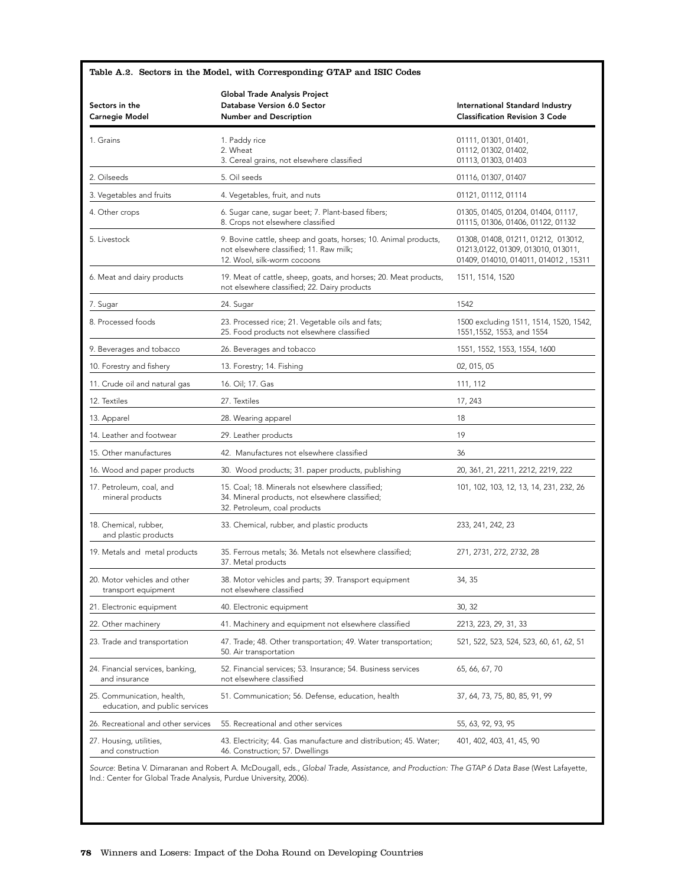| Region                   | Country                          | Corresponding<br><b>GTAP Codes</b> | Region               | Country                   | Corresponding<br><b>GTAP Codes</b> |
|--------------------------|----------------------------------|------------------------------------|----------------------|---------------------------|------------------------------------|
|                          |                                  |                                    |                      |                           |                                    |
| <b>Central America</b>   | <b>Belize</b>                    | <b>XCA</b>                         |                      | North Korea               |                                    |
| and Caribbean            | Costa Rica                       |                                    |                      | Bermuda                   | <b>XNA</b>                         |
|                          | Guatemala                        |                                    |                      | Greenland                 |                                    |
|                          | Honduras                         |                                    |                      | Saint Pierre and Miquelon |                                    |
|                          | El Salvador                      |                                    |                      | Andorra                   | <b>XER</b>                         |
|                          | Nicaragua                        |                                    |                      | Bosnia and Herzegovina    |                                    |
|                          | Panama                           |                                    |                      | Faroe Islands             |                                    |
|                          | Antigua and Barbuda              | <b>XFA</b>                         |                      | Gibraltar                 |                                    |
|                          | <b>Bahamas</b>                   |                                    |                      | Former Yugoslav           |                                    |
|                          | <b>Barbados</b>                  |                                    |                      | Republic of Macedonia     |                                    |
|                          | Dominica                         |                                    |                      | Monaco                    |                                    |
|                          | Dominican Republic               |                                    |                      | San Marino                |                                    |
|                          | Grenada                          |                                    |                      | Serbia and Montenegro     |                                    |
|                          | Haiti                            |                                    |                      | Albania                   | ALB                                |
|                          | Jamaica                          |                                    |                      | Bulgaria                  | <b>BGR</b>                         |
|                          | Puerto Rico                      |                                    |                      | Croatia                   | <b>HRV</b>                         |
|                          | Saint Kitts and Nevis            |                                    |                      | Romania                   | <b>ROM</b>                         |
|                          | Saint Lucia                      |                                    | <b>Asian Newly</b>   | South Korea               | <b>KOR</b>                         |
|                          | Saint Vincent and the Grenadines |                                    | Industrialized       | Malaysia                  | <b>MYS</b>                         |
|                          | Trinidad and Tobago              |                                    | <b>Economies</b>     | Singapore                 | SGP                                |
|                          | U.S. Virgin Islands              |                                    |                      | Taiwan                    | <b>TWN</b>                         |
|                          | Anguilla                         | <b>XCB</b>                         |                      | Hong Kong                 | <b>HKG</b>                         |
|                          | Aruba                            |                                    | <b>United States</b> | <b>United States</b>      | <b>USA</b>                         |
|                          | British Virgin Islands           |                                    | European Union 15    | Austria                   | <b>AUT</b>                         |
|                          | Cayman Islands                   |                                    |                      | Belgium                   | <b>BEL</b>                         |
|                          | Cuba                             |                                    |                      | Denmark                   | <b>DNK</b>                         |
|                          | Guadeloupe                       |                                    |                      | Finland                   | <b>FIN</b>                         |
|                          | Martinique                       |                                    |                      | France                    | <b>FRA</b>                         |
|                          | Montserrat                       |                                    |                      | Germany                   | DEU                                |
|                          | Netherlands Antilles             |                                    |                      | United Kingdom            | GBR                                |
|                          | <b>Turks and Caicos</b>          |                                    |                      | Greece                    | <b>GRC</b>                         |
| <b>Rest of the World</b> | American Samoa                   | <b>XOC</b>                         |                      | Ireland                   | IRL                                |
|                          | Cook Islands                     |                                    |                      | Italy                     | <b>ITA</b>                         |
|                          | Fiji                             |                                    |                      | Luxembourg                | <b>LUX</b>                         |
|                          | French Polynesia                 |                                    |                      | Netherlands               | <b>NLD</b>                         |
|                          | Guam                             |                                    |                      | Portugal                  | <b>PRT</b>                         |
|                          | Kiribati                         |                                    |                      | Spain                     | <b>ESP</b>                         |
|                          | Marshall Islands                 |                                    |                      | Sweden                    | <b>SWE</b>                         |
|                          | Micronesia, Federated States of  |                                    | European Union 10    | Cyprus                    | <b>CYP</b>                         |
|                          | Nauru                            |                                    |                      | Czech Republic            | <b>CZE</b>                         |
|                          | New Caledonia                    |                                    |                      | Hungary                   | <b>HUN</b>                         |
|                          | Norfolk Island                   |                                    |                      | Malta                     | MLT                                |
|                          | Northern Mariana Islands         |                                    |                      | Poland                    | POL                                |
|                          | Niue                             |                                    |                      | Slovakia                  | <b>SVK</b>                         |
|                          | Palau                            |                                    |                      | Slovenia                  | SVN                                |
|                          | Papua New Guinea                 |                                    |                      | Estonia                   | EST                                |
|                          | Samoa                            |                                    |                      | Latvia                    | LVA                                |
|                          | Solomon Islands                  |                                    |                      | Lithuania                 | LTU                                |
|                          | Tokelau                          |                                    | Japan                | Japan                     | <b>JPN</b>                         |
|                          | Tonga                            |                                    | Rest of OECD         | Australia                 | <b>AUS</b>                         |
|                          | Tuvalu                           |                                    |                      | New Zealand               | <b>NZL</b>                         |
|                          | Vanuatu                          |                                    |                      | Canada                    | CAN                                |
|                          | Wallis and Futuna                |                                    |                      | Switzerland               | <b>CHE</b>                         |
|                          | Macau                            | <b>XEA</b>                         |                      | Iceland                   | XEF                                |
|                          | Mongolia                         |                                    |                      | Norway                    |                                    |
|                          |                                  |                                    |                      | Lichtenstein              |                                    |
|                          |                                  |                                    |                      |                           |                                    |

*Source*: Betina V. Dimaranan and Robert A. McDougall, eds., *Global Trade, Assistance, and Production: The GTAP 6 Data Base* (West Lafayette, Ind.: Center for Global Trade Analysis, Purdue University, 2006).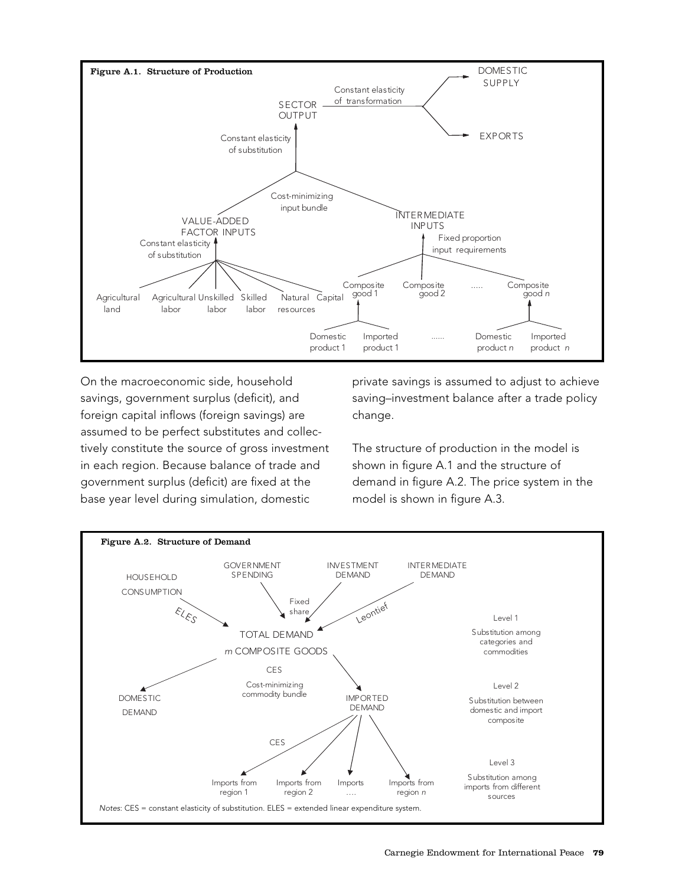|                                                              | Table A.2. Sectors in the Model, with Corresponding GTAP and ISIC Codes                                                                   |                                                                                                                   |
|--------------------------------------------------------------|-------------------------------------------------------------------------------------------------------------------------------------------|-------------------------------------------------------------------------------------------------------------------|
| Sectors in the<br>Carnegie Model                             | Global Trade Analysis Project<br>Database Version 6.0 Sector<br><b>Number and Description</b>                                             | International Standard Industry<br><b>Classification Revision 3 Code</b>                                          |
| 1. Grains                                                    | 1. Paddy rice<br>2. Wheat<br>3. Cereal grains, not elsewhere classified                                                                   | 01111, 01301, 01401,<br>01112, 01302, 01402,<br>01113, 01303, 01403                                               |
| 2. Oilseeds                                                  | 5. Oil seeds                                                                                                                              | 01116, 01307, 01407                                                                                               |
| 3. Vegetables and fruits                                     | 4. Vegetables, fruit, and nuts                                                                                                            | 01121, 01112, 01114                                                                                               |
| 4. Other crops                                               | 6. Sugar cane, sugar beet; 7. Plant-based fibers;<br>8. Crops not elsewhere classified                                                    | 01305, 01405, 01204, 01404, 01117,<br>01115, 01306, 01406, 01122, 01132                                           |
| 5. Livestock                                                 | 9. Bovine cattle, sheep and goats, horses; 10. Animal products,<br>not elsewhere classified; 11. Raw milk;<br>12. Wool, silk-worm cocoons | 01308, 01408, 01211, 01212, 013012,<br>01213,0122, 01309, 013010, 013011,<br>01409, 014010, 014011, 014012, 15311 |
| 6. Meat and dairy products                                   | 19. Meat of cattle, sheep, goats, and horses; 20. Meat products,<br>not elsewhere classified; 22. Dairy products                          | 1511, 1514, 1520                                                                                                  |
| 7. Sugar                                                     | 24. Sugar                                                                                                                                 | 1542                                                                                                              |
| 8. Processed foods                                           | 23. Processed rice; 21. Vegetable oils and fats;<br>25. Food products not elsewhere classified                                            | 1500 excluding 1511, 1514, 1520, 1542,<br>1551, 1552, 1553, and 1554                                              |
| 9. Beverages and tobacco                                     | 26. Beverages and tobacco                                                                                                                 | 1551, 1552, 1553, 1554, 1600                                                                                      |
| 10. Forestry and fishery                                     | 13. Forestry; 14. Fishing                                                                                                                 | 02, 015, 05                                                                                                       |
| 11. Crude oil and natural gas                                | 16. Oil; 17. Gas                                                                                                                          | 111, 112                                                                                                          |
| 12. Textiles                                                 | 27. Textiles                                                                                                                              | 17, 243                                                                                                           |
| 13. Apparel                                                  | 28. Wearing apparel                                                                                                                       | 18                                                                                                                |
| 14. Leather and footwear                                     | 29. Leather products                                                                                                                      | 19                                                                                                                |
| 15. Other manufactures                                       | 42. Manufactures not elsewhere classified                                                                                                 | 36                                                                                                                |
| 16. Wood and paper products                                  | 30. Wood products; 31. paper products, publishing                                                                                         | 20, 361, 21, 2211, 2212, 2219, 222                                                                                |
| 17. Petroleum, coal, and<br>mineral products                 | 15. Coal; 18. Minerals not elsewhere classified;<br>34. Mineral products, not elsewhere classified;<br>32. Petroleum, coal products       | 101, 102, 103, 12, 13, 14, 231, 232, 26                                                                           |
| 18. Chemical, rubber,<br>and plastic products                | 33. Chemical, rubber, and plastic products                                                                                                | 233, 241, 242, 23                                                                                                 |
| 19. Metals and metal products                                | 35. Ferrous metals; 36. Metals not elsewhere classified;<br>37. Metal products                                                            | 271, 2731, 272, 2732, 28                                                                                          |
| 20. Motor vehicles and other<br>transport equipment          | 38. Motor vehicles and parts; 39. Transport equipment<br>not elsewhere classified                                                         | 34, 35                                                                                                            |
| 21. Electronic equipment                                     | 40. Electronic equipment                                                                                                                  | 30, 32                                                                                                            |
| 22. Other machinery                                          | 41. Machinery and equipment not elsewhere classified                                                                                      | 2213, 223, 29, 31, 33                                                                                             |
| 23. Trade and transportation                                 | 47. Trade; 48. Other transportation; 49. Water transportation;<br>50. Air transportation                                                  | 521, 522, 523, 524, 523, 60, 61, 62, 51                                                                           |
| 24. Financial services, banking,<br>and insurance            | 52. Financial services; 53. Insurance; 54. Business services<br>not elsewhere classified                                                  | 65, 66, 67, 70                                                                                                    |
| 25. Communication, health,<br>education, and public services | 51. Communication; 56. Defense, education, health                                                                                         | 37, 64, 73, 75, 80, 85, 91, 99                                                                                    |
| 26. Recreational and other services                          | 55. Recreational and other services                                                                                                       | 55, 63, 92, 93, 95                                                                                                |
| 27. Housing, utilities,<br>and construction                  | 43. Electricity; 44. Gas manufacture and distribution; 45. Water;<br>46. Construction; 57. Dwellings                                      | 401, 402, 403, 41, 45, 90                                                                                         |

*Source*: Betina V. Dimaranan and Robert A. McDougall, eds., *Global Trade, Assistance, and Production: The GTAP 6 Data Base* (West Lafayette, Ind.: Center for Global Trade Analysis, Purdue University, 2006).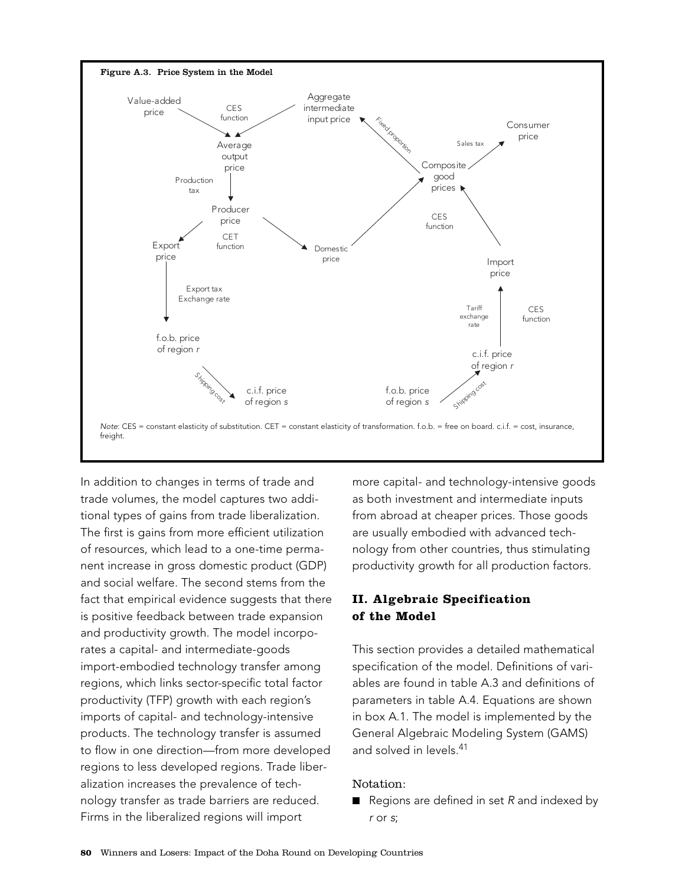

On the macroeconomic side, household savings, government surplus (deficit), and foreign capital inflows (foreign savings) are assumed to be perfect substitutes and collectively constitute the source of gross investment in each region. Because balance of trade and government surplus (deficit) are fixed at the base year level during simulation, domestic

private savings is assumed to adjust to achieve saving–investment balance after a trade policy change.

The structure of production in the model is shown in figure A.1 and the structure of demand in figure A.2. The price system in the model is shown in figure A.3.

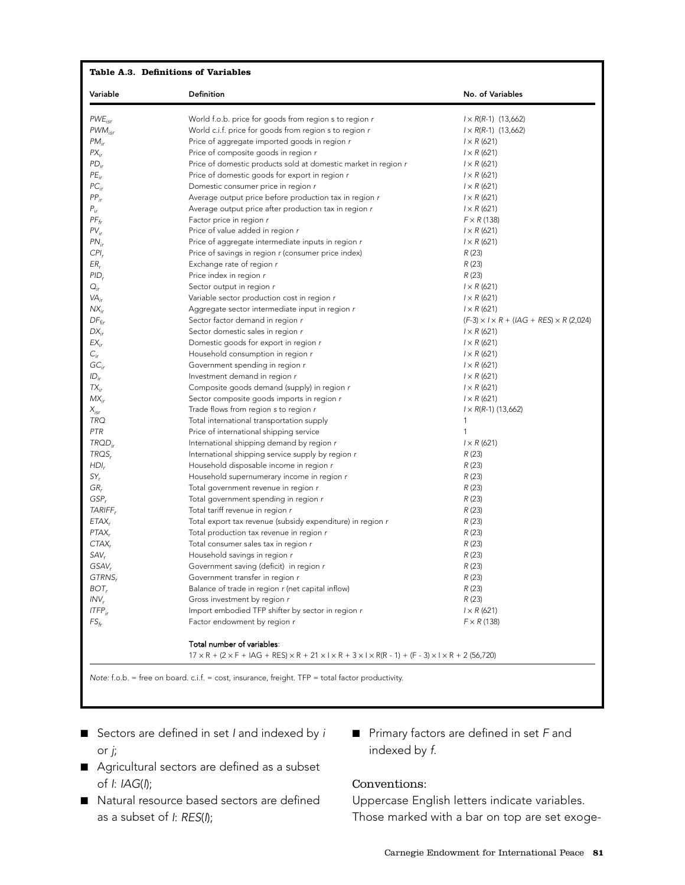

In addition to changes in terms of trade and trade volumes, the model captures two additional types of gains from trade liberalization. The first is gains from more efficient utilization of resources, which lead to a one-time permanent increase in gross domestic product (GDP) and social welfare. The second stems from the fact that empirical evidence suggests that there is positive feedback between trade expansion and productivity growth. The model incorporates a capital- and intermediate-goods import-embodied technology transfer among regions, which links sector-specific total factor productivity (TFP) growth with each region's imports of capital- and technology-intensive products. The technology transfer is assumed to flow in one direction—from more developed regions to less developed regions. Trade liberalization increases the prevalence of technology transfer as trade barriers are reduced. Firms in the liberalized regions will import

more capital- and technology-intensive goods as both investment and intermediate inputs from abroad at cheaper prices. Those goods are usually embodied with advanced technology from other countries, thus stimulating productivity growth for all production factors.

## **II. Algebraic Specification of the Model**

This section provides a detailed mathematical specification of the model. Definitions of variables are found in table A.3 and definitions of parameters in table A.4. Equations are shown in box A.1. The model is implemented by the General Algebraic Modeling System (GAMS) and solved in levels.<sup>41</sup>

#### Notation:

■ Regions are defined in set R and indexed by *r* or *s*;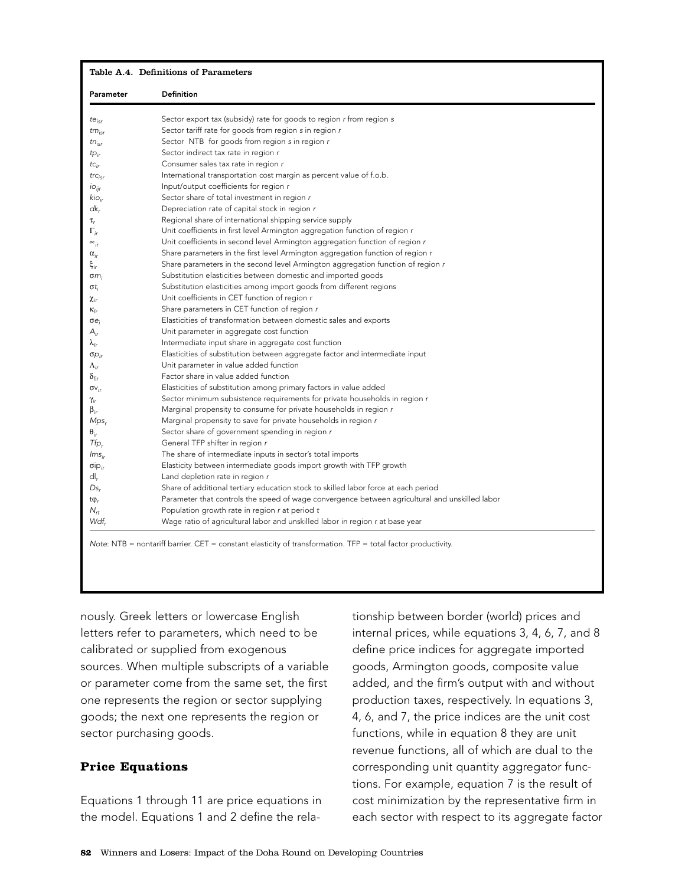#### **Table A.3. Definitions of Variables**

| Variable           | Definition                                                                                                                                     | No. of Variables                                         |
|--------------------|------------------------------------------------------------------------------------------------------------------------------------------------|----------------------------------------------------------|
| $PWE_{isr}$        | World f.o.b. price for goods from region s to region r                                                                                         | $1 \times R(R-1)$ (13,662)                               |
| $PWM_{isr}$        | World c.i.f. price for goods from region s to region r                                                                                         | $1 \times R(R-1)$ (13,662)                               |
| $PM_{ir}$          | Price of aggregate imported goods in region r                                                                                                  | $1 \times R$ (621)                                       |
| $PX_{ir}$          | Price of composite goods in region r                                                                                                           | $1 \times R$ (621)                                       |
| $PD_{ir}$          | Price of domestic products sold at domestic market in region r                                                                                 | $1 \times R$ (621)                                       |
| $PE_{ir}$          | Price of domestic goods for export in region r                                                                                                 | $1 \times R$ (621)                                       |
| $PC_{ir}$          | Domestic consumer price in region r                                                                                                            | $1 \times R$ (621)                                       |
| PP <sub>ir</sub>   | Average output price before production tax in region r                                                                                         | $1 \times R$ (621)                                       |
| $P_{ir}$           | Average output price after production tax in region r                                                                                          | $1 \times R$ (621)                                       |
| $PF_{fr}$          | Factor price in region r                                                                                                                       | $F \times R$ (138)                                       |
| $PV_{ir}$          | Price of value added in region r                                                                                                               | $1 \times R$ (621)                                       |
|                    | Price of aggregate intermediate inputs in region r                                                                                             |                                                          |
| $PN_{ir}$          |                                                                                                                                                | $1 \times R$ (621)                                       |
| CPI,               | Price of savings in region r (consumer price index)                                                                                            | R (23)                                                   |
| $ER_r$             | Exchange rate of region r                                                                                                                      | R (23)                                                   |
| PID <sub>r</sub>   | Price index in region r                                                                                                                        | R (23)                                                   |
| $Q_{ir}$           | Sector output in region r                                                                                                                      | $1 \times R$ (621)                                       |
| VA <sub>ir</sub>   | Variable sector production cost in region r                                                                                                    | $1 \times R$ (621)                                       |
| $NX_{ir}$          | Aggregate sector intermediate input in region r                                                                                                | $1 \times R$ (621)                                       |
| $DF_{\text{fir}}$  | Sector factor demand in region r                                                                                                               | $(F-3) \times I \times R + (IAG + RES) \times R$ (2,024) |
| $DX_{ir}$          | Sector domestic sales in region r                                                                                                              | $1 \times R$ (621)                                       |
| $EX_{ir}$          | Domestic goods for export in region r                                                                                                          | $1 \times R$ (621)                                       |
| $C_{ir}$           | Household consumption in region r                                                                                                              | $1 \times R$ (621)                                       |
| GC <sub>ir</sub>   | Government spending in region r                                                                                                                | $1 \times R$ (621)                                       |
| $ID_{ir}$          | Investment demand in region r                                                                                                                  | $1 \times R$ (621)                                       |
| $TX_{ir}$          | Composite goods demand (supply) in region r                                                                                                    | $1 \times R$ (621)                                       |
| $MX_{ir}$          | Sector composite goods imports in region r                                                                                                     | $1 \times R$ (621)                                       |
| $X_{\text{isr}}$   | Trade flows from region s to region r                                                                                                          | $1 \times R(R-1)$ (13,662)                               |
| <b>TRQ</b>         | Total international transportation supply                                                                                                      | 1                                                        |
| PTR                | Price of international shipping service                                                                                                        | $\mathbf{1}$                                             |
| TROD <sub>ir</sub> | International shipping demand by region r                                                                                                      | $1 \times R$ (621)                                       |
| TRQS,              | International shipping service supply by region r                                                                                              | R (23)                                                   |
| $HDI_r$            | Household disposable income in region r                                                                                                        | R (23)                                                   |
| $SY_r$             | Household supernumerary income in region r                                                                                                     | R (23)                                                   |
| GR,                | Total government revenue in region r                                                                                                           | R (23)                                                   |
| $GSP_r$            | Total government spending in region r                                                                                                          | R (23)                                                   |
| TARIFF,            | Total tariff revenue in region r                                                                                                               | R (23)                                                   |
| $ETAX_r$           | Total export tax revenue (subsidy expenditure) in region r                                                                                     | R (23)                                                   |
| PTAX,              | Total production tax revenue in region r                                                                                                       | R (23)                                                   |
| $CTAX_r$           | Total consumer sales tax in region r                                                                                                           | R (23)                                                   |
| $SAV_r$            | Household savings in region r                                                                                                                  | R (23)                                                   |
| GSAV <sub>r</sub>  | Government saving (deficit) in region r                                                                                                        | R (23)                                                   |
| GTRNS,             | Government transfer in region r                                                                                                                | R (23)                                                   |
| $BOT_r$            | Balance of trade in region r (net capital inflow)                                                                                              | R(23)                                                    |
| $INV_r$            | Gross investment by region r                                                                                                                   | R(23)                                                    |
| ITFP <sub>ir</sub> | Import embodied TFP shifter by sector in region r                                                                                              | $1 \times R$ (621)                                       |
| $FS_{fr}$          | Factor endowment by region r                                                                                                                   | $F \times R$ (138)                                       |
|                    | Total number of variables:                                                                                                                     |                                                          |
|                    | $17 \times R + (2 \times F + IAG + RES) \times R + 21 \times I \times R + 3 \times I \times R(R - 1) + (F - 3) \times I \times R + 2 (56,720)$ |                                                          |

- Sectors are defined in set *I* and indexed by *i* or *j*;
- Agricultural sectors are defined as a subset of *I*: *IAG*(*I*);
- Natural resource based sectors are defined as a subset of *I*: *RES*(*I*);
- Primary factors are defined in set F and indexed by *f*.

## Conventions:

Uppercase English letters indicate variables. Those marked with a bar on top are set exoge-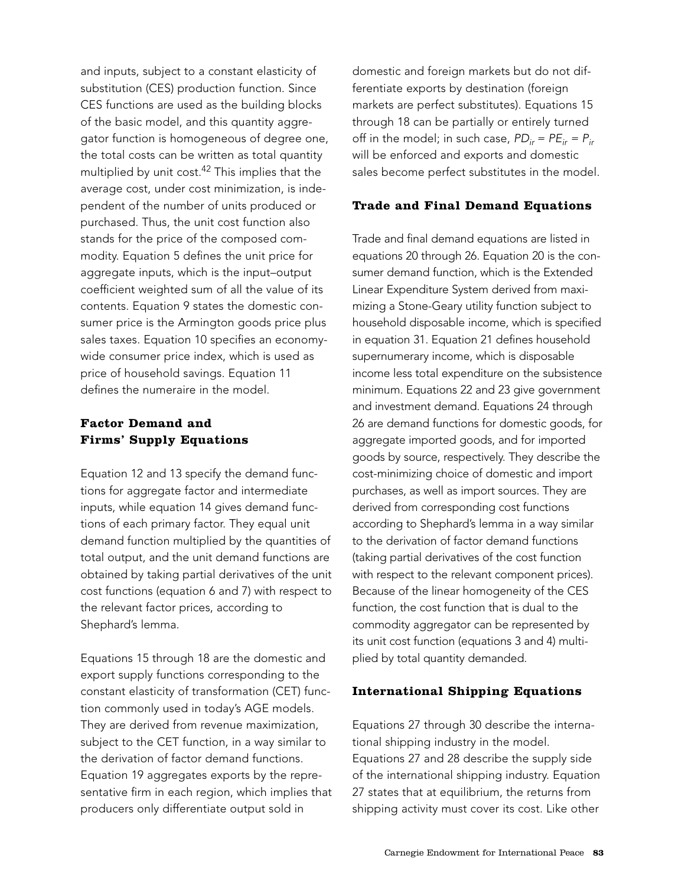#### Table A.4. Definitions of Parameters

| Parameter                 | Definition                                                                                     |
|---------------------------|------------------------------------------------------------------------------------------------|
| $te_{isr}$                | Sector export tax (subsidy) rate for goods to region r from region s                           |
| $tm_{isr}$                | Sector tariff rate for goods from region s in region r                                         |
| $tn_{isr}$                | Sector NTB for goods from region s in region r                                                 |
| $tp_{ir}$                 | Sector indirect tax rate in region r                                                           |
| $tc_{ir}$                 | Consumer sales tax rate in region r                                                            |
| $trc_{isr}$               | International transportation cost margin as percent value of f.o.b.                            |
| $io_{\text{ijr}}$         | Input/output coefficients for region r                                                         |
| kio <sub>ir</sub>         | Sector share of total investment in region r                                                   |
| dk,                       | Depreciation rate of capital stock in region r                                                 |
| $\tau_{r}$                | Regional share of international shipping service supply                                        |
| $\Gamma_{ir}$             | Unit coefficients in first level Armington aggregation function of region r                    |
| $\propto$ $_{ir}$         | Unit coefficients in second level Armington aggregation function of region r                   |
| $\alpha_{ir}$             | Share parameters in the first level Armington aggregation function of region r                 |
| ξir                       | Share parameters in the second level Armington aggregation function of region r                |
| $\sigma m_i$              | Substitution elasticities between domestic and imported goods                                  |
| $\sigma t_i$              | Substitution elasticities among import goods from different regions                            |
| χir                       | Unit coefficients in CET function of region r                                                  |
| $\kappa_{lr}$             | Share parameters in CET function of region r                                                   |
| $\sigma e_i$              | Elasticities of transformation between domestic sales and exports                              |
| $A_{ir}$                  | Unit parameter in aggregate cost function                                                      |
| $\lambda_{lr}$            | Intermediate input share in aggregate cost function                                            |
| $\sigma p_i$              | Elasticities of substitution between aggregate factor and intermediate input                   |
| $\Lambda_{ir}$            | Unit parameter in value added function                                                         |
| $\delta_{\textit{fir}}$   | Factor share in value added function                                                           |
| $\sigma v_{ir}$           | Elasticities of substitution among primary factors in value added                              |
| $\gamma_{ir}$             | Sector minimum subsistence requirements for private households in region r                     |
| $\beta_{ir}$              | Marginal propensity to consume for private households in region r                              |
| $Mps_r$                   | Marginal propensity to save for private households in region r                                 |
| $\theta_{ir}$             | Sector share of government spending in region r                                                |
| Tfp,                      | General TFP shifter in region r                                                                |
| $\mathsf{Ims}_{ir}$       | The share of intermediate inputs in sector's total imports                                     |
| $\sigma$ ip <sub>ir</sub> | Elasticity between intermediate goods import growth with TFP growth                            |
| $dl_r$                    | Land depletion rate in region r                                                                |
| $Ds_r$                    | Share of additional tertiary education stock to skilled labor force at each period             |
| $t\varphi_r$              | Parameter that controls the speed of wage convergence between agricultural and unskilled labor |
| $N_{rt}$                  | Population growth rate in region r at period t                                                 |
| Wdf,                      | Wage ratio of agricultural labor and unskilled labor in region r at base year                  |

*Note*: NTB = nontariff barrier. CET = constant elasticity of transformation. TFP = total factor productivity.

nously. Greek letters or lowercase English letters refer to parameters, which need to be calibrated or supplied from exogenous sources. When multiple subscripts of a variable or parameter come from the same set, the first one represents the region or sector supplying goods; the next one represents the region or sector purchasing goods.

#### **Price Equations**

Equations 1 through 11 are price equations in the model. Equations 1 and 2 define the relationship between border (world) prices and internal prices, while equations 3, 4, 6, 7, and 8 define price indices for aggregate imported goods, Armington goods, composite value added, and the firm's output with and without production taxes, respectively. In equations 3, 4, 6, and 7, the price indices are the unit cost functions, while in equation 8 they are unit revenue functions, all of which are dual to the corresponding unit quantity aggregator functions. For example, equation 7 is the result of cost minimization by the representative firm in each sector with respect to its aggregate factor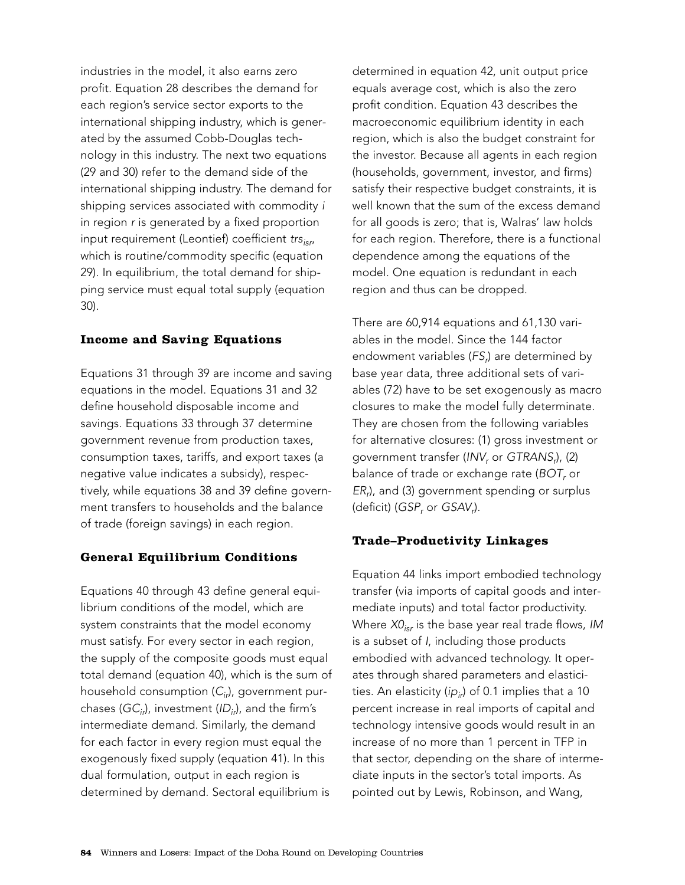and inputs, subject to a constant elasticity of substitution (CES) production function. Since CES functions are used as the building blocks of the basic model, and this quantity aggregator function is homogeneous of degree one, the total costs can be written as total quantity multiplied by unit cost.<sup>42</sup> This implies that the average cost, under cost minimization, is independent of the number of units produced or purchased. Thus, the unit cost function also stands for the price of the composed commodity. Equation 5 defines the unit price for aggregate inputs, which is the input–output coefficient weighted sum of all the value of its contents. Equation 9 states the domestic consumer price is the Armington goods price plus sales taxes. Equation 10 specifies an economywide consumer price index, which is used as price of household savings. Equation 11 defines the numeraire in the model.

## **Factor Demand and Firms' Supply Equations**

Equation 12 and 13 specify the demand functions for aggregate factor and intermediate inputs, while equation 14 gives demand functions of each primary factor. They equal unit demand function multiplied by the quantities of total output, and the unit demand functions are obtained by taking partial derivatives of the unit cost functions (equation 6 and 7) with respect to the relevant factor prices, according to Shephard's lemma.

Equations 15 through 18 are the domestic and export supply functions corresponding to the constant elasticity of transformation (CET) function commonly used in today's AGE models. They are derived from revenue maximization, subject to the CET function, in a way similar to the derivation of factor demand functions. Equation 19 aggregates exports by the representative firm in each region, which implies that producers only differentiate output sold in

domestic and foreign markets but do not differentiate exports by destination (foreign markets are perfect substitutes). Equations 15 through 18 can be partially or entirely turned off in the model; in such case, *PDir = PEir = Pir* will be enforced and exports and domestic sales become perfect substitutes in the model.

### **Trade and Final Demand Equations**

Trade and final demand equations are listed in equations 20 through 26. Equation 20 is the consumer demand function, which is the Extended Linear Expenditure System derived from maximizing a Stone-Geary utility function subject to household disposable income, which is specified in equation 31. Equation 21 defines household supernumerary income, which is disposable income less total expenditure on the subsistence minimum. Equations 22 and 23 give government and investment demand. Equations 24 through 26 are demand functions for domestic goods, for aggregate imported goods, and for imported goods by source, respectively. They describe the cost-minimizing choice of domestic and import purchases, as well as import sources. They are derived from corresponding cost functions according to Shephard's lemma in a way similar to the derivation of factor demand functions (taking partial derivatives of the cost function with respect to the relevant component prices). Because of the linear homogeneity of the CES function, the cost function that is dual to the commodity aggregator can be represented by its unit cost function (equations 3 and 4) multiplied by total quantity demanded.

## **International Shipping Equations**

Equations 27 through 30 describe the international shipping industry in the model. Equations 27 and 28 describe the supply side of the international shipping industry. Equation 27 states that at equilibrium, the returns from shipping activity must cover its cost. Like other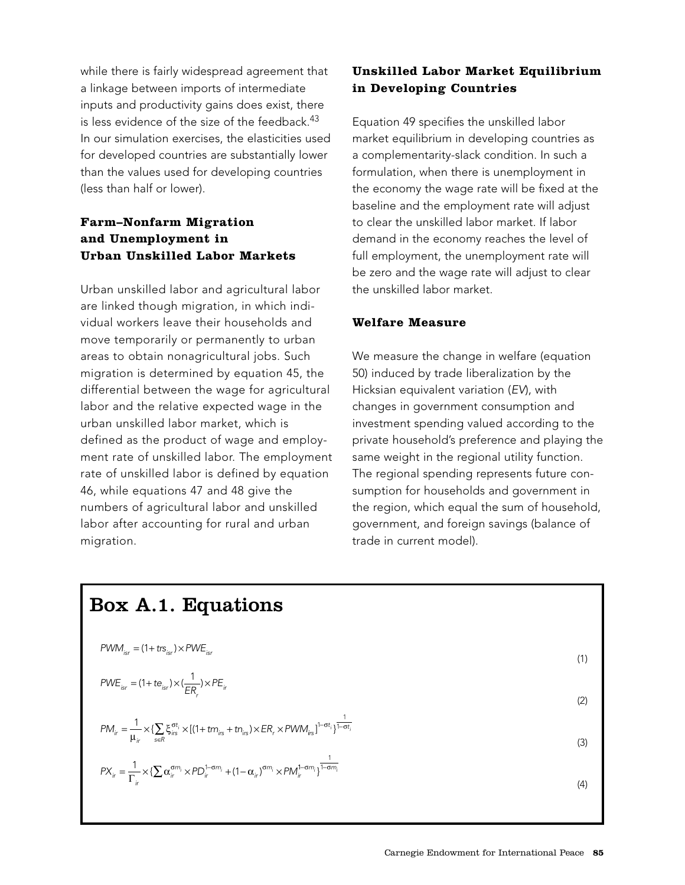industries in the model, it also earns zero profit. Equation 28 describes the demand for each region's service sector exports to the international shipping industry, which is generated by the assumed Cobb-Douglas technology in this industry. The next two equations (29 and 30) refer to the demand side of the international shipping industry. The demand for shipping services associated with commodity *i* in region *r* is generated by a fixed proportion input requirement (Leontief) coefficient *trs<sub>isri</sub>* which is routine/commodity specific (equation 29). In equilibrium, the total demand for shipping service must equal total supply (equation 30).

#### **Income and Saving Equations**

Equations 31 through 39 are income and saving equations in the model. Equations 31 and 32 define household disposable income and savings. Equations 33 through 37 determine government revenue from production taxes, consumption taxes, tariffs, and export taxes (a negative value indicates a subsidy), respectively, while equations 38 and 39 define government transfers to households and the balance of trade (foreign savings) in each region.

#### **General Equilibrium Conditions**

Equations 40 through 43 define general equilibrium conditions of the model, which are system constraints that the model economy must satisfy. For every sector in each region, the supply of the composite goods must equal total demand (equation 40), which is the sum of household consumption (*Cir*), government purchases (*GCir*), investment (*IDir*), and the firm's intermediate demand. Similarly, the demand for each factor in every region must equal the exogenously fixed supply (equation 41). In this dual formulation, output in each region is determined by demand. Sectoral equilibrium is

determined in equation 42, unit output price equals average cost, which is also the zero profit condition. Equation 43 describes the macroeconomic equilibrium identity in each region, which is also the budget constraint for the investor. Because all agents in each region (households, government, investor, and firms) satisfy their respective budget constraints, it is well known that the sum of the excess demand for all goods is zero; that is, Walras' law holds for each region. Therefore, there is a functional dependence among the equations of the model. One equation is redundant in each region and thus can be dropped.

There are 60,914 equations and 61,130 variables in the model. Since the 144 factor endowment variables (FS<sub>r</sub>) are determined by base year data, three additional sets of variables (72) have to be set exogenously as macro closures to make the model fully determinate. They are chosen from the following variables for alternative closures: (1) gross investment or government transfer (*INV<sub>r</sub>* or *GTRANS*,), (2) balance of trade or exchange rate (*BOT<sub>r</sub>* or *ER<sub>r</sub>*), and (3) government spending or surplus (deficit) (GSP<sub>r</sub> or GSAV<sub>r</sub>).

## **Trade–Productivity Linkages**

Equation 44 links import embodied technology transfer (via imports of capital goods and intermediate inputs) and total factor productivity. Where *X0isr* is the base year real trade flows, *IM* is a subset of *I*, including those products embodied with advanced technology. It operates through shared parameters and elasticities. An elasticity (*ipir*) of 0.1 implies that a 10 percent increase in real imports of capital and technology intensive goods would result in an increase of no more than 1 percent in TFP in that sector, depending on the share of intermediate inputs in the sector's total imports. As pointed out by Lewis, Robinson, and Wang,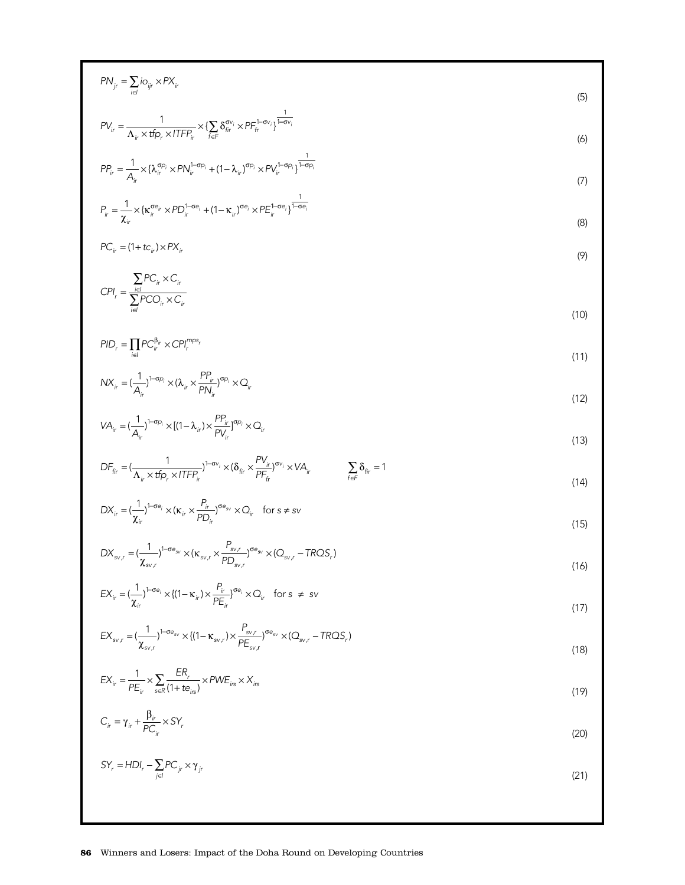while there is fairly widespread agreement that a linkage between imports of intermediate inputs and productivity gains does exist, there is less evidence of the size of the feedback.<sup>43</sup> In our simulation exercises, the elasticities used for developed countries are substantially lower than the values used for developing countries (less than half or lower).

## **Farm–Nonfarm Migration and Unemployment in Urban Unskilled Labor Markets**

Urban unskilled labor and agricultural labor are linked though migration, in which individual workers leave their households and move temporarily or permanently to urban areas to obtain nonagricultural jobs. Such migration is determined by equation 45, the differential between the wage for agricultural labor and the relative expected wage in the urban unskilled labor market, which is defined as the product of wage and employment rate of unskilled labor. The employment rate of unskilled labor is defined by equation 46, while equations 47 and 48 give the numbers of agricultural labor and unskilled labor after accounting for rural and urban migration.

## **Unskilled Labor Market Equilibrium in Developing Countries**

Equation 49 specifies the unskilled labor market equilibrium in developing countries as a complementarity-slack condition. In such a formulation, when there is unemployment in the economy the wage rate will be fixed at the baseline and the employment rate will adjust to clear the unskilled labor market. If labor demand in the economy reaches the level of full employment, the unemployment rate will be zero and the wage rate will adjust to clear the unskilled labor market.

## **Welfare Measure**

We measure the change in welfare (equation 50) induced by trade liberalization by the Hicksian equivalent variation (*EV*), with changes in government consumption and investment spending valued according to the private household's preference and playing the same weight in the regional utility function. The regional spending represents future consumption for households and government in the region, which equal the sum of household, government, and foreign savings (balance of trade in current model).

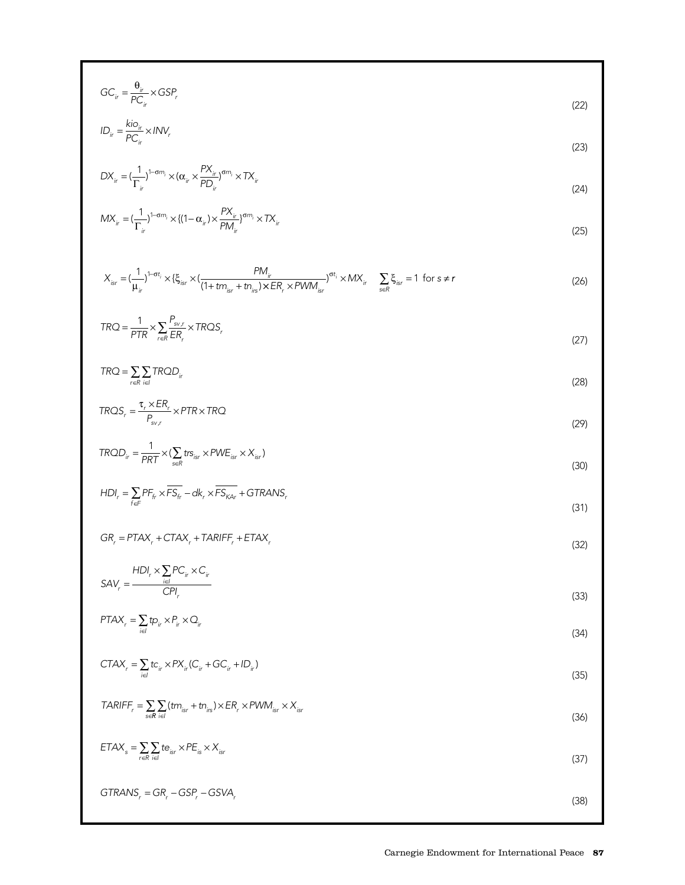$$
PN_{jr} = \sum_{i \in J} i \sigma_{ijr} \times PX_{ir}
$$
\n
$$
PV_{ir} = \frac{1}{\Lambda_{ir} \times tf_{P_r} \times ITFP_{ir}} \times \left\{ \sum_{f \in F} \delta_{fi}^{\sigma_{V_i}} \times PF_{fi}^{-1-\sigma_{V_i}} \right\}^{\frac{1}{1-\sigma_{V_i}}}
$$
\n(6)\n
$$
PP_{ir} = \frac{1}{\Lambda_{ir}} \times \left\{ \lambda_{ir}^{\sigma_{P_i}} \times PN_{ir}^{1-\sigma_{P_i}} + (1-\lambda_{ir})^{\sigma_{P_i}} \times PV_{ir}^{1-\sigma_{P_i}} \right\}^{\frac{1}{1-\sigma_{P_i}}}
$$
\n(7)\n
$$
P_{ir} = \frac{1}{\chi_{ir}} \times \left\{ \kappa_{ir}^{\sigma_{eir}} \times PD_{ir}^{-1-\sigma_{e_i}} + (1-\kappa_{ir})^{\sigma_{e_i}} \times PE_{ir}^{-1-\sigma_{e_i}} \right\}^{\frac{1}{1-\sigma_{e_i}}}
$$
\n(8)\n
$$
PC_{ir} = (1 + tc_{ir}) \times PX_{ir}
$$
\n(9)

$$
PP_{ir} = \frac{1}{A_{ir}} \times {\{\lambda_{ir}^{\sigma p_i} \times PN_{ir}^{1 - \sigma p_i} + (1 - \lambda_{ir})^{\sigma p_i} \times PV_{ir}^{1 - \sigma p_i}\}}^{\frac{1}{1 - \sigma p_i}}
$$
(7)

$$
PP_{ir} = \frac{1}{A_{ir}} \times {\{\lambda_{ir}^{\omega_{F_i}} \times PN_{ir}^{\pi_{C_{F_i}}} + (1 - \lambda_{ir})^{\omega_{F_i}} \times PV_{ir}^{\pi_{C_{F_i}}} \}}^{-\omega_{F_i}} \tag{7}
$$
\n
$$
P_{ir} = \frac{1}{\chi_{ir}} \times {\{\kappa_{ir}^{\omega_{F_i}} \times PD_{ir}^{\pi_{C_{F_i}}} + (1 - \kappa_{ir})^{\sigma_{e_i}} \times PE_{ir}^{\pi_{C_{F_i}}} \}}^{-\frac{1}{1 - \sigma_{e_i}}}
$$
\n
$$
PC_{ir} = (1 + tc_{ir}) \times PX_{ir}
$$
\n
$$
(9)
$$

$$
PC_{ir} = (1 + tc_{ir}) \times PX_{ir}
$$

$$
P_{ir} = \frac{1}{\chi_{ir}} \times \{ \kappa_{ir}^{\sigma_{\theta r}} \times PD_{ir}^{1-\sigma_{\theta r}} + (1 - \kappa_{ir})^{\sigma_{\theta r}} \times PE_{ir}^{1-\sigma_{\theta r}} \}^{\frac{1}{1-\sigma_{\theta r}}}
$$
\n
$$
PC_{ir} = (1 + t c_{ir}) \times PX_{ir}
$$
\n
$$
CP_{i} = \sum_{i \in I} PC_{ir}^{0} \times C_{ir}
$$
\n
$$
CP_{i} = \sum_{i \in I} PC_{ir}^{0} \times CP_{i}^{m_{i}p_{s}}
$$
\n
$$
PID_{r} = \prod_{i \in I} PC_{ir}^{0} \times CP_{i}^{m_{i}p_{s}}
$$
\n
$$
NX_{ir} = (\frac{1}{A_{ir}})^{1-\sigma_{i}p_{s}} \times (\lambda_{ir} \times \frac{PP_{ir}}{PN_{ir}})^{\sigma_{i}p_{s}} \times Q_{ir}
$$
\n
$$
VA_{ir} = (\frac{1}{A_{ir}})^{1-\sigma_{i}p_{s}} \times [(1 - \lambda_{ir}) \times \frac{PP_{ir}}{PV_{ir}})^{\sigma_{i}p_{s}} \times Q_{ir}
$$
\n
$$
DF_{fir} = (\frac{1}{\Lambda_{ir} \times tf_{Pr} \times ITFP_{ir}})^{1-\sigma_{i}p_{s}} \times (\delta_{fir} \times \frac{PV_{ir}}{PF_{ir}})^{\sigma_{ri}} \times VA_{ir}
$$
\n
$$
DX_{ir} = (\frac{1}{\chi_{ir}})^{1-\sigma_{i}q_{s}} \times (\kappa_{ir} \times \frac{P_{ir}}{PD_{ir}})^{\sigma_{i}q_{s}} \times Q_{ir} \quad \text{for } s \neq sv
$$
\n
$$
11 \text{ (14)}
$$

(9)

$$
PID_r = \prod_{i \in I} PC_{ir}^{\beta_{ir}} \times CPl_r^{mps_r}
$$
\n
$$
(11)
$$

$$
PID_{r} = \prod_{i\in I} PC_{ir}^{\beta_{ir}} \times CPI_{r}^{mps_{r}}
$$
\n
$$
NX_{ir} = \left(\frac{1}{A_{ir}}\right)^{1-\sigma p_{i}} \times ( \lambda_{ir} \times \frac{PP_{ir}}{PN_{ir}})^{\sigma p_{i}} \times Q_{ir}
$$
\n
$$
VA_{ir} = \left(\frac{1}{A_{ir}}\right)^{1-\sigma p_{i}} \times \left[ \left(1-\lambda_{ir}\right) \times \frac{PP_{ir}}{PV_{ir}}\right]^{\sigma p_{i}} \times Q_{ir}
$$
\n
$$
DF_{fir} = \left(\frac{1}{\Lambda_{ir} \times tfp_{r} \times ITFP_{ir}}\right)^{1-\sigma v_{i}} \times (\delta_{fir} \times \frac{PV_{ir}}{PF_{fr}})^{\sigma v_{i}} \times VA_{ir}
$$
\n
$$
\sum_{f \in F} \delta_{fir} = 1
$$
\n
$$
DX_{ir} = \left(\frac{1}{\chi_{ir}}\right)^{1-\sigma e_{i}} \times (\kappa_{ir} \times \frac{P_{ir}}{PD_{ir}})^{\sigma e_{sv}} \times Q_{ir} \quad \text{for } s \neq s \vee \qquad \qquad (14)
$$
\n
$$
DX_{sv,r} = \left(\frac{1}{\chi_{sv,r}}\right)^{1-\sigma e_{sv}} \times (\kappa_{sv,r} \times \frac{P_{sv,r}}{PD_{sv,r}})^{\sigma e_{sv}} \times (Q_{sv,r} - TRQS_{r})
$$
\n
$$
EX_{ir} = \left(\frac{1}{\chi_{ir}}\right)^{1-\sigma e_{i}} \times \left\{\left(1-\kappa_{ir}\right) \times \frac{P_{ir}}{PE_{ir}}\right\}^{\sigma e_{i}} \times Q_{ir} \quad \text{for } s \neq s \vee \qquad (17)
$$

$$
VA_{ir} = \left(\frac{1}{A_{ir}}\right)^{1 - \sigma_{P_i}} \times \left[ (1 - \lambda_{ir}) \times \frac{PP_{ir}}{PV_{ir}} \right]^{ \sigma_{P_i}} \times Q_{ir}
$$
\n(13)

$$
DF_{\text{fir}} = \left(\frac{1}{\Lambda_{ir} \times \text{tfp}_r \times ITFP_{ir}}\right)^{1-\sigma_{V_i}} \times \left(\delta_{\text{fir}} \times \frac{PV_{ir}}{PF_{\text{fr}}}\right)^{\sigma_{V_i}} \times VA_{ir} \qquad \sum_{f \in F} \delta_{\text{fir}} = 1 \tag{14}
$$

$$
DX_{ir} = \left(\frac{1}{\chi_{ir}}\right)^{1-\sigma_{e_i}} \times \left(\kappa_{ir} \times \frac{P_{ir}}{PD_{ir}}\right)^{\sigma_{e_{sv}}} \times Q_{ir} \quad \text{for } s \neq sv
$$
\n(15)

$$
DX_{\mathsf{s}v,r} = \left(\frac{1}{\chi_{\mathsf{s}v,r}}\right)^{1-\sigma\mathsf{e}_{\mathsf{s}v}} \times \left(\kappa_{\mathsf{s}v,r} \times \frac{P_{\mathsf{s}v,r}}{PD_{\mathsf{s}v,r}}\right)^{\sigma\mathsf{e}_{\mathsf{s}v}} \times \left(Q_{\mathsf{s}v,r} - TR\Omega S_r\right) \tag{16}
$$

$$
NX_{ir} = \left(\frac{1}{A_{ir}}\right)^{1-\sigma_{P_i}} \times \left(\lambda_{ir} \times \frac{P_{ir}}{PN_{ir}}\right)^{\sigma_{P_i}} \times Q_{ir}
$$
\n
$$
VA_{ir} = \left(\frac{1}{A_{ir}}\right)^{1-\sigma_{P_i}} \times \left[\left(1-\lambda_{ir}\right) \times \frac{P_{ir}}{PV_{ir}}\right]^{\sigma_{P_i}} \times Q_{ir}
$$
\n
$$
DF_{fir} = \left(\frac{1}{\lambda_{ir} \times t f \rho_r \times I T F P_{ir}}\right)^{1-\sigma_{V_i}} \times \left(\delta_{fir} \times \frac{P_{V_{ir}}}{P F_{tr}}\right)^{\sigma_{V_i}} \times VA_{ir}
$$
\n
$$
\sum_{f \in F} \delta_{fir} = 1
$$
\n
$$
DX_{ir} = \left(\frac{1}{\lambda_{ir}}\right)^{1-\sigma_{P_i}} \times \left(\kappa_{ir} \times \frac{P_{ir}}{P D_{ir}}\right)^{\sigma_{P_{SV}}} \times Q_{ir}
$$
\n
$$
for \ s \neq sv
$$
\n
$$
S_{sv,r} = \left(\frac{1}{\lambda_{sv,r}}\right)^{1-\sigma_{P_i}} \times \left(\kappa_{sv,r} \times \frac{P_{sv,r}}{P D_{sv,r}}\right)^{\sigma_{P_{sv}}} \times \left(Q_{sv,r} - T R Q S_r\right)
$$
\n
$$
EX_{ir} = \left(\frac{1}{\lambda_{ir}}\right)^{1-\sigma_{P_i}} \times \left\{\left(1-\kappa_{ir}\right) \times \frac{P_{ir}}{P E_{ir}}\right\}^{\sigma_{P_i}} \times Q_{ir}
$$
\n
$$
for \ s \neq sv
$$
\n
$$
S_{sv,r} = \left(\frac{1}{\lambda_{sv}}\right)^{1-\sigma_{ev}} \times \left\{\left(1-\kappa_{sv,r}\right) \times \frac{P_{sv,r}}{P E_{iv}}\right\}^{\sigma_{P_i}} \times Q_{sv,r} - T R Q S_r\right)
$$
\n
$$
(17)
$$

$$
VA_{ir} = (\frac{1}{A_{ir}})^{1-\sigma_{P_i}} \times [(1-\lambda_{ir}) \times \frac{PP_{ir}}{PV_{ir}}]^{\sigma_{P_i}} \times Q_{ir}
$$
\n
$$
DF_{fir} = (\frac{1}{\lambda_{ir} \times tf_{P_i} \times ITF_{ir}})^{1-\sigma_{V_i}} \times (\delta_{fir} \times \frac{PV_{ir}}{PF_{ir}})^{\sigma_{V_i}} \times VA_{ir}
$$
\n
$$
\sum_{f \in F} \delta_{fir} = 1
$$
\n
$$
DX_{ir} = (\frac{1}{\lambda_{ir}})^{1-\sigma_{P_i}} \times (\kappa_{ir} \times \frac{P_{ir}}{PD_{ir}})^{\sigma_{P_{ir}}} \times Q_{ir}
$$
\n
$$
DX_{sv,r} = (\frac{1}{\lambda_{svr}})^{1-\sigma_{ev}} \times (\kappa_{sv,r} \times \frac{P_{sv,r}}{PD_{svr}})^{\sigma_{ev}} \times (Q_{sv,r} - TROS_{r})
$$
\n
$$
EX_{ir} = (\frac{1}{\lambda_{ir}})^{1-\sigma_{ev}} \times \{(1-\kappa_{ir}) \times \frac{P_{ir}}{PE_{ir}})^{\sigma_{ev}} \times Q_{ir}
$$
\n
$$
EX_{sv} = (\frac{1}{\lambda_{svr}})^{1-\sigma_{ev}} \times \{(1-\kappa_{svr}) \times \frac{P_{svr}}{PE_{svr}})^{\sigma_{ev}} \times Q_{ir}
$$
\n
$$
EX_{sv} = (\frac{1}{\lambda_{svr}})^{1-\sigma_{ev}} \times \{(1-\kappa_{svr}) \times \frac{P_{svr}}{PE_{svr}})^{\sigma_{ev}} \times (Q_{svr} - TROS_{r})
$$
\n
$$
EX_{ir} = \frac{1}{PE_{ir}} \times \sum_{s \in R} \frac{ER_{r}}{(1+te_{irs})} \times PWE_{irs} \times X_{irs}
$$
\n
$$
C_{ir} = \gamma_{ir} + \frac{\beta_{ir}}{PC} \times SY_{r}
$$
\n
$$
17)
$$

$$
EX_{ir} = \frac{1}{PE_{ir}} \times \sum_{s \in R} \frac{ER_r}{(1 + te_{irs})} \times PWE_{irs} \times X_{irs}
$$
\n
$$
C_{ir} = \gamma_{ir} + \frac{\beta_{ir}}{PC} \times SY_r
$$
\n(19)

$$
EX_{ir} = \frac{1}{PE_{ir}} \times \sum_{s \in R} \frac{ER_{r}}{(1 + te_{irs})} \times PWE_{irs} \times X_{irs}
$$
\n
$$
C_{ir} = \gamma_{ir} + \frac{\beta_{ir}}{PC_{ir}} \times SY_{r}
$$
\n
$$
SY_{r} = HDI_{r} - \sum_{j \in I} PC_{jr} \times \gamma_{jr}
$$
\n(21)

$$
SY_r = HDI_r - \sum_{j \in I} PC_{jr} \times \gamma_{jr}
$$
\n(21)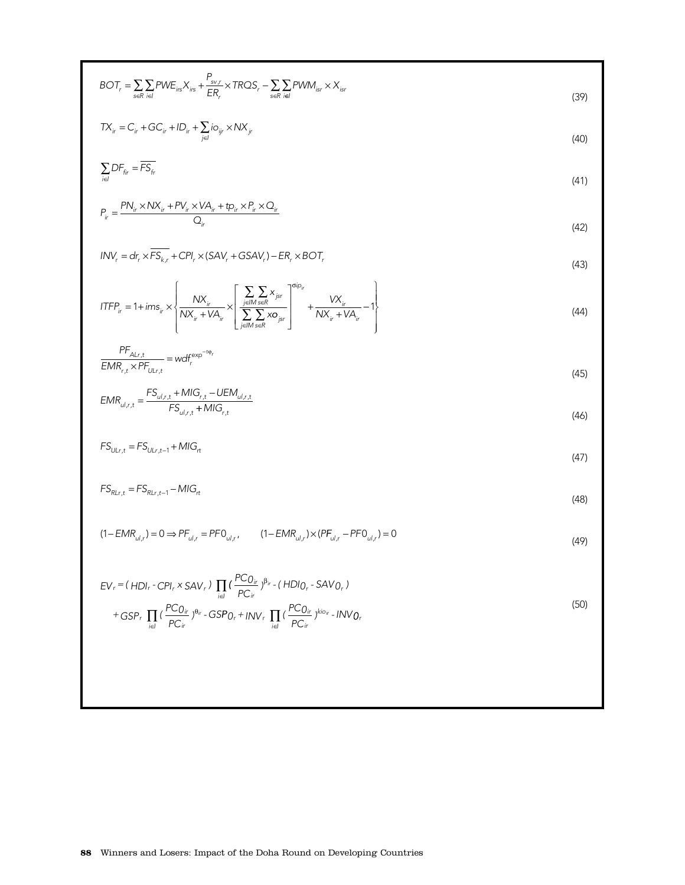$$
GC_{ir} = \frac{\theta_{ir}}{PC_{ir}} \times GSP_r
$$
  

$$
ID_{ir} = \frac{kio_{ir}}{PC} \times INV_r
$$
 (22)

$$
GC_{ir} = \frac{\theta_{ir}}{PC_{ir}} \times GSP_r
$$
  
\n
$$
ID_{ir} = \frac{kio_{ir}}{PC_{ir}} \times INV_r
$$
  
\n
$$
DX_{ir} = (\frac{1}{1})^{1-\sigma m_i} \times (\alpha_{ir} \times \frac{PX_{ir}}{Y})^{\sigma m_i} \times TX
$$
 (23)

$$
GC_{ir} = \frac{\theta_{ir}}{PC_{ir}} \times GSP,
$$
\n
$$
ID_{ir} = \frac{kio_{ir}}{PC_{ir}} \times INV,
$$
\n
$$
DX_{ir} = (\frac{1}{\Gamma_{ir}})^{1-\sigma n_{i}} \times (\alpha_{ir} \times \frac{PX_{ir}}{PD_{ir}})^{\sigma n_{i}} \times TX_{ir}
$$
\n
$$
MX_{ir} = (\frac{1}{\Gamma_{ir}})^{1-\sigma n_{i}} \times ((1-\alpha_{ir}) \times \frac{PX_{ir}}{PM_{ir}})^{\sigma n_{i}} \times TX_{ir}
$$
\n
$$
X_{ar} = (\frac{1}{\mu_{ir}})^{1-\sigma n_{i}} \times (\xi_{sir} \times (\frac{PM_{ir}}{(1+tm_{sr}+tr_{li_{s}}) \times ER_{r} \times PWM_{is}})^{\sigma t_{i}} \times MX_{ir} \sum_{s \in R} \xi_{isr} = 1 \text{ for } s \neq r
$$
\n
$$
TRO = \frac{1}{PTR} \times \sum_{r \in R} \frac{P_{sv,r}}{ER_{r}} \times TROS_{r}
$$
\n
$$
TRO = \sum_{r} TRQD.
$$
\n
$$
(27)
$$

$$
MX_{ir} = \left(\frac{1}{\Gamma_{ir}}\right)^{1-\sigma m_i} \times \left\{ (1-\alpha_{ir}) \times \frac{PX_{ir}}{PM_{ir}} \right\}^{\sigma m_i} \times TX_{ir}
$$
\n(25)

$$
MX_{ir} = \left(\frac{1}{\Gamma_{ir}}\right)^{1-\sigma n_i} \times \left\{\left(1-\alpha_{ir}\right) \times \frac{PX_{ir}}{PM_{ir}}\right\}^{\sigma n_i} \times TX_{ir}
$$
\n
$$
X_{isr} = \left(\frac{1}{\mu_{ir}}\right)^{1-\sigma t_i} \times \left\{\xi_{isr} \times \left(\frac{PM_{ir}}{1+tm_{isr}+tr_{irs}}\right) \times ER_r \times PWM_{isr}}\right)^{\sigma t_i} \times MX_{ir}
$$
\n
$$
\sum_{s \in R} \xi_{isr} = 1 \text{ for } s \neq r
$$
\n
$$
TRQ = \frac{1}{\sigma T P} \times \sum_{s \in R} \frac{P_{sv,r}}{P} \times TRQS_{r}
$$
\n
$$
(26)
$$

$$
X_{isr} = \left(\frac{1}{\mu_{ir}}\right)^{1-\sigma t_i} \times \left(\xi_{isr} \times \left(\frac{PM_{ir}}{(1 + tm_{isr} + tn_{is}) \times ER_r \times PWM_{isr}}\right)^{\sigma t_i} \times MX_{ir} \quad \sum_{s \in R} \xi_{isr} = 1 \text{ for } s \neq r
$$
\n
$$
TRO = \frac{1}{PTR} \times \sum_{r \in R} \frac{P_{svr}}{ER_r} \times TROS_r
$$
\n
$$
TRO = \sum_{r \in R} \sum_{i \in I} TROD_{ir}
$$
\n
$$
TROS_r = \frac{\tau_r \times ER_r}{P_{svr}} \times PTR \times TRO
$$
\n
$$
(28)
$$
\n
$$
TROD_{ir} = \frac{1}{PRT} \times \left(\sum_{s \in R} trs_{isr} \times PWE_{isr} \times X_{isr}\right)
$$
\n
$$
(29)
$$

$$
TRO = \sum_{r \in R} \sum_{i \in I} TROD_{ir}
$$
\n
$$
(28)
$$

$$
TROS_r = \frac{\tau_r \times ER_r}{P_{sv,r}} \times PTR \times TRQ \tag{29}
$$

$$
TRO = \frac{1}{PTR} \times \sum_{r \in R} \frac{P_{s \vee r}}{ER} \times TROS_r
$$
\n
$$
TRO = \sum_{r \in R} \sum_{i \in I} TROD_i
$$
\n
$$
TROS_r = \frac{\tau_r \times ER_r}{P_{s \vee r}} \times PTR \times TRO
$$
\n
$$
TROD_{ir} = \frac{1}{PRT} \times (\sum_{s \in R} tr_{S_{isr}} \times PWE_{isr} \times X_{isr})
$$
\n
$$
HDI_r = \sum_{f \in F} PF_{fr} \times \overline{FS_{fr}} - dk_r \times \overline{FS_{KAr}} + GTRANS_r
$$
\n
$$
GR_r = PTAX_r + CTAX_r + TARIFF_r + ETAX_r
$$
\n
$$
SAV = \frac{HD_r \times \sum_{i \in I} PC_{ir} \times C_{ir}}{1}
$$
\n(32)

$$
HDI_r = \sum_{f \in F} PF_{fr} \times \overline{FS_{fr}} - dk_r \times \overline{FS_{KAr}} + GTRANS_r
$$
\n
$$
GR_r = PTAX_r + CTAX_r + TARIFF_r + ETAX_r
$$
\n
$$
(32)
$$
\n
$$
HDI_r \times \sum PC_{ir} \times C_{ir}
$$
\n
$$
(32)
$$

$$
GRr = PTAXr + CTAXr + TARIFFr + ETAXr
$$
\n(32)

$$
HD_{r} = \sum_{f \in F} PF_{fr} \times FS_{fr} - dk_{r} \times FS_{KAr} + GTRANS_{r}
$$
\n
$$
GR_{r} = PTAX_{r} + CTAX_{r} + TARIFF_{r} + ETAX_{r}
$$
\n
$$
SAV_{r} = \frac{HD_{r} \times \sum_{i \in I} PC_{ir} \times C_{ir}}{CPI_{r}}
$$
\n
$$
PTAX_{r} = \sum_{i \in I} tp_{ir} \times P_{ir} \times Q_{ir}
$$
\n
$$
CTAX_{r} = \sum_{i \in I} tc_{ir} \times PX_{ir} (C_{ir} + GC_{ir} + ID_{ir})
$$
\n
$$
TARIFF_{r} = \sum_{s \in R} \sum_{i \in I} (tm_{isr} + tn_{is}) \times ER_{r} \times PWM_{isr} \times X_{isr}
$$
\n
$$
ETAX_{s} = \sum_{r \in R} \sum_{i \in I} te_{isr} \times PE_{is} \times X_{isr}
$$
\n
$$
(36)
$$

$$
PTAX_{r} = \sum_{i \in I} \mathbf{tp}_{ir} \times P_{ir} \times Q_{ir}
$$
\n(34)

$$
CTAX_{r} = \sum_{i\in I}tc_{ir} \times PX_{ir}(C_{ir} + GC_{ir} + ID_{ir})
$$
\n
$$
TARIFF_{r} = \sum_{s\in R} \sum_{i\in I} (tm_{isr} + tn_{irs}) \times ER_{r} \times PWM_{isr} \times X_{isr}
$$
\n
$$
ETAX_{s} = \sum_{r\in R} \sum_{i\in I} te_{isr} \times PE_{is} \times X_{isr}
$$
\n(36)

$$
TARIF_{r} = \sum_{s \in R} \sum_{i \in I} (tm_{isr} + tn_{is}) \times ER_{r} \times PWM_{isr} \times X_{isr}
$$
\n
$$
(36)
$$

$$
ETAX_s = \sum_{r \in R} \sum_{i \in I} t e_{isr} \times PE_{is} \times X_{isr}
$$
\n(37)

$$
CTAX_{r} = \sum_{i\in I}tc_{ir} \times PX_{ir}(C_{ir} + GC_{ir} + ID_{ir})
$$
\n
$$
TARIFF_{r} = \sum_{s\in R} \sum_{i\in I} (tm_{isr} + tn_{irs}) \times ER_{r} \times PWM_{isr} \times X_{isr}
$$
\n
$$
ETAX_{s} = \sum_{r\in R} \sum_{i\in I} te_{isr} \times PE_{is} \times X_{isr}
$$
\n
$$
(37)
$$
\n
$$
GTRANS_{r} = GR_{r} - GSP_{r} - GSVA_{r}
$$
\n
$$
(38)
$$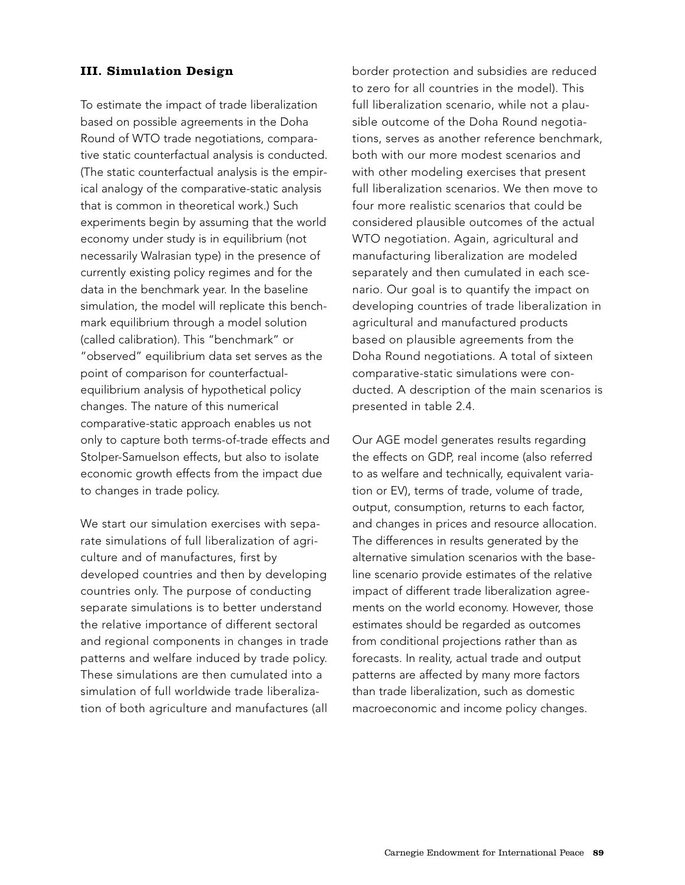$$
BOT_r = \sum_{seR} PWE_{irs}X_{irs} + \frac{P_{sv_r}}{ER_r} \times TROS_r - \sum_{seR} \sum_{tel} PWM_{lsr} \times X_{isr}
$$
\n(39)\n
$$
TX_{ir} = C_{ir} + GC_{ir} + ID_{ir} + \sum_{jel} iO_{ijr} \times NX_{jr}
$$
\n(40)\n
$$
\sum_{tel} DF_{fir} = \overline{FS_{tr}}
$$
\n(41)\n
$$
P_{ir} = \frac{PN_{ir} \times NX_{ir} + PV_{ir} \times VA_{ir} + tp_{ir} \times P_{ir} \times Q_{ir}}{Q_{ir}}
$$
\n(42)\n
$$
INV_r = dr_r \times \overline{FS_{kr}} + CP_r \times (SAV_r + GSAV_r) - ER_r \times BOT_r
$$
\n(43)\n
$$
ITFP_{ir} = 1 + img_{ir} \times \left\{ \frac{NX_r}{NX_r} + VA_{ir} \times \left[ \frac{\sum_{jelM} \sum_{seR} X_{jsr}}{\sum_{jelM} \sum_{seR} XO_{jsr}} \right]^{oip_r} + \frac{VX_{ir}}{NX_{ir} + VA_{ir}} - 1 \right\}
$$
\n
$$
\frac{PF_{ALr,t}}{EMR \times PF_{irr,t}} = wcf_r^{evo_r^{-10}r}
$$
\n(44)

(40)

$$
\sum_{i\in I} DF_{\text{fir}} = \overline{FS}_{\text{fr}}
$$
\n
$$
\tag{41}
$$

$$
P_{ir} = \frac{PN_{ir} \times N X_{ir} + PV_{ir} \times VA_{ir} + tp_{ir} \times P_{ir} \times Q_{ir}}{Q_{ir}}
$$
\n(42)

$$
INVr = drr \times FSk,r + CPIr \times (SAVr + GSAVr) - ERr \times BOTr
$$
\n(43)

$$
TX_{u} = C_{u} + GC_{v} + ID_{u} + \sum_{jel} i\omega_{ij} \times NX_{v}
$$
\n
$$
(40)
$$
\n
$$
\sum_{iel} DF_{iv} = \overline{FS_{h}}
$$
\n
$$
P_{u} = \frac{PN_{u} \times NN_{v} + PV_{u} \times VA_{u} + tp_{u} \times P_{u} \times Q_{v}}{Q_{v}}
$$
\n
$$
(41)
$$
\n
$$
PV_{v} = dr_{v} \times FS_{k,r} + CPI_{v} \times (SAV_{r} + GSAV_{r}) - ER_{r} \times BOT_{r}
$$
\n
$$
(42)
$$
\n
$$
ITFP_{u} = 1 + ims_{u} \times \left\{ \frac{NX_{v}}{NX_{v}} \times \left\{ \sum_{jelM} \sum_{s \in N} X_{jsr} \right\} \right\}^{qSp_{u}}
$$
\n
$$
+ \frac{VX_{v}}{NX_{u}} + VA_{u}
$$
\n
$$
= \frac{PF_{A\cup t}}{EMR_{v,t} \times PF_{U,t,t}} = wdf^{eqv} + mG_{t,t}
$$
\n
$$
EMR_{u,t,t} = \frac{FS_{u,t,t} + MIG_{t,t} - UEM_{u,t,t}}{FS_{u,t,t} + MIG_{t,t}}
$$
\n
$$
= \frac{PSL_{u,t,t} + MIG_{t,t}}{TS_{u,t,t} + MIG_{t,t}}
$$
\n
$$
= rS_{u,t,t-1} + MIG_{u}
$$
\n
$$
(1 - EMR_{u,t}) = 0 \Rightarrow PF_{u,t} = PFO_{u,t}, \quad (1 - EMR_{u,t}) \times (PF_{u,t} - PFO_{u,t}) = 0
$$
\n
$$
EV_{r} = (HDI_{r} \cdot CPI_{r} \times SAV_{r}) \prod_{i \neq l} \left\{ \frac{PCO_{u}}{PC_{u}} y^{\beta_{v}} - (HDO_{r} - SAVO_{r}) \right\}
$$
\n
$$
= \frac{PCO_{u,t}}{CQ_{u,t}} = \frac{PCO_{u,t}}{PCQ_{u,t}}
$$
\n
$$
(50)
$$

$$
\frac{PF_{Alr,t}}{EMR_{r,t} \times PF_{Ulr,t}} = wdf_r^{\exp^{-t\varphi_r}}
$$
\n(45)

$$
\frac{PF_{Alt,t}}{EMR_{r,t} \times PF_{ULr,t}} = wdf_r^{exp^{-t\varphi_r}}
$$
\n
$$
EMR_{ul,r,t} = \frac{FS_{ul,r,t} + MIG_{r,t} - UEM_{ul,r,t}}{FS_{ul,r,t} + MIG_{r,t}}
$$
\n
$$
FS_{ULr,t} = FS_{ULr,t-1} + MIG_t
$$
\n(46)

$$
FS_{ULr,t} = FS_{ULr,t-1} + MIG_{rt}
$$
\n
$$
(47)
$$

$$
FS_{RLr,t} = FS_{RLr,t-1} - MIG_{rt}
$$
\n
$$
(48)
$$

$$
(1 - EMR_{ul,r}) = 0 \Rightarrow PF_{ul,r} = PFO_{ul,r}, \qquad (1 - EMR_{ul,r}) \times (PF_{ul,r} - PFO_{ul,r}) = 0 \tag{49}
$$

$$
EMR_{ul,r,t} = \frac{FS_{ul,r,t} + MIG_{r,t}}{FS_{ul,r,t} + MIG_{r,t}}
$$
\n(46)  
\n
$$
FS_{ul,r,t} = FS_{ul,r,t-1} + MIG_{rt}
$$
\n(47)  
\n
$$
FS_{RLt,t} = FS_{RLt,t-1} - MIG_{rt}
$$
\n(48)  
\n
$$
(1 - EMR_{ul,r}) = 0 \Rightarrow PF_{ul,r} = PFO_{ul,r}, \qquad (1 - EMR_{ul,r}) \times (PF_{ul,r} - PFO_{ul,r}) = 0
$$
\n(49)  
\n
$$
EV_{r} = (HDI_{r} - CPI_{r} \times SAV_{r}) \prod_{i \in I} (\frac{PCO_{li}}{PC_{ir}})^{\beta_{ir}} \cdot (HDI_{O_{r}} - SAVO_{r})
$$
\n
$$
+ GSP_{r} \prod_{i \in I} (\frac{PCO_{ir}}{PC_{ir}})^{\theta_{ir}} \cdot GSPO_{r} + INV_{r} \prod_{i \in I} (\frac{PCO_{li}}{PC_{ir}})^{kio_{ir}} \cdot INVO_{r}
$$
\n(50)

L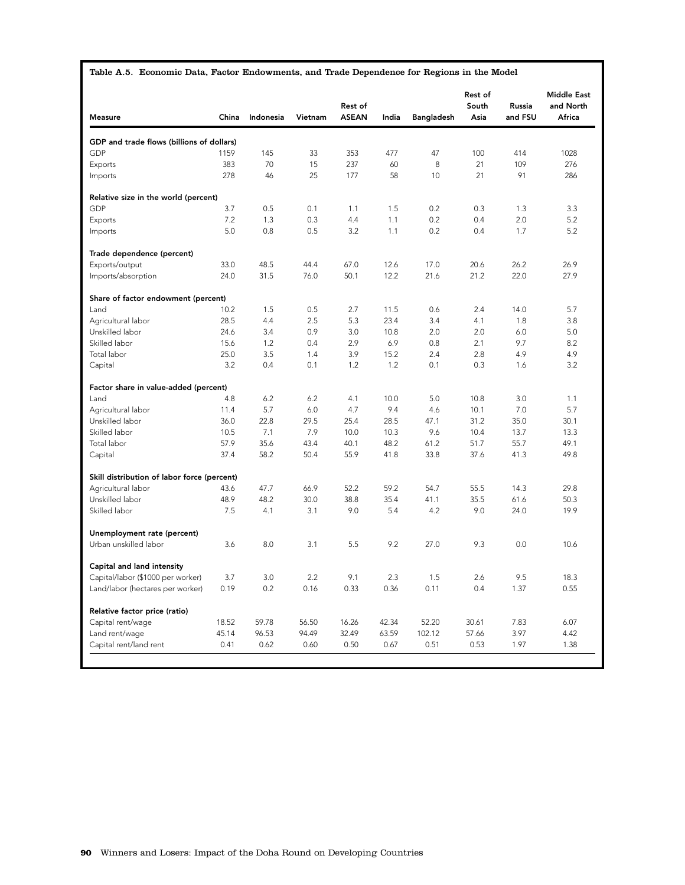### **III. Simulation Design**

To estimate the impact of trade liberalization based on possible agreements in the Doha Round of WTO trade negotiations, comparative static counterfactual analysis is conducted. (The static counterfactual analysis is the empirical analogy of the comparative-static analysis that is common in theoretical work.) Such experiments begin by assuming that the world economy under study is in equilibrium (not necessarily Walrasian type) in the presence of currently existing policy regimes and for the data in the benchmark year. In the baseline simulation, the model will replicate this benchmark equilibrium through a model solution (called calibration). This "benchmark" or "observed" equilibrium data set serves as the point of comparison for counterfactualequilibrium analysis of hypothetical policy changes. The nature of this numerical comparative-static approach enables us not only to capture both terms-of-trade effects and Stolper-Samuelson effects, but also to isolate economic growth effects from the impact due to changes in trade policy.

We start our simulation exercises with separate simulations of full liberalization of agriculture and of manufactures, first by developed countries and then by developing countries only. The purpose of conducting separate simulations is to better understand the relative importance of different sectoral and regional components in changes in trade patterns and welfare induced by trade policy. These simulations are then cumulated into a simulation of full worldwide trade liberalization of both agriculture and manufactures (all border protection and subsidies are reduced to zero for all countries in the model). This full liberalization scenario, while not a plausible outcome of the Doha Round negotiations, serves as another reference benchmark, both with our more modest scenarios and with other modeling exercises that present full liberalization scenarios. We then move to four more realistic scenarios that could be considered plausible outcomes of the actual WTO negotiation. Again, agricultural and manufacturing liberalization are modeled separately and then cumulated in each scenario. Our goal is to quantify the impact on developing countries of trade liberalization in agricultural and manufactured products based on plausible agreements from the Doha Round negotiations. A total of sixteen comparative-static simulations were conducted. A description of the main scenarios is presented in table 2.4.

Our AGE model generates results regarding the effects on GDP, real income (also referred to as welfare and technically, equivalent variation or EV), terms of trade, volume of trade, output, consumption, returns to each factor, and changes in prices and resource allocation. The differences in results generated by the alternative simulation scenarios with the baseline scenario provide estimates of the relative impact of different trade liberalization agreements on the world economy. However, those estimates should be regarded as outcomes from conditional projections rather than as forecasts. In reality, actual trade and output patterns are affected by many more factors than trade liberalization, such as domestic macroeconomic and income policy changes.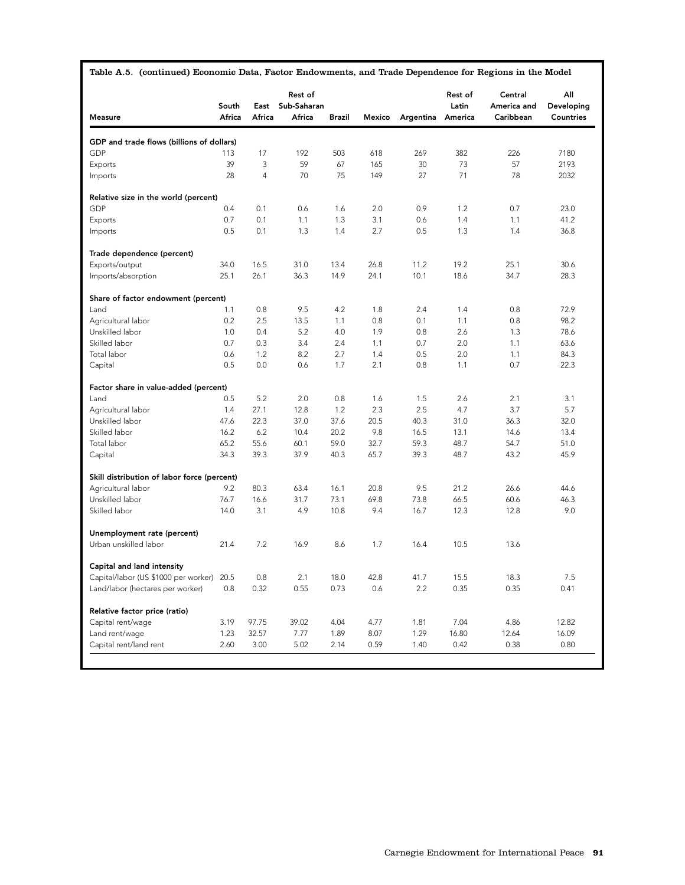| <b>Measure</b>                              | China | Indonesia | Vietnam | Rest of<br><b>ASEAN</b> | India | <b>Bangladesh</b> | Rest of<br>South<br>Asia | Russia<br>and FSU | <b>Middle East</b><br>and North<br>Africa |
|---------------------------------------------|-------|-----------|---------|-------------------------|-------|-------------------|--------------------------|-------------------|-------------------------------------------|
| GDP and trade flows (billions of dollars)   |       |           |         |                         |       |                   |                          |                   |                                           |
| GDP                                         | 1159  | 145       | 33      | 353                     | 477   | 47                | 100                      | 414               | 1028                                      |
| Exports                                     | 383   | 70        | 15      | 237                     | 60    | 8                 | 21                       | 109               | 276                                       |
| Imports                                     | 278   | 46        | 25      | 177                     | 58    | 10                | 21                       | 91                | 286                                       |
| Relative size in the world (percent)        |       |           |         |                         |       |                   |                          |                   |                                           |
| <b>GDP</b>                                  | 3.7   | 0.5       | 0.1     | 1.1                     | 1.5   | 0.2               | 0.3                      | 1.3               | 3.3                                       |
| Exports                                     | 7.2   | 1.3       | 0.3     | 4.4                     | 1.1   | 0.2               | 0.4                      | 2.0               | 5.2                                       |
| Imports                                     | 5.0   | 0.8       | 0.5     | 3.2                     | 1.1   | 0.2               | 0.4                      | 1.7               | 5.2                                       |
| Trade dependence (percent)                  |       |           |         |                         |       |                   |                          |                   |                                           |
| Exports/output                              | 33.0  | 48.5      | 44.4    | 67.0                    | 12.6  | 17.0              | 20.6                     | 26.2              | 26.9                                      |
| Imports/absorption                          | 24.0  | 31.5      | 76.0    | 50.1                    | 12.2  | 21.6              | 21.2                     | 22.0              | 27.9                                      |
| Share of factor endowment (percent)         |       |           |         |                         |       |                   |                          |                   |                                           |
| Land                                        | 10.2  | 1.5       | 0.5     | 2.7                     | 11.5  | 0.6               | 2.4                      | 14.0              | 5.7                                       |
| Agricultural labor                          | 28.5  | 4.4       | 2.5     | 5.3                     | 23.4  | 3.4               | 4.1                      | 1.8               | 3.8                                       |
| Unskilled labor                             | 24.6  | 3.4       | 0.9     | 3.0                     | 10.8  | 2.0               | 2.0                      | 6.0               | 5.0                                       |
| Skilled labor                               | 15.6  | 1.2       | 0.4     | 2.9                     | 6.9   | 0.8               | 2.1                      | 9.7               | 8.2                                       |
| Total labor                                 | 25.0  | 3.5       | 1.4     | 3.9                     | 15.2  | 2.4               | 2.8                      | 4.9               | 4.9                                       |
| Capital                                     | 3.2   | 0.4       | 0.1     | 1.2                     | 1.2   | 0.1               | 0.3                      | 1.6               | 3.2                                       |
| Factor share in value-added (percent)       |       |           |         |                         |       |                   |                          |                   |                                           |
| Land                                        | 4.8   | 6.2       | 6.2     | 4.1                     | 10.0  | 5.0               | 10.8                     | 3.0               | 1.1                                       |
| Agricultural labor                          | 11.4  | 5.7       | 6.0     | 4.7                     | 9.4   | 4.6               | 10.1                     | 7.0               | 5.7                                       |
| Unskilled labor                             | 36.0  | 22.8      | 29.5    | 25.4                    | 28.5  | 47.1              | 31.2                     | 35.0              | 30.1                                      |
| Skilled labor                               | 10.5  | 7.1       | 7.9     | 10.0                    | 10.3  | 9.6               | 10.4                     | 13.7              | 13.3                                      |
| Total labor                                 | 57.9  | 35.6      | 43.4    | 40.1                    | 48.2  | 61.2              | 51.7                     | 55.7              | 49.1                                      |
| Capital                                     | 37.4  | 58.2      | 50.4    | 55.9                    | 41.8  | 33.8              | 37.6                     | 41.3              | 49.8                                      |
| Skill distribution of labor force (percent) |       |           |         |                         |       |                   |                          |                   |                                           |
| Agricultural labor                          | 43.6  | 47.7      | 66.9    | 52.2                    | 59.2  | 54.7              | 55.5                     | 14.3              | 29.8                                      |
| Unskilled labor                             | 48.9  | 48.2      | 30.0    | 38.8                    | 35.4  | 41.1              | 35.5                     | 61.6              | 50.3                                      |
| Skilled labor                               | 7.5   | 4.1       | 3.1     | 9.0                     | 5.4   | 4.2               | 9.0                      | 24.0              | 19.9                                      |
| Unemployment rate (percent)                 |       |           |         |                         |       |                   |                          |                   |                                           |
| Urban unskilled labor                       | 3.6   | 8.0       | 3.1     | 5.5                     | 9.2   | 27.0              | 9.3                      | 0.0               | 10.6                                      |
| Capital and land intensity                  |       |           |         |                         |       |                   |                          |                   |                                           |
| Capital/labor (\$1000 per worker)           | 3.7   | $3.0\,$   | 2.2     | 9.1                     | 2.3   | 1.5               | 2.6                      | 9.5               | 18.3                                      |
| Land/labor (hectares per worker)            | 0.19  | $0.2\,$   | 0.16    | 0.33                    | 0.36  | 0.11              | 0.4                      | 1.37              | 0.55                                      |
| Relative factor price (ratio)               |       |           |         |                         |       |                   |                          |                   |                                           |
| Capital rent/wage                           | 18.52 | 59.78     | 56.50   | 16.26                   | 42.34 | 52.20             | 30.61                    | 7.83              | 6.07                                      |
| Land rent/wage                              | 45.14 | 96.53     | 94.49   | 32.49                   | 63.59 | 102.12            | 57.66                    | 3.97              | 4.42                                      |
| Capital rent/land rent                      | 0.41  | 0.62      | 0.60    | 0.50                    | 0.67  | 0.51              | 0.53                     | 1.97              | 1.38                                      |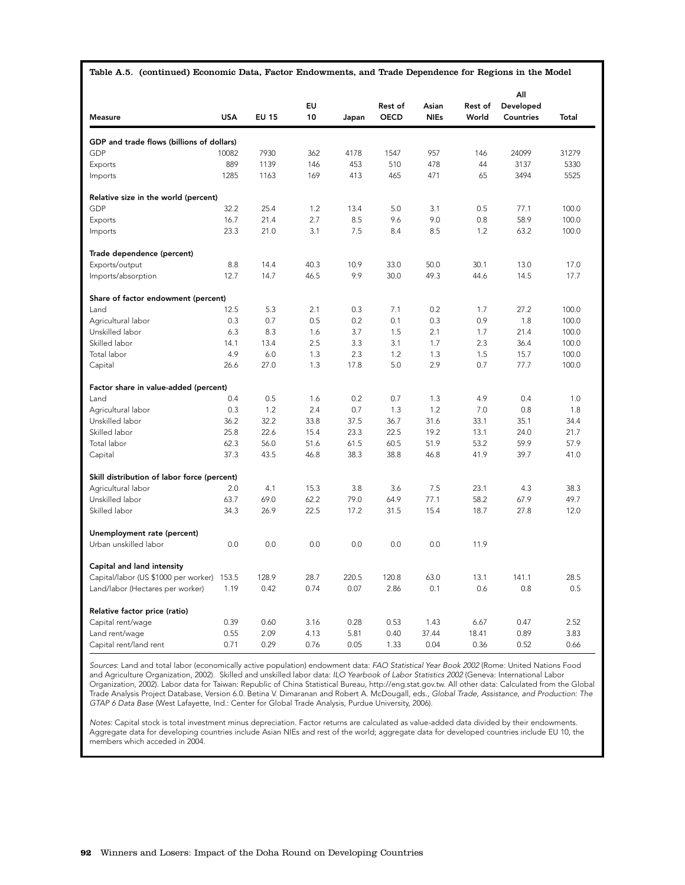| Table A.5. (continued) Economic Data, Factor Endowments, and Trade Dependence for Regions in the Model |        |                |                        |        |        |           |                  |                        |                   |
|--------------------------------------------------------------------------------------------------------|--------|----------------|------------------------|--------|--------|-----------|------------------|------------------------|-------------------|
|                                                                                                        | South  | East           | Rest of<br>Sub-Saharan |        |        |           | Rest of<br>Latin | Central<br>America and | All<br>Developing |
| <b>Measure</b>                                                                                         | Africa | Africa         | Africa                 | Brazil | Mexico | Argentina | America          | Caribbean              | Countries         |
| GDP and trade flows (billions of dollars)                                                              |        |                |                        |        |        |           |                  |                        |                   |
| GDP                                                                                                    | 113    | 17             | 192                    | 503    | 618    | 269       | 382              | 226                    | 7180              |
| Exports                                                                                                | 39     | 3              | 59                     | 67     | 165    | 30        | 73               | 57                     | 2193              |
| Imports                                                                                                | 28     | $\overline{4}$ | 70                     | 75     | 149    | 27        | 71               | 78                     | 2032              |
| Relative size in the world (percent)                                                                   |        |                |                        |        |        |           |                  |                        |                   |
| GDP                                                                                                    | 0.4    | 0.1            | 0.6                    | 1.6    | 2.0    | 0.9       | 1.2              | 0.7                    | 23.0              |
| Exports                                                                                                | 0.7    | 0.1            | 1.1                    | 1.3    | 3.1    | 0.6       | 1.4              | 1.1                    | 41.2              |
| Imports                                                                                                | 0.5    | 0.1            | 1.3                    | 1.4    | 2.7    | 0.5       | 1.3              | 1.4                    | 36.8              |
| Trade dependence (percent)                                                                             |        |                |                        |        |        |           |                  |                        |                   |
| Exports/output                                                                                         | 34.0   | 16.5           | 31.0                   | 13.4   | 26.8   | 11.2      | 19.2             | 25.1                   | 30.6              |
| Imports/absorption                                                                                     | 25.1   | 26.1           | 36.3                   | 14.9   | 24.1   | 10.1      | 18.6             | 34.7                   | 28.3              |
| Share of factor endowment (percent)                                                                    |        |                |                        |        |        |           |                  |                        |                   |
| Land                                                                                                   | 1.1    | 0.8            | 9.5                    | 4.2    | 1.8    | 2.4       | 1.4              | 0.8                    | 72.9              |
| Agricultural labor                                                                                     | 0.2    | 2.5            | 13.5                   | 1.1    | 0.8    | 0.1       | 1.1              | 0.8                    | 98.2              |
| Unskilled labor                                                                                        | 1.0    | 0.4            | 5.2                    | 4.0    | 1.9    | 0.8       | 2.6              | 1.3                    | 78.6              |
| Skilled labor                                                                                          | 0.7    | 0.3            | 3.4                    | 2.4    | 1.1    | 0.7       | 2.0              | 1.1                    | 63.6              |
| Total labor                                                                                            | 0.6    | 1.2            | 8.2                    | 2.7    | 1.4    | 0.5       | 2.0              | 1.1                    | 84.3              |
| Capital                                                                                                | 0.5    | 0.0            | 0.6                    | 1.7    | 2.1    | 0.8       | 1.1              | 0.7                    | 22.3              |
| Factor share in value-added (percent)                                                                  |        |                |                        |        |        |           |                  |                        |                   |
| Land                                                                                                   | 0.5    | 5.2            | 2.0                    | 0.8    | 1.6    | 1.5       | 2.6              | 2.1                    | 3.1               |
| Agricultural labor                                                                                     | 1.4    | 27.1           | 12.8                   | 1.2    | 2.3    | 2.5       | 4.7              | 3.7                    | 5.7               |
| Unskilled labor                                                                                        | 47.6   | 22.3           | 37.0                   | 37.6   | 20.5   | 40.3      | 31.0             | 36.3                   | 32.0              |
| Skilled labor                                                                                          | 16.2   | 6.2            | 10.4                   | 20.2   | 9.8    | 16.5      | 13.1             | 14.6                   | 13.4              |
| Total labor                                                                                            | 65.2   | 55.6           | 60.1                   | 59.0   | 32.7   | 59.3      | 48.7             | 54.7                   | 51.0              |
| Capital                                                                                                | 34.3   | 39.3           | 37.9                   | 40.3   | 65.7   | 39.3      | 48.7             | 43.2                   | 45.9              |
| Skill distribution of labor force (percent)                                                            |        |                |                        |        |        |           |                  |                        |                   |
| Agricultural labor                                                                                     | 9.2    | 80.3           | 63.4                   | 16.1   | 20.8   | 9.5       | 21.2             | 26.6                   | 44.6              |
| Unskilled labor                                                                                        | 76.7   | 16.6           | 31.7                   | 73.1   | 69.8   | 73.8      | 66.5             | 60.6                   | 46.3              |
| Skilled labor                                                                                          | 14.0   | 3.1            | 4.9                    | 10.8   | 9.4    | 16.7      | 12.3             | 12.8                   | 9.0               |
| Unemployment rate (percent)                                                                            |        |                |                        |        |        |           |                  |                        |                   |
| Urban unskilled labor                                                                                  | 21.4   | 7.2            | 16.9                   | 8.6    | 1.7    | 16.4      | 10.5             | 13.6                   |                   |
| Capital and land intensity                                                                             |        |                |                        |        |        |           |                  |                        |                   |
| Capital/labor (US \$1000 per worker) 20.5                                                              |        | 0.8            | 2.1                    | 18.0   | 42.8   | 41.7      | 15.5             | 18.3                   | $7.5\,$           |
| Land/labor (hectares per worker)                                                                       | 0.8    | 0.32           | 0.55                   | 0.73   | 0.6    | $2.2\,$   | 0.35             | 0.35                   | 0.41              |
| Relative factor price (ratio)                                                                          |        |                |                        |        |        |           |                  |                        |                   |
| Capital rent/wage                                                                                      | 3.19   | 97.75          | 39.02                  | 4.04   | 4.77   | 1.81      | 7.04             | 4.86                   | 12.82             |
| Land rent/wage                                                                                         | 1.23   | 32.57          | 7.77                   | 1.89   | 8.07   | 1.29      | 16.80            | 12.64                  | 16.09             |
| Capital rent/land rent                                                                                 | 2.60   | 3.00           | 5.02                   | 2.14   | 0.59   | 1.40      | 0.42             | 0.38                   | 0.80              |
|                                                                                                        |        |                |                        |        |        |           |                  |                        |                   |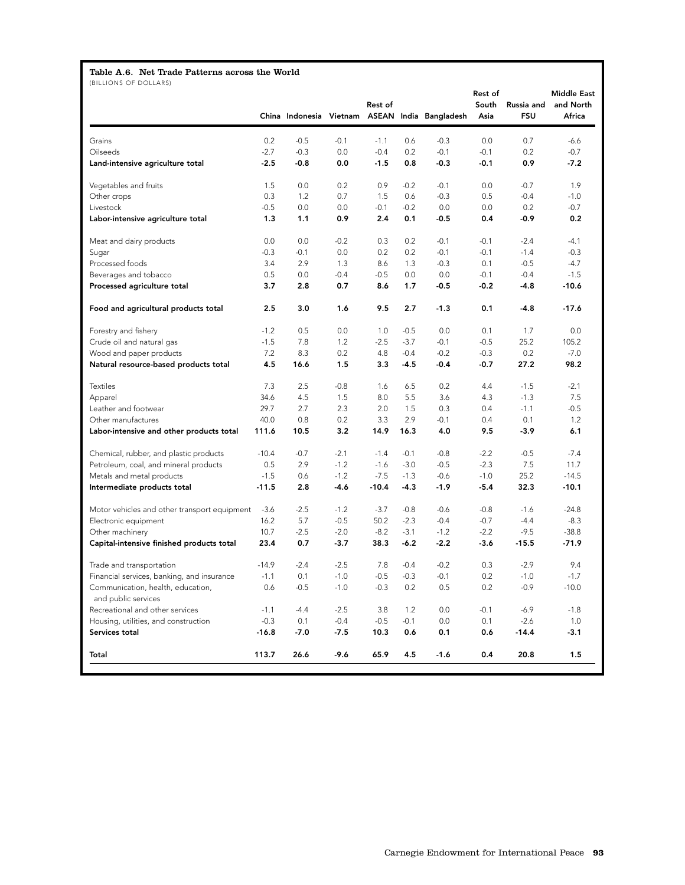| Measure                                                           | <b>USA</b>   | <b>EU 15</b> | EU<br>10     | Japan        | Rest of<br><b>OECD</b> | Asian<br><b>NIEs</b> | Rest of<br>World | All<br>Developed<br>Countries | Total        |
|-------------------------------------------------------------------|--------------|--------------|--------------|--------------|------------------------|----------------------|------------------|-------------------------------|--------------|
| GDP and trade flows (billions of dollars)                         |              |              |              |              |                        |                      |                  |                               |              |
| GDP                                                               | 10082        | 7930         | 362          | 4178         | 1547                   | 957                  | 146              | 24099                         | 31279        |
| Exports                                                           | 889          | 1139         | 146          | 453          | 510                    | 478                  | 44               | 3137                          | 5330         |
| Imports                                                           | 1285         | 1163         | 169          | 413          | 465                    | 471                  | 65               | 3494                          | 5525         |
| Relative size in the world (percent)                              |              |              |              |              |                        |                      |                  |                               |              |
| GDP                                                               | 32.2         | 25.4         | 1.2          | 13.4         | 5.0                    | 3.1                  | 0.5              | 77.1                          | 100.0        |
| Exports                                                           | 16.7         | 21.4         | 2.7          | 8.5          | 9.6                    | 9.0                  | 0.8              | 58.9                          | 100.0        |
| Imports                                                           | 23.3         | 21.0         | 3.1          | 7.5          | 8.4                    | 8.5                  | 1.2              | 63.2                          | 100.0        |
| Trade dependence (percent)                                        |              |              |              |              |                        |                      |                  |                               |              |
| Exports/output                                                    | 8.8          | 14.4         | 40.3         | 10.9         | 33.0                   | 50.0                 | 30.1             | 13.0                          | 17.0         |
| Imports/absorption                                                | 12.7         | 14.7         | 46.5         | 9.9          | 30.0                   | 49.3                 | 44.6             | 14.5                          | 17.7         |
| Share of factor endowment (percent)                               |              |              |              |              |                        |                      |                  |                               |              |
| Land                                                              | 12.5         | 5.3          | 2.1          | 0.3          | 7.1                    | 0.2                  | 1.7              | 27.2                          | 100.0        |
| Agricultural labor                                                | 0.3          | 0.7          | 0.5          | 0.2          | 0.1                    | 0.3                  | 0.9              | 1.8                           | 100.0        |
| Unskilled labor                                                   | 6.3          | 8.3          | 1.6          | 3.7          | 1.5                    | 2.1                  | 1.7              | 21.4                          | 100.0        |
| Skilled labor                                                     | 14.1         | 13.4         | 2.5          | 3.3          | 3.1                    | 1.7                  | 2.3              | 36.4                          | 100.0        |
| Total labor                                                       | 4.9          | 6.0          | 1.3          | 2.3          | 1.2                    | 1.3                  | 1.5              | 15.7                          | 100.0        |
| Capital                                                           | 26.6         | 27.0         | 1.3          | 17.8         | 5.0                    | 2.9                  | 0.7              | 77.7                          | 100.0        |
| Factor share in value-added (percent)                             |              |              |              |              |                        |                      |                  |                               |              |
| Land                                                              | 0.4          | 0.5          | 1.6          | 0.2          | 0.7                    | 1.3                  | 4.9              | 0.4                           | 1.0          |
| Agricultural labor                                                | 0.3          | 1.2          | 2.4          | 0.7          | 1.3                    | 1.2                  | 7.0              | 0.8                           | 1.8          |
| Unskilled labor                                                   | 36.2         | 32.2         | 33.8         | 37.5         | 36.7<br>22.5           | 31.6                 | 33.1             | 35.1                          | 34.4         |
| Skilled labor<br>Total labor                                      | 25.8<br>62.3 | 22.6<br>56.0 | 15.4<br>51.6 | 23.3<br>61.5 | 60.5                   | 19.2<br>51.9         | 13.1<br>53.2     | 24.0<br>59.9                  | 21.7<br>57.9 |
| Capital                                                           | 37.3         | 43.5         | 46.8         | 38.3         | 38.8                   | 46.8                 | 41.9             | 39.7                          | 41.0         |
|                                                                   |              |              |              |              |                        |                      |                  |                               |              |
| Skill distribution of labor force (percent)<br>Agricultural labor | 2.0          | 4.1          | 15.3         | 3.8          | 3.6                    | 7.5                  | 23.1             | 4.3                           | 38.3         |
| Unskilled labor                                                   | 63.7         | 69.0         | 62.2         | 79.0         | 64.9                   | 77.1                 | 58.2             | 67.9                          | 49.7         |
| Skilled labor                                                     | 34.3         | 26.9         | 22.5         | 17.2         | 31.5                   | 15.4                 | 18.7             | 27.8                          | 12.0         |
| Unemployment rate (percent)                                       |              |              |              |              |                        |                      |                  |                               |              |
| Urban unskilled labor                                             | 0.0          | 0.0          | 0.0          | 0.0          | 0.0                    | 0.0                  | 11.9             |                               |              |
| Capital and land intensity                                        |              |              |              |              |                        |                      |                  |                               |              |
| Capital/labor (US \$1000 per worker) 153.5                        |              | 128.9        | 28.7         | 220.5        | 120.8                  | 63.0                 | 13.1             | 141.1                         | 28.5         |
| Land/labor (Hectares per worker)                                  | 1.19         | 0.42         | 0.74         | 0.07         | 2.86                   | 0.1                  | 0.6              | $0.8\,$                       | 0.5          |
| Relative factor price (ratio)                                     |              |              |              |              |                        |                      |                  |                               |              |
| Capital rent/wage                                                 | 0.39         | 0.60         | 3.16         | 0.28         | 0.53                   | 1.43                 | 6.67             | 0.47                          | 2.52         |
| Land rent/wage                                                    | 0.55         | 2.09         | 4.13         | 5.81         | 0.40                   | 37.44                | 18.41            | 0.89                          | 3.83         |
| Capital rent/land rent                                            | 0.71         | 0.29         | 0.76         | 0.05         | 1.33                   | 0.04                 | 0.36             | 0.52                          | 0.66         |

*Sources*: Land and total labor (economically active population) endowment data: *FAO Statistical Year Book 2002* (Rome: United Nations Food and Agriculture Organization, 2002). Skilled and unskilled labor data: *ILO Yearbook of Labor Statistics 2002* (Geneva: International Labor Organization, 2002). Labor data for Taiwan: Republic of China Statistical Bureau, http://eng.stat.gov.tw. All other data: Calculated from the Global Trade Analysis Project Database, Version 6.0. Betina V. Dimaranan and Robert A. McDougall, eds., *Global Trade, Assistance, and Production: The GTAP 6 Data Base* (West Lafayette, Ind.: Center for Global Trade Analysis, Purdue University, 2006).

*Notes*: Capital stock is total investment minus depreciation. Factor returns are calculated as value-added data divided by their endowments. Aggregate data for developing countries include Asian NIEs and rest of the world; aggregate data for developed countries include EU 10, the members which acceded in 2004.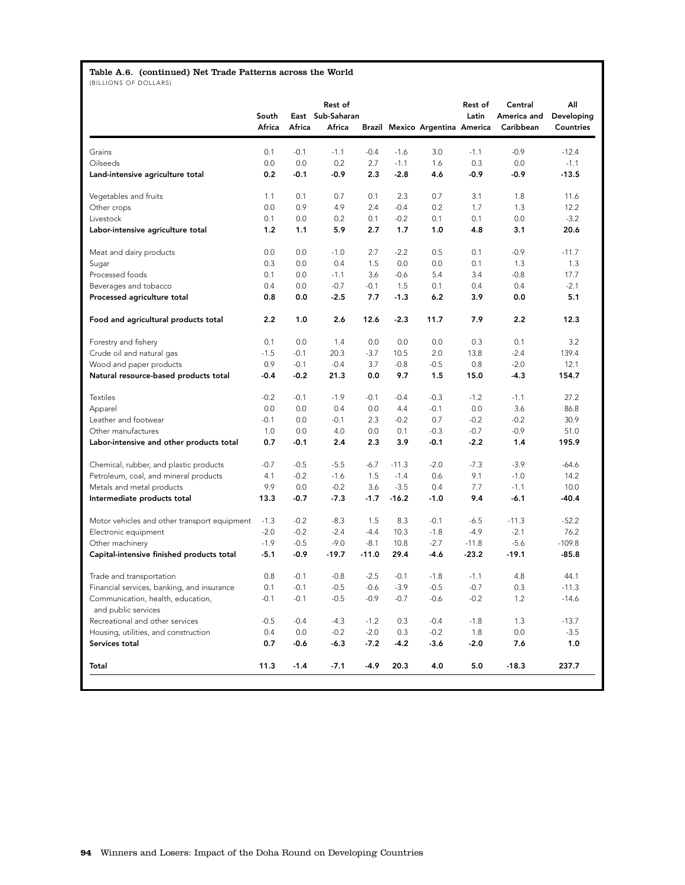#### Table A.6. Net Trade Patterns across the World

(BILLIONS OF DOLLARS)

| (BILLIONS OF DOLLARS)                                        |              |               |                  | Rest of        |                  | China Indonesia Vietnam ASEAN India Bangladesh | Rest of<br>South<br>Asia | Russia and<br><b>FSU</b> | Middle East<br>and North<br>Africa |
|--------------------------------------------------------------|--------------|---------------|------------------|----------------|------------------|------------------------------------------------|--------------------------|--------------------------|------------------------------------|
| Grains                                                       | 0.2          | $-0.5$        | $-0.1$           | $-1.1$         | 0.6              | $-0.3$                                         | 0.0                      | 0.7                      | $-6.6$                             |
| Oilseeds                                                     | $-2.7$       | $-0.3$        | 0.0              | $-0.4$         | 0.2              | $-0.1$                                         | $-0.1$                   | 0.2                      | $-0.7$                             |
| Land-intensive agriculture total                             | $-2.5$       | -0.8          | 0.0              | $-1.5$         | 0.8              | $-0.3$                                         | $-0.1$                   | 0.9                      | $-7.2$                             |
| Vegetables and fruits                                        | 1.5          | 0.0           | 0.2              | 0.9            | $-0.2$           | $-0.1$                                         | 0.0                      | $-0.7$                   | 1.9                                |
| Other crops                                                  | 0.3          | 1.2           | 0.7              | 1.5            | 0.6              | $-0.3$                                         | 0.5                      | $-0.4$                   | $-1.0$                             |
| Livestock                                                    | $-0.5$       | 0.0           | 0.0              | $-0.1$         | $-0.2$           | 0.0                                            | 0.0                      | 0.2                      | $-0.7$                             |
| Labor-intensive agriculture total                            | 1.3          | 1.1           | 0.9              | 2.4            | 0.1              | $-0.5$                                         | 0.4                      | $-0.9$                   | 0.2                                |
| Meat and dairy products                                      | 0.0          | 0.0           | $-0.2$           | 0.3            | 0.2              | $-0.1$                                         | $-0.1$                   | $-2.4$                   | $-4.1$                             |
| Sugar                                                        | $-0.3$       | $-0.1$        | 0.0              | 0.2            | 0.2              | $-0.1$                                         | $-0.1$                   | $-1.4$                   | $-0.3$                             |
| Processed foods                                              | 3.4          | 2.9           | 1.3              | 8.6            | 1.3              | $-0.3$                                         | 0.1                      | $-0.5$                   | $-4.7$                             |
| Beverages and tobacco                                        | 0.5          | 0.0           | $-0.4$           | $-0.5$         | 0.0              | 0.0                                            | $-0.1$                   | $-0.4$                   | $-1.5$                             |
| Processed agriculture total                                  | 3.7          | 2.8           | 0.7              | 8.6            | 1.7              | $-0.5$                                         | $-0.2$                   | $-4.8$                   | $-10.6$                            |
| Food and agricultural products total                         | 2.5          | 3.0           | 1.6              | 9.5            | 2.7              | $-1.3$                                         | 0.1                      | -4.8                     | $-17.6$                            |
| Forestry and fishery                                         | $-1.2$       | 0.5           | 0.0              | 1.0            | $-0.5$           | 0.0                                            | 0.1                      | 1.7                      | 0.0                                |
| Crude oil and natural gas                                    | $-1.5$       | 7.8           | 1.2              | $-2.5$         | $-3.7$           | $-0.1$                                         | $-0.5$                   | 25.2                     | 105.2                              |
| Wood and paper products                                      | 7.2          | 8.3           | 0.2              | 4.8            | $-0.4$           | $-0.2$                                         | $-0.3$                   | 0.2                      | $-7.0$                             |
| Natural resource-based products total                        | 4.5          | 16.6          | 1.5              | 3.3            | $-4.5$           | -0.4                                           | $-0.7$                   | 27.2                     | 98.2                               |
| <b>Textiles</b>                                              | 7.3          | 2.5           | $-0.8$           | 1.6            | 6.5              | 0.2                                            | 4.4                      | $-1.5$                   | $-2.1$                             |
| Apparel                                                      | 34.6         | 4.5           | 1.5              | 8.0            | 5.5              | 3.6                                            | 4.3                      | $-1.3$                   | 7.5                                |
| Leather and footwear                                         | 29.7         | 2.7           | 2.3              | 2.0            | 1.5              | 0.3                                            | 0.4                      | $-1.1$                   | $-0.5$                             |
| Other manufactures                                           | 40.0         | 0.8           | 0.2              | 3.3            | 2.9              | $-0.1$                                         | 0.4                      | 0.1                      | 1.2                                |
| Labor-intensive and other products total                     | 111.6        | 10.5          | 3.2              | 14.9           | 16.3             | 4.0                                            | 9.5                      | $-3.9$                   | 6.1                                |
| Chemical, rubber, and plastic products                       | $-10.4$      | $-0.7$        | $-2.1$           | $-1.4$         | $-0.1$           | $-0.8$                                         | $-2.2$                   | $-0.5$                   | $-7.4$                             |
| Petroleum, coal, and mineral products                        | 0.5          | 2.9           | $-1.2$           | $-1.6$         | $-3.0$           | $-0.5$                                         | $-2.3$                   | 7.5                      | 11.7                               |
| Metals and metal products                                    | $-1.5$       | 0.6           | $-1.2$           | $-7.5$         | $-1.3$           | $-0.6$                                         | $-1.0$                   | 25.2                     | $-14.5$                            |
| Intermediate products total                                  | $-11.5$      | 2.8           | $-4.6$           | -10.4          | $-4.3$           | $-1.9$                                         | -5.4                     | 32.3                     | $-10.1$                            |
| Motor vehicles and other transport equipment                 | $-3.6$       | $-2.5$        | $-1.2$           | $-3.7$         | $-0.8$           | $-0.6$                                         | $-0.8$                   | $-1.6$                   | -24.8                              |
| Electronic equipment                                         | 16.2         | 5.7           | $-0.5$           | 50.2           | $-2.3$           | $-0.4$                                         | $-0.7$                   | $-4.4$                   | $-8.3$                             |
| Other machinery<br>Capital-intensive finished products total | 10.7<br>23.4 | $-2.5$<br>0.7 | $-2.0$<br>$-3.7$ | $-8.2$<br>38.3 | $-3.1$<br>$-6.2$ | $-1.2$<br>$-2.2$                               | $-2.2$<br>-3.6           | $-9.5$<br>$-15.5$        | $-38.8$<br>$-71.9$                 |
| Trade and transportation                                     | $-14.9$      | $-2.4$        | $-2.5$           | 7.8            | $-0.4$           | $-0.2$                                         | 0.3                      | $-2.9$                   | 9.4                                |
| Financial services, banking, and insurance                   | $-1.1$       | 0.1           | $-1.0$           | $-0.5$         | $-0.3$           | $-0.1$                                         | 0.2                      | $-1.0$                   | $-1.7$                             |
| Communication, health, education,                            | 0.6          | $-0.5$        | $-1.0$           | $-0.3$         | 0.2              | 0.5                                            | 0.2                      | $-0.9$                   | $-10.0$                            |
| and public services                                          |              |               |                  |                |                  |                                                |                          |                          |                                    |
| Recreational and other services                              | $-1.1$       | $-4.4$        | $-2.5$           | 3.8            | 1.2              | 0.0                                            | $-0.1$                   | $-6.9$                   | $-1.8$                             |
| Housing, utilities, and construction                         | $-0.3$       | 0.1           | $-0.4$           | $-0.5$         | $-0.1$           | 0.0                                            | 0.1                      | $-2.6$                   | 1.0                                |
| Services total                                               | $-16.8$      | $-7.0$        | $-7.5$           | 10.3           | 0.6              | 0.1                                            | 0.6                      | $-14.4$                  | $-3.1$                             |
| Total                                                        | 113.7        | 26.6          | -9.6             | 65.9           | 4.5              | $-1.6$                                         | 0.4                      | 20.8                     | 1.5                                |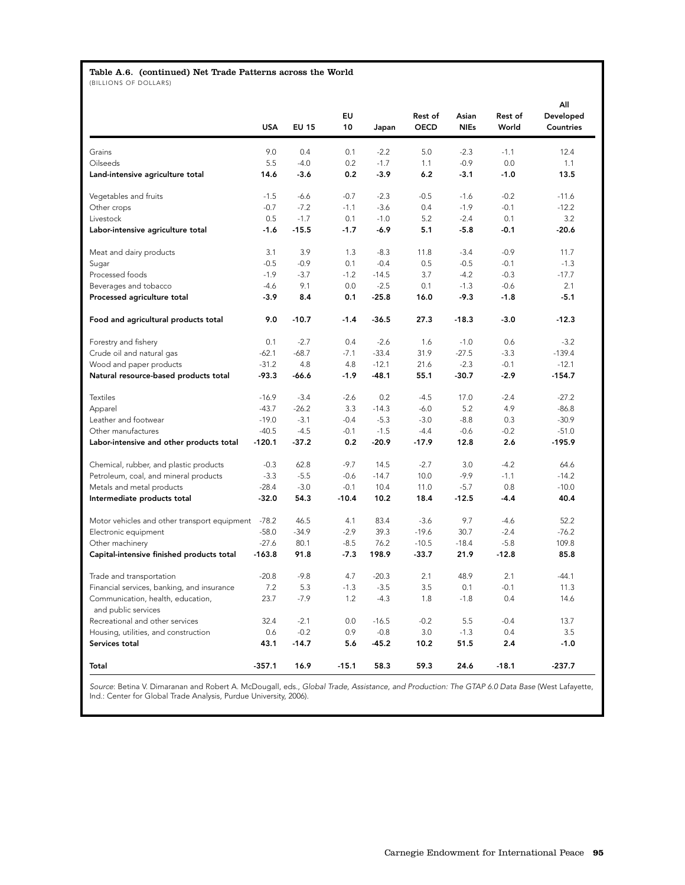#### Table A.6. (continued) Net Trade Patterns across the World

(BILLIONS OF DOLLARS)

|                                                          | South<br>Africa | Africa | Rest of<br>East Sub-Saharan<br>Africa |         |         | Brazil Mexico Argentina America | Rest of<br>Latin | Central<br>America and<br>Caribbean | All<br>Developing<br>Countries |
|----------------------------------------------------------|-----------------|--------|---------------------------------------|---------|---------|---------------------------------|------------------|-------------------------------------|--------------------------------|
| Grains                                                   | 0.1             | $-0.1$ | $-1.1$                                | $-0.4$  | $-1.6$  | 3.0                             | $-1.1$           | $-0.9$                              | $-12.4$                        |
| Oilseeds                                                 | 0.0             | 0.0    | 0.2                                   | 2.7     | $-1.1$  | 1.6                             | 0.3              | 0.0                                 | $-1.1$                         |
| Land-intensive agriculture total                         | 0.2             | -0.1   | -0.9                                  | 2.3     | $-2.8$  | 4.6                             | -0.9             | $-0.9$                              | $-13.5$                        |
| Vegetables and fruits                                    | 1.1             | 0.1    | 0.7                                   | 0.1     | 2.3     | 0.7                             | 3.1              | 1.8                                 | 11.6                           |
| Other crops                                              | 0.0             | 0.9    | 4.9                                   | 2.4     | $-0.4$  | 0.2                             | 1.7              | 1.3                                 | 12.2                           |
| Livestock                                                | 0.1             | 0.0    | 0.2                                   | 0.1     | $-0.2$  | 0.1                             | 0.1              | 0.0                                 | $-3.2$                         |
| Labor-intensive agriculture total                        | 1.2             | 1.1    | 5.9                                   | 2.7     | 1.7     | 1.0                             | 4.8              | 3.1                                 | 20.6                           |
| Meat and dairy products                                  | 0.0             | 0.0    | $-1.0$                                | 2.7     | $-2.2$  | 0.5                             | 0.1              | $-0.9$                              | $-11.7$                        |
| Sugar                                                    | 0.3             | 0.0    | 0.4                                   | 1.5     | 0.0     | 0.0                             | 0.1              | 1.3                                 | 1.3                            |
| Processed foods                                          | 0.1             | 0.0    | $-1.1$                                | 3.6     | $-0.6$  | 5.4                             | 3.4              | $-0.8$                              | 17.7                           |
| Beverages and tobacco                                    | 0.4             | 0.0    | $-0.7$                                | $-0.1$  | 1.5     | 0.1                             | 0.4              | 0.4                                 | $-2.1$                         |
| Processed agriculture total                              | 0.8             | 0.0    | $-2.5$                                | 7.7     | $-1.3$  | 6.2                             | 3.9              | 0.0                                 | 5.1                            |
| Food and agricultural products total                     | 2.2             | 1.0    | 2.6                                   | 12.6    | $-2.3$  | 11.7                            | 7.9              | 2.2                                 | 12.3                           |
| Forestry and fishery                                     | 0.1             | 0.0    | 1.4                                   | 0.0     | 0.0     | 0.0                             | 0.3              | 0.1                                 | 3.2                            |
| Crude oil and natural gas                                | $-1.5$          | $-0.1$ | 20.3                                  | $-3.7$  | 10.5    | 2.0                             | 13.8             | $-2.4$                              | 139.4                          |
| Wood and paper products                                  | 0.9             | $-0.1$ | $-0.4$                                | 3.7     | $-0.8$  | $-0.5$                          | 0.8              | $-2.0$                              | 12.1                           |
| Natural resource-based products total                    | $-0.4$          | $-0.2$ | 21.3                                  | 0.0     | 9.7     | 1.5                             | 15.0             | $-4.3$                              | 154.7                          |
| <b>Textiles</b>                                          | $-0.2$          | $-0.1$ | $-1.9$                                | $-0.1$  | $-0.4$  | $-0.3$                          | $-1.2$           | $-1.1$                              | 27.2                           |
| Apparel                                                  | 0.0             | 0.0    | 0.4                                   | 0.0     | 4.4     | $-0.1$                          | 0.0              | 3.6                                 | 86.8                           |
| Leather and footwear                                     | $-0.1$          | 0.0    | $-0.1$                                | 2.3     | $-0.2$  | 0.7                             | $-0.2$           | $-0.2$                              | 30.9                           |
| Other manufactures                                       | 1.0             | 0.0    | 4.0                                   | 0.0     | 0.1     | $-0.3$                          | $-0.7$           | $-0.9$                              | 51.0                           |
| Labor-intensive and other products total                 | 0.7             | -0.1   | 2.4                                   | 2.3     | 3.9     | $-0.1$                          | $-2.2$           | 1.4                                 | 195.9                          |
| Chemical, rubber, and plastic products                   | $-0.7$          | $-0.5$ | $-5.5$                                | $-6.7$  | $-11.3$ | $-2.0$                          | $-7.3$           | $-3.9$                              | $-64.6$                        |
| Petroleum, coal, and mineral products                    | 4.1             | $-0.2$ | $-1.6$                                | 1.5     | $-1.4$  | 0.6                             | 9.1              | $-1.0$                              | 14.2                           |
| Metals and metal products                                | 9.9             | 0.0    | $-0.2$                                | 3.6     | $-3.5$  | 0.4                             | 7.7              | $-1.1$                              | 10.0                           |
| Intermediate products total                              | 13.3            | $-0.7$ | $-7.3$                                | $-1.7$  | $-16.2$ | $-1.0$                          | 9.4              | $-6.1$                              | $-40.4$                        |
| Motor vehicles and other transport equipment             | $-1.3$          | $-0.2$ | $-8.3$                                | 1.5     | 8.3     | $-0.1$                          | $-6.5$           | $-11.3$                             | $-52.2$                        |
| Electronic equipment                                     | $-2.0$          | $-0.2$ | $-2.4$                                | $-4.4$  | 10.3    | $-1.8$                          | $-4.9$           | $-2.1$                              | 76.2                           |
| Other machinery                                          | $-1.9$          | $-0.5$ | $-9.0$                                | $-8.1$  | 10.8    | $-2.7$                          | $-11.8$          | $-5.6$                              | $-109.8$                       |
| Capital-intensive finished products total                | $-5.1$          | $-0.9$ | $-19.7$                               | $-11.0$ | 29.4    | -4.6                            | $-23.2$          | $-19.1$                             | $-85.8$                        |
| Trade and transportation                                 | 0.8             | $-0.1$ | $-0.8$                                | $-2.5$  | $-0.1$  | $-1.8$                          | $-1.1$           | 4.8                                 | 44.1                           |
| Financial services, banking, and insurance               | 0.1             | $-0.1$ | $-0.5$                                | $-0.6$  | $-3.9$  | $-0.5$                          | $-0.7$           | 0.3                                 | $-11.3$                        |
| Communication, health, education,<br>and public services | $-0.1$          | $-0.1$ | $-0.5$                                | $-0.9$  | $-0.7$  | $-0.6$                          | $-0.2$           | 1.2                                 | $-14.6$                        |
| Recreational and other services                          | $-0.5$          | $-0.4$ | $-4.3$                                | $-1.2$  | 0.3     | $-0.4$                          | $-1.8$           | 1.3                                 | $-13.7$                        |
| Housing, utilities, and construction                     | 0.4             | 0.0    | $-0.2$                                | $-2.0$  | 0.3     | $-0.2$                          | 1.8              | 0.0                                 | $-3.5$                         |
| Services total                                           | 0.7             | -0.6   | -6.3                                  | -7.2    | $-4.2$  | -3.6                            | -2.0             | 7.6                                 | 1.0                            |
| Total                                                    | 11.3            | $-1.4$ | $-7.1$                                | $-4.9$  | 20.3    | 4.0                             | 5.0              | $-18.3$                             | 237.7                          |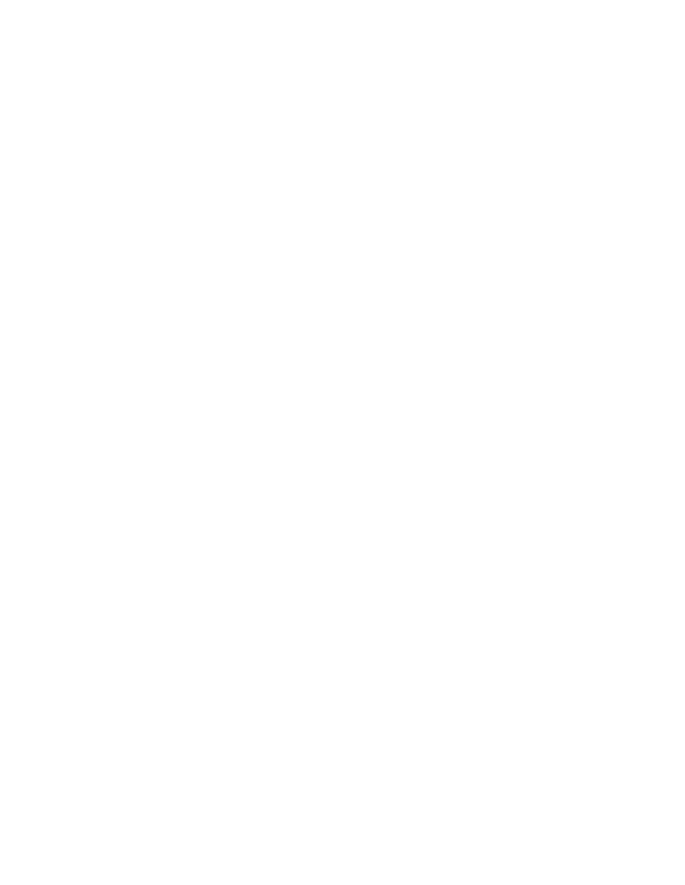#### Table A.6. (continued) Net Trade Patterns across the World

(BILLIONS OF DOLLARS)

|                                                          | <b>USA</b> | <b>EU 15</b> | EU<br>10 | Japan   | Rest of<br><b>OECD</b> | Asian<br><b>NIEs</b> | Rest of<br>World | All<br>Developed<br>Countries |
|----------------------------------------------------------|------------|--------------|----------|---------|------------------------|----------------------|------------------|-------------------------------|
| Grains                                                   | 9.0        | 0.4          | 0.1      | $-2.2$  | 5.0                    | $-2.3$               | $-1.1$           | 12.4                          |
| Oilseeds                                                 | 5.5        | $-4.0$       | 0.2      | $-1.7$  | 1.1                    | $-0.9$               | 0.0              | 1.1                           |
| Land-intensive agriculture total                         | 14.6       | -3.6         | 0.2      | $-3.9$  | 6.2                    | $-3.1$               | $-1.0$           | 13.5                          |
| Vegetables and fruits                                    | $-1.5$     | $-6.6$       | $-0.7$   | $-2.3$  | $-0.5$                 | $-1.6$               | $-0.2$           | $-11.6$                       |
| Other crops                                              | $-0.7$     | $-7.2$       | $-1.1$   | $-3.6$  | 0.4                    | $-1.9$               | $-0.1$           | $-12.2$                       |
| Livestock                                                | 0.5        | $-1.7$       | 0.1      | $-1.0$  | 5.2                    | $-2.4$               | 0.1              | 3.2                           |
| Labor-intensive agriculture total                        | $-1.6$     | $-15.5$      | $-1.7$   | $-6.9$  | 5.1                    | $-5.8$               | $-0.1$           | $-20.6$                       |
| Meat and dairy products                                  | 3.1        | 3.9          | 1.3      | $-8.3$  | 11.8                   | $-3.4$               | $-0.9$           | 11.7                          |
| Sugar                                                    | $-0.5$     | $-0.9$       | 0.1      | $-0.4$  | 0.5                    | $-0.5$               | $-0.1$           | $-1.3$                        |
| Processed foods                                          | $-1.9$     | $-3.7$       | $-1.2$   | $-14.5$ | 3.7                    | $-4.2$               | $-0.3$           | $-17.7$                       |
| Beverages and tobacco                                    | $-4.6$     | 9.1          | 0.0      | $-2.5$  | 0.1                    | $-1.3$               | $-0.6$           | 2.1                           |
| Processed agriculture total                              | $-3.9$     | 8.4          | 0.1      | $-25.8$ | 16.0                   | $-9.3$               | $-1.8$           | $-5.1$                        |
| Food and agricultural products total                     | 9.0        | $-10.7$      | $-1.4$   | $-36.5$ | 27.3                   | $-18.3$              | $-3.0$           | $-12.3$                       |
| Forestry and fishery                                     | 0.1        | $-2.7$       | 0.4      | $-2.6$  | 1.6                    | $-1.0$               | 0.6              | $-3.2$                        |
| Crude oil and natural gas                                | $-62.1$    | $-68.7$      | $-7.1$   | $-33.4$ | 31.9                   | $-27.5$              | $-3.3$           | $-139.4$                      |
| Wood and paper products                                  | $-31.2$    | 4.8          | 4.8      | $-12.1$ | 21.6                   | $-2.3$               | $-0.1$           | $-12.1$                       |
| Natural resource-based products total                    | $-93.3$    | $-66.6$      | $-1.9$   | $-48.1$ | 55.1                   | $-30.7$              | $-2.9$           | $-154.7$                      |
| <b>Textiles</b>                                          | $-16.9$    | $-3.4$       | $-2.6$   | 0.2     | $-4.5$                 | 17.0                 | $-2.4$           | $-27.2$                       |
| Apparel                                                  | $-43.7$    | $-26.2$      | 3.3      | $-14.3$ | $-6.0$                 | 5.2                  | 4.9              | $-86.8$                       |
| Leather and footwear                                     | $-19.0$    | $-3.1$       | $-0.4$   | $-5.3$  | $-3.0$                 | $-8.8$               | 0.3              | $-30.9$                       |
| Other manufactures                                       | $-40.5$    | $-4.5$       | $-0.1$   | $-1.5$  | $-4.4$                 | $-0.6$               | $-0.2$           | $-51.0$                       |
| Labor-intensive and other products total                 | $-120.1$   | $-37.2$      | 0.2      | $-20.9$ | $-17.9$                | 12.8                 | 2.6              | $-195.9$                      |
| Chemical, rubber, and plastic products                   | $-0.3$     | 62.8         | $-9.7$   | 14.5    | $-2.7$                 | 3.0                  | $-4.2$           | 64.6                          |
| Petroleum, coal, and mineral products                    | $-3.3$     | $-5.5$       | $-0.6$   | $-14.7$ | 10.0                   | $-9.9$               | $-1.1$           | $-14.2$                       |
| Metals and metal products                                | $-28.4$    | $-3.0$       | $-0.1$   | 10.4    | 11.0                   | $-5.7$               | 0.8              | $-10.0$                       |
| Intermediate products total                              | $-32.0$    | 54.3         | $-10.4$  | 10.2    | 18.4                   | $-12.5$              | $-4.4$           | 40.4                          |
| Motor vehicles and other transport equipment             | $-78.2$    | 46.5         | 4.1      | 83.4    | $-3.6$                 | 9.7                  | $-4.6$           | 52.2                          |
| Electronic equipment                                     | $-58.0$    | $-34.9$      | $-2.9$   | 39.3    | $-19.6$                | 30.7                 | $-2.4$           | $-76.2$                       |
| Other machinery                                          | $-27.6$    | 80.1         | $-8.5$   | 76.2    | $-10.5$                | $-18.4$              | $-5.8$           | 109.8                         |
| Capital-intensive finished products total                | $-163.8$   | 91.8         | $-7.3$   | 198.9   | $-33.7$                | 21.9                 | $-12.8$          | 85.8                          |
| Trade and transportation                                 | $-20.8$    | $-9.8$       | 4.7      | $-20.3$ | 2.1                    | 48.9                 | 2.1              | $-44.1$                       |
| Financial services, banking, and insurance               | 7.2        | 5.3          | $-1.3$   | $-3.5$  | 3.5                    | 0.1                  | $-0.1$           | 11.3                          |
| Communication, health, education,<br>and public services | 23.7       | $-7.9$       | 1.2      | $-4.3$  | 1.8                    | $-1.8$               | 0.4              | 14.6                          |
| Recreational and other services                          | 32.4       | $-2.1$       | 0.0      | $-16.5$ | $-0.2$                 | 5.5                  | $-0.4$           | 13.7                          |
| Housing, utilities, and construction                     | 0.6        | $-0.2$       | 0.9      | $-0.8$  | 3.0                    | $-1.3$               | 0.4              | 3.5                           |
| Services total                                           | 43.1       | $-14.7$      | 5.6      | $-45.2$ | 10.2                   | 51.5                 | 2.4              | $-1.0$                        |
| Total                                                    | $-357.1$   | 16.9         | $-15.1$  | 58.3    | 59.3                   | 24.6                 | $-18.1$          | $-237.7$                      |

*Source*: Betina V. Dimaranan and Robert A. McDougall, eds., *Global Trade, Assistance, and Production: The GTAP 6.0 Data Base* (West Lafayette, Ind.: Center for Global Trade Analysis, Purdue University, 2006).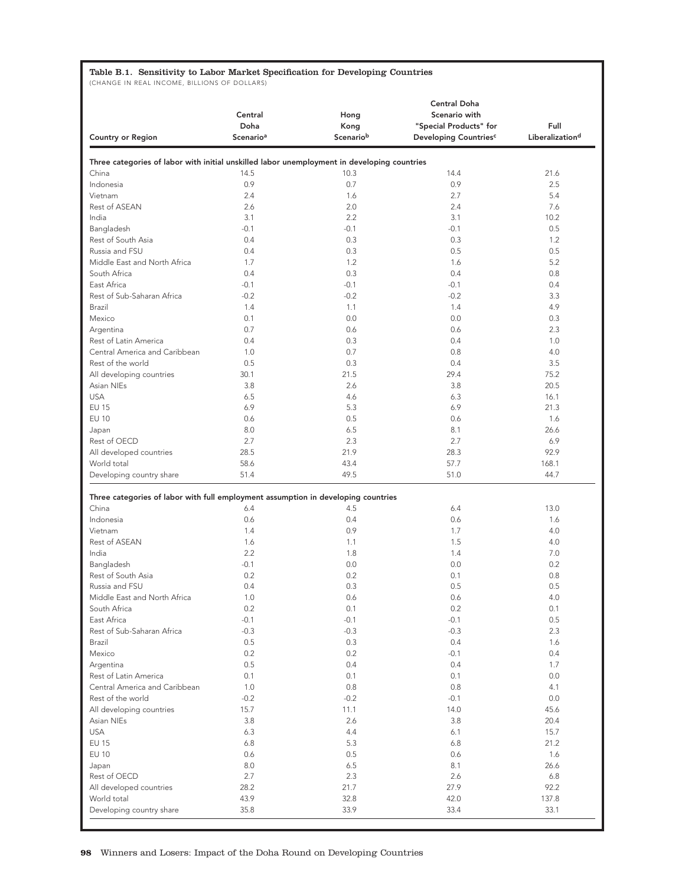### APPENDIX B

# Sensitivity Analysis

O assess the impact of the<br>
approach to developing cour<br>
labor markets taken in the<br>
Carnegie model, we tested the<br>
additional versions of the mo<br>
using the same base year data but with difapproach to developing country labor markets taken in the Carnegie model, we tested three additional versions of the model ferent labor market specifications. One version included the three labor categories (agricultural labor, urban unskilled labor, and skilled labor) with the assumption of full employment. A second included only two labor categories (unskilled labor and skilled labor) with the presence of unemployment of unskilled labor. A final category included those two labor categories with the assumption of full employment.

Table B.1 summarizes the main results from the sensitivity analysis. It illustrates the relative importance of different labor market specifications to the aggregate real income changes from different Doha trade liberalization scenarios. As might be expected, variation in the labor market specification affects the predicted impacts of a Doha trade agreement. Taking into account the presence of unemployment of unskilled labor in developing countries has a significant impact both on results for those countries' income gains and on the distribution of gains among developed and developing countries. Under different scenarios, gains in real income for developing countries as a group can be twice as large as under the assumption of full employment, or even higher. Overall,

developing countries' share of the global gains from trade liberalization is about one-third higher when unemployment in their economies is taken into account.

The results for different developing countries vary widely, depending on factors such as the level of unemployment and the competitiveness of sectors that use unskilled labor in those economies. For example, China's overall income gains are more than twice as large when unemployment is included in the model. At the same time, a few developing countries that are less competitive would see smaller gains or larger losses because of the extra advantage that their more competitive counterparts enjoy when wages are constrained by unemployment. Mexico and Central America gain less, and Bangladesh loses more in the face of competition from countries with reserves of unemployed labor.

The sensitivity analysis suggests that models that do not acknowledge unemployment in developing countries probably understate to a significant degree gains for countries that have competitive manufacturing sectors, while minimizing the negative impacts on less competitive developing countries.

Modeling agricultural and unskilled labor separately has only a very moderate impact on global income gains and their distribution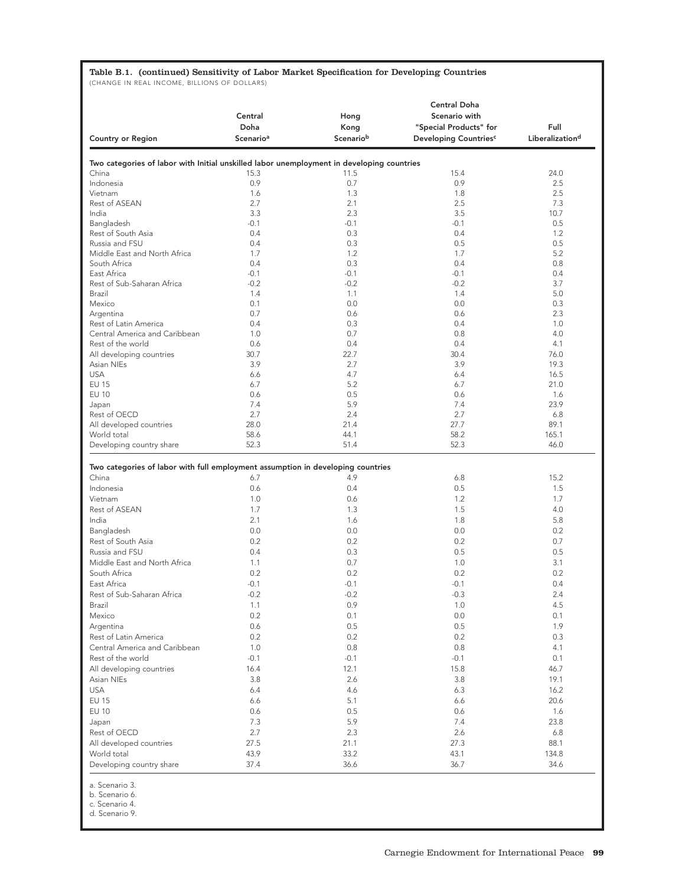#### Table B.1. Sensitivity to Labor Market Specification for Developing Countries

(CHANGE IN REAL INCOME, BILLIONS OF DOLLARS)

| <b>Country or Region</b>                                                                    | Central<br>Doha<br>Scenario <sup>a</sup> | Hong<br>Kong<br>Scenariob | Central Doha<br>Scenario with<br>"Special Products" for<br>Developing Countries <sup>c</sup> | Full<br>Liberalization <sup>d</sup> |  |  |
|---------------------------------------------------------------------------------------------|------------------------------------------|---------------------------|----------------------------------------------------------------------------------------------|-------------------------------------|--|--|
|                                                                                             |                                          |                           |                                                                                              |                                     |  |  |
| Three categories of labor with initial unskilled labor unemployment in developing countries |                                          |                           |                                                                                              |                                     |  |  |
| China                                                                                       | 14.5                                     | 10.3                      | 14.4                                                                                         | 21.6                                |  |  |
| Indonesia                                                                                   | 0.9                                      | 0.7                       | 0.9                                                                                          | 2.5                                 |  |  |
| Vietnam                                                                                     | 2.4                                      | 1.6                       | 2.7                                                                                          | 5.4                                 |  |  |
| Rest of ASEAN                                                                               | 2.6                                      | 2.0                       | 2.4                                                                                          | 7.6                                 |  |  |
| India                                                                                       | 3.1                                      | 2.2                       | 3.1                                                                                          | 10.2                                |  |  |
| Bangladesh<br>Rest of South Asia                                                            | $-0.1$<br>0.4                            | $-0.1$<br>0.3             | $-0.1$<br>0.3                                                                                | 0.5<br>1.2                          |  |  |
| Russia and FSU                                                                              | 0.4                                      | 0.3                       | 0.5                                                                                          | 0.5                                 |  |  |
| Middle East and North Africa                                                                | 1.7                                      | 1.2                       | 1.6                                                                                          | 5.2                                 |  |  |
| South Africa                                                                                | 0.4                                      | 0.3                       | 0.4                                                                                          | 0.8                                 |  |  |
| East Africa                                                                                 | $-0.1$                                   | $-0.1$                    | $-0.1$                                                                                       | 0.4                                 |  |  |
| Rest of Sub-Saharan Africa                                                                  | $-0.2$                                   | $-0.2$                    | $-0.2$                                                                                       | 3.3                                 |  |  |
| Brazil                                                                                      | 1.4                                      | 1.1                       | 1.4                                                                                          | 4.9                                 |  |  |
| Mexico                                                                                      | 0.1                                      | 0.0                       | 0.0                                                                                          | 0.3                                 |  |  |
| Argentina                                                                                   | 0.7                                      | 0.6                       | 0.6                                                                                          | 2.3                                 |  |  |
| Rest of Latin America                                                                       | 0.4                                      | 0.3                       | 0.4                                                                                          | 1.0                                 |  |  |
| Central America and Caribbean                                                               | 1.0                                      | 0.7                       | 0.8                                                                                          | 4.0                                 |  |  |
| Rest of the world                                                                           | 0.5                                      | 0.3                       | 0.4                                                                                          | 3.5                                 |  |  |
| All developing countries                                                                    | 30.1                                     | 21.5                      | 29.4                                                                                         | 75.2                                |  |  |
| Asian NIEs                                                                                  | 3.8                                      | 2.6                       | 3.8                                                                                          | 20.5                                |  |  |
| <b>USA</b>                                                                                  | 6.5                                      | 4.6                       | 6.3                                                                                          | 16.1                                |  |  |
| <b>EU 15</b>                                                                                | 6.9                                      | 5.3                       | 6.9                                                                                          | 21.3                                |  |  |
| <b>EU 10</b>                                                                                | 0.6                                      | 0.5                       | 0.6                                                                                          | 1.6                                 |  |  |
| Japan                                                                                       | 8.0                                      | 6.5                       | 8.1                                                                                          | 26.6                                |  |  |
| Rest of OECD                                                                                | 2.7                                      | 2.3                       | 2.7                                                                                          | 6.9                                 |  |  |
| All developed countries                                                                     | 28.5                                     | 21.9                      | 28.3                                                                                         | 92.9                                |  |  |
| World total                                                                                 | 58.6                                     | 43.4                      | 57.7                                                                                         | 168.1                               |  |  |
| Developing country share                                                                    | 51.4                                     | 49.5                      | 51.0                                                                                         | 44.7                                |  |  |
| Three categories of labor with full employment assumption in developing countries           |                                          |                           |                                                                                              |                                     |  |  |
| China                                                                                       | 6.4                                      | 4.5                       | 6.4                                                                                          | 13.0                                |  |  |
| Indonesia                                                                                   | 0.6                                      | 0.4                       | 0.6                                                                                          | 1.6                                 |  |  |
| Vietnam                                                                                     | 1.4                                      | 0.9                       | 1.7                                                                                          | 4.0                                 |  |  |
| Rest of ASEAN                                                                               | 1.6                                      | 1.1                       | 1.5                                                                                          | 4.0                                 |  |  |
| India                                                                                       | 2.2                                      | 1.8                       | 1.4                                                                                          | 7.0                                 |  |  |
| Bangladesh                                                                                  | $-0.1$                                   | 0.0                       | 0.0                                                                                          | 0.2                                 |  |  |
| Rest of South Asia                                                                          | 0.2                                      | 0.2                       | 0.1                                                                                          | 0.8                                 |  |  |
| Russia and FSU                                                                              | 0.4                                      | 0.3                       | 0.5                                                                                          | 0.5                                 |  |  |
| Middle East and North Africa                                                                | 1.0                                      | 0.6                       | 0.6                                                                                          | 4.0                                 |  |  |
| South Africa                                                                                | 0.2                                      | 0.1                       | 0.2                                                                                          | 0.1                                 |  |  |
| East Africa                                                                                 | $-0.1$                                   | $-0.1$                    | $-0.1$                                                                                       | 0.5                                 |  |  |
| Rest of Sub-Saharan Africa                                                                  | $-0.3$                                   | $-0.3$                    | $-0.3$                                                                                       | 2.3                                 |  |  |
| Brazil                                                                                      | 0.5                                      | 0.3                       | 0.4                                                                                          | 1.6                                 |  |  |
| Mexico                                                                                      | 0.2                                      | 0.2                       | $-0.1$                                                                                       | 0.4                                 |  |  |
| Argentina                                                                                   | 0.5                                      | 0.4                       | 0.4                                                                                          | 1.7                                 |  |  |
| Rest of Latin America                                                                       | 0.1                                      | 0.1                       | 0.1                                                                                          | 0.0                                 |  |  |
| Central America and Caribbean                                                               | 1.0                                      | 0.8                       | 0.8                                                                                          | 4.1                                 |  |  |
| Rest of the world                                                                           | $-0.2$                                   | $-0.2$                    | $-0.1$                                                                                       | 0.0                                 |  |  |
| All developing countries                                                                    | 15.7                                     | 11.1                      | 14.0                                                                                         | 45.6                                |  |  |
| Asian NIEs                                                                                  | 3.8                                      | 2.6                       | 3.8                                                                                          | 20.4                                |  |  |
| <b>USA</b>                                                                                  | 6.3                                      | 4.4                       | 6.1                                                                                          | 15.7                                |  |  |
| <b>EU 15</b>                                                                                | 6.8                                      | 5.3                       | 6.8                                                                                          | 21.2                                |  |  |
| <b>EU 10</b>                                                                                | 0.6                                      | 0.5                       | 0.6                                                                                          | 1.6                                 |  |  |
| Japan                                                                                       | 8.0                                      | 6.5                       | 8.1                                                                                          | 26.6                                |  |  |
| Rest of OECD                                                                                | 2.7                                      | 2.3                       | 2.6                                                                                          | 6.8                                 |  |  |
| All developed countries                                                                     | 28.2                                     | 21.7                      | 27.9                                                                                         | 92.2                                |  |  |
| World total                                                                                 | 43.9                                     | 32.8                      | 42.0                                                                                         | 137.8                               |  |  |
| Developing country share                                                                    | 35.8                                     | 33.9                      | 33.4                                                                                         | 33.1                                |  |  |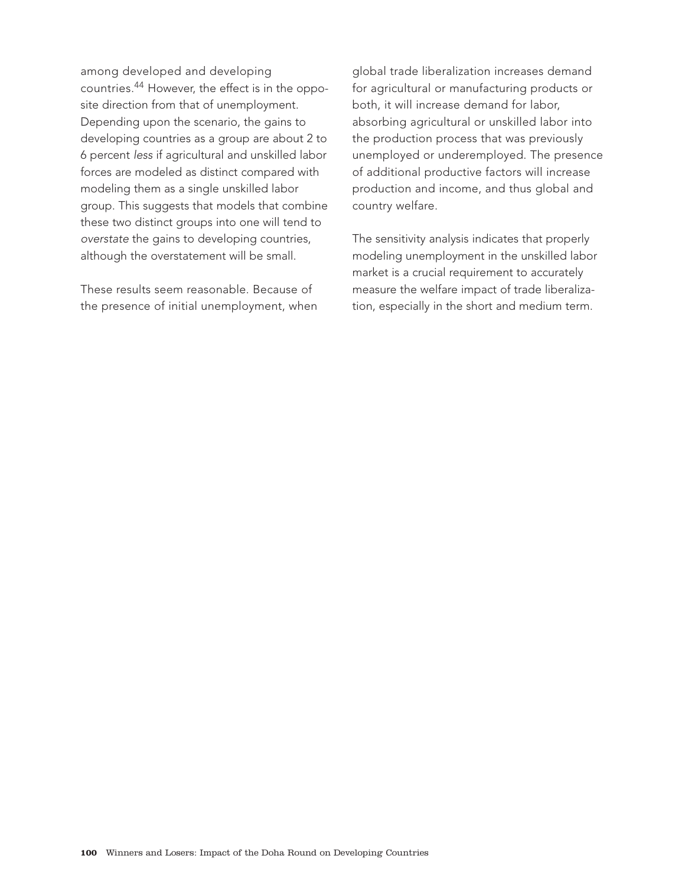### Table B.1. (continued) Sensitivity of Labor Market Specification for Developing Countries

(CHANGE IN REAL INCOME, BILLIONS OF DOLLARS)

|                                                                                                                                                                                                                                                                                                                                                                                                                                                  | Central<br>Doha       | Hong<br>Kong | <b>Central Doha</b><br>Scenario with<br>"Special Products" for | Full                        |
|--------------------------------------------------------------------------------------------------------------------------------------------------------------------------------------------------------------------------------------------------------------------------------------------------------------------------------------------------------------------------------------------------------------------------------------------------|-----------------------|--------------|----------------------------------------------------------------|-----------------------------|
| <b>Country or Region</b>                                                                                                                                                                                                                                                                                                                                                                                                                         | Scenario <sup>a</sup> | Scenariob    | Developing Countries <sup>c</sup>                              | Liberalization <sup>d</sup> |
| Two categories of labor with Initial unskilled labor unemployment in developing countries                                                                                                                                                                                                                                                                                                                                                        |                       |              |                                                                |                             |
| China                                                                                                                                                                                                                                                                                                                                                                                                                                            | 15.3                  | 11.5         | 15.4                                                           | 24.0                        |
| Indonesia                                                                                                                                                                                                                                                                                                                                                                                                                                        | 0.9                   | 0.7          | 0.9                                                            | 2.5                         |
| Vietnam                                                                                                                                                                                                                                                                                                                                                                                                                                          | 1.6                   | 1.3          | 1.8                                                            | 2.5                         |
| Rest of ASEAN                                                                                                                                                                                                                                                                                                                                                                                                                                    | 2.7                   | 2.1          | 2.5                                                            | 7.3                         |
| India                                                                                                                                                                                                                                                                                                                                                                                                                                            | 3.3                   | 2.3          | 3.5                                                            | 10.7                        |
| Bangladesh                                                                                                                                                                                                                                                                                                                                                                                                                                       | $-0.1$                | $-0.1$       | $-0.1$                                                         | 0.5                         |
| Rest of South Asia                                                                                                                                                                                                                                                                                                                                                                                                                               | 0.4                   | 0.3          | 0.4                                                            | 1.2                         |
| Russia and FSU                                                                                                                                                                                                                                                                                                                                                                                                                                   | 0.4                   | 0.3          | 0.5                                                            | 0.5                         |
| Middle East and North Africa                                                                                                                                                                                                                                                                                                                                                                                                                     | 1.7                   | 1.2          | 1.7                                                            | 5.2                         |
| South Africa                                                                                                                                                                                                                                                                                                                                                                                                                                     | 0.4                   | 0.3          | 0.4                                                            | 0.8                         |
| East Africa                                                                                                                                                                                                                                                                                                                                                                                                                                      | $-0.1$                | $-0.1$       | $-0.1$                                                         | 0.4                         |
| Rest of Sub-Saharan Africa                                                                                                                                                                                                                                                                                                                                                                                                                       |                       | $-0.2$       |                                                                | 3.7                         |
|                                                                                                                                                                                                                                                                                                                                                                                                                                                  | $-0.2$                |              | $-0.2$                                                         |                             |
| Brazil                                                                                                                                                                                                                                                                                                                                                                                                                                           | 1.4                   | 1.1          | 1.4                                                            | 5.0                         |
| Mexico                                                                                                                                                                                                                                                                                                                                                                                                                                           | 0.1                   | 0.0          | 0.0                                                            | 0.3                         |
| Argentina                                                                                                                                                                                                                                                                                                                                                                                                                                        | 0.7                   | 0.6          | 0.6                                                            | 2.3                         |
| Rest of Latin America                                                                                                                                                                                                                                                                                                                                                                                                                            | 0.4                   | 0.3          | 0.4                                                            | 1.0                         |
| Central America and Caribbean                                                                                                                                                                                                                                                                                                                                                                                                                    | 1.0                   | 0.7          | 0.8                                                            | 4.0                         |
| Rest of the world                                                                                                                                                                                                                                                                                                                                                                                                                                | 0.6                   | 0.4          | 0.4                                                            | 4.1                         |
| All developing countries                                                                                                                                                                                                                                                                                                                                                                                                                         | 30.7                  | 22.7         | 30.4                                                           | 76.0                        |
| Asian NIEs                                                                                                                                                                                                                                                                                                                                                                                                                                       | 3.9                   | 2.7          | 3.9                                                            | 19.3                        |
| <b>USA</b>                                                                                                                                                                                                                                                                                                                                                                                                                                       | 6.6                   | 4.7          | 6.4                                                            | 16.5                        |
| <b>EU 15</b>                                                                                                                                                                                                                                                                                                                                                                                                                                     | 6.7                   | 5.2          | 6.7                                                            | 21.0                        |
| <b>EU 10</b>                                                                                                                                                                                                                                                                                                                                                                                                                                     | 0.6                   | 0.5          | 0.6                                                            | 1.6                         |
| Japan                                                                                                                                                                                                                                                                                                                                                                                                                                            | 7.4                   | 5.9          | 7.4                                                            | 23.9                        |
| Rest of OECD                                                                                                                                                                                                                                                                                                                                                                                                                                     | 2.7                   | 2.4          | 2.7                                                            | 6.8                         |
| All developed countries                                                                                                                                                                                                                                                                                                                                                                                                                          | 28.0                  | 21.4         | 27.7                                                           | 89.1                        |
| World total                                                                                                                                                                                                                                                                                                                                                                                                                                      | 58.6                  | 44.1         | 58.2                                                           | 165.1                       |
| Developing country share                                                                                                                                                                                                                                                                                                                                                                                                                         | 52.3                  | 51.4         | 52.3                                                           | 46.0                        |
|                                                                                                                                                                                                                                                                                                                                                                                                                                                  |                       |              |                                                                |                             |
| Two categories of labor with full employment assumption in developing countries                                                                                                                                                                                                                                                                                                                                                                  |                       |              |                                                                |                             |
|                                                                                                                                                                                                                                                                                                                                                                                                                                                  | 6.7                   | 4.9          | 6.8                                                            | 15.2                        |
| China<br>Indonesia                                                                                                                                                                                                                                                                                                                                                                                                                               | 0.6                   | 0.4          | 0.5                                                            | 1.5                         |
|                                                                                                                                                                                                                                                                                                                                                                                                                                                  | 1.0                   | 0.6          | 1.2                                                            | 1.7                         |
|                                                                                                                                                                                                                                                                                                                                                                                                                                                  | 1.7                   | 1.3          | 1.5                                                            | 4.0                         |
|                                                                                                                                                                                                                                                                                                                                                                                                                                                  | 2.1                   | 1.6          | 1.8                                                            | 5.8                         |
|                                                                                                                                                                                                                                                                                                                                                                                                                                                  | 0.0                   | 0.0          | 0.0                                                            | 0.2                         |
|                                                                                                                                                                                                                                                                                                                                                                                                                                                  |                       |              |                                                                |                             |
|                                                                                                                                                                                                                                                                                                                                                                                                                                                  | 0.2                   | 0.2          | 0.2                                                            | 0.7                         |
|                                                                                                                                                                                                                                                                                                                                                                                                                                                  | 0.4                   | 0.3          | 0.5                                                            | 0.5                         |
|                                                                                                                                                                                                                                                                                                                                                                                                                                                  | 1.1                   | 0.7          | 1.0                                                            | 3.1                         |
|                                                                                                                                                                                                                                                                                                                                                                                                                                                  | 0.2                   | 0.2          | 0.2                                                            | 0.2                         |
|                                                                                                                                                                                                                                                                                                                                                                                                                                                  | $-0.1$                | $-0.1$       | $-0.1$                                                         | 0.4                         |
|                                                                                                                                                                                                                                                                                                                                                                                                                                                  | $-0.2$                | $-0.2$       | $-0.3$                                                         | 2.4                         |
|                                                                                                                                                                                                                                                                                                                                                                                                                                                  | 1.1                   | 0.9          | 1.0                                                            | 4.5                         |
|                                                                                                                                                                                                                                                                                                                                                                                                                                                  | 0.2                   | 0.1          | 0.0                                                            | 0.1                         |
|                                                                                                                                                                                                                                                                                                                                                                                                                                                  | 0.6                   | 0.5          | 0.5                                                            | 1.9                         |
|                                                                                                                                                                                                                                                                                                                                                                                                                                                  |                       |              |                                                                |                             |
|                                                                                                                                                                                                                                                                                                                                                                                                                                                  | 0.2                   | 0.2          | 0.2                                                            | 0.3                         |
|                                                                                                                                                                                                                                                                                                                                                                                                                                                  | 1.0                   | 0.8          | 0.8                                                            | 4.1                         |
|                                                                                                                                                                                                                                                                                                                                                                                                                                                  | $-0.1$                | $-0.1$       | $-0.1$                                                         | 0.1                         |
|                                                                                                                                                                                                                                                                                                                                                                                                                                                  | 16.4                  | 12.1         | 15.8                                                           | 46.7                        |
|                                                                                                                                                                                                                                                                                                                                                                                                                                                  | 3.8                   | 2.6          | 3.8                                                            | 19.1                        |
|                                                                                                                                                                                                                                                                                                                                                                                                                                                  | 6.4                   | 4.6          | 6.3                                                            | 16.2                        |
|                                                                                                                                                                                                                                                                                                                                                                                                                                                  | 6.6                   | 5.1          | 6.6                                                            | 20.6                        |
|                                                                                                                                                                                                                                                                                                                                                                                                                                                  | 0.6                   | 0.5          | 0.6                                                            | 1.6                         |
|                                                                                                                                                                                                                                                                                                                                                                                                                                                  |                       |              |                                                                |                             |
|                                                                                                                                                                                                                                                                                                                                                                                                                                                  | 7.3                   | 5.9          | 7.4                                                            | 23.8                        |
|                                                                                                                                                                                                                                                                                                                                                                                                                                                  | 2.7                   | 2.3          | 2.6                                                            | 6.8                         |
| Vietnam<br>Rest of ASEAN<br>India<br>Bangladesh<br>Rest of South Asia<br>Russia and FSU<br>Middle East and North Africa<br>South Africa<br>East Africa<br>Rest of Sub-Saharan Africa<br>Brazil<br>Mexico<br>Argentina<br>Rest of Latin America<br>Central America and Caribbean<br>Rest of the world<br>All developing countries<br>Asian NIEs<br><b>USA</b><br><b>EU 15</b><br><b>EU 10</b><br>Japan<br>Rest of OECD<br>All developed countries | 27.5                  | 21.1         | 27.3                                                           | 88.1                        |
| World total<br>Developing country share                                                                                                                                                                                                                                                                                                                                                                                                          | 43.9<br>37.4          | 33.2<br>36.6 | 43.1<br>36.7                                                   | 134.8<br>34.6               |

c. Scenario 4.

d. Scenario 9.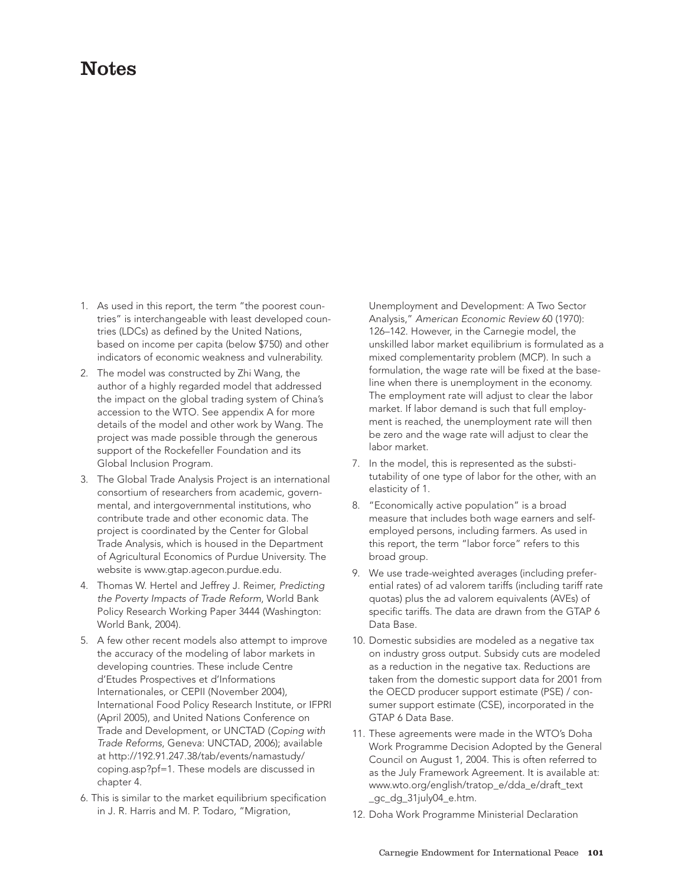among developed and developing countries.<sup>44</sup> However, the effect is in the opposite direction from that of unemployment. Depending upon the scenario, the gains to developing countries as a group are about 2 to 6 percent *less* if agricultural and unskilled labor forces are modeled as distinct compared with modeling them as a single unskilled labor group. This suggests that models that combine these two distinct groups into one will tend to *overstate* the gains to developing countries, although the overstatement will be small.

These results seem reasonable. Because of the presence of initial unemployment, when global trade liberalization increases demand for agricultural or manufacturing products or both, it will increase demand for labor, absorbing agricultural or unskilled labor into the production process that was previously unemployed or underemployed. The presence of additional productive factors will increase production and income, and thus global and country welfare.

The sensitivity analysis indicates that properly modeling unemployment in the unskilled labor market is a crucial requirement to accurately measure the welfare impact of trade liberalization, especially in the short and medium term.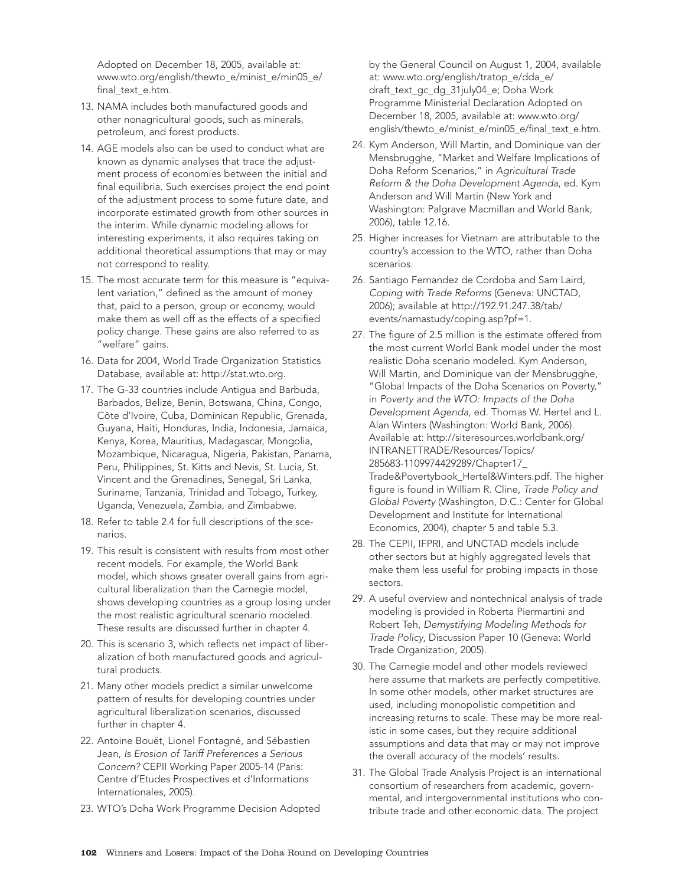### **Notes**

- 1. As used in this report, the term "the poorest countries" is interchangeable with least developed countries (LDCs) as defined by the United Nations, based on income per capita (below \$750) and other indicators of economic weakness and vulnerability.
- 2. The model was constructed by Zhi Wang, the author of a highly regarded model that addressed the impact on the global trading system of China's accession to the WTO. See appendix A for more details of the model and other work by Wang. The project was made possible through the generous support of the Rockefeller Foundation and its Global Inclusion Program.
- 3. The Global Trade Analysis Project is an international consortium of researchers from academic, governmental, and intergovernmental institutions, who contribute trade and other economic data. The project is coordinated by the Center for Global Trade Analysis, which is housed in the Department of Agricultural Economics of Purdue University. The website is www.gtap.agecon.purdue.edu.
- 4. Thomas W. Hertel and Jeffrey J. Reimer, *Predicting the Poverty Impacts of Trade Reform*, World Bank Policy Research Working Paper 3444 (Washington: World Bank, 2004).
- 5. A few other recent models also attempt to improve the accuracy of the modeling of labor markets in developing countries. These include Centre d'Etudes Prospectives et d'Informations Internationales, or CEPII (November 2004), International Food Policy Research Institute, or IFPRI (April 2005), and United Nations Conference on Trade and Development, or UNCTAD (*Coping with Trade Reforms*, Geneva: UNCTAD, 2006); available at http://192.91.247.38/tab/events/namastudy/ coping.asp?pf=1. These models are discussed in chapter 4.
- 6. This is similar to the market equilibrium specification in J. R. Harris and M. P. Todaro, "Migration,

Unemployment and Development: A Two Sector Analysis," *American Economic Review* 60 (1970): 126–142. However, in the Carnegie model, the unskilled labor market equilibrium is formulated as a mixed complementarity problem (MCP). In such a formulation, the wage rate will be fixed at the baseline when there is unemployment in the economy. The employment rate will adjust to clear the labor market. If labor demand is such that full employment is reached, the unemployment rate will then be zero and the wage rate will adjust to clear the labor market.

- 7. In the model, this is represented as the substitutability of one type of labor for the other, with an elasticity of 1.
- 8. "Economically active population" is a broad measure that includes both wage earners and selfemployed persons, including farmers. As used in this report, the term "labor force" refers to this broad group.
- 9. We use trade-weighted averages (including preferential rates) of ad valorem tariffs (including tariff rate quotas) plus the ad valorem equivalents (AVEs) of specific tariffs. The data are drawn from the GTAP 6 Data Base.
- 10. Domestic subsidies are modeled as a negative tax on industry gross output. Subsidy cuts are modeled as a reduction in the negative tax. Reductions are taken from the domestic support data for 2001 from the OECD producer support estimate (PSE) / consumer support estimate (CSE), incorporated in the GTAP 6 Data Base.
- 11. These agreements were made in the WTO's Doha Work Programme Decision Adopted by the General Council on August 1, 2004. This is often referred to as the July Framework Agreement. It is available at: www.wto.org/english/tratop\_e/dda\_e/draft\_text \_gc\_dg\_31july04\_e.htm.
- 12. Doha Work Programme Ministerial Declaration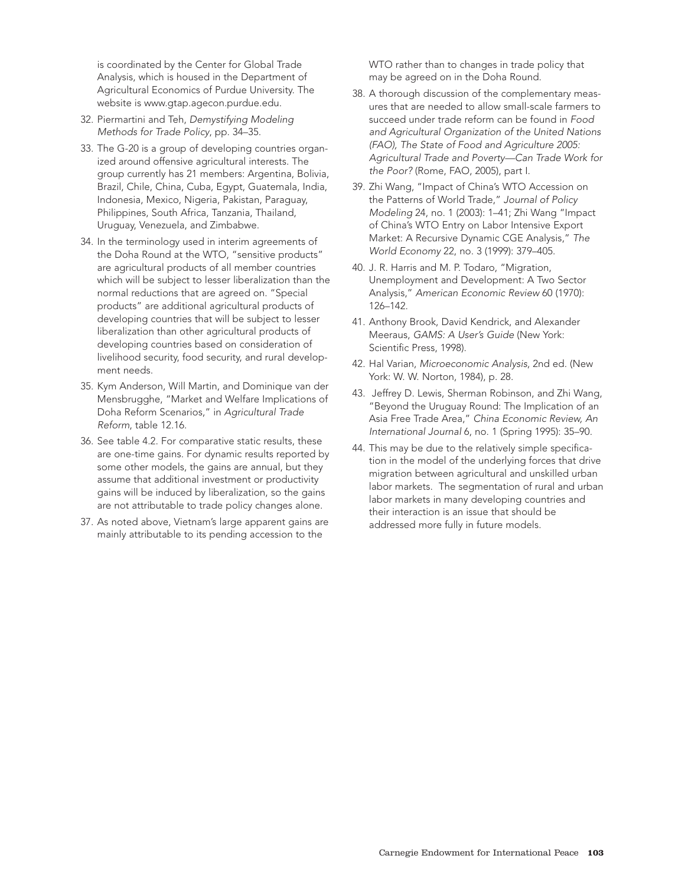Adopted on December 18, 2005, available at: www.wto.org/english/thewto\_e/minist\_e/min05\_e/ final\_text\_e.htm.

- 13. NAMA includes both manufactured goods and other nonagricultural goods, such as minerals, petroleum, and forest products.
- 14. AGE models also can be used to conduct what are known as dynamic analyses that trace the adjustment process of economies between the initial and final equilibria. Such exercises project the end point of the adjustment process to some future date, and incorporate estimated growth from other sources in the interim. While dynamic modeling allows for interesting experiments, it also requires taking on additional theoretical assumptions that may or may not correspond to reality.
- 15. The most accurate term for this measure is "equivalent variation," defined as the amount of money that, paid to a person, group or economy, would make them as well off as the effects of a specified policy change. These gains are also referred to as "welfare" gains.
- 16. Data for 2004, World Trade Organization Statistics Database, available at: http://stat.wto.org.
- 17. The G-33 countries include Antigua and Barbuda, Barbados, Belize, Benin, Botswana, China, Congo, Côte d'Ivoire, Cuba, Dominican Republic, Grenada, Guyana, Haiti, Honduras, India, Indonesia, Jamaica, Kenya, Korea, Mauritius, Madagascar, Mongolia, Mozambique, Nicaragua, Nigeria, Pakistan, Panama, Peru, Philippines, St. Kitts and Nevis, St. Lucia, St. Vincent and the Grenadines, Senegal, Sri Lanka, Suriname, Tanzania, Trinidad and Tobago, Turkey, Uganda, Venezuela, Zambia, and Zimbabwe.
- 18. Refer to table 2.4 for full descriptions of the scenarios.
- 19. This result is consistent with results from most other recent models. For example, the World Bank model, which shows greater overall gains from agricultural liberalization than the Carnegie model, shows developing countries as a group losing under the most realistic agricultural scenario modeled. These results are discussed further in chapter 4.
- 20. This is scenario 3, which reflects net impact of liberalization of both manufactured goods and agricultural products.
- 21. Many other models predict a similar unwelcome pattern of results for developing countries under agricultural liberalization scenarios, discussed further in chapter 4.
- 22. Antoine Bouët, Lionel Fontagné, and Sébastien Jean, *Is Erosion of Tariff Preferences a Serious Concern?* CEPII Working Paper 2005-14 (Paris: Centre d'Etudes Prospectives et d'Informations Internationales, 2005).
- 23. WTO's Doha Work Programme Decision Adopted

by the General Council on August 1, 2004, available at: www.wto.org/english/tratop\_e/dda\_e/ draft\_text\_gc\_dg\_31july04\_e; Doha Work Programme Ministerial Declaration Adopted on December 18, 2005, available at: www.wto.org/ english/thewto\_e/minist\_e/min05\_e/final\_text\_e.htm.

- 24. Kym Anderson, Will Martin, and Dominique van der Mensbrugghe, "Market and Welfare Implications of Doha Reform Scenarios," in *Agricultural Trade Reform & the Doha Development Agenda*, ed. Kym Anderson and Will Martin (New York and Washington: Palgrave Macmillan and World Bank, 2006), table 12.16.
- 25. Higher increases for Vietnam are attributable to the country's accession to the WTO, rather than Doha scenarios.
- 26. Santiago Fernandez de Cordoba and Sam Laird, *Coping with Trade Reforms* (Geneva: UNCTAD, 2006); available at http://192.91.247.38/tab/ events/namastudy/coping.asp?pf=1.
- 27. The figure of 2.5 million is the estimate offered from the most current World Bank model under the most realistic Doha scenario modeled. Kym Anderson, Will Martin, and Dominique van der Mensbrugghe, "Global Impacts of the Doha Scenarios on Poverty," in *Poverty and the WTO: Impacts of the Doha Development Agenda,* ed. Thomas W. Hertel and L. Alan Winters (Washington: World Bank, 2006). Available at: http://siteresources.worldbank.org/ INTRANETTRADE/Resources/Topics/ 285683-1109974429289/Chapter17\_ Trade&Povertybook\_Hertel&Winters.pdf. The higher figure is found in William R. Cline, *Trade Policy and Global Poverty* (Washington, D.C.: Center for Global Development and Institute for International Economics, 2004), chapter 5 and table 5.3.
- 28. The CEPII, IFPRI, and UNCTAD models include other sectors but at highly aggregated levels that make them less useful for probing impacts in those sectors.
- 29. A useful overview and nontechnical analysis of trade modeling is provided in Roberta Piermartini and Robert Teh, *Demystifying Modeling Methods for Trade Policy*, Discussion Paper 10 (Geneva: World Trade Organization, 2005).
- 30. The Carnegie model and other models reviewed here assume that markets are perfectly competitive. In some other models, other market structures are used, including monopolistic competition and increasing returns to scale. These may be more realistic in some cases, but they require additional assumptions and data that may or may not improve the overall accuracy of the models' results.
- 31. The Global Trade Analysis Project is an international consortium of researchers from academic, governmental, and intergovernmental institutions who contribute trade and other economic data. The project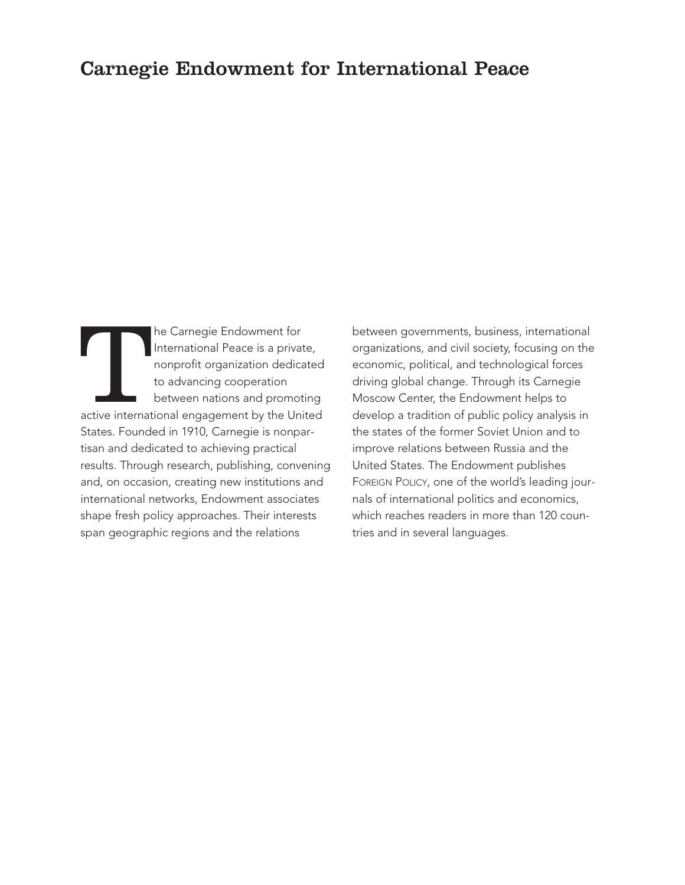is coordinated by the Center for Global Trade Analysis, which is housed in the Department of Agricultural Economics of Purdue University. The website is www.gtap.agecon.purdue.edu.

- 32. Piermartini and Teh, *Demystifying Modeling Methods for Trade Policy*, pp. 34–35.
- 33. The G-20 is a group of developing countries organized around offensive agricultural interests. The group currently has 21 members: Argentina, Bolivia, Brazil, Chile, China, Cuba, Egypt, Guatemala, India, Indonesia, Mexico, Nigeria, Pakistan, Paraguay, Philippines, South Africa, Tanzania, Thailand, Uruguay, Venezuela, and Zimbabwe.
- 34. In the terminology used in interim agreements of the Doha Round at the WTO, "sensitive products" are agricultural products of all member countries which will be subject to lesser liberalization than the normal reductions that are agreed on. "Special products" are additional agricultural products of developing countries that will be subject to lesser liberalization than other agricultural products of developing countries based on consideration of livelihood security, food security, and rural development needs.
- 35. Kym Anderson, Will Martin, and Dominique van der Mensbrugghe, "Market and Welfare Implications of Doha Reform Scenarios," in *Agricultural Trade Reform*, table 12.16.
- 36. See table 4.2. For comparative static results, these are one-time gains. For dynamic results reported by some other models, the gains are annual, but they assume that additional investment or productivity gains will be induced by liberalization, so the gains are not attributable to trade policy changes alone.
- 37. As noted above, Vietnam's large apparent gains are mainly attributable to its pending accession to the

WTO rather than to changes in trade policy that may be agreed on in the Doha Round.

- 38. A thorough discussion of the complementary measures that are needed to allow small-scale farmers to succeed under trade reform can be found in *Food and Agricultural Organization of the United Nations (FAO), The State of Food and Agriculture 2005: Agricultural Trade and Poverty—Can Trade Work for the Poor?* (Rome, FAO, 2005), part I.
- 39. Zhi Wang, "Impact of China's WTO Accession on the Patterns of World Trade," *Journal of Policy Modeling* 24, no. 1 (2003): 1–41; Zhi Wang "Impact of China's WTO Entry on Labor Intensive Export Market: A Recursive Dynamic CGE Analysis," *The World Economy* 22, no. 3 (1999): 379–405.
- 40. J. R. Harris and M. P. Todaro, "Migration, Unemployment and Development: A Two Sector Analysis," *American Economic Review* 60 (1970): 126–142.
- 41. Anthony Brook, David Kendrick, and Alexander Meeraus, *GAMS: A User's Guide* (New York: Scientific Press, 1998).
- 42. Hal Varian, *Microeconomic Analysis*, 2nd ed. (New York: W. W. Norton, 1984), p. 28.
- 43. Jeffrey D. Lewis, Sherman Robinson, and Zhi Wang, "Beyond the Uruguay Round: The Implication of an Asia Free Trade Area," *China Economic Review, An International Journal* 6, no. 1 (Spring 1995): 35–90.
- 44. This may be due to the relatively simple specification in the model of the underlying forces that drive migration between agricultural and unskilled urban labor markets. The segmentation of rural and urban labor markets in many developing countries and their interaction is an issue that should be addressed more fully in future models.